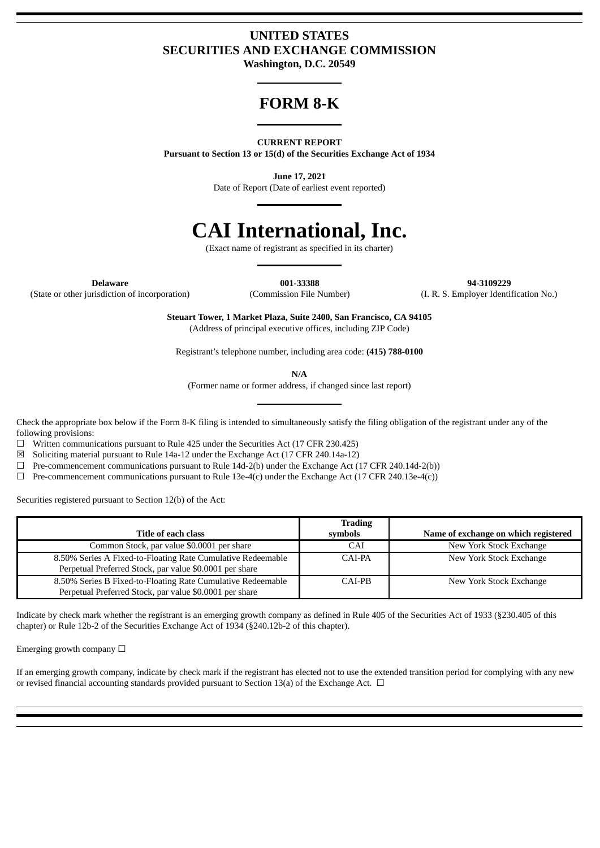# **UNITED STATES SECURITIES AND EXCHANGE COMMISSION**

**Washington, D.C. 20549**

# **FORM 8-K**

### **CURRENT REPORT**

**Pursuant to Section 13 or 15(d) of the Securities Exchange Act of 1934**

**June 17, 2021**

Date of Report (Date of earliest event reported)

# **CAI International, Inc.**

(Exact name of registrant as specified in its charter)

(State or other jurisdiction of incorporation) (Commission File Number) (I. R. S. Employer Identification No.)

**Delaware 001-33388 94-3109229**

**Steuart Tower, 1 Market Plaza, Suite 2400, San Francisco, CA 94105** (Address of principal executive offices, including ZIP Code)

Registrant's telephone number, including area code: **(415) 788-0100**

**N/A**

(Former name or former address, if changed since last report)

Check the appropriate box below if the Form 8-K filing is intended to simultaneously satisfy the filing obligation of the registrant under any of the following provisions:

 $\Box$  Written communications pursuant to Rule 425 under the Securities Act (17 CFR 230.425)

 $\boxtimes$  Soliciting material pursuant to Rule 14a-12 under the Exchange Act (17 CFR 240.14a-12)

 $\Box$  Pre-commencement communications pursuant to Rule 14d-2(b) under the Exchange Act (17 CFR 240.14d-2(b))

 $\Box$  Pre-commencement communications pursuant to Rule 13e-4(c) under the Exchange Act (17 CFR 240.13e-4(c))

Securities registered pursuant to Section 12(b) of the Act:

|                                                             | <b>Trading</b> |                                      |
|-------------------------------------------------------------|----------------|--------------------------------------|
| Title of each class                                         | symbols        | Name of exchange on which registered |
| Common Stock, par value \$0.0001 per share                  | CAI            | New York Stock Exchange              |
| 8.50% Series A Fixed-to-Floating Rate Cumulative Redeemable | CAI-PA         | New York Stock Exchange              |
| Perpetual Preferred Stock, par value \$0.0001 per share     |                |                                      |
| 8.50% Series B Fixed-to-Floating Rate Cumulative Redeemable | CAI-PB         | New York Stock Exchange              |
| Perpetual Preferred Stock, par value \$0.0001 per share     |                |                                      |

Indicate by check mark whether the registrant is an emerging growth company as defined in Rule 405 of the Securities Act of 1933 (§230.405 of this chapter) or Rule 12b-2 of the Securities Exchange Act of 1934 (§240.12b-2 of this chapter).

Emerging growth company  $\Box$ 

If an emerging growth company, indicate by check mark if the registrant has elected not to use the extended transition period for complying with any new or revised financial accounting standards provided pursuant to Section 13(a) of the Exchange Act.  $\Box$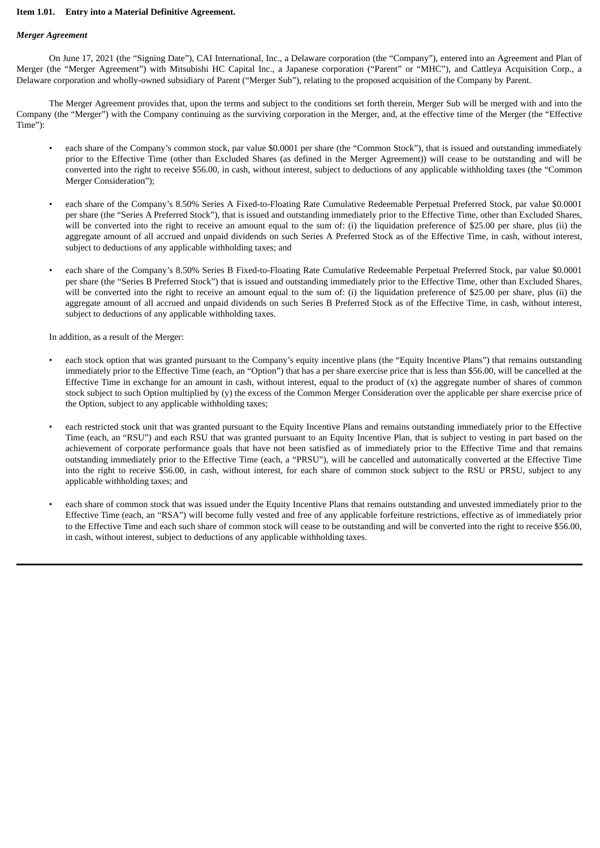### **Item 1.01. Entry into a Material Definitive Agreement.**

### *Merger Agreement*

On June 17, 2021 (the "Signing Date"), CAI International, Inc., a Delaware corporation (the "Company"), entered into an Agreement and Plan of Merger (the "Merger Agreement") with Mitsubishi HC Capital Inc., a Japanese corporation ("Parent" or "MHC"), and Cattleya Acquisition Corp., a Delaware corporation and wholly-owned subsidiary of Parent ("Merger Sub"), relating to the proposed acquisition of the Company by Parent.

The Merger Agreement provides that, upon the terms and subject to the conditions set forth therein, Merger Sub will be merged with and into the Company (the "Merger") with the Company continuing as the surviving corporation in the Merger, and, at the effective time of the Merger (the "Effective Time"):

- each share of the Company's common stock, par value \$0.0001 per share (the "Common Stock"), that is issued and outstanding immediately prior to the Effective Time (other than Excluded Shares (as defined in the Merger Agreement)) will cease to be outstanding and will be converted into the right to receive \$56.00, in cash, without interest, subject to deductions of any applicable withholding taxes (the "Common Merger Consideration");
- each share of the Company's 8.50% Series A Fixed-to-Floating Rate Cumulative Redeemable Perpetual Preferred Stock, par value \$0.0001 per share (the "Series A Preferred Stock"), that is issued and outstanding immediately prior to the Effective Time, other than Excluded Shares, will be converted into the right to receive an amount equal to the sum of: (i) the liquidation preference of \$25.00 per share, plus (ii) the aggregate amount of all accrued and unpaid dividends on such Series A Preferred Stock as of the Effective Time, in cash, without interest, subject to deductions of any applicable withholding taxes; and
- each share of the Company's 8.50% Series B Fixed-to-Floating Rate Cumulative Redeemable Perpetual Preferred Stock, par value \$0.0001 per share (the "Series B Preferred Stock") that is issued and outstanding immediately prior to the Effective Time, other than Excluded Shares, will be converted into the right to receive an amount equal to the sum of: (i) the liquidation preference of \$25.00 per share, plus (ii) the aggregate amount of all accrued and unpaid dividends on such Series B Preferred Stock as of the Effective Time, in cash, without interest, subject to deductions of any applicable withholding taxes.

In addition, as a result of the Merger:

- each stock option that was granted pursuant to the Company's equity incentive plans (the "Equity Incentive Plans") that remains outstanding immediately prior to the Effective Time (each, an "Option") that has a per share exercise price that is less than \$56.00, will be cancelled at the Effective Time in exchange for an amount in cash, without interest, equal to the product of  $(x)$  the aggregate number of shares of common stock subject to such Option multiplied by (y) the excess of the Common Merger Consideration over the applicable per share exercise price of the Option, subject to any applicable withholding taxes;
- each restricted stock unit that was granted pursuant to the Equity Incentive Plans and remains outstanding immediately prior to the Effective Time (each, an "RSU") and each RSU that was granted pursuant to an Equity Incentive Plan, that is subject to vesting in part based on the achievement of corporate performance goals that have not been satisfied as of immediately prior to the Effective Time and that remains outstanding immediately prior to the Effective Time (each, a "PRSU"), will be cancelled and automatically converted at the Effective Time into the right to receive \$56.00, in cash, without interest, for each share of common stock subject to the RSU or PRSU, subject to any applicable withholding taxes; and
- each share of common stock that was issued under the Equity Incentive Plans that remains outstanding and unvested immediately prior to the Effective Time (each, an "RSA") will become fully vested and free of any applicable forfeiture restrictions, effective as of immediately prior to the Effective Time and each such share of common stock will cease to be outstanding and will be converted into the right to receive \$56.00, in cash, without interest, subject to deductions of any applicable withholding taxes.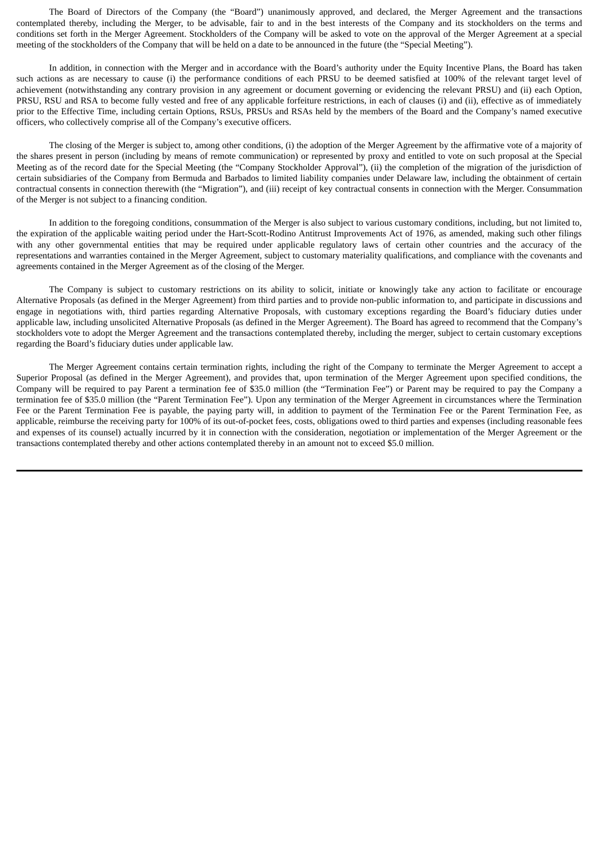The Board of Directors of the Company (the "Board") unanimously approved, and declared, the Merger Agreement and the transactions contemplated thereby, including the Merger, to be advisable, fair to and in the best interests of the Company and its stockholders on the terms and conditions set forth in the Merger Agreement. Stockholders of the Company will be asked to vote on the approval of the Merger Agreement at a special meeting of the stockholders of the Company that will be held on a date to be announced in the future (the "Special Meeting").

In addition, in connection with the Merger and in accordance with the Board's authority under the Equity Incentive Plans, the Board has taken such actions as are necessary to cause (i) the performance conditions of each PRSU to be deemed satisfied at 100% of the relevant target level of achievement (notwithstanding any contrary provision in any agreement or document governing or evidencing the relevant PRSU) and (ii) each Option, PRSU, RSU and RSA to become fully vested and free of any applicable forfeiture restrictions, in each of clauses (i) and (ii), effective as of immediately prior to the Effective Time, including certain Options, RSUs, PRSUs and RSAs held by the members of the Board and the Company's named executive officers, who collectively comprise all of the Company's executive officers.

The closing of the Merger is subject to, among other conditions, (i) the adoption of the Merger Agreement by the affirmative vote of a majority of the shares present in person (including by means of remote communication) or represented by proxy and entitled to vote on such proposal at the Special Meeting as of the record date for the Special Meeting (the "Company Stockholder Approval"), (ii) the completion of the migration of the jurisdiction of certain subsidiaries of the Company from Bermuda and Barbados to limited liability companies under Delaware law, including the obtainment of certain contractual consents in connection therewith (the "Migration"), and (iii) receipt of key contractual consents in connection with the Merger. Consummation of the Merger is not subject to a financing condition.

In addition to the foregoing conditions, consummation of the Merger is also subject to various customary conditions, including, but not limited to, the expiration of the applicable waiting period under the Hart-Scott-Rodino Antitrust Improvements Act of 1976, as amended, making such other filings with any other governmental entities that may be required under applicable regulatory laws of certain other countries and the accuracy of the representations and warranties contained in the Merger Agreement, subject to customary materiality qualifications, and compliance with the covenants and agreements contained in the Merger Agreement as of the closing of the Merger.

The Company is subject to customary restrictions on its ability to solicit, initiate or knowingly take any action to facilitate or encourage Alternative Proposals (as defined in the Merger Agreement) from third parties and to provide non-public information to, and participate in discussions and engage in negotiations with, third parties regarding Alternative Proposals, with customary exceptions regarding the Board's fiduciary duties under applicable law, including unsolicited Alternative Proposals (as defined in the Merger Agreement). The Board has agreed to recommend that the Company's stockholders vote to adopt the Merger Agreement and the transactions contemplated thereby, including the merger, subject to certain customary exceptions regarding the Board's fiduciary duties under applicable law.

The Merger Agreement contains certain termination rights, including the right of the Company to terminate the Merger Agreement to accept a Superior Proposal (as defined in the Merger Agreement), and provides that, upon termination of the Merger Agreement upon specified conditions, the Company will be required to pay Parent a termination fee of \$35.0 million (the "Termination Fee") or Parent may be required to pay the Company a termination fee of \$35.0 million (the "Parent Termination Fee"). Upon any termination of the Merger Agreement in circumstances where the Termination Fee or the Parent Termination Fee is payable, the paying party will, in addition to payment of the Termination Fee or the Parent Termination Fee, as applicable, reimburse the receiving party for 100% of its out-of-pocket fees, costs, obligations owed to third parties and expenses (including reasonable fees and expenses of its counsel) actually incurred by it in connection with the consideration, negotiation or implementation of the Merger Agreement or the transactions contemplated thereby and other actions contemplated thereby in an amount not to exceed \$5.0 million.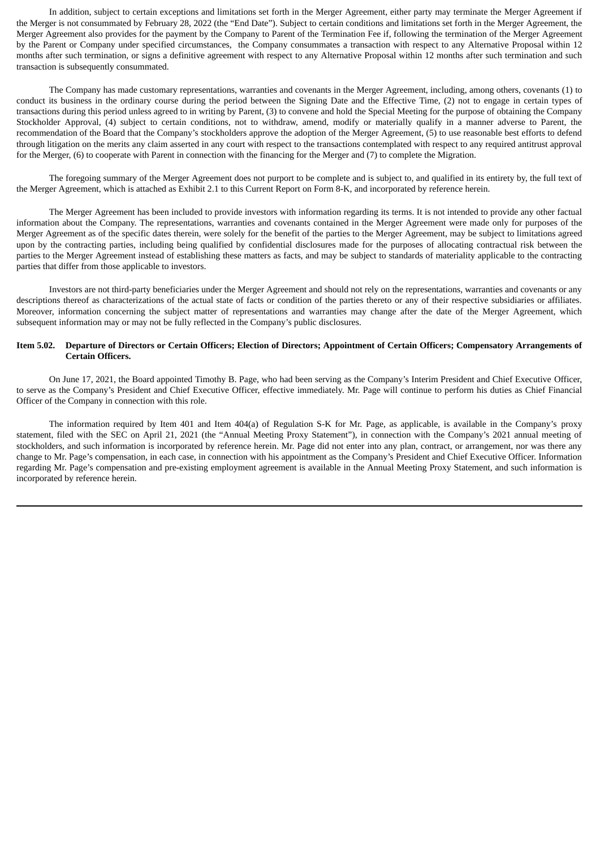In addition, subject to certain exceptions and limitations set forth in the Merger Agreement, either party may terminate the Merger Agreement if the Merger is not consummated by February 28, 2022 (the "End Date"). Subject to certain conditions and limitations set forth in the Merger Agreement, the Merger Agreement also provides for the payment by the Company to Parent of the Termination Fee if, following the termination of the Merger Agreement by the Parent or Company under specified circumstances, the Company consummates a transaction with respect to any Alternative Proposal within 12 months after such termination, or signs a definitive agreement with respect to any Alternative Proposal within 12 months after such termination and such transaction is subsequently consummated.

The Company has made customary representations, warranties and covenants in the Merger Agreement, including, among others, covenants (1) to conduct its business in the ordinary course during the period between the Signing Date and the Effective Time, (2) not to engage in certain types of transactions during this period unless agreed to in writing by Parent, (3) to convene and hold the Special Meeting for the purpose of obtaining the Company Stockholder Approval, (4) subject to certain conditions, not to withdraw, amend, modify or materially qualify in a manner adverse to Parent, the recommendation of the Board that the Company's stockholders approve the adoption of the Merger Agreement, (5) to use reasonable best efforts to defend through litigation on the merits any claim asserted in any court with respect to the transactions contemplated with respect to any required antitrust approval for the Merger, (6) to cooperate with Parent in connection with the financing for the Merger and (7) to complete the Migration.

The foregoing summary of the Merger Agreement does not purport to be complete and is subject to, and qualified in its entirety by, the full text of the Merger Agreement, which is attached as Exhibit 2.1 to this Current Report on Form 8-K, and incorporated by reference herein.

The Merger Agreement has been included to provide investors with information regarding its terms. It is not intended to provide any other factual information about the Company. The representations, warranties and covenants contained in the Merger Agreement were made only for purposes of the Merger Agreement as of the specific dates therein, were solely for the benefit of the parties to the Merger Agreement, may be subject to limitations agreed upon by the contracting parties, including being qualified by confidential disclosures made for the purposes of allocating contractual risk between the parties to the Merger Agreement instead of establishing these matters as facts, and may be subject to standards of materiality applicable to the contracting parties that differ from those applicable to investors.

Investors are not third-party beneficiaries under the Merger Agreement and should not rely on the representations, warranties and covenants or any descriptions thereof as characterizations of the actual state of facts or condition of the parties thereto or any of their respective subsidiaries or affiliates. Moreover, information concerning the subject matter of representations and warranties may change after the date of the Merger Agreement, which subsequent information may or may not be fully reflected in the Company's public disclosures.

### Item 5.02. Departure of Directors or Certain Officers: Election of Directors: Appointment of Certain Officers: Compensatory Arrangements of **Certain Officers.**

On June 17, 2021, the Board appointed Timothy B. Page, who had been serving as the Company's Interim President and Chief Executive Officer, to serve as the Company's President and Chief Executive Officer, effective immediately. Mr. Page will continue to perform his duties as Chief Financial Officer of the Company in connection with this role.

The information required by Item 401 and Item 404(a) of Regulation S-K for Mr. Page, as applicable, is available in the Company's proxy statement, filed with the SEC on April 21, 2021 (the "Annual Meeting Proxy Statement"), in connection with the Company's 2021 annual meeting of stockholders, and such information is incorporated by reference herein. Mr. Page did not enter into any plan, contract, or arrangement, nor was there any change to Mr. Page's compensation, in each case, in connection with his appointment as the Company's President and Chief Executive Officer. Information regarding Mr. Page's compensation and pre-existing employment agreement is available in the Annual Meeting Proxy Statement, and such information is incorporated by reference herein.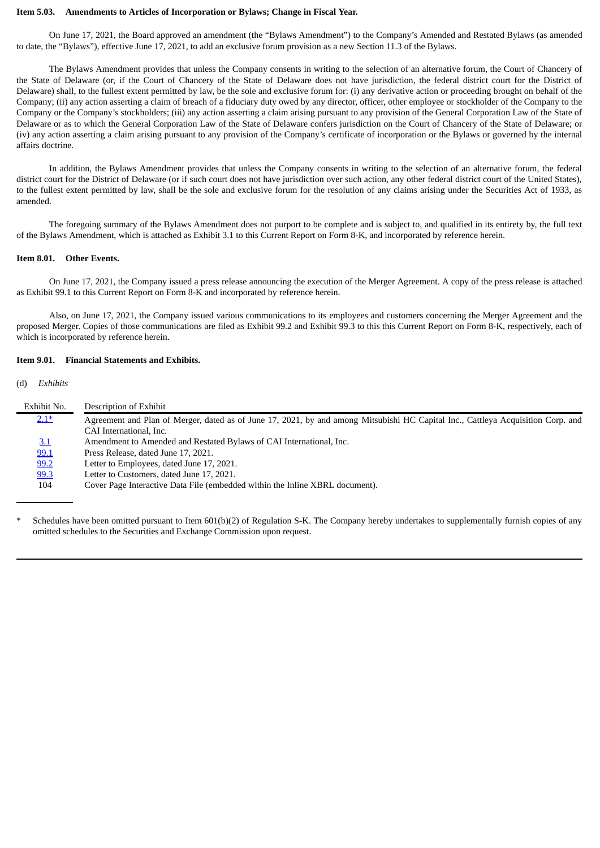#### **Item 5.03. Amendments to Articles of Incorporation or Bylaws; Change in Fiscal Year.**

On June 17, 2021, the Board approved an amendment (the "Bylaws Amendment") to the Company's Amended and Restated Bylaws (as amended to date, the "Bylaws"), effective June 17, 2021, to add an exclusive forum provision as a new Section 11.3 of the Bylaws.

The Bylaws Amendment provides that unless the Company consents in writing to the selection of an alternative forum, the Court of Chancery of the State of Delaware (or, if the Court of Chancery of the State of Delaware does not have jurisdiction, the federal district court for the District of Delaware) shall, to the fullest extent permitted by law, be the sole and exclusive forum for: (i) any derivative action or proceeding brought on behalf of the Company; (ii) any action asserting a claim of breach of a fiduciary duty owed by any director, officer, other employee or stockholder of the Company to the Company or the Company's stockholders; (iii) any action asserting a claim arising pursuant to any provision of the General Corporation Law of the State of Delaware or as to which the General Corporation Law of the State of Delaware confers jurisdiction on the Court of Chancery of the State of Delaware; or (iv) any action asserting a claim arising pursuant to any provision of the Company's certificate of incorporation or the Bylaws or governed by the internal affairs doctrine.

In addition, the Bylaws Amendment provides that unless the Company consents in writing to the selection of an alternative forum, the federal district court for the District of Delaware (or if such court does not have jurisdiction over such action, any other federal district court of the United States), to the fullest extent permitted by law, shall be the sole and exclusive forum for the resolution of any claims arising under the Securities Act of 1933, as amended.

The foregoing summary of the Bylaws Amendment does not purport to be complete and is subject to, and qualified in its entirety by, the full text of the Bylaws Amendment, which is attached as Exhibit 3.1 to this Current Report on Form 8-K, and incorporated by reference herein.

### **Item 8.01. Other Events.**

On June 17, 2021, the Company issued a press release announcing the execution of the Merger Agreement. A copy of the press release is attached as Exhibit 99.1 to this Current Report on Form 8-K and incorporated by reference herein.

Also, on June 17, 2021, the Company issued various communications to its employees and customers concerning the Merger Agreement and the proposed Merger. Copies of those communications are filed as Exhibit 99.2 and Exhibit 99.3 to this this Current Report on Form 8-K, respectively, each of which is incorporated by reference herein.

### **Item 9.01. Financial Statements and Exhibits.**

(d) *Exhibits*

| Exhibit No. | Description of Exhibit                                                                                                           |
|-------------|----------------------------------------------------------------------------------------------------------------------------------|
| $2.1*$      | Agreement and Plan of Merger, dated as of June 17, 2021, by and among Mitsubishi HC Capital Inc., Cattleya Acquisition Corp. and |
|             | CAI International, Inc.                                                                                                          |
| 3.1         | Amendment to Amended and Restated Bylaws of CAI International, Inc.                                                              |
| 99.1        | Press Release, dated June 17, 2021.                                                                                              |
| 99.2        | Letter to Employees, dated June 17, 2021.                                                                                        |
| 99.3        | Letter to Customers, dated June 17, 2021.                                                                                        |
| 104         | Cover Page Interactive Data File (embedded within the Inline XBRL document).                                                     |
|             |                                                                                                                                  |

Schedules have been omitted pursuant to Item 601(b)(2) of Regulation S-K. The Company hereby undertakes to supplementally furnish copies of any omitted schedules to the Securities and Exchange Commission upon request.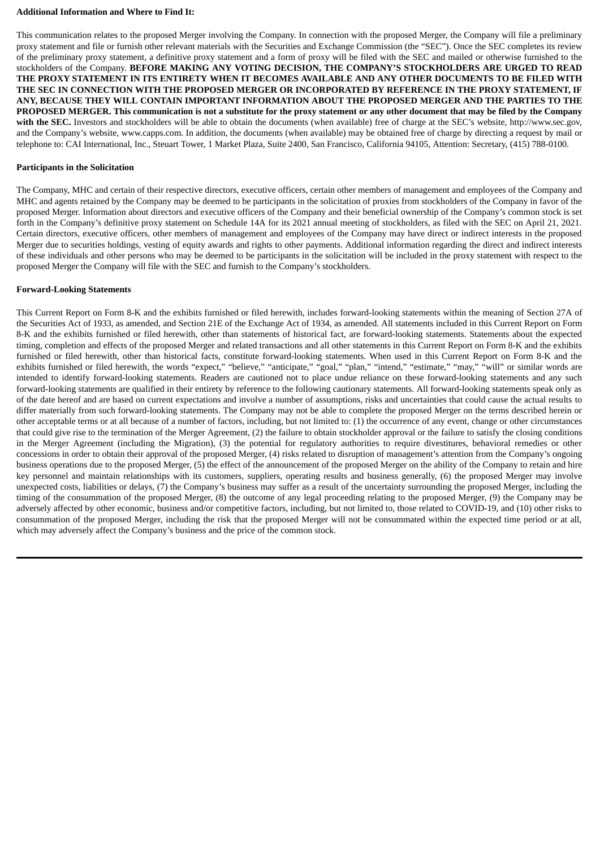### **Additional Information and Where to Find It:**

This communication relates to the proposed Merger involving the Company. In connection with the proposed Merger, the Company will file a preliminary proxy statement and file or furnish other relevant materials with the Securities and Exchange Commission (the "SEC"). Once the SEC completes its review of the preliminary proxy statement, a definitive proxy statement and a form of proxy will be filed with the SEC and mailed or otherwise furnished to the stockholders of the Company. **BEFORE MAKING ANY VOTING DECISION, THE COMPANY'S STOCKHOLDERS ARE URGED TO READ** THE PROXY STATEMENT IN ITS ENTIRETY WHEN IT BECOMES AVAILABLE AND ANY OTHER DOCUMENTS TO BE FILED WITH **THE SEC IN CONNECTION WITH THE PROPOSED MERGER OR INCORPORATED BY REFERENCE IN THE PROXY STATEMENT, IF ANY, BECAUSE THEY WILL CONTAIN IMPORTANT INFORMATION ABOUT THE PROPOSED MERGER AND THE PARTIES TO THE** PROPOSED MERGER. This communication is not a substitute for the proxy statement or any other document that may be filed by the Company **with the SEC.** Investors and stockholders will be able to obtain the documents (when available) free of charge at the SEC's website, http://www.sec.gov, and the Company's website, www.capps.com. In addition, the documents (when available) may be obtained free of charge by directing a request by mail or telephone to: CAI International, Inc., Steuart Tower, 1 Market Plaza, Suite 2400, San Francisco, California 94105, Attention: Secretary, (415) 788-0100.

### **Participants in the Solicitation**

The Company, MHC and certain of their respective directors, executive officers, certain other members of management and employees of the Company and MHC and agents retained by the Company may be deemed to be participants in the solicitation of proxies from stockholders of the Company in favor of the proposed Merger. Information about directors and executive officers of the Company and their beneficial ownership of the Company's common stock is set forth in the Company's definitive proxy statement on Schedule 14A for its 2021 annual meeting of stockholders, as filed with the SEC on April 21, 2021. Certain directors, executive officers, other members of management and employees of the Company may have direct or indirect interests in the proposed Merger due to securities holdings, vesting of equity awards and rights to other payments. Additional information regarding the direct and indirect interests of these individuals and other persons who may be deemed to be participants in the solicitation will be included in the proxy statement with respect to the proposed Merger the Company will file with the SEC and furnish to the Company's stockholders.

### **Forward-Looking Statements**

This Current Report on Form 8-K and the exhibits furnished or filed herewith, includes forward-looking statements within the meaning of Section 27A of the Securities Act of 1933, as amended, and Section 21E of the Exchange Act of 1934, as amended. All statements included in this Current Report on Form 8-K and the exhibits furnished or filed herewith, other than statements of historical fact, are forward-looking statements. Statements about the expected timing, completion and effects of the proposed Merger and related transactions and all other statements in this Current Report on Form 8-K and the exhibits furnished or filed herewith, other than historical facts, constitute forward-looking statements. When used in this Current Report on Form 8-K and the exhibits furnished or filed herewith, the words "expect," "believe," "anticipate," "goal," "plan," "intend," "estimate," "may," "will" or similar words are intended to identify forward-looking statements. Readers are cautioned not to place undue reliance on these forward-looking statements and any such forward-looking statements are qualified in their entirety by reference to the following cautionary statements. All forward-looking statements speak only as of the date hereof and are based on current expectations and involve a number of assumptions, risks and uncertainties that could cause the actual results to differ materially from such forward-looking statements. The Company may not be able to complete the proposed Merger on the terms described herein or other acceptable terms or at all because of a number of factors, including, but not limited to: (1) the occurrence of any event, change or other circumstances that could give rise to the termination of the Merger Agreement, (2) the failure to obtain stockholder approval or the failure to satisfy the closing conditions in the Merger Agreement (including the Migration), (3) the potential for regulatory authorities to require divestitures, behavioral remedies or other concessions in order to obtain their approval of the proposed Merger, (4) risks related to disruption of management's attention from the Company's ongoing business operations due to the proposed Merger, (5) the effect of the announcement of the proposed Merger on the ability of the Company to retain and hire key personnel and maintain relationships with its customers, suppliers, operating results and business generally, (6) the proposed Merger may involve unexpected costs, liabilities or delays, (7) the Company's business may suffer as a result of the uncertainty surrounding the proposed Merger, including the timing of the consummation of the proposed Merger, (8) the outcome of any legal proceeding relating to the proposed Merger, (9) the Company may be adversely affected by other economic, business and/or competitive factors, including, but not limited to, those related to COVID-19, and (10) other risks to consummation of the proposed Merger, including the risk that the proposed Merger will not be consummated within the expected time period or at all, which may adversely affect the Company's business and the price of the common stock.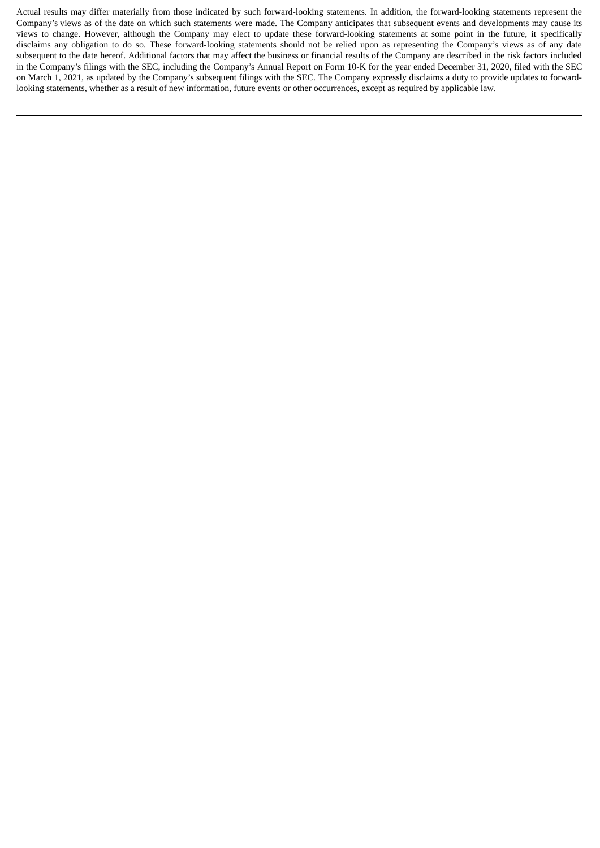Actual results may differ materially from those indicated by such forward-looking statements. In addition, the forward-looking statements represent the Company's views as of the date on which such statements were made. The Company anticipates that subsequent events and developments may cause its views to change. However, although the Company may elect to update these forward-looking statements at some point in the future, it specifically disclaims any obligation to do so. These forward-looking statements should not be relied upon as representing the Company's views as of any date subsequent to the date hereof. Additional factors that may affect the business or financial results of the Company are described in the risk factors included in the Company's filings with the SEC, including the Company's Annual Report on Form 10-K for the year ended December 31, 2020, filed with the SEC on March 1, 2021, as updated by the Company's subsequent filings with the SEC. The Company expressly disclaims a duty to provide updates to forwardlooking statements, whether as a result of new information, future events or other occurrences, except as required by applicable law.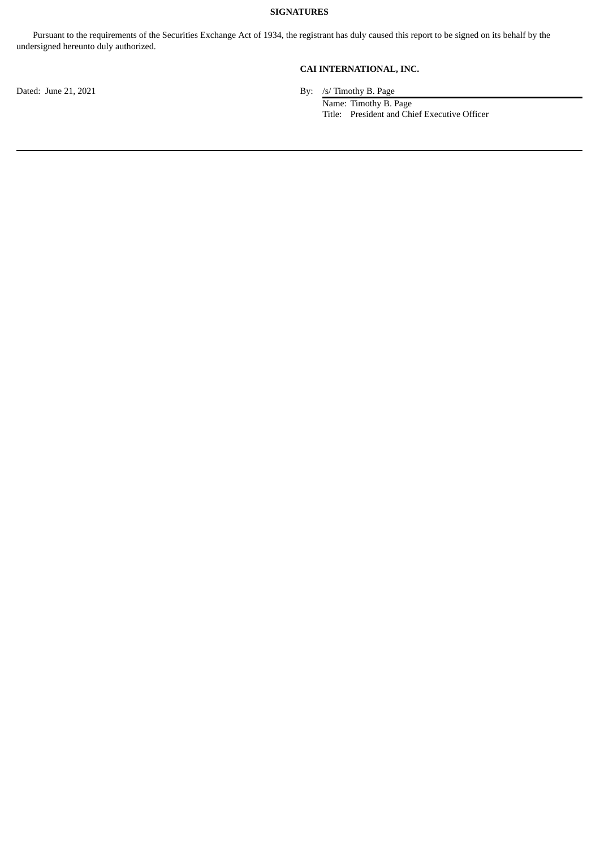# **SIGNATURES**

Pursuant to the requirements of the Securities Exchange Act of 1934, the registrant has duly caused this report to be signed on its behalf by the undersigned hereunto duly authorized.

**CAI INTERNATIONAL, INC.**

Dated: June 21, 2021 By: /s/ Timothy B. Page

Name: Timothy B. Page Title: President and Chief Executive Officer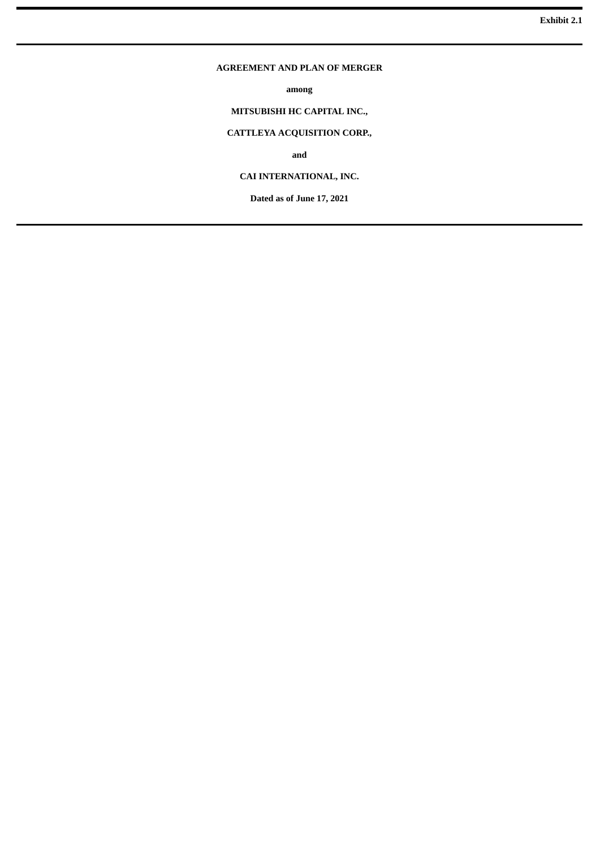### <span id="page-8-0"></span>**AGREEMENT AND PLAN OF MERGER**

**among**

# **MITSUBISHI HC CAPITAL INC.,**

# **CATTLEYA ACQUISITION CORP.,**

**and**

# **CAI INTERNATIONAL, INC.**

**Dated as of June 17, 2021**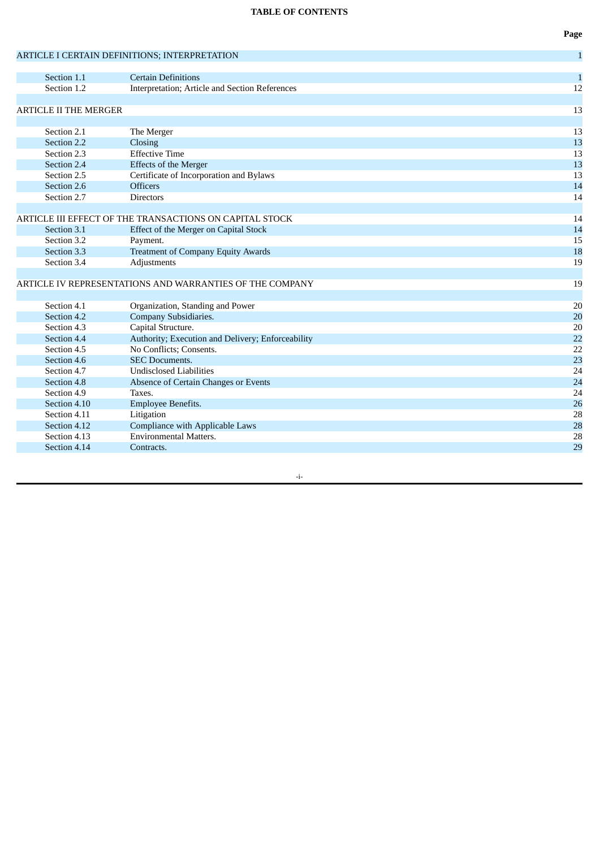# **TABLE OF CONTENTS**

|                              |                                                            | ־ס           |
|------------------------------|------------------------------------------------------------|--------------|
|                              | ARTICLE I CERTAIN DEFINITIONS; INTERPRETATION              | $\mathbf{1}$ |
|                              |                                                            |              |
| Section 1.1                  | <b>Certain Definitions</b>                                 | $\mathbf{1}$ |
| Section 1.2                  | Interpretation; Article and Section References             | 12           |
|                              |                                                            |              |
| <b>ARTICLE II THE MERGER</b> |                                                            | 13           |
| Section 2.1                  |                                                            |              |
| Section 2.2                  | The Merger                                                 | 13<br>13     |
|                              | Closing<br><b>Effective Time</b>                           |              |
| Section 2.3                  |                                                            | 13           |
| Section 2.4<br>Section 2.5   | <b>Effects of the Merger</b>                               | 13           |
|                              | Certificate of Incorporation and Bylaws<br><b>Officers</b> | 13           |
| Section 2.6                  |                                                            | 14<br>14     |
| Section 2.7                  | <b>Directors</b>                                           |              |
|                              | ARTICLE III EFFECT OF THE TRANSACTIONS ON CAPITAL STOCK    | 14           |
| Section 3.1                  | Effect of the Merger on Capital Stock                      | 14           |
| Section 3.2                  | Payment.                                                   | 15           |
| Section 3.3                  | <b>Treatment of Company Equity Awards</b>                  | 18           |
| Section 3.4                  | Adjustments                                                | 19           |
|                              |                                                            |              |
|                              | ARTICLE IV REPRESENTATIONS AND WARRANTIES OF THE COMPANY   | 19           |
|                              |                                                            |              |
| Section 4.1                  | Organization, Standing and Power                           | 20           |
| Section 4.2                  | Company Subsidiaries.                                      | 20           |
| Section 4.3                  | Capital Structure.                                         | 20           |
| Section 4.4                  | Authority; Execution and Delivery; Enforceability          | 22           |
| Section 4.5                  | No Conflicts; Consents.                                    | 22           |
| Section 4.6                  | <b>SEC Documents.</b>                                      | 23           |
| Section 4.7                  | <b>Undisclosed Liabilities</b>                             | 24           |
| Section 4.8                  | Absence of Certain Changes or Events                       | 24           |
| Section 4.9                  | Taxes.                                                     | 24           |
| Section 4.10                 | Employee Benefits.                                         | 26           |
| Section 4.11                 | Litigation                                                 | 28           |
| Section 4.12                 | Compliance with Applicable Laws                            | 28           |
| Section 4.13                 | <b>Environmental Matters.</b>                              | 28           |
| Section 4.14                 | Contracts.                                                 | 29           |
|                              |                                                            |              |

**Page**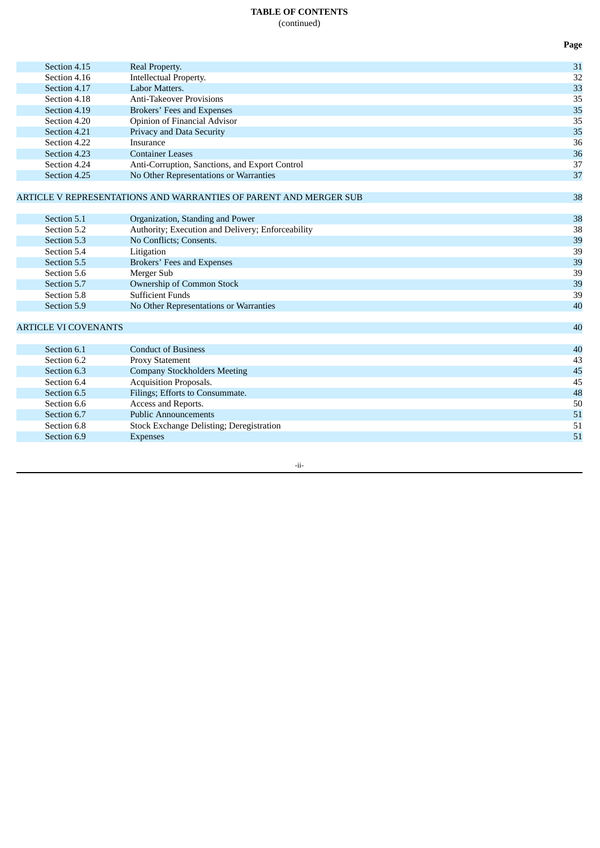# **TABLE OF CONTENTS** (continued)

|                             |                                                                                       | Page     |
|-----------------------------|---------------------------------------------------------------------------------------|----------|
| Section 4.15                | Real Property.                                                                        | 31       |
| Section 4.16                | Intellectual Property.                                                                | 32       |
| Section 4.17                | Labor Matters.                                                                        | 33       |
| Section 4.18                | <b>Anti-Takeover Provisions</b>                                                       | 35       |
| Section 4.19                | Brokers' Fees and Expenses                                                            | 35       |
| Section 4.20                | Opinion of Financial Advisor                                                          | 35       |
| Section 4.21                | Privacy and Data Security                                                             | 35       |
| Section 4.22                | Insurance                                                                             | 36       |
| Section 4.23                | <b>Container Leases</b>                                                               | 36       |
| Section 4.24                | Anti-Corruption, Sanctions, and Export Control                                        | 37       |
| Section 4.25                | No Other Representations or Warranties                                                | 37       |
|                             |                                                                                       |          |
|                             | ARTICLE V REPRESENTATIONS AND WARRANTIES OF PARENT AND MERGER SUB                     | 38       |
| Section 5.1                 |                                                                                       |          |
| Section 5.2                 | Organization, Standing and Power<br>Authority; Execution and Delivery; Enforceability | 38<br>38 |
| Section 5.3                 | No Conflicts; Consents.                                                               | 39       |
| Section 5.4                 | Litigation                                                                            | 39       |
| Section 5.5                 | Brokers' Fees and Expenses                                                            | 39       |
| Section 5.6                 | Merger Sub                                                                            | 39       |
| Section 5.7                 | Ownership of Common Stock                                                             | 39       |
| Section 5.8                 | <b>Sufficient Funds</b>                                                               | 39       |
| Section 5.9                 | No Other Representations or Warranties                                                | 40       |
|                             |                                                                                       |          |
| <b>ARTICLE VI COVENANTS</b> |                                                                                       | 40       |
| Section 6.1                 | <b>Conduct of Business</b>                                                            | 40       |
| Section 6.2                 | <b>Proxy Statement</b>                                                                | 43       |
| Section 6.3                 | <b>Company Stockholders Meeting</b>                                                   | 45       |
| Section 6.4                 | Acquisition Proposals.                                                                | 45       |
| Section 6.5                 | Filings; Efforts to Consummate.                                                       | 48       |
| Section 6.6                 | Access and Reports.                                                                   | 50       |
| Section 6.7                 | <b>Public Announcements</b>                                                           | 51       |
| Section 6.8                 | Stock Exchange Delisting; Deregistration                                              | 51       |
| Section 6.9                 | <b>Expenses</b>                                                                       | 51       |
|                             |                                                                                       |          |

-ii-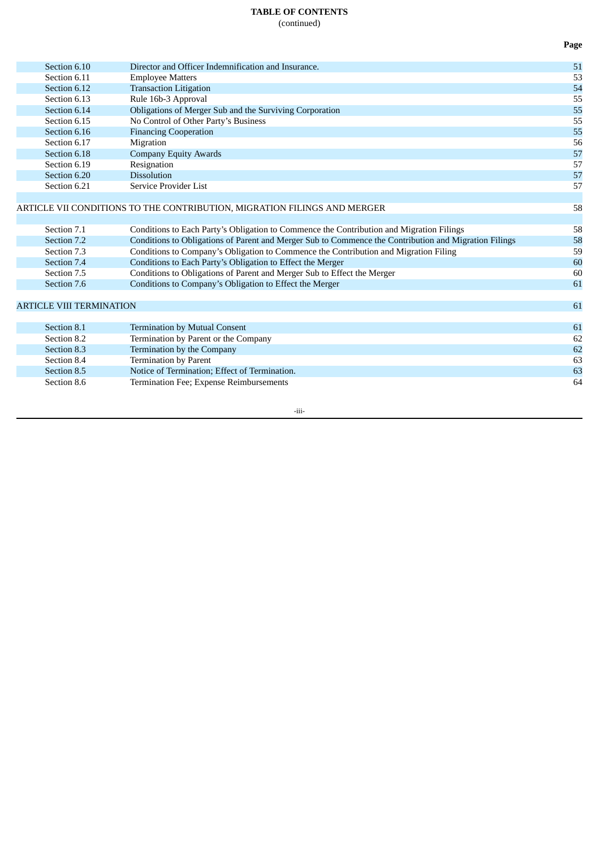# **TABLE OF CONTENTS**

(continued)

| Section 6.10                    | Director and Officer Indemnification and Insurance.                                                   | 51 |
|---------------------------------|-------------------------------------------------------------------------------------------------------|----|
| Section 6.11                    | <b>Employee Matters</b>                                                                               | 53 |
| Section 6.12                    | <b>Transaction Litigation</b>                                                                         | 54 |
| Section 6.13                    | Rule 16b-3 Approval                                                                                   | 55 |
| Section 6.14                    | Obligations of Merger Sub and the Surviving Corporation                                               | 55 |
| Section 6.15                    | No Control of Other Party's Business                                                                  | 55 |
| Section 6.16                    | <b>Financing Cooperation</b>                                                                          | 55 |
| Section 6.17                    | Migration                                                                                             | 56 |
| Section 6.18                    | <b>Company Equity Awards</b>                                                                          | 57 |
| Section 6.19                    | Resignation                                                                                           | 57 |
| Section 6.20                    | <b>Dissolution</b>                                                                                    | 57 |
| Section 6.21                    | Service Provider List                                                                                 | 57 |
|                                 |                                                                                                       |    |
|                                 | ARTICLE VII CONDITIONS TO THE CONTRIBUTION, MIGRATION FILINGS AND MERGER                              | 58 |
|                                 |                                                                                                       |    |
| Section 7.1                     | Conditions to Each Party's Obligation to Commence the Contribution and Migration Filings              | 58 |
| Section 7.2                     | Conditions to Obligations of Parent and Merger Sub to Commence the Contribution and Migration Filings | 58 |
| Section 7.3                     | Conditions to Company's Obligation to Commence the Contribution and Migration Filing                  | 59 |
| Section 7.4                     | Conditions to Each Party's Obligation to Effect the Merger                                            | 60 |
| Section 7.5                     | Conditions to Obligations of Parent and Merger Sub to Effect the Merger                               | 60 |
| Section 7.6                     | Conditions to Company's Obligation to Effect the Merger                                               | 61 |
|                                 |                                                                                                       |    |
| <b>ARTICLE VIII TERMINATION</b> |                                                                                                       | 61 |
|                                 |                                                                                                       |    |
| Section 8.1                     | <b>Termination by Mutual Consent</b>                                                                  | 61 |
| Section 8.2                     | Termination by Parent or the Company                                                                  | 62 |
| Section 8.3                     | Termination by the Company                                                                            | 62 |
| Section 8.4                     | <b>Termination by Parent</b>                                                                          | 63 |
| Section 8.5                     | Notice of Termination; Effect of Termination.                                                         | 63 |
| Section 8.6                     | Termination Fee; Expense Reimbursements                                                               | 64 |
|                                 |                                                                                                       |    |

-iii-

**Page**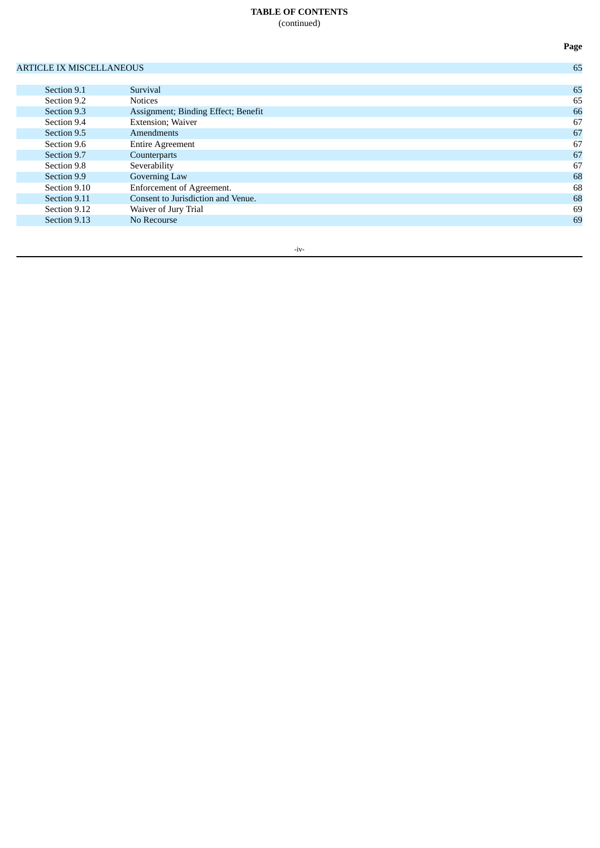# **TABLE OF CONTENTS** (continued)

# ARTICLE IX MISCELLANEOUS 65

| Section 9.1  | Survival                            | 65 |
|--------------|-------------------------------------|----|
| Section 9.2  | <b>Notices</b>                      | 65 |
| Section 9.3  | Assignment; Binding Effect; Benefit | 66 |
| Section 9.4  | <b>Extension</b> ; Waiver           | 67 |
| Section 9.5  | <b>Amendments</b>                   | 67 |
| Section 9.6  | <b>Entire Agreement</b>             | 67 |
| Section 9.7  | Counterparts                        | 67 |
| Section 9.8  | Severability                        | 67 |
| Section 9.9  | Governing Law                       | 68 |
| Section 9.10 | Enforcement of Agreement.           | 68 |
| Section 9.11 | Consent to Jurisdiction and Venue.  | 68 |
| Section 9.12 | Waiver of Jury Trial                | 69 |
| Section 9.13 | No Recourse                         | 69 |
|              |                                     |    |

-iv-

**Page**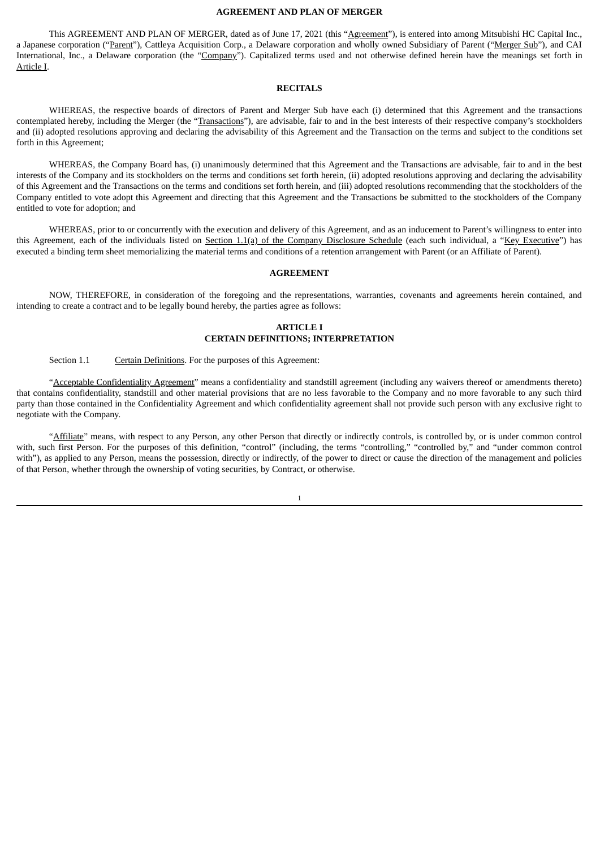### **AGREEMENT AND PLAN OF MERGER**

This AGREEMENT AND PLAN OF MERGER, dated as of June 17, 2021 (this "Agreement"), is entered into among Mitsubishi HC Capital Inc., a Japanese corporation ("Parent"), Cattleya Acquisition Corp., a Delaware corporation and wholly owned Subsidiary of Parent ("Merger Sub"), and CAI International, Inc., a Delaware corporation (the "Company"). Capitalized terms used and not otherwise defined herein have the meanings set forth in Article I.

### **RECITALS**

WHEREAS, the respective boards of directors of Parent and Merger Sub have each (i) determined that this Agreement and the transactions contemplated hereby, including the Merger (the "Transactions"), are advisable, fair to and in the best interests of their respective company's stockholders and (ii) adopted resolutions approving and declaring the advisability of this Agreement and the Transaction on the terms and subject to the conditions set forth in this Agreement;

WHEREAS, the Company Board has, (i) unanimously determined that this Agreement and the Transactions are advisable, fair to and in the best interests of the Company and its stockholders on the terms and conditions set forth herein, (ii) adopted resolutions approving and declaring the advisability of this Agreement and the Transactions on the terms and conditions set forth herein, and (iii) adopted resolutions recommending that the stockholders of the Company entitled to vote adopt this Agreement and directing that this Agreement and the Transactions be submitted to the stockholders of the Company entitled to vote for adoption; and

WHEREAS, prior to or concurrently with the execution and delivery of this Agreement, and as an inducement to Parent's willingness to enter into this Agreement, each of the individuals listed on Section 1.1(a) of the Company Disclosure Schedule (each such individual, a "Key Executive") has executed a binding term sheet memorializing the material terms and conditions of a retention arrangement with Parent (or an Affiliate of Parent).

### **AGREEMENT**

NOW, THEREFORE, in consideration of the foregoing and the representations, warranties, covenants and agreements herein contained, and intending to create a contract and to be legally bound hereby, the parties agree as follows:

### **ARTICLE I CERTAIN DEFINITIONS; INTERPRETATION**

Section 1.1 Certain Definitions. For the purposes of this Agreement:

"Acceptable Confidentiality Agreement" means a confidentiality and standstill agreement (including any waivers thereof or amendments thereto) that contains confidentiality, standstill and other material provisions that are no less favorable to the Company and no more favorable to any such third party than those contained in the Confidentiality Agreement and which confidentiality agreement shall not provide such person with any exclusive right to negotiate with the Company.

"Affiliate" means, with respect to any Person, any other Person that directly or indirectly controls, is controlled by, or is under common control with, such first Person. For the purposes of this definition, "control" (including, the terms "controlling," "controlled by," and "under common control with"), as applied to any Person, means the possession, directly or indirectly, of the power to direct or cause the direction of the management and policies of that Person, whether through the ownership of voting securities, by Contract, or otherwise.

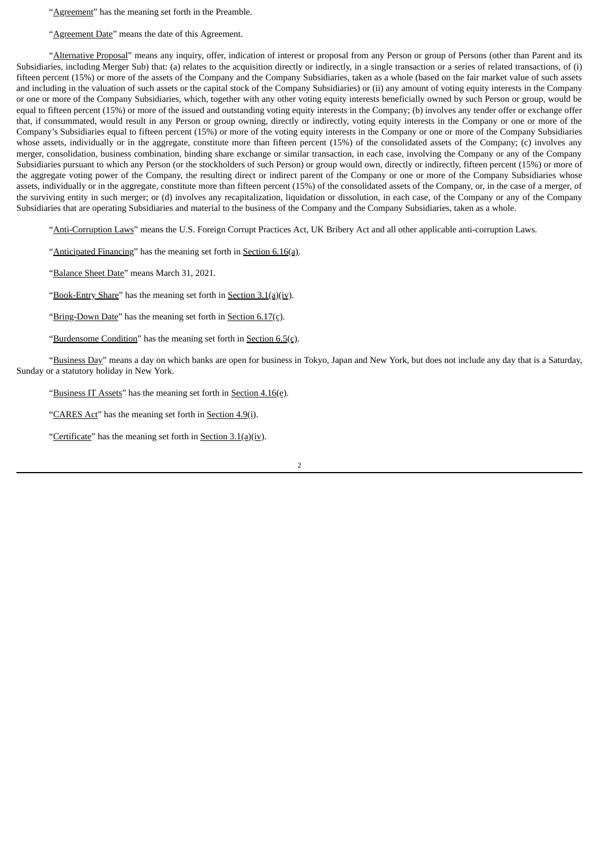"**Agreement**" has the meaning set forth in the Preamble.

"Agreement Date" means the date of this Agreement.

"Alternative Proposal" means any inquiry, offer, indication of interest or proposal from any Person or group of Persons (other than Parent and its Subsidiaries, including Merger Sub) that: (a) relates to the acquisition directly or indirectly, in a single transaction or a series of related transactions, of (i) fifteen percent (15%) or more of the assets of the Company and the Company Subsidiaries, taken as a whole (based on the fair market value of such assets and including in the valuation of such assets or the capital stock of the Company Subsidiaries) or (ii) any amount of voting equity interests in the Company or one or more of the Company Subsidiaries, which, together with any other voting equity interests beneficially owned by such Person or group, would be equal to fifteen percent (15%) or more of the issued and outstanding voting equity interests in the Company; (b) involves any tender offer or exchange offer that, if consummated, would result in any Person or group owning, directly or indirectly, voting equity interests in the Company or one or more of the Company's Subsidiaries equal to fifteen percent (15%) or more of the voting equity interests in the Company or one or more of the Company Subsidiaries whose assets, individually or in the aggregate, constitute more than fifteen percent (15%) of the consolidated assets of the Company; (c) involves any merger, consolidation, business combination, binding share exchange or similar transaction, in each case, involving the Company or any of the Company Subsidiaries pursuant to which any Person (or the stockholders of such Person) or group would own, directly or indirectly, fifteen percent (15%) or more of the aggregate voting power of the Company, the resulting direct or indirect parent of the Company or one or more of the Company Subsidiaries whose assets, individually or in the aggregate, constitute more than fifteen percent (15%) of the consolidated assets of the Company, or, in the case of a merger, of the surviving entity in such merger; or (d) involves any recapitalization, liquidation or dissolution, in each case, of the Company or any of the Company Subsidiaries that are operating Subsidiaries and material to the business of the Company and the Company Subsidiaries, taken as a whole.

"Anti-Corruption Laws" means the U.S. Foreign Corrupt Practices Act, UK Bribery Act and all other applicable anti-corruption Laws.

"Anticipated Financing" has the meaning set forth in Section 6.16(a).

"Balance Sheet Date" means March 31, 2021.

"Book-Entry Share" has the meaning set forth in Section  $3.1(a)(iv)$ .

"Bring-Down Date" has the meaning set forth in Section 6.17(c).

"Burdensome Condition" has the meaning set forth in Section  $6.5(c)$ .

"Business Day" means a day on which banks are open for business in Tokyo, Japan and New York, but does not include any day that is a Saturday, Sunday or a statutory holiday in New York.

"Business IT Assets" has the meaning set forth in Section 4.16(e).

"CARES Act" has the meaning set forth in Section 4.9(i).

"Certificate" has the meaning set forth in Section  $3.1(a)(iv)$ .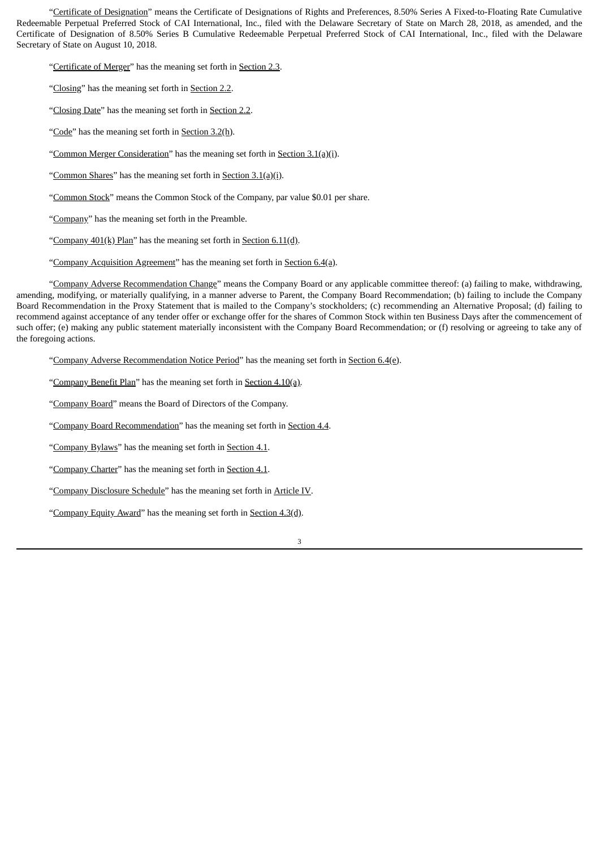"Certificate of Designation" means the Certificate of Designations of Rights and Preferences, 8.50% Series A Fixed-to-Floating Rate Cumulative Redeemable Perpetual Preferred Stock of CAI International, Inc., filed with the Delaware Secretary of State on March 28, 2018, as amended, and the Certificate of Designation of 8.50% Series B Cumulative Redeemable Perpetual Preferred Stock of CAI International, Inc., filed with the Delaware Secretary of State on August 10, 2018.

"Certificate of Merger" has the meaning set forth in Section 2.3.

"Closing" has the meaning set forth in Section 2.2.

"Closing Date" has the meaning set forth in Section 2.2.

"Code" has the meaning set forth in Section 3.2(h).

"Common Merger Consideration" has the meaning set forth in Section 3.1(a)(i).

"Common Shares" has the meaning set forth in Section 3.1(a)(i).

"Common Stock" means the Common Stock of the Company, par value \$0.01 per share.

"Company" has the meaning set forth in the Preamble.

"Company  $401(k)$  Plan" has the meaning set forth in Section  $6.11(d)$ .

"Company Acquisition Agreement" has the meaning set forth in Section 6.4(a).

"Company Adverse Recommendation Change" means the Company Board or any applicable committee thereof: (a) failing to make, withdrawing, amending, modifying, or materially qualifying, in a manner adverse to Parent, the Company Board Recommendation; (b) failing to include the Company Board Recommendation in the Proxy Statement that is mailed to the Company's stockholders; (c) recommending an Alternative Proposal; (d) failing to recommend against acceptance of any tender offer or exchange offer for the shares of Common Stock within ten Business Days after the commencement of such offer; (e) making any public statement materially inconsistent with the Company Board Recommendation; or (f) resolving or agreeing to take any of the foregoing actions.

"Company Adverse Recommendation Notice Period" has the meaning set forth in Section 6.4(e).

"Company Benefit Plan" has the meaning set forth in Section 4.10(a).

"Company Board" means the Board of Directors of the Company.

"Company Board Recommendation" has the meaning set forth in Section 4.4.

"Company Bylaws" has the meaning set forth in Section 4.1.

"Company Charter" has the meaning set forth in Section 4.1.

"Company Disclosure Schedule" has the meaning set forth in Article IV.

"Company Equity Award" has the meaning set forth in Section 4.3(d).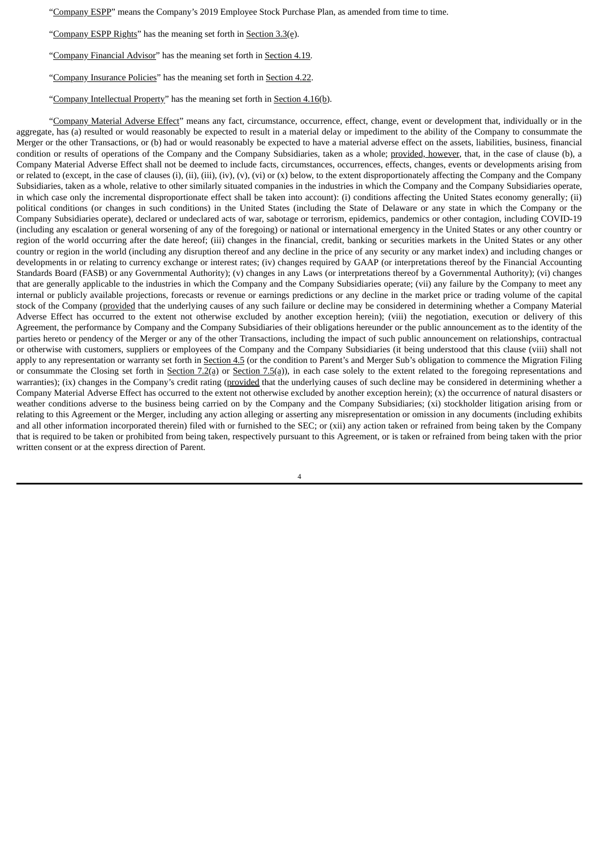"Company ESPP" means the Company's 2019 Employee Stock Purchase Plan, as amended from time to time.

"Company ESPP Rights" has the meaning set forth in Section 3.3(e).

"Company Financial Advisor" has the meaning set forth in Section 4.19.

"Company Insurance Policies" has the meaning set forth in Section 4.22.

"Company Intellectual Property" has the meaning set forth in Section 4.16(b).

"Company Material Adverse Effect" means any fact, circumstance, occurrence, effect, change, event or development that, individually or in the aggregate, has (a) resulted or would reasonably be expected to result in a material delay or impediment to the ability of the Company to consummate the Merger or the other Transactions, or (b) had or would reasonably be expected to have a material adverse effect on the assets, liabilities, business, financial condition or results of operations of the Company and the Company Subsidiaries, taken as a whole; provided, however, that, in the case of clause (b), a Company Material Adverse Effect shall not be deemed to include facts, circumstances, occurrences, effects, changes, events or developments arising from or related to (except, in the case of clauses (i), (ii), (iii), (iv), (v), (vi) or (x) below, to the extent disproportionately affecting the Company and the Company Subsidiaries, taken as a whole, relative to other similarly situated companies in the industries in which the Company and the Company Subsidiaries operate, in which case only the incremental disproportionate effect shall be taken into account): (i) conditions affecting the United States economy generally; (ii) political conditions (or changes in such conditions) in the United States (including the State of Delaware or any state in which the Company or the Company Subsidiaries operate), declared or undeclared acts of war, sabotage or terrorism, epidemics, pandemics or other contagion, including COVID-19 (including any escalation or general worsening of any of the foregoing) or national or international emergency in the United States or any other country or region of the world occurring after the date hereof; (iii) changes in the financial, credit, banking or securities markets in the United States or any other country or region in the world (including any disruption thereof and any decline in the price of any security or any market index) and including changes or developments in or relating to currency exchange or interest rates; (iv) changes required by GAAP (or interpretations thereof by the Financial Accounting Standards Board (FASB) or any Governmental Authority); (v) changes in any Laws (or interpretations thereof by a Governmental Authority); (vi) changes that are generally applicable to the industries in which the Company and the Company Subsidiaries operate; (vii) any failure by the Company to meet any internal or publicly available projections, forecasts or revenue or earnings predictions or any decline in the market price or trading volume of the capital stock of the Company (provided that the underlying causes of any such failure or decline may be considered in determining whether a Company Material Adverse Effect has occurred to the extent not otherwise excluded by another exception herein); (viii) the negotiation, execution or delivery of this Agreement, the performance by Company and the Company Subsidiaries of their obligations hereunder or the public announcement as to the identity of the parties hereto or pendency of the Merger or any of the other Transactions, including the impact of such public announcement on relationships, contractual or otherwise with customers, suppliers or employees of the Company and the Company Subsidiaries (it being understood that this clause (viii) shall not apply to any representation or warranty set forth in Section 4.5 (or the condition to Parent's and Merger Sub's obligation to commence the Migration Filing or consummate the Closing set forth in Section 7.2(a) or Section 7.5(a)), in each case solely to the extent related to the foregoing representations and warranties); (ix) changes in the Company's credit rating (provided that the underlying causes of such decline may be considered in determining whether a Company Material Adverse Effect has occurred to the extent not otherwise excluded by another exception herein); (x) the occurrence of natural disasters or weather conditions adverse to the business being carried on by the Company and the Company Subsidiaries; (xi) stockholder litigation arising from or relating to this Agreement or the Merger, including any action alleging or asserting any misrepresentation or omission in any documents (including exhibits and all other information incorporated therein) filed with or furnished to the SEC; or (xii) any action taken or refrained from being taken by the Company that is required to be taken or prohibited from being taken, respectively pursuant to this Agreement, or is taken or refrained from being taken with the prior written consent or at the express direction of Parent.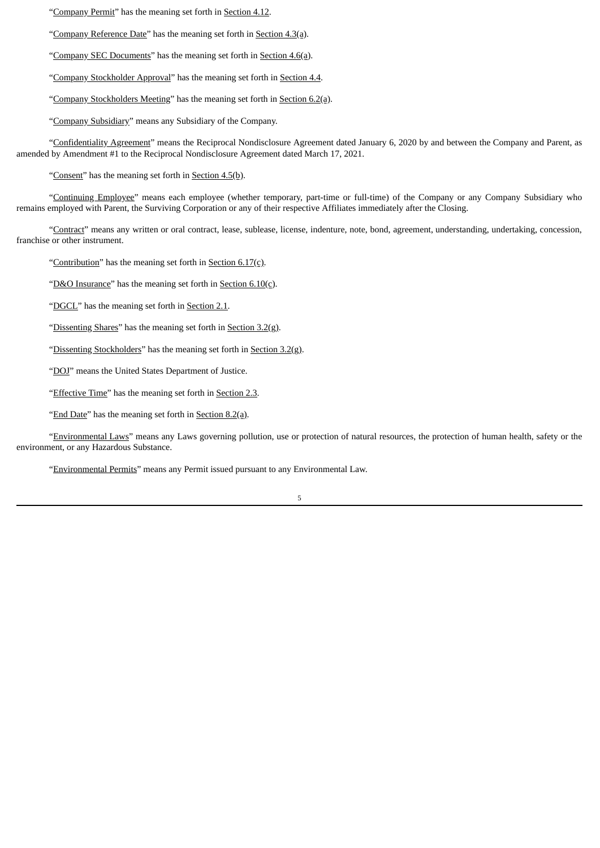"Company Permit" has the meaning set forth in Section 4.12.

"Company Reference Date" has the meaning set forth in Section 4.3(a).

"Company SEC Documents" has the meaning set forth in Section 4.6(a).

"Company Stockholder Approval" has the meaning set forth in Section 4.4.

"Company Stockholders Meeting" has the meaning set forth in Section 6.2(a).

"Company Subsidiary" means any Subsidiary of the Company.

"Confidentiality Agreement" means the Reciprocal Nondisclosure Agreement dated January 6, 2020 by and between the Company and Parent, as amended by Amendment #1 to the Reciprocal Nondisclosure Agreement dated March 17, 2021.

"Consent" has the meaning set forth in Section 4.5(b).

"Continuing Employee" means each employee (whether temporary, part-time or full-time) of the Company or any Company Subsidiary who remains employed with Parent, the Surviving Corporation or any of their respective Affiliates immediately after the Closing.

"Contract" means any written or oral contract, lease, sublease, license, indenture, note, bond, agreement, understanding, undertaking, concession, franchise or other instrument.

"Contribution" has the meaning set forth in Section 6.17(c).

"D&O Insurance" has the meaning set forth in Section  $6.10(c)$ .

"DGCL" has the meaning set forth in Section 2.1.

"Dissenting Shares" has the meaning set forth in Section  $3.2(g)$ .

"Dissenting Stockholders" has the meaning set forth in Section 3.2(g).

"DOJ" means the United States Department of Justice.

"Effective Time" has the meaning set forth in Section 2.3.

"End Date" has the meaning set forth in Section 8.2(a).

"Environmental Laws" means any Laws governing pollution, use or protection of natural resources, the protection of human health, safety or the environment, or any Hazardous Substance.

"Environmental Permits" means any Permit issued pursuant to any Environmental Law.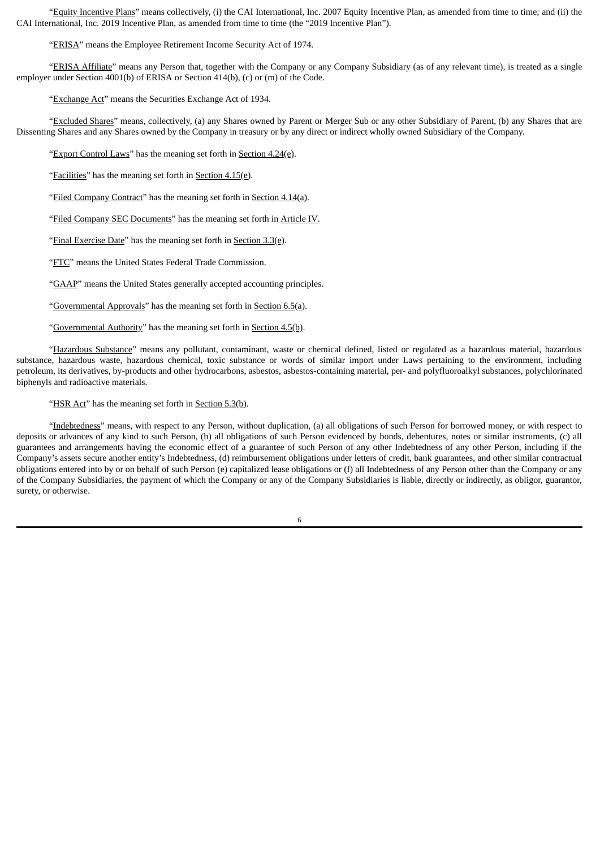"Equity Incentive Plans" means collectively, (i) the CAI International, Inc. 2007 Equity Incentive Plan, as amended from time to time; and (ii) the CAI International, Inc. 2019 Incentive Plan, as amended from time to time (the "2019 Incentive Plan").

"ERISA" means the Employee Retirement Income Security Act of 1974.

"ERISA Affiliate" means any Person that, together with the Company or any Company Subsidiary (as of any relevant time), is treated as a single employer under Section 4001(b) of ERISA or Section 414(b), (c) or (m) of the Code.

"Exchange Act" means the Securities Exchange Act of 1934.

"Excluded Shares" means, collectively, (a) any Shares owned by Parent or Merger Sub or any other Subsidiary of Parent, (b) any Shares that are Dissenting Shares and any Shares owned by the Company in treasury or by any direct or indirect wholly owned Subsidiary of the Company.

"Export Control Laws" has the meaning set forth in Section 4.24(e).

"Facilities" has the meaning set forth in Section 4.15(e).

"Filed Company Contract" has the meaning set forth in Section 4.14(a).

"Filed Company SEC Documents" has the meaning set forth in Article IV.

"Final Exercise Date" has the meaning set forth in Section 3.3(e).

"FTC" means the United States Federal Trade Commission.

"GAAP" means the United States generally accepted accounting principles.

"Governmental Approvals" has the meaning set forth in Section 6.5(a).

"Governmental Authority" has the meaning set forth in Section 4.5(b).

"Hazardous Substance" means any pollutant, contaminant, waste or chemical defined, listed or regulated as a hazardous material, hazardous substance, hazardous waste, hazardous chemical, toxic substance or words of similar import under Laws pertaining to the environment, including petroleum, its derivatives, by-products and other hydrocarbons, asbestos, asbestos-containing material, per- and polyfluoroalkyl substances, polychlorinated biphenyls and radioactive materials.

"HSR Act" has the meaning set forth in Section 5.3(b).

"Indebtedness" means, with respect to any Person, without duplication, (a) all obligations of such Person for borrowed money, or with respect to deposits or advances of any kind to such Person, (b) all obligations of such Person evidenced by bonds, debentures, notes or similar instruments, (c) all guarantees and arrangements having the economic effect of a guarantee of such Person of any other Indebtedness of any other Person, including if the Company's assets secure another entity's Indebtedness, (d) reimbursement obligations under letters of credit, bank guarantees, and other similar contractual obligations entered into by or on behalf of such Person (e) capitalized lease obligations or (f) all Indebtedness of any Person other than the Company or any of the Company Subsidiaries, the payment of which the Company or any of the Company Subsidiaries is liable, directly or indirectly, as obligor, guarantor, surety, or otherwise.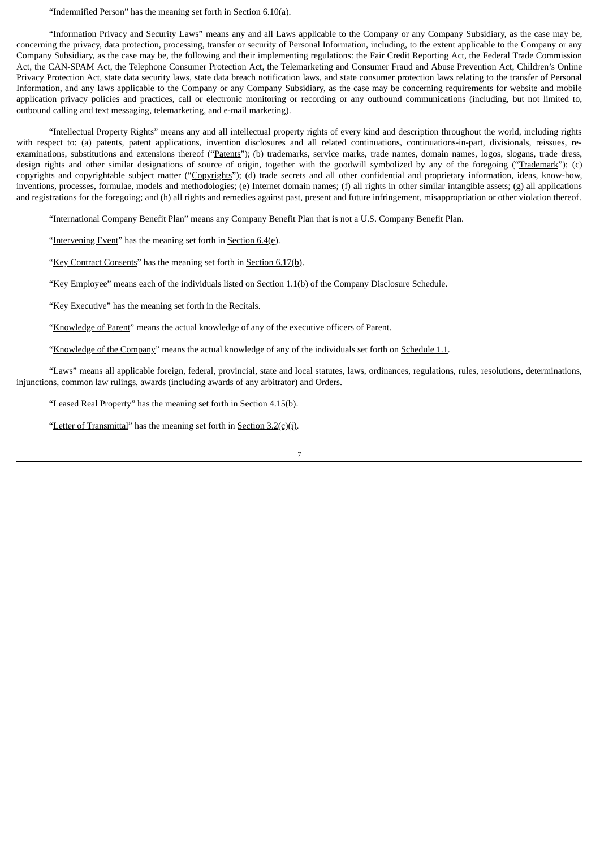### "Indemnified Person" has the meaning set forth in Section  $6.10(a)$ .

"Information Privacy and Security Laws" means any and all Laws applicable to the Company or any Company Subsidiary, as the case may be, concerning the privacy, data protection, processing, transfer or security of Personal Information, including, to the extent applicable to the Company or any Company Subsidiary, as the case may be, the following and their implementing regulations: the Fair Credit Reporting Act, the Federal Trade Commission Act, the CAN-SPAM Act, the Telephone Consumer Protection Act, the Telemarketing and Consumer Fraud and Abuse Prevention Act, Children's Online Privacy Protection Act, state data security laws, state data breach notification laws, and state consumer protection laws relating to the transfer of Personal Information, and any laws applicable to the Company or any Company Subsidiary, as the case may be concerning requirements for website and mobile application privacy policies and practices, call or electronic monitoring or recording or any outbound communications (including, but not limited to, outbound calling and text messaging, telemarketing, and e-mail marketing).

"Intellectual Property Rights" means any and all intellectual property rights of every kind and description throughout the world, including rights with respect to: (a) patents, patent applications, invention disclosures and all related continuations, continuations-in-part, divisionals, reissues, reexaminations, substitutions and extensions thereof ("Patents"); (b) trademarks, service marks, trade names, domain names, logos, slogans, trade dress, design rights and other similar designations of source of origin, together with the goodwill symbolized by any of the foregoing ("Trademark"); (c) copyrights and copyrightable subject matter ("Copyrights"); (d) trade secrets and all other confidential and proprietary information, ideas, know-how, inventions, processes, formulae, models and methodologies; (e) Internet domain names; (f) all rights in other similar intangible assets; (g) all applications and registrations for the foregoing; and (h) all rights and remedies against past, present and future infringement, misappropriation or other violation thereof.

"International Company Benefit Plan" means any Company Benefit Plan that is not a U.S. Company Benefit Plan.

"Intervening Event" has the meaning set forth in Section 6.4(e).

"Key Contract Consents" has the meaning set forth in Section 6.17(b).

"Key Employee" means each of the individuals listed on Section 1.1(b) of the Company Disclosure Schedule.

"Key Executive" has the meaning set forth in the Recitals.

"Knowledge of Parent" means the actual knowledge of any of the executive officers of Parent.

"Knowledge of the Company" means the actual knowledge of any of the individuals set forth on Schedule 1.1.

"Laws" means all applicable foreign, federal, provincial, state and local statutes, laws, ordinances, regulations, rules, resolutions, determinations, injunctions, common law rulings, awards (including awards of any arbitrator) and Orders.

"Leased Real Property" has the meaning set forth in Section 4.15(b).

"Letter of Transmittal" has the meaning set forth in Section 3.2(c)(i).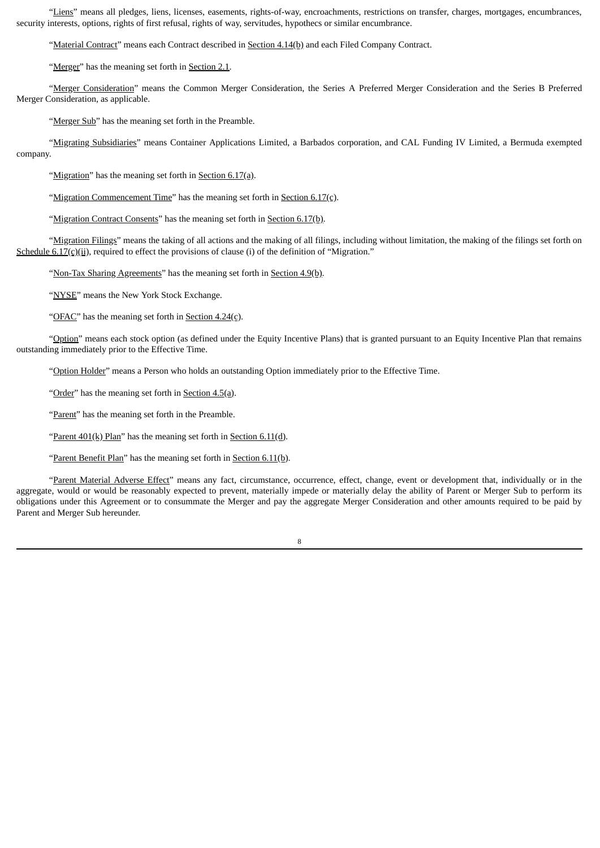"Liens" means all pledges, liens, licenses, easements, rights-of-way, encroachments, restrictions on transfer, charges, mortgages, encumbrances, security interests, options, rights of first refusal, rights of way, servitudes, hypothecs or similar encumbrance.

"Material Contract" means each Contract described in Section 4.14(b) and each Filed Company Contract.

"Merger" has the meaning set forth in Section 2.1.

"Merger Consideration" means the Common Merger Consideration, the Series A Preferred Merger Consideration and the Series B Preferred Merger Consideration, as applicable.

"Merger Sub" has the meaning set forth in the Preamble.

"Migrating Subsidiaries" means Container Applications Limited, a Barbados corporation, and CAL Funding IV Limited, a Bermuda exempted company.

"Migration" has the meaning set forth in Section 6.17(a).

"Migration Commencement Time" has the meaning set forth in Section  $6.17(c)$ .

"Migration Contract Consents" has the meaning set forth in Section 6.17(b).

"Migration Filings" means the taking of all actions and the making of all filings, including without limitation, the making of the filings set forth on Schedule  $6.17(c)(ii)$ , required to effect the provisions of clause (i) of the definition of "Migration."

"Non-Tax Sharing Agreements" has the meaning set forth in Section 4.9(b).

"NYSE" means the New York Stock Exchange.

"OFAC" has the meaning set forth in Section 4.24(c).

"Option" means each stock option (as defined under the Equity Incentive Plans) that is granted pursuant to an Equity Incentive Plan that remains outstanding immediately prior to the Effective Time.

"Option Holder" means a Person who holds an outstanding Option immediately prior to the Effective Time.

"Order" has the meaning set forth in Section 4.5(a).

"Parent" has the meaning set forth in the Preamble.

"Parent  $401(k)$  Plan" has the meaning set forth in Section  $6.11(d)$ .

"Parent Benefit Plan" has the meaning set forth in Section 6.11(b).

"Parent Material Adverse Effect" means any fact, circumstance, occurrence, effect, change, event or development that, individually or in the aggregate, would or would be reasonably expected to prevent, materially impede or materially delay the ability of Parent or Merger Sub to perform its obligations under this Agreement or to consummate the Merger and pay the aggregate Merger Consideration and other amounts required to be paid by Parent and Merger Sub hereunder.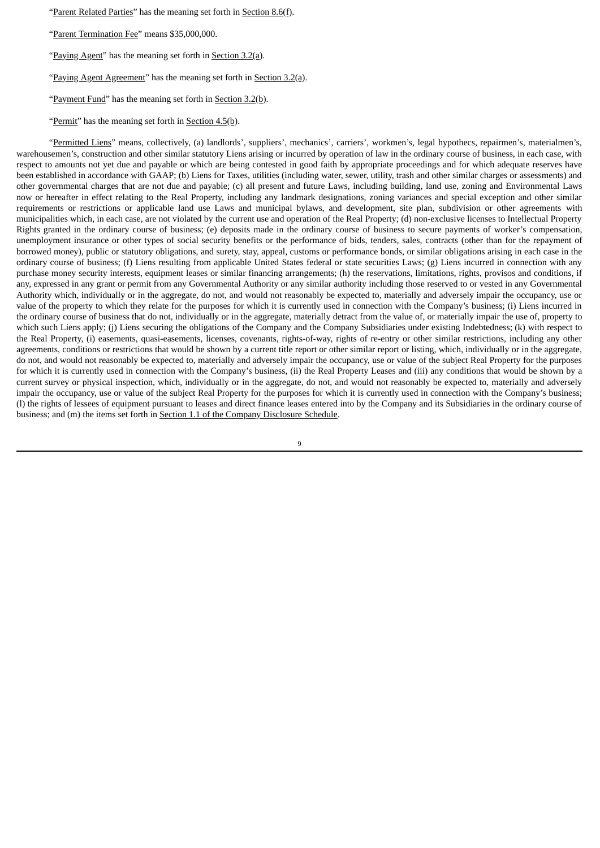"Parent Related Parties" has the meaning set forth in Section 8.6(f).

"Parent Termination Fee" means \$35,000,000.

"Paying Agent" has the meaning set forth in Section 3.2(a).

"Paying Agent Agreement" has the meaning set forth in Section 3.2(a).

"Payment Fund" has the meaning set forth in Section 3.2(b).

"Permit" has the meaning set forth in Section  $4.5(b)$ .

"Permitted Liens" means, collectively, (a) landlords', suppliers', mechanics', carriers', workmen's, legal hypothecs, repairmen's, materialmen's, warehousemen's, construction and other similar statutory Liens arising or incurred by operation of law in the ordinary course of business, in each case, with respect to amounts not yet due and payable or which are being contested in good faith by appropriate proceedings and for which adequate reserves have been established in accordance with GAAP; (b) Liens for Taxes, utilities (including water, sewer, utility, trash and other similar charges or assessments) and other governmental charges that are not due and payable; (c) all present and future Laws, including building, land use, zoning and Environmental Laws now or hereafter in effect relating to the Real Property, including any landmark designations, zoning variances and special exception and other similar requirements or restrictions or applicable land use Laws and municipal bylaws, and development, site plan, subdivision or other agreements with municipalities which, in each case, are not violated by the current use and operation of the Real Property; (d) non-exclusive licenses to Intellectual Property Rights granted in the ordinary course of business; (e) deposits made in the ordinary course of business to secure payments of worker's compensation, unemployment insurance or other types of social security benefits or the performance of bids, tenders, sales, contracts (other than for the repayment of borrowed money), public or statutory obligations, and surety, stay, appeal, customs or performance bonds, or similar obligations arising in each case in the ordinary course of business; (f) Liens resulting from applicable United States federal or state securities Laws; (g) Liens incurred in connection with any purchase money security interests, equipment leases or similar financing arrangements; (h) the reservations, limitations, rights, provisos and conditions, if any, expressed in any grant or permit from any Governmental Authority or any similar authority including those reserved to or vested in any Governmental Authority which, individually or in the aggregate, do not, and would not reasonably be expected to, materially and adversely impair the occupancy, use or value of the property to which they relate for the purposes for which it is currently used in connection with the Company's business; (i) Liens incurred in the ordinary course of business that do not, individually or in the aggregate, materially detract from the value of, or materially impair the use of, property to which such Liens apply; (j) Liens securing the obligations of the Company and the Company Subsidiaries under existing Indebtedness; (k) with respect to the Real Property, (i) easements, quasi-easements, licenses, covenants, rights-of-way, rights of re-entry or other similar restrictions, including any other agreements, conditions or restrictions that would be shown by a current title report or other similar report or listing, which, individually or in the aggregate, do not, and would not reasonably be expected to, materially and adversely impair the occupancy, use or value of the subject Real Property for the purposes for which it is currently used in connection with the Company's business, (ii) the Real Property Leases and (iii) any conditions that would be shown by a current survey or physical inspection, which, individually or in the aggregate, do not, and would not reasonably be expected to, materially and adversely impair the occupancy, use or value of the subject Real Property for the purposes for which it is currently used in connection with the Company's business; (l) the rights of lessees of equipment pursuant to leases and direct finance leases entered into by the Company and its Subsidiaries in the ordinary course of business; and (m) the items set forth in Section 1.1 of the Company Disclosure Schedule.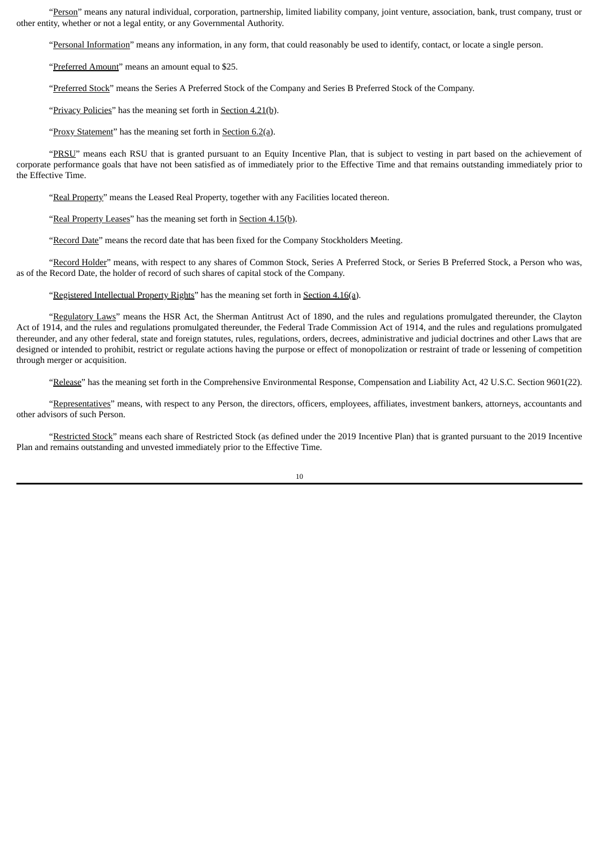"Person" means any natural individual, corporation, partnership, limited liability company, joint venture, association, bank, trust company, trust or other entity, whether or not a legal entity, or any Governmental Authority.

"Personal Information" means any information, in any form, that could reasonably be used to identify, contact, or locate a single person.

"Preferred Amount" means an amount equal to \$25.

"Preferred Stock" means the Series A Preferred Stock of the Company and Series B Preferred Stock of the Company.

"Privacy Policies" has the meaning set forth in Section 4.21(b).

"Proxy Statement" has the meaning set forth in Section 6.2(a).

"PRSU" means each RSU that is granted pursuant to an Equity Incentive Plan, that is subject to vesting in part based on the achievement of corporate performance goals that have not been satisfied as of immediately prior to the Effective Time and that remains outstanding immediately prior to the Effective Time.

"Real Property" means the Leased Real Property, together with any Facilities located thereon.

"Real Property Leases" has the meaning set forth in Section 4.15(b).

"Record Date" means the record date that has been fixed for the Company Stockholders Meeting.

"Record Holder" means, with respect to any shares of Common Stock, Series A Preferred Stock, or Series B Preferred Stock, a Person who was, as of the Record Date, the holder of record of such shares of capital stock of the Company.

"Registered Intellectual Property Rights" has the meaning set forth in Section 4.16(a).

"Regulatory Laws" means the HSR Act, the Sherman Antitrust Act of 1890, and the rules and regulations promulgated thereunder, the Clayton Act of 1914, and the rules and regulations promulgated thereunder, the Federal Trade Commission Act of 1914, and the rules and regulations promulgated thereunder, and any other federal, state and foreign statutes, rules, regulations, orders, decrees, administrative and judicial doctrines and other Laws that are designed or intended to prohibit, restrict or regulate actions having the purpose or effect of monopolization or restraint of trade or lessening of competition through merger or acquisition.

"Release" has the meaning set forth in the Comprehensive Environmental Response, Compensation and Liability Act, 42 U.S.C. Section 9601(22).

"Representatives" means, with respect to any Person, the directors, officers, employees, affiliates, investment bankers, attorneys, accountants and other advisors of such Person.

"Restricted Stock" means each share of Restricted Stock (as defined under the 2019 Incentive Plan) that is granted pursuant to the 2019 Incentive Plan and remains outstanding and unvested immediately prior to the Effective Time.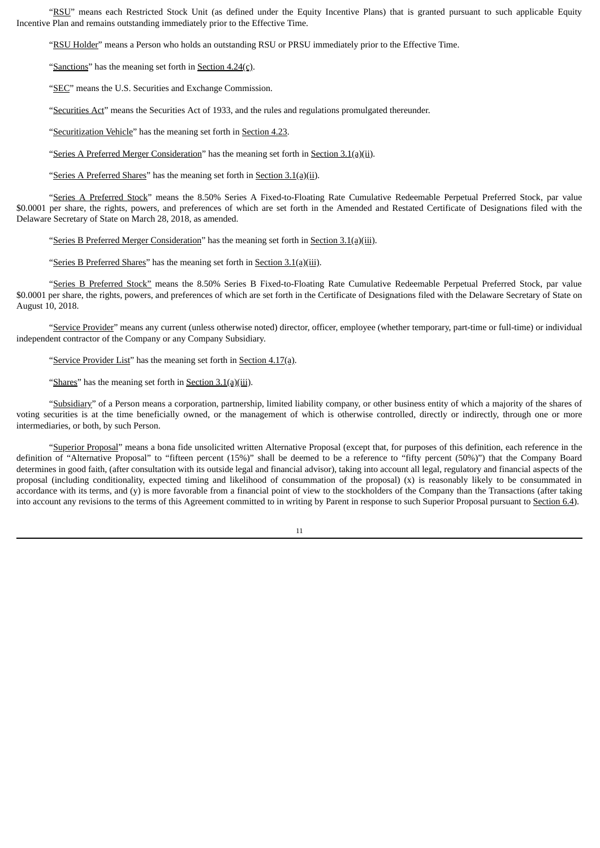"RSU" means each Restricted Stock Unit (as defined under the Equity Incentive Plans) that is granted pursuant to such applicable Equity Incentive Plan and remains outstanding immediately prior to the Effective Time.

"RSU Holder" means a Person who holds an outstanding RSU or PRSU immediately prior to the Effective Time.

"Sanctions" has the meaning set forth in Section  $4.24(c)$ .

"SEC" means the U.S. Securities and Exchange Commission.

"Securities Act" means the Securities Act of 1933, and the rules and regulations promulgated thereunder.

"Securitization Vehicle" has the meaning set forth in Section 4.23.

"Series A Preferred Merger Consideration" has the meaning set forth in Section 3.1(a)(ii).

"Series A Preferred Shares" has the meaning set forth in Section 3.1(a)(ii).

"Series A Preferred Stock" means the 8.50% Series A Fixed-to-Floating Rate Cumulative Redeemable Perpetual Preferred Stock, par value \$0.0001 per share, the rights, powers, and preferences of which are set forth in the Amended and Restated Certificate of Designations filed with the Delaware Secretary of State on March 28, 2018, as amended.

"Series B Preferred Merger Consideration" has the meaning set forth in Section 3.1(a)(iii).

"Series B Preferred Shares" has the meaning set forth in **Section 3.1(a)(iii)**.

"Series B Preferred Stock" means the 8.50% Series B Fixed-to-Floating Rate Cumulative Redeemable Perpetual Preferred Stock, par value \$0.0001 per share, the rights, powers, and preferences of which are set forth in the Certificate of Designations filed with the Delaware Secretary of State on August 10, 2018.

"Service Provider" means any current (unless otherwise noted) director, officer, employee (whether temporary, part-time or full-time) or individual independent contractor of the Company or any Company Subsidiary.

"Service Provider List" has the meaning set forth in Section 4.17(a).

"Shares" has the meaning set forth in Section 3.1(a)(iii).

"Subsidiary" of a Person means a corporation, partnership, limited liability company, or other business entity of which a majority of the shares of voting securities is at the time beneficially owned, or the management of which is otherwise controlled, directly or indirectly, through one or more intermediaries, or both, by such Person.

"Superior Proposal" means a bona fide unsolicited written Alternative Proposal (except that, for purposes of this definition, each reference in the definition of "Alternative Proposal" to "fifteen percent (15%)" shall be deemed to be a reference to "fifty percent (50%)") that the Company Board determines in good faith, (after consultation with its outside legal and financial advisor), taking into account all legal, regulatory and financial aspects of the proposal (including conditionality, expected timing and likelihood of consummation of the proposal) (x) is reasonably likely to be consummated in accordance with its terms, and (y) is more favorable from a financial point of view to the stockholders of the Company than the Transactions (after taking into account any revisions to the terms of this Agreement committed to in writing by Parent in response to such Superior Proposal pursuant to Section 6.4).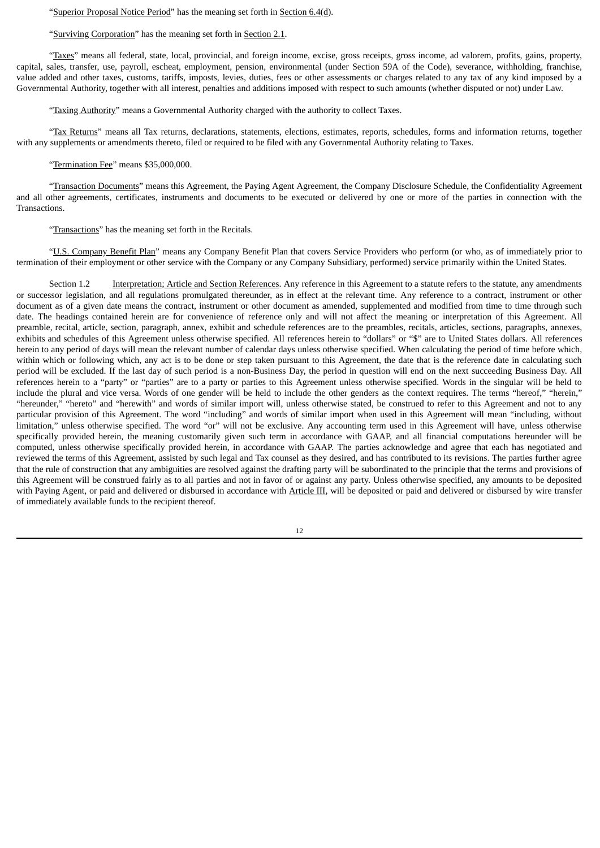"Superior Proposal Notice Period" has the meaning set forth in Section 6.4(d).

"Surviving Corporation" has the meaning set forth in Section 2.1.

"Taxes" means all federal, state, local, provincial, and foreign income, excise, gross receipts, gross income, ad valorem, profits, gains, property, capital, sales, transfer, use, payroll, escheat, employment, pension, environmental (under Section 59A of the Code), severance, withholding, franchise, value added and other taxes, customs, tariffs, imposts, levies, duties, fees or other assessments or charges related to any tax of any kind imposed by a Governmental Authority, together with all interest, penalties and additions imposed with respect to such amounts (whether disputed or not) under Law.

"Taxing Authority" means a Governmental Authority charged with the authority to collect Taxes.

"Tax Returns" means all Tax returns, declarations, statements, elections, estimates, reports, schedules, forms and information returns, together with any supplements or amendments thereto, filed or required to be filed with any Governmental Authority relating to Taxes.

"Termination Fee" means \$35,000,000.

"Transaction Documents" means this Agreement, the Paying Agent Agreement, the Company Disclosure Schedule, the Confidentiality Agreement and all other agreements, certificates, instruments and documents to be executed or delivered by one or more of the parties in connection with the Transactions.

"Transactions" has the meaning set forth in the Recitals.

"U.S. Company Benefit Plan" means any Company Benefit Plan that covers Service Providers who perform (or who, as of immediately prior to termination of their employment or other service with the Company or any Company Subsidiary, performed) service primarily within the United States.

Section 1.2 Interpretation; Article and Section References. Any reference in this Agreement to a statute refers to the statute, any amendments or successor legislation, and all regulations promulgated thereunder, as in effect at the relevant time. Any reference to a contract, instrument or other document as of a given date means the contract, instrument or other document as amended, supplemented and modified from time to time through such date. The headings contained herein are for convenience of reference only and will not affect the meaning or interpretation of this Agreement. All preamble, recital, article, section, paragraph, annex, exhibit and schedule references are to the preambles, recitals, articles, sections, paragraphs, annexes, exhibits and schedules of this Agreement unless otherwise specified. All references herein to "dollars" or "\$" are to United States dollars. All references herein to any period of days will mean the relevant number of calendar days unless otherwise specified. When calculating the period of time before which, within which or following which, any act is to be done or step taken pursuant to this Agreement, the date that is the reference date in calculating such period will be excluded. If the last day of such period is a non-Business Day, the period in question will end on the next succeeding Business Day. All references herein to a "party" or "parties" are to a party or parties to this Agreement unless otherwise specified. Words in the singular will be held to include the plural and vice versa. Words of one gender will be held to include the other genders as the context requires. The terms "hereof," "herein," "hereunder," "hereto" and "herewith" and words of similar import will, unless otherwise stated, be construed to refer to this Agreement and not to any particular provision of this Agreement. The word "including" and words of similar import when used in this Agreement will mean "including, without limitation," unless otherwise specified. The word "or" will not be exclusive. Any accounting term used in this Agreement will have, unless otherwise specifically provided herein, the meaning customarily given such term in accordance with GAAP, and all financial computations hereunder will be computed, unless otherwise specifically provided herein, in accordance with GAAP. The parties acknowledge and agree that each has negotiated and reviewed the terms of this Agreement, assisted by such legal and Tax counsel as they desired, and has contributed to its revisions. The parties further agree that the rule of construction that any ambiguities are resolved against the drafting party will be subordinated to the principle that the terms and provisions of this Agreement will be construed fairly as to all parties and not in favor of or against any party. Unless otherwise specified, any amounts to be deposited with Paying Agent, or paid and delivered or disbursed in accordance with Article III, will be deposited or paid and delivered or disbursed by wire transfer of immediately available funds to the recipient thereof.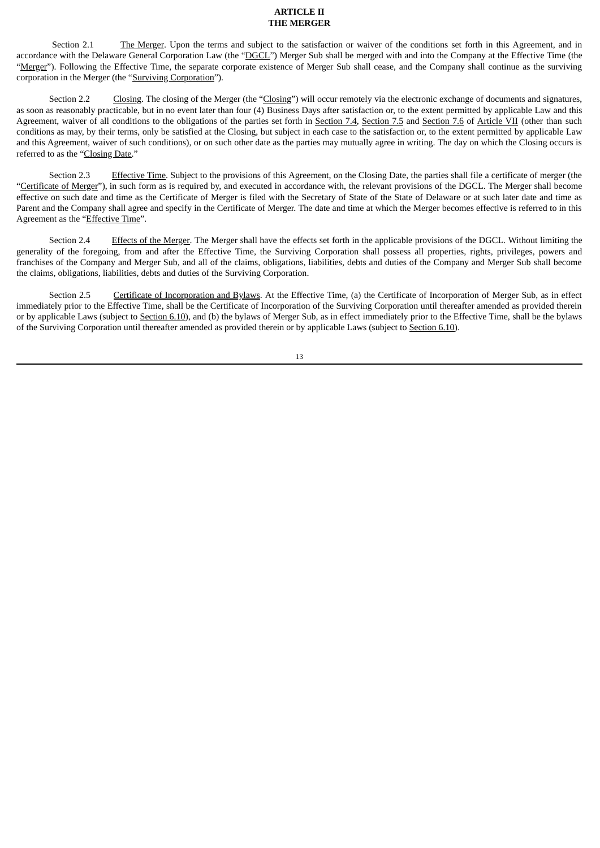### **ARTICLE II THE MERGER**

Section 2.1 The Merger. Upon the terms and subject to the satisfaction or waiver of the conditions set forth in this Agreement, and in accordance with the Delaware General Corporation Law (the "DGCL") Merger Sub shall be merged with and into the Company at the Effective Time (the "Merger"). Following the Effective Time, the separate corporate existence of Merger Sub shall cease, and the Company shall continue as the surviving corporation in the Merger (the "Surviving Corporation").

Section 2.2 Closing. The closing of the Merger (the "Closing") will occur remotely via the electronic exchange of documents and signatures, as soon as reasonably practicable, but in no event later than four (4) Business Days after satisfaction or, to the extent permitted by applicable Law and this Agreement, waiver of all conditions to the obligations of the parties set forth in Section 7.4, Section 7.5 and Section 7.6 of Article VII (other than such conditions as may, by their terms, only be satisfied at the Closing, but subject in each case to the satisfaction or, to the extent permitted by applicable Law and this Agreement, waiver of such conditions), or on such other date as the parties may mutually agree in writing. The day on which the Closing occurs is referred to as the "Closing Date."

Section 2.3 Effective Time. Subject to the provisions of this Agreement, on the Closing Date, the parties shall file a certificate of merger (the "Certificate of Merger"), in such form as is required by, and executed in accordance with, the relevant provisions of the DGCL. The Merger shall become effective on such date and time as the Certificate of Merger is filed with the Secretary of State of the State of Delaware or at such later date and time as Parent and the Company shall agree and specify in the Certificate of Merger. The date and time at which the Merger becomes effective is referred to in this Agreement as the "Effective Time".

Section 2.4 Effects of the Merger. The Merger shall have the effects set forth in the applicable provisions of the DGCL. Without limiting the generality of the foregoing, from and after the Effective Time, the Surviving Corporation shall possess all properties, rights, privileges, powers and franchises of the Company and Merger Sub, and all of the claims, obligations, liabilities, debts and duties of the Company and Merger Sub shall become the claims, obligations, liabilities, debts and duties of the Surviving Corporation.

Section 2.5 Certificate of Incorporation and Bylaws. At the Effective Time, (a) the Certificate of Incorporation of Merger Sub, as in effect immediately prior to the Effective Time, shall be the Certificate of Incorporation of the Surviving Corporation until thereafter amended as provided therein or by applicable Laws (subject to Section 6.10), and (b) the bylaws of Merger Sub, as in effect immediately prior to the Effective Time, shall be the bylaws of the Surviving Corporation until thereafter amended as provided therein or by applicable Laws (subject to Section 6.10).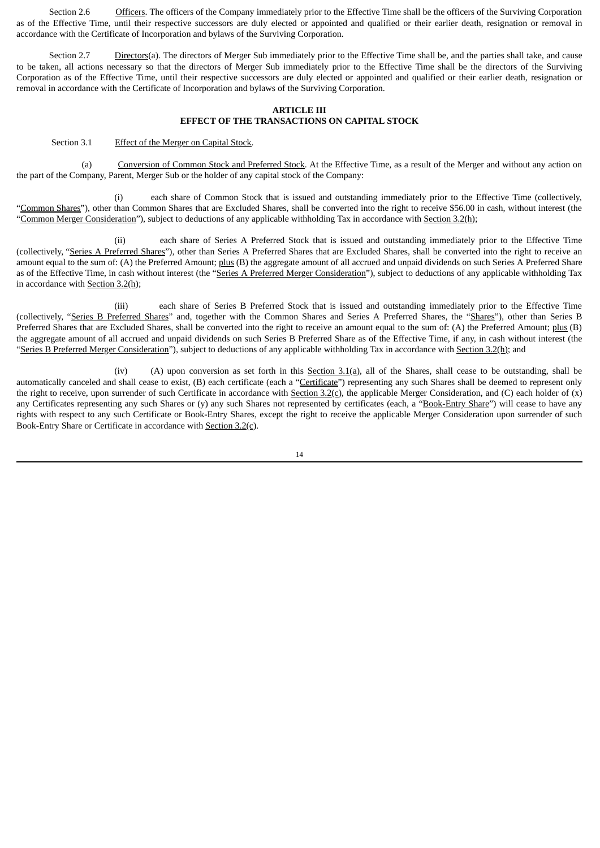Section 2.6 Officers. The officers of the Company immediately prior to the Effective Time shall be the officers of the Surviving Corporation as of the Effective Time, until their respective successors are duly elected or appointed and qualified or their earlier death, resignation or removal in accordance with the Certificate of Incorporation and bylaws of the Surviving Corporation.

Section 2.7 Directors(a). The directors of Merger Sub immediately prior to the Effective Time shall be, and the parties shall take, and cause to be taken, all actions necessary so that the directors of Merger Sub immediately prior to the Effective Time shall be the directors of the Surviving Corporation as of the Effective Time, until their respective successors are duly elected or appointed and qualified or their earlier death, resignation or removal in accordance with the Certificate of Incorporation and bylaws of the Surviving Corporation.

### **ARTICLE III EFFECT OF THE TRANSACTIONS ON CAPITAL STOCK**

### Section 3.1 Effect of the Merger on Capital Stock.

(a) Conversion of Common Stock and Preferred Stock. At the Effective Time, as a result of the Merger and without any action on the part of the Company, Parent, Merger Sub or the holder of any capital stock of the Company:

(i) each share of Common Stock that is issued and outstanding immediately prior to the Effective Time (collectively, "Common Shares"), other than Common Shares that are Excluded Shares, shall be converted into the right to receive \$56.00 in cash, without interest (the "Common Merger Consideration"), subject to deductions of any applicable withholding Tax in accordance with Section 3.2(h);

(ii) each share of Series A Preferred Stock that is issued and outstanding immediately prior to the Effective Time (collectively, "Series A Preferred Shares"), other than Series A Preferred Shares that are Excluded Shares, shall be converted into the right to receive an amount equal to the sum of: (A) the Preferred Amount; plus (B) the aggregate amount of all accrued and unpaid dividends on such Series A Preferred Share as of the Effective Time, in cash without interest (the "Series A Preferred Merger Consideration"), subject to deductions of any applicable withholding Tax in accordance with Section 3.2(h);

(iii) each share of Series B Preferred Stock that is issued and outstanding immediately prior to the Effective Time (collectively, "Series B Preferred Shares" and, together with the Common Shares and Series A Preferred Shares, the "Shares"), other than Series B Preferred Shares that are Excluded Shares, shall be converted into the right to receive an amount equal to the sum of: (A) the Preferred Amount; plus (B) the aggregate amount of all accrued and unpaid dividends on such Series B Preferred Share as of the Effective Time, if any, in cash without interest (the "Series B Preferred Merger Consideration"), subject to deductions of any applicable withholding Tax in accordance with Section 3.2(h); and

(iv) (A) upon conversion as set forth in this  $S_{\text{ection}}$  3.1(a), all of the Shares, shall cease to be outstanding, shall be automatically canceled and shall cease to exist, (B) each certificate (each a "Certificate") representing any such Shares shall be deemed to represent only the right to receive, upon surrender of such Certificate in accordance with Section 3.2(c), the applicable Merger Consideration, and (C) each holder of (x) any Certificates representing any such Shares or (y) any such Shares not represented by certificates (each, a "Book-Entry Share") will cease to have any rights with respect to any such Certificate or Book-Entry Shares, except the right to receive the applicable Merger Consideration upon surrender of such Book-Entry Share or Certificate in accordance with Section 3.2(c).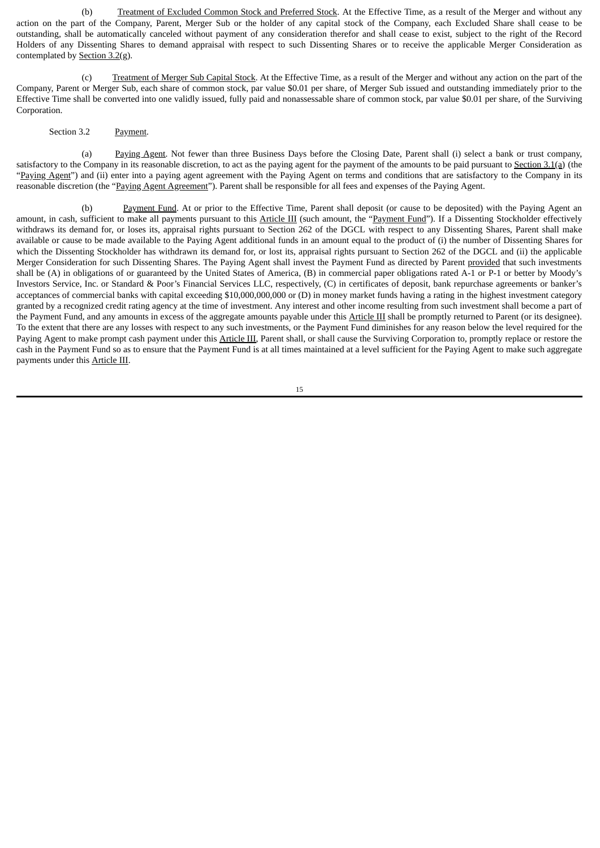(b) Treatment of Excluded Common Stock and Preferred Stock. At the Effective Time, as a result of the Merger and without any action on the part of the Company, Parent, Merger Sub or the holder of any capital stock of the Company, each Excluded Share shall cease to be outstanding, shall be automatically canceled without payment of any consideration therefor and shall cease to exist, subject to the right of the Record Holders of any Dissenting Shares to demand appraisal with respect to such Dissenting Shares or to receive the applicable Merger Consideration as contemplated by Section 3.2(g).

(c) Treatment of Merger Sub Capital Stock. At the Effective Time, as a result of the Merger and without any action on the part of the Company, Parent or Merger Sub, each share of common stock, par value \$0.01 per share, of Merger Sub issued and outstanding immediately prior to the Effective Time shall be converted into one validly issued, fully paid and nonassessable share of common stock, par value \$0.01 per share, of the Surviving Corporation.

Section 3.2 Payment.

(a) Paying Agent. Not fewer than three Business Days before the Closing Date, Parent shall (i) select a bank or trust company, satisfactory to the Company in its reasonable discretion, to act as the paying agent for the payment of the amounts to be paid pursuant to Section 3.1(a) (the "Paying Agent") and (ii) enter into a paying agent agreement with the Paying Agent on terms and conditions that are satisfactory to the Company in its reasonable discretion (the "Paying Agent Agreement"). Parent shall be responsible for all fees and expenses of the Paying Agent.

(b) Payment Fund. At or prior to the Effective Time, Parent shall deposit (or cause to be deposited) with the Paying Agent an amount, in cash, sufficient to make all payments pursuant to this Article III (such amount, the "Payment Fund"). If a Dissenting Stockholder effectively withdraws its demand for, or loses its, appraisal rights pursuant to Section 262 of the DGCL with respect to any Dissenting Shares, Parent shall make available or cause to be made available to the Paying Agent additional funds in an amount equal to the product of (i) the number of Dissenting Shares for which the Dissenting Stockholder has withdrawn its demand for, or lost its, appraisal rights pursuant to Section 262 of the DGCL and (ii) the applicable Merger Consideration for such Dissenting Shares. The Paying Agent shall invest the Payment Fund as directed by Parent provided that such investments shall be (A) in obligations of or guaranteed by the United States of America, (B) in commercial paper obligations rated A-1 or P-1 or better by Moody's Investors Service, Inc. or Standard & Poor's Financial Services LLC, respectively, (C) in certificates of deposit, bank repurchase agreements or banker's acceptances of commercial banks with capital exceeding \$10,000,000,000 or (D) in money market funds having a rating in the highest investment category granted by a recognized credit rating agency at the time of investment. Any interest and other income resulting from such investment shall become a part of the Payment Fund, and any amounts in excess of the aggregate amounts payable under this Article III shall be promptly returned to Parent (or its designee). To the extent that there are any losses with respect to any such investments, or the Payment Fund diminishes for any reason below the level required for the Paying Agent to make prompt cash payment under this Article III, Parent shall, or shall cause the Surviving Corporation to, promptly replace or restore the cash in the Payment Fund so as to ensure that the Payment Fund is at all times maintained at a level sufficient for the Paying Agent to make such aggregate payments under this Article III.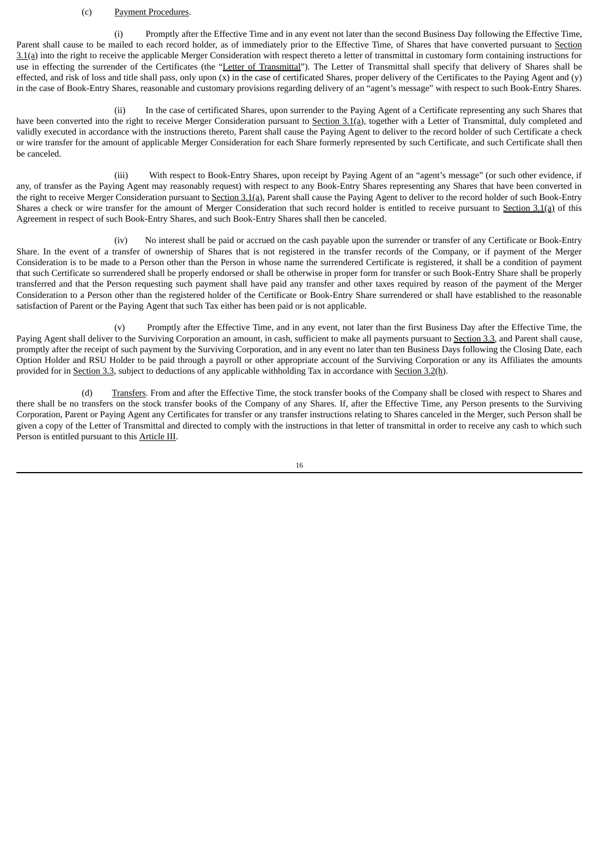### (c) Payment Procedures.

(i) Promptly after the Effective Time and in any event not later than the second Business Day following the Effective Time, Parent shall cause to be mailed to each record holder, as of immediately prior to the Effective Time, of Shares that have converted pursuant to Section  $3.1$ (a) into the right to receive the applicable Merger Consideration with respect thereto a letter of transmittal in customary form containing instructions for use in effecting the surrender of the Certificates (the "Letter of Transmittal"). The Letter of Transmittal shall specify that delivery of Shares shall be effected, and risk of loss and title shall pass, only upon (x) in the case of certificated Shares, proper delivery of the Certificates to the Paying Agent and (y) in the case of Book-Entry Shares, reasonable and customary provisions regarding delivery of an "agent's message" with respect to such Book-Entry Shares.

(ii) In the case of certificated Shares, upon surrender to the Paying Agent of a Certificate representing any such Shares that have been converted into the right to receive Merger Consideration pursuant to Section 3.1(a), together with a Letter of Transmittal, duly completed and validly executed in accordance with the instructions thereto, Parent shall cause the Paying Agent to deliver to the record holder of such Certificate a check or wire transfer for the amount of applicable Merger Consideration for each Share formerly represented by such Certificate, and such Certificate shall then be canceled.

(iii) With respect to Book-Entry Shares, upon receipt by Paying Agent of an "agent's message" (or such other evidence, if any, of transfer as the Paying Agent may reasonably request) with respect to any Book-Entry Shares representing any Shares that have been converted in the right to receive Merger Consideration pursuant to Section 3.1(a), Parent shall cause the Paying Agent to deliver to the record holder of such Book-Entry Shares a check or wire transfer for the amount of Merger Consideration that such record holder is entitled to receive pursuant to Section 3.1(a) of this Agreement in respect of such Book‑Entry Shares, and such Book‑Entry Shares shall then be canceled.

(iv) No interest shall be paid or accrued on the cash payable upon the surrender or transfer of any Certificate or Book-Entry Share. In the event of a transfer of ownership of Shares that is not registered in the transfer records of the Company, or if payment of the Merger Consideration is to be made to a Person other than the Person in whose name the surrendered Certificate is registered, it shall be a condition of payment that such Certificate so surrendered shall be properly endorsed or shall be otherwise in proper form for transfer or such Book‑Entry Share shall be properly transferred and that the Person requesting such payment shall have paid any transfer and other taxes required by reason of the payment of the Merger Consideration to a Person other than the registered holder of the Certificate or Book‑Entry Share surrendered or shall have established to the reasonable satisfaction of Parent or the Paying Agent that such Tax either has been paid or is not applicable.

(v) Promptly after the Effective Time, and in any event, not later than the first Business Day after the Effective Time, the Paying Agent shall deliver to the Surviving Corporation an amount, in cash, sufficient to make all payments pursuant to Section 3.3, and Parent shall cause, promptly after the receipt of such payment by the Surviving Corporation, and in any event no later than ten Business Days following the Closing Date, each Option Holder and RSU Holder to be paid through a payroll or other appropriate account of the Surviving Corporation or any its Affiliates the amounts provided for in Section 3.3, subject to deductions of any applicable withholding Tax in accordance with Section 3.2(h).

(d) Transfers. From and after the Effective Time, the stock transfer books of the Company shall be closed with respect to Shares and there shall be no transfers on the stock transfer books of the Company of any Shares. If, after the Effective Time, any Person presents to the Surviving Corporation, Parent or Paying Agent any Certificates for transfer or any transfer instructions relating to Shares canceled in the Merger, such Person shall be given a copy of the Letter of Transmittal and directed to comply with the instructions in that letter of transmittal in order to receive any cash to which such Person is entitled pursuant to this Article III.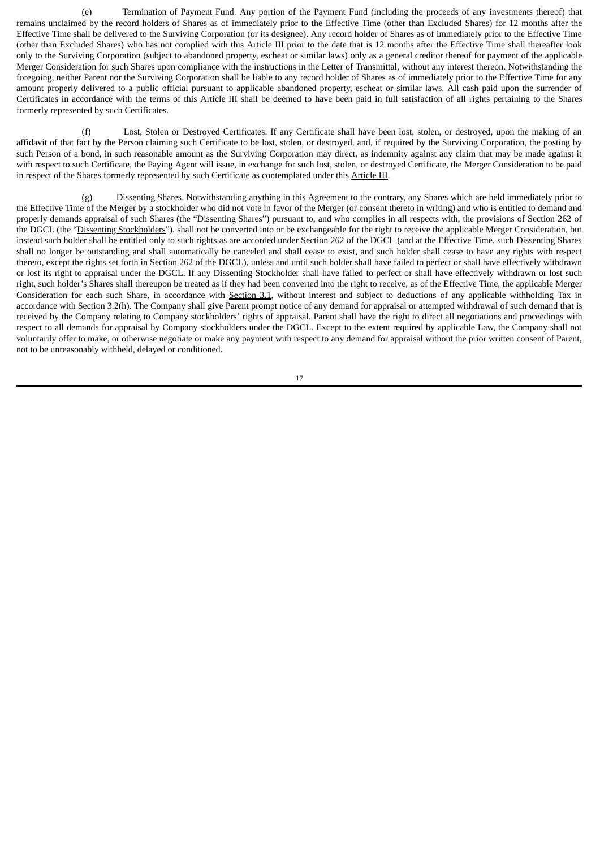(e) Termination of Payment Fund. Any portion of the Payment Fund (including the proceeds of any investments thereof) that remains unclaimed by the record holders of Shares as of immediately prior to the Effective Time (other than Excluded Shares) for 12 months after the Effective Time shall be delivered to the Surviving Corporation (or its designee). Any record holder of Shares as of immediately prior to the Effective Time (other than Excluded Shares) who has not complied with this Article III prior to the date that is 12 months after the Effective Time shall thereafter look only to the Surviving Corporation (subject to abandoned property, escheat or similar laws) only as a general creditor thereof for payment of the applicable Merger Consideration for such Shares upon compliance with the instructions in the Letter of Transmittal, without any interest thereon. Notwithstanding the foregoing, neither Parent nor the Surviving Corporation shall be liable to any record holder of Shares as of immediately prior to the Effective Time for any amount properly delivered to a public official pursuant to applicable abandoned property, escheat or similar laws. All cash paid upon the surrender of Certificates in accordance with the terms of this Article III shall be deemed to have been paid in full satisfaction of all rights pertaining to the Shares formerly represented by such Certificates.

(f) Lost, Stolen or Destroyed Certificates. If any Certificate shall have been lost, stolen, or destroyed, upon the making of an affidavit of that fact by the Person claiming such Certificate to be lost, stolen, or destroyed, and, if required by the Surviving Corporation, the posting by such Person of a bond, in such reasonable amount as the Surviving Corporation may direct, as indemnity against any claim that may be made against it with respect to such Certificate, the Paying Agent will issue, in exchange for such lost, stolen, or destroyed Certificate, the Merger Consideration to be paid in respect of the Shares formerly represented by such Certificate as contemplated under this Article III.

(g) Dissenting Shares. Notwithstanding anything in this Agreement to the contrary, any Shares which are held immediately prior to the Effective Time of the Merger by a stockholder who did not vote in favor of the Merger (or consent thereto in writing) and who is entitled to demand and properly demands appraisal of such Shares (the "Dissenting Shares") pursuant to, and who complies in all respects with, the provisions of Section 262 of the DGCL (the "Dissenting Stockholders"), shall not be converted into or be exchangeable for the right to receive the applicable Merger Consideration, but instead such holder shall be entitled only to such rights as are accorded under Section 262 of the DGCL (and at the Effective Time, such Dissenting Shares shall no longer be outstanding and shall automatically be canceled and shall cease to exist, and such holder shall cease to have any rights with respect thereto, except the rights set forth in Section 262 of the DGCL), unless and until such holder shall have failed to perfect or shall have effectively withdrawn or lost its right to appraisal under the DGCL. If any Dissenting Stockholder shall have failed to perfect or shall have effectively withdrawn or lost such right, such holder's Shares shall thereupon be treated as if they had been converted into the right to receive, as of the Effective Time, the applicable Merger Consideration for each such Share, in accordance with Section 3.1, without interest and subject to deductions of any applicable withholding Tax in accordance with Section 3.2(h). The Company shall give Parent prompt notice of any demand for appraisal or attempted withdrawal of such demand that is received by the Company relating to Company stockholders' rights of appraisal. Parent shall have the right to direct all negotiations and proceedings with respect to all demands for appraisal by Company stockholders under the DGCL. Except to the extent required by applicable Law, the Company shall not voluntarily offer to make, or otherwise negotiate or make any payment with respect to any demand for appraisal without the prior written consent of Parent, not to be unreasonably withheld, delayed or conditioned.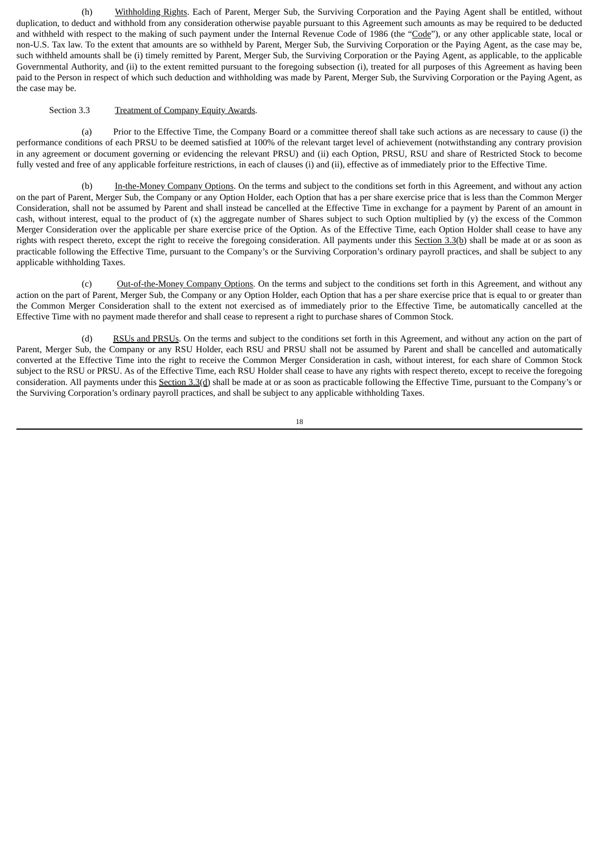(h) Withholding Rights. Each of Parent, Merger Sub, the Surviving Corporation and the Paying Agent shall be entitled, without duplication, to deduct and withhold from any consideration otherwise payable pursuant to this Agreement such amounts as may be required to be deducted and withheld with respect to the making of such payment under the Internal Revenue Code of 1986 (the "Code"), or any other applicable state, local or non-U.S. Tax law. To the extent that amounts are so withheld by Parent, Merger Sub, the Surviving Corporation or the Paying Agent, as the case may be, such withheld amounts shall be (i) timely remitted by Parent, Merger Sub, the Surviving Corporation or the Paying Agent, as applicable, to the applicable Governmental Authority, and (ii) to the extent remitted pursuant to the foregoing subsection (i), treated for all purposes of this Agreement as having been paid to the Person in respect of which such deduction and withholding was made by Parent, Merger Sub, the Surviving Corporation or the Paying Agent, as the case may be.

### Section 3.3 Treatment of Company Equity Awards.

(a) Prior to the Effective Time, the Company Board or a committee thereof shall take such actions as are necessary to cause (i) the performance conditions of each PRSU to be deemed satisfied at 100% of the relevant target level of achievement (notwithstanding any contrary provision in any agreement or document governing or evidencing the relevant PRSU) and (ii) each Option, PRSU, RSU and share of Restricted Stock to become fully vested and free of any applicable forfeiture restrictions, in each of clauses (i) and (ii), effective as of immediately prior to the Effective Time.

(b) In-the-Money Company Options. On the terms and subject to the conditions set forth in this Agreement, and without any action on the part of Parent, Merger Sub, the Company or any Option Holder, each Option that has a per share exercise price that is less than the Common Merger Consideration, shall not be assumed by Parent and shall instead be cancelled at the Effective Time in exchange for a payment by Parent of an amount in cash, without interest, equal to the product of (x) the aggregate number of Shares subject to such Option multiplied by (y) the excess of the Common Merger Consideration over the applicable per share exercise price of the Option. As of the Effective Time, each Option Holder shall cease to have any rights with respect thereto, except the right to receive the foregoing consideration. All payments under this Section 3.3(b) shall be made at or as soon as practicable following the Effective Time, pursuant to the Company's or the Surviving Corporation's ordinary payroll practices, and shall be subject to any applicable withholding Taxes.

(c) Out-of-the-Money Company Options. On the terms and subject to the conditions set forth in this Agreement, and without any action on the part of Parent, Merger Sub, the Company or any Option Holder, each Option that has a per share exercise price that is equal to or greater than the Common Merger Consideration shall to the extent not exercised as of immediately prior to the Effective Time, be automatically cancelled at the Effective Time with no payment made therefor and shall cease to represent a right to purchase shares of Common Stock.

(d) RSUs and PRSUs. On the terms and subject to the conditions set forth in this Agreement, and without any action on the part of Parent, Merger Sub, the Company or any RSU Holder, each RSU and PRSU shall not be assumed by Parent and shall be cancelled and automatically converted at the Effective Time into the right to receive the Common Merger Consideration in cash, without interest, for each share of Common Stock subject to the RSU or PRSU. As of the Effective Time, each RSU Holder shall cease to have any rights with respect thereto, except to receive the foregoing consideration. All payments under this Section 3.3(d) shall be made at or as soon as practicable following the Effective Time, pursuant to the Company's or the Surviving Corporation's ordinary payroll practices, and shall be subject to any applicable withholding Taxes.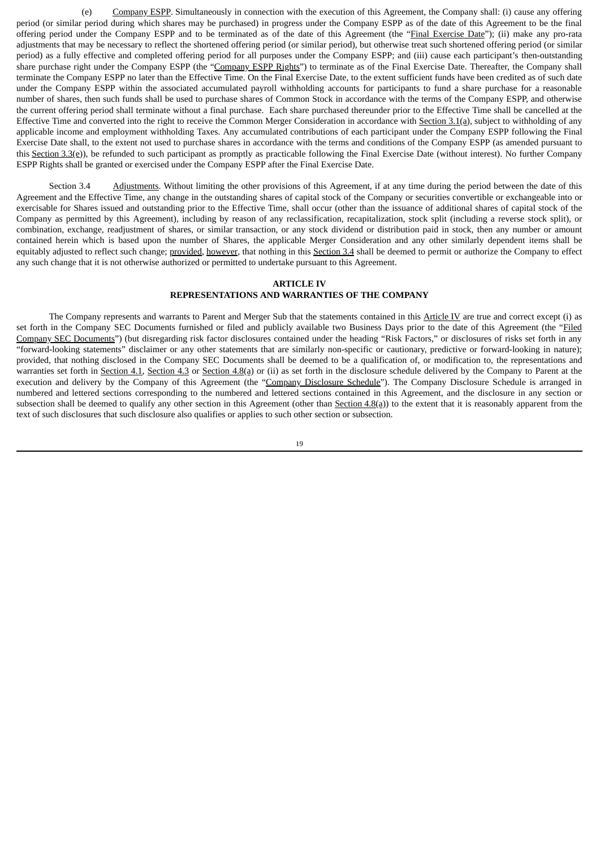(e) Company ESPP. Simultaneously in connection with the execution of this Agreement, the Company shall: (i) cause any offering period (or similar period during which shares may be purchased) in progress under the Company ESPP as of the date of this Agreement to be the final offering period under the Company ESPP and to be terminated as of the date of this Agreement (the "Final Exercise Date"); (ii) make any pro-rata adjustments that may be necessary to reflect the shortened offering period (or similar period), but otherwise treat such shortened offering period (or similar period) as a fully effective and completed offering period for all purposes under the Company ESPP; and (iii) cause each participant's then-outstanding share purchase right under the Company ESPP (the "Company ESPP Rights") to terminate as of the Final Exercise Date. Thereafter, the Company shall terminate the Company ESPP no later than the Effective Time. On the Final Exercise Date, to the extent sufficient funds have been credited as of such date under the Company ESPP within the associated accumulated payroll withholding accounts for participants to fund a share purchase for a reasonable number of shares, then such funds shall be used to purchase shares of Common Stock in accordance with the terms of the Company ESPP, and otherwise the current offering period shall terminate without a final purchase. Each share purchased thereunder prior to the Effective Time shall be cancelled at the Effective Time and converted into the right to receive the Common Merger Consideration in accordance with Section  $3.1(q)$ , subject to withholding of any applicable income and employment withholding Taxes. Any accumulated contributions of each participant under the Company ESPP following the Final Exercise Date shall, to the extent not used to purchase shares in accordance with the terms and conditions of the Company ESPP (as amended pursuant to this Section 3.3(e)), be refunded to such participant as promptly as practicable following the Final Exercise Date (without interest). No further Company ESPP Rights shall be granted or exercised under the Company ESPP after the Final Exercise Date.

Section 3.4 Adjustments. Without limiting the other provisions of this Agreement, if at any time during the period between the date of this Agreement and the Effective Time, any change in the outstanding shares of capital stock of the Company or securities convertible or exchangeable into or exercisable for Shares issued and outstanding prior to the Effective Time, shall occur (other than the issuance of additional shares of capital stock of the Company as permitted by this Agreement), including by reason of any reclassification, recapitalization, stock split (including a reverse stock split), or combination, exchange, readjustment of shares, or similar transaction, or any stock dividend or distribution paid in stock, then any number or amount contained herein which is based upon the number of Shares, the applicable Merger Consideration and any other similarly dependent items shall be equitably adjusted to reflect such change; provided, however, that nothing in this Section 3.4 shall be deemed to permit or authorize the Company to effect any such change that it is not otherwise authorized or permitted to undertake pursuant to this Agreement.

### **ARTICLE IV REPRESENTATIONS AND WARRANTIES OF THE COMPANY**

The Company represents and warrants to Parent and Merger Sub that the statements contained in this Article IV are true and correct except (i) as set forth in the Company SEC Documents furnished or filed and publicly available two Business Days prior to the date of this Agreement (the "Filed Company SEC Documents") (but disregarding risk factor disclosures contained under the heading "Risk Factors," or disclosures of risks set forth in any "forward-looking statements" disclaimer or any other statements that are similarly non-specific or cautionary, predictive or forward-looking in nature); provided, that nothing disclosed in the Company SEC Documents shall be deemed to be a qualification of, or modification to, the representations and warranties set forth in Section 4.1, Section 4.3 or Section 4.8(a) or (ii) as set forth in the disclosure schedule delivered by the Company to Parent at the execution and delivery by the Company of this Agreement (the "Company Disclosure Schedule"). The Company Disclosure Schedule is arranged in numbered and lettered sections corresponding to the numbered and lettered sections contained in this Agreement, and the disclosure in any section or subsection shall be deemed to qualify any other section in this Agreement (other than Section 4.8(a)) to the extent that it is reasonably apparent from the text of such disclosures that such disclosure also qualifies or applies to such other section or subsection.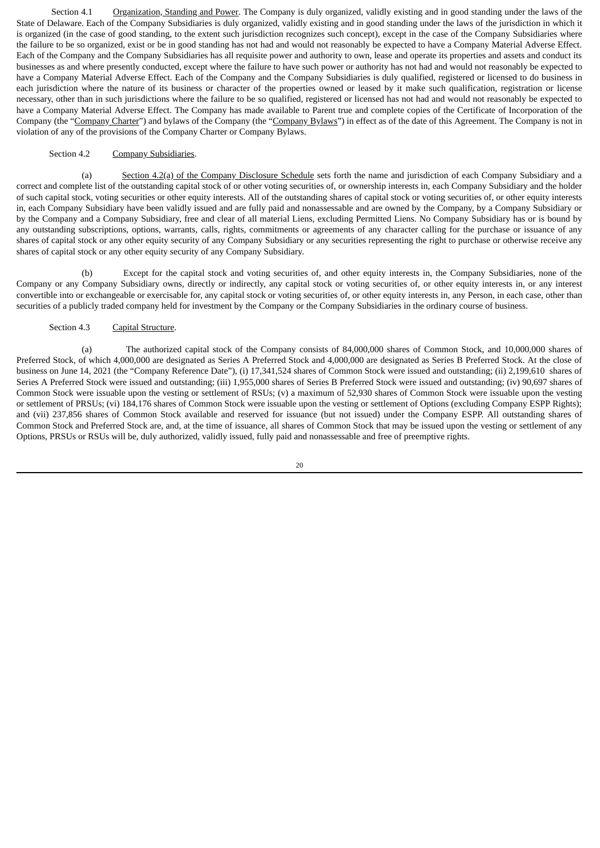Section 4.1 Organization, Standing and Power. The Company is duly organized, validly existing and in good standing under the laws of the State of Delaware. Each of the Company Subsidiaries is duly organized, validly existing and in good standing under the laws of the jurisdiction in which it is organized (in the case of good standing, to the extent such jurisdiction recognizes such concept), except in the case of the Company Subsidiaries where the failure to be so organized, exist or be in good standing has not had and would not reasonably be expected to have a Company Material Adverse Effect. Each of the Company and the Company Subsidiaries has all requisite power and authority to own, lease and operate its properties and assets and conduct its businesses as and where presently conducted, except where the failure to have such power or authority has not had and would not reasonably be expected to have a Company Material Adverse Effect. Each of the Company and the Company Subsidiaries is duly qualified, registered or licensed to do business in each jurisdiction where the nature of its business or character of the properties owned or leased by it make such qualification, registration or license necessary, other than in such jurisdictions where the failure to be so qualified, registered or licensed has not had and would not reasonably be expected to have a Company Material Adverse Effect. The Company has made available to Parent true and complete copies of the Certificate of Incorporation of the Company (the "Company Charter") and bylaws of the Company (the "Company Bylaws") in effect as of the date of this Agreement. The Company is not in violation of any of the provisions of the Company Charter or Company Bylaws.

### Section 4.2 Company Subsidiaries.

(a) Section 4.2(a) of the Company Disclosure Schedule sets forth the name and jurisdiction of each Company Subsidiary and a correct and complete list of the outstanding capital stock of or other voting securities of, or ownership interests in, each Company Subsidiary and the holder of such capital stock, voting securities or other equity interests. All of the outstanding shares of capital stock or voting securities of, or other equity interests in, each Company Subsidiary have been validly issued and are fully paid and nonassessable and are owned by the Company, by a Company Subsidiary or by the Company and a Company Subsidiary, free and clear of all material Liens, excluding Permitted Liens. No Company Subsidiary has or is bound by any outstanding subscriptions, options, warrants, calls, rights, commitments or agreements of any character calling for the purchase or issuance of any shares of capital stock or any other equity security of any Company Subsidiary or any securities representing the right to purchase or otherwise receive any shares of capital stock or any other equity security of any Company Subsidiary.

(b) Except for the capital stock and voting securities of, and other equity interests in, the Company Subsidiaries, none of the Company or any Company Subsidiary owns, directly or indirectly, any capital stock or voting securities of, or other equity interests in, or any interest convertible into or exchangeable or exercisable for, any capital stock or voting securities of, or other equity interests in, any Person, in each case, other than securities of a publicly traded company held for investment by the Company or the Company Subsidiaries in the ordinary course of business.

### Section 4.3 Capital Structure.

(a) The authorized capital stock of the Company consists of 84,000,000 shares of Common Stock, and 10,000,000 shares of Preferred Stock, of which 4,000,000 are designated as Series A Preferred Stock and 4,000,000 are designated as Series B Preferred Stock. At the close of business on June 14, 2021 (the "Company Reference Date"), (i) 17,341,524 shares of Common Stock were issued and outstanding; (ii) 2,199,610 shares of Series A Preferred Stock were issued and outstanding; (iii) 1,955,000 shares of Series B Preferred Stock were issued and outstanding; (iv) 90,697 shares of Common Stock were issuable upon the vesting or settlement of RSUs; (v) a maximum of 52,930 shares of Common Stock were issuable upon the vesting or settlement of PRSUs; (vi) 184,176 shares of Common Stock were issuable upon the vesting or settlement of Options (excluding Company ESPP Rights); and (vii) 237,856 shares of Common Stock available and reserved for issuance (but not issued) under the Company ESPP. All outstanding shares of Common Stock and Preferred Stock are, and, at the time of issuance, all shares of Common Stock that may be issued upon the vesting or settlement of any Options, PRSUs or RSUs will be, duly authorized, validly issued, fully paid and nonassessable and free of preemptive rights.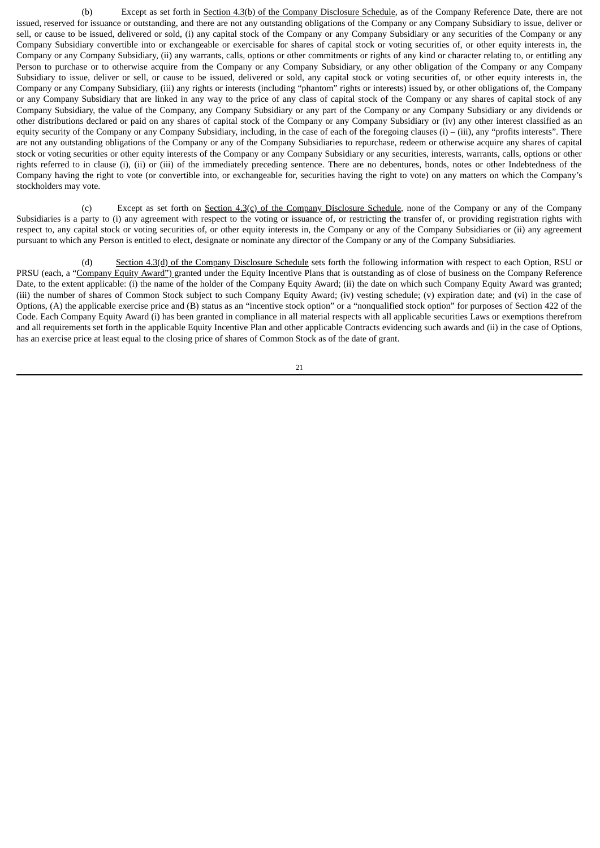(b) Except as set forth in Section 4.3(b) of the Company Disclosure Schedule, as of the Company Reference Date, there are not issued, reserved for issuance or outstanding, and there are not any outstanding obligations of the Company or any Company Subsidiary to issue, deliver or sell, or cause to be issued, delivered or sold, (i) any capital stock of the Company or any Company Subsidiary or any securities of the Company or any Company Subsidiary convertible into or exchangeable or exercisable for shares of capital stock or voting securities of, or other equity interests in, the Company or any Company Subsidiary, (ii) any warrants, calls, options or other commitments or rights of any kind or character relating to, or entitling any Person to purchase or to otherwise acquire from the Company or any Company Subsidiary, or any other obligation of the Company or any Company Subsidiary to issue, deliver or sell, or cause to be issued, delivered or sold, any capital stock or voting securities of, or other equity interests in, the Company or any Company Subsidiary, (iii) any rights or interests (including "phantom" rights or interests) issued by, or other obligations of, the Company or any Company Subsidiary that are linked in any way to the price of any class of capital stock of the Company or any shares of capital stock of any Company Subsidiary, the value of the Company, any Company Subsidiary or any part of the Company or any Company Subsidiary or any dividends or other distributions declared or paid on any shares of capital stock of the Company or any Company Subsidiary or (iv) any other interest classified as an equity security of the Company or any Company Subsidiary, including, in the case of each of the foregoing clauses (i) – (iii), any "profits interests". There are not any outstanding obligations of the Company or any of the Company Subsidiaries to repurchase, redeem or otherwise acquire any shares of capital stock or voting securities or other equity interests of the Company or any Company Subsidiary or any securities, interests, warrants, calls, options or other rights referred to in clause (i), (ii) or (iii) of the immediately preceding sentence. There are no debentures, bonds, notes or other Indebtedness of the Company having the right to vote (or convertible into, or exchangeable for, securities having the right to vote) on any matters on which the Company's stockholders may vote.

(c) Except as set forth on Section 4.3(c) of the Company Disclosure Schedule, none of the Company or any of the Company Subsidiaries is a party to (i) any agreement with respect to the voting or issuance of, or restricting the transfer of, or providing registration rights with respect to, any capital stock or voting securities of, or other equity interests in, the Company or any of the Company Subsidiaries or (ii) any agreement pursuant to which any Person is entitled to elect, designate or nominate any director of the Company or any of the Company Subsidiaries.

(d) Section 4.3(d) of the Company Disclosure Schedule sets forth the following information with respect to each Option, RSU or PRSU (each, a "Company Equity Award") granted under the Equity Incentive Plans that is outstanding as of close of business on the Company Reference Date, to the extent applicable: (i) the name of the holder of the Company Equity Award; (ii) the date on which such Company Equity Award was granted; (iii) the number of shares of Common Stock subject to such Company Equity Award; (iv) vesting schedule; (v) expiration date; and (vi) in the case of Options, (A) the applicable exercise price and (B) status as an "incentive stock option" or a "nonqualified stock option" for purposes of Section 422 of the Code. Each Company Equity Award (i) has been granted in compliance in all material respects with all applicable securities Laws or exemptions therefrom and all requirements set forth in the applicable Equity Incentive Plan and other applicable Contracts evidencing such awards and (ii) in the case of Options, has an exercise price at least equal to the closing price of shares of Common Stock as of the date of grant.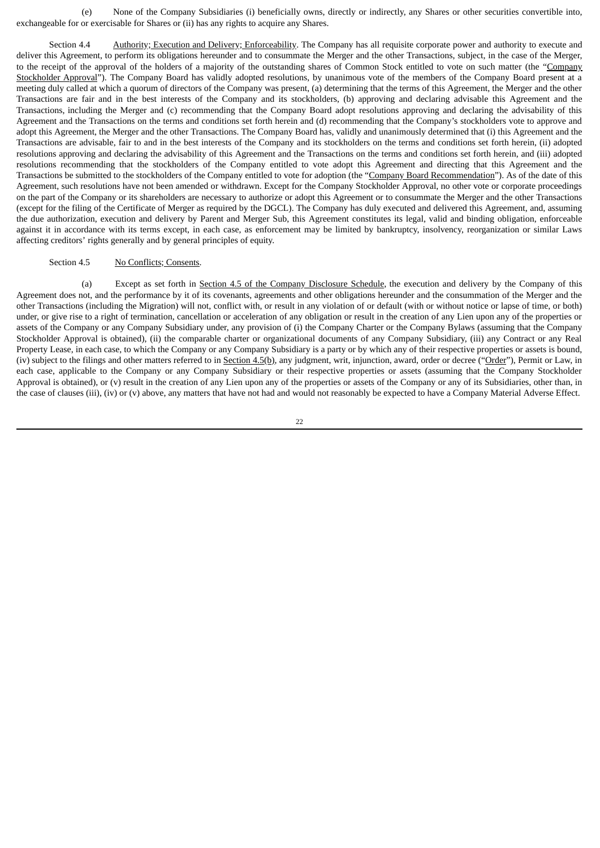(e) None of the Company Subsidiaries (i) beneficially owns, directly or indirectly, any Shares or other securities convertible into, exchangeable for or exercisable for Shares or (ii) has any rights to acquire any Shares.

Section 4.4 Authority; Execution and Delivery; Enforceability. The Company has all requisite corporate power and authority to execute and deliver this Agreement, to perform its obligations hereunder and to consummate the Merger and the other Transactions, subject, in the case of the Merger, to the receipt of the approval of the holders of a majority of the outstanding shares of Common Stock entitled to vote on such matter (the "Company Stockholder Approval"). The Company Board has validly adopted resolutions, by unanimous vote of the members of the Company Board present at a meeting duly called at which a quorum of directors of the Company was present, (a) determining that the terms of this Agreement, the Merger and the other Transactions are fair and in the best interests of the Company and its stockholders, (b) approving and declaring advisable this Agreement and the Transactions, including the Merger and (c) recommending that the Company Board adopt resolutions approving and declaring the advisability of this Agreement and the Transactions on the terms and conditions set forth herein and (d) recommending that the Company's stockholders vote to approve and adopt this Agreement, the Merger and the other Transactions. The Company Board has, validly and unanimously determined that (i) this Agreement and the Transactions are advisable, fair to and in the best interests of the Company and its stockholders on the terms and conditions set forth herein, (ii) adopted resolutions approving and declaring the advisability of this Agreement and the Transactions on the terms and conditions set forth herein, and (iii) adopted resolutions recommending that the stockholders of the Company entitled to vote adopt this Agreement and directing that this Agreement and the Transactions be submitted to the stockholders of the Company entitled to vote for adoption (the "Company Board Recommendation"). As of the date of this Agreement, such resolutions have not been amended or withdrawn. Except for the Company Stockholder Approval, no other vote or corporate proceedings on the part of the Company or its shareholders are necessary to authorize or adopt this Agreement or to consummate the Merger and the other Transactions (except for the filing of the Certificate of Merger as required by the DGCL). The Company has duly executed and delivered this Agreement, and, assuming the due authorization, execution and delivery by Parent and Merger Sub, this Agreement constitutes its legal, valid and binding obligation, enforceable against it in accordance with its terms except, in each case, as enforcement may be limited by bankruptcy, insolvency, reorganization or similar Laws affecting creditors' rights generally and by general principles of equity.

### Section 4.5 No Conflicts; Consents.

(a) Except as set forth in Section 4.5 of the Company Disclosure Schedule, the execution and delivery by the Company of this Agreement does not, and the performance by it of its covenants, agreements and other obligations hereunder and the consummation of the Merger and the other Transactions (including the Migration) will not, conflict with, or result in any violation of or default (with or without notice or lapse of time, or both) under, or give rise to a right of termination, cancellation or acceleration of any obligation or result in the creation of any Lien upon any of the properties or assets of the Company or any Company Subsidiary under, any provision of (i) the Company Charter or the Company Bylaws (assuming that the Company Stockholder Approval is obtained), (ii) the comparable charter or organizational documents of any Company Subsidiary, (iii) any Contract or any Real Property Lease, in each case, to which the Company or any Company Subsidiary is a party or by which any of their respective properties or assets is bound, (iv) subject to the filings and other matters referred to in Section 4.5(b), any judgment, writ, injunction, award, order or decree ("Order"), Permit or Law, in each case, applicable to the Company or any Company Subsidiary or their respective properties or assets (assuming that the Company Stockholder Approval is obtained), or (v) result in the creation of any Lien upon any of the properties or assets of the Company or any of its Subsidiaries, other than, in the case of clauses (iii), (iv) or (v) above, any matters that have not had and would not reasonably be expected to have a Company Material Adverse Effect.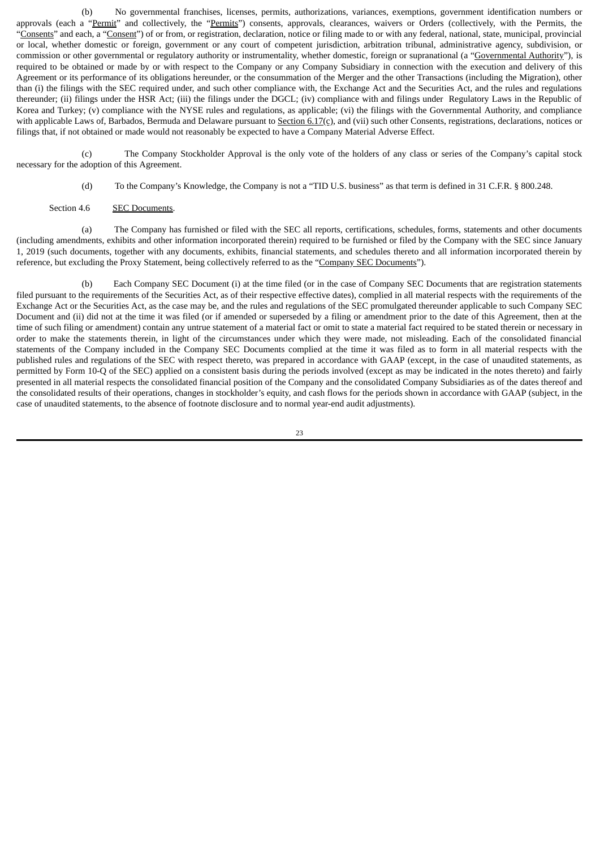(b) No governmental franchises, licenses, permits, authorizations, variances, exemptions, government identification numbers or approvals (each a "Permit" and collectively, the "Permits") consents, approvals, clearances, waivers or Orders (collectively, with the Permits, the "Consents" and each, a "Consent") of or from, or registration, declaration, notice or filing made to or with any federal, national, state, municipal, provincial or local, whether domestic or foreign, government or any court of competent jurisdiction, arbitration tribunal, administrative agency, subdivision, or commission or other governmental or regulatory authority or instrumentality, whether domestic, foreign or supranational (a "Governmental Authority"), is required to be obtained or made by or with respect to the Company or any Company Subsidiary in connection with the execution and delivery of this Agreement or its performance of its obligations hereunder, or the consummation of the Merger and the other Transactions (including the Migration), other than (i) the filings with the SEC required under, and such other compliance with, the Exchange Act and the Securities Act, and the rules and regulations thereunder; (ii) filings under the HSR Act; (iii) the filings under the DGCL; (iv) compliance with and filings under Regulatory Laws in the Republic of Korea and Turkey; (v) compliance with the NYSE rules and regulations, as applicable; (vi) the filings with the Governmental Authority, and compliance with applicable Laws of, Barbados, Bermuda and Delaware pursuant to Section  $6.17(c)$ , and (vii) such other Consents, registrations, declarations, notices or filings that, if not obtained or made would not reasonably be expected to have a Company Material Adverse Effect.

(c) The Company Stockholder Approval is the only vote of the holders of any class or series of the Company's capital stock necessary for the adoption of this Agreement.

(d) To the Company's Knowledge, the Company is not a "TID U.S. business" as that term is defined in 31 C.F.R. § 800.248.

#### Section 4.6 SEC Documents.

(a) The Company has furnished or filed with the SEC all reports, certifications, schedules, forms, statements and other documents (including amendments, exhibits and other information incorporated therein) required to be furnished or filed by the Company with the SEC since January 1, 2019 (such documents, together with any documents, exhibits, financial statements, and schedules thereto and all information incorporated therein by reference, but excluding the Proxy Statement, being collectively referred to as the "Company SEC Documents").

(b) Each Company SEC Document (i) at the time filed (or in the case of Company SEC Documents that are registration statements filed pursuant to the requirements of the Securities Act, as of their respective effective dates), complied in all material respects with the requirements of the Exchange Act or the Securities Act, as the case may be, and the rules and regulations of the SEC promulgated thereunder applicable to such Company SEC Document and (ii) did not at the time it was filed (or if amended or superseded by a filing or amendment prior to the date of this Agreement, then at the time of such filing or amendment) contain any untrue statement of a material fact or omit to state a material fact required to be stated therein or necessary in order to make the statements therein, in light of the circumstances under which they were made, not misleading. Each of the consolidated financial statements of the Company included in the Company SEC Documents complied at the time it was filed as to form in all material respects with the published rules and regulations of the SEC with respect thereto, was prepared in accordance with GAAP (except, in the case of unaudited statements, as permitted by Form 10-Q of the SEC) applied on a consistent basis during the periods involved (except as may be indicated in the notes thereto) and fairly presented in all material respects the consolidated financial position of the Company and the consolidated Company Subsidiaries as of the dates thereof and the consolidated results of their operations, changes in stockholder's equity, and cash flows for the periods shown in accordance with GAAP (subject, in the case of unaudited statements, to the absence of footnote disclosure and to normal year-end audit adjustments).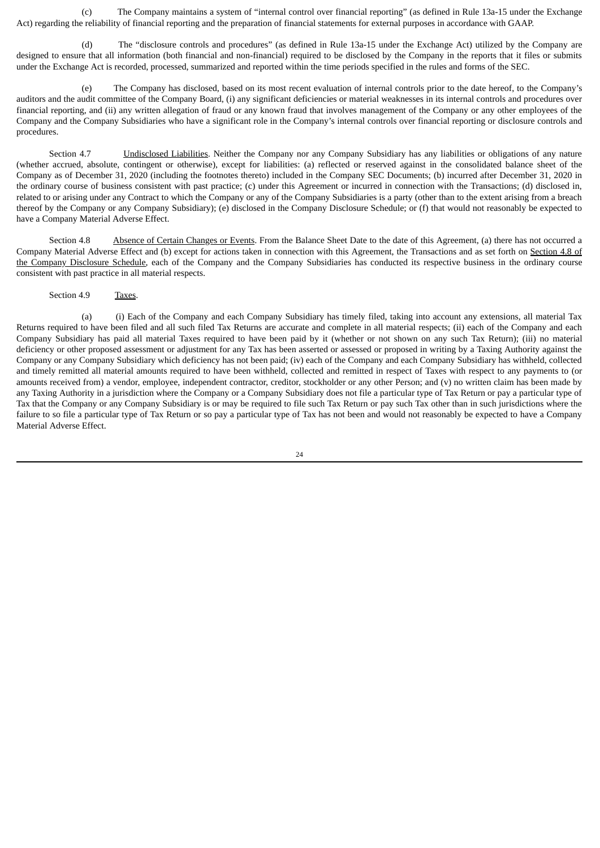(c) The Company maintains a system of "internal control over financial reporting" (as defined in Rule 13a-15 under the Exchange Act) regarding the reliability of financial reporting and the preparation of financial statements for external purposes in accordance with GAAP.

(d) The "disclosure controls and procedures" (as defined in Rule 13a-15 under the Exchange Act) utilized by the Company are designed to ensure that all information (both financial and non-financial) required to be disclosed by the Company in the reports that it files or submits under the Exchange Act is recorded, processed, summarized and reported within the time periods specified in the rules and forms of the SEC.

(e) The Company has disclosed, based on its most recent evaluation of internal controls prior to the date hereof, to the Company's auditors and the audit committee of the Company Board, (i) any significant deficiencies or material weaknesses in its internal controls and procedures over financial reporting, and (ii) any written allegation of fraud or any known fraud that involves management of the Company or any other employees of the Company and the Company Subsidiaries who have a significant role in the Company's internal controls over financial reporting or disclosure controls and procedures.

Section 4.7 Undisclosed Liabilities. Neither the Company nor any Company Subsidiary has any liabilities or obligations of any nature (whether accrued, absolute, contingent or otherwise), except for liabilities: (a) reflected or reserved against in the consolidated balance sheet of the Company as of December 31, 2020 (including the footnotes thereto) included in the Company SEC Documents; (b) incurred after December 31, 2020 in the ordinary course of business consistent with past practice; (c) under this Agreement or incurred in connection with the Transactions; (d) disclosed in, related to or arising under any Contract to which the Company or any of the Company Subsidiaries is a party (other than to the extent arising from a breach thereof by the Company or any Company Subsidiary); (e) disclosed in the Company Disclosure Schedule; or (f) that would not reasonably be expected to have a Company Material Adverse Effect.

Section 4.8 Absence of Certain Changes or Events. From the Balance Sheet Date to the date of this Agreement, (a) there has not occurred a Company Material Adverse Effect and (b) except for actions taken in connection with this Agreement, the Transactions and as set forth on Section 4.8 of the Company Disclosure Schedule, each of the Company and the Company Subsidiaries has conducted its respective business in the ordinary course consistent with past practice in all material respects.

Section 4.9 Taxes.

(a) (i) Each of the Company and each Company Subsidiary has timely filed, taking into account any extensions, all material Tax Returns required to have been filed and all such filed Tax Returns are accurate and complete in all material respects; (ii) each of the Company and each Company Subsidiary has paid all material Taxes required to have been paid by it (whether or not shown on any such Tax Return); (iii) no material deficiency or other proposed assessment or adjustment for any Tax has been asserted or assessed or proposed in writing by a Taxing Authority against the Company or any Company Subsidiary which deficiency has not been paid; (iv) each of the Company and each Company Subsidiary has withheld, collected and timely remitted all material amounts required to have been withheld, collected and remitted in respect of Taxes with respect to any payments to (or amounts received from) a vendor, employee, independent contractor, creditor, stockholder or any other Person; and (v) no written claim has been made by any Taxing Authority in a jurisdiction where the Company or a Company Subsidiary does not file a particular type of Tax Return or pay a particular type of Tax that the Company or any Company Subsidiary is or may be required to file such Tax Return or pay such Tax other than in such jurisdictions where the failure to so file a particular type of Tax Return or so pay a particular type of Tax has not been and would not reasonably be expected to have a Company Material Adverse Effect.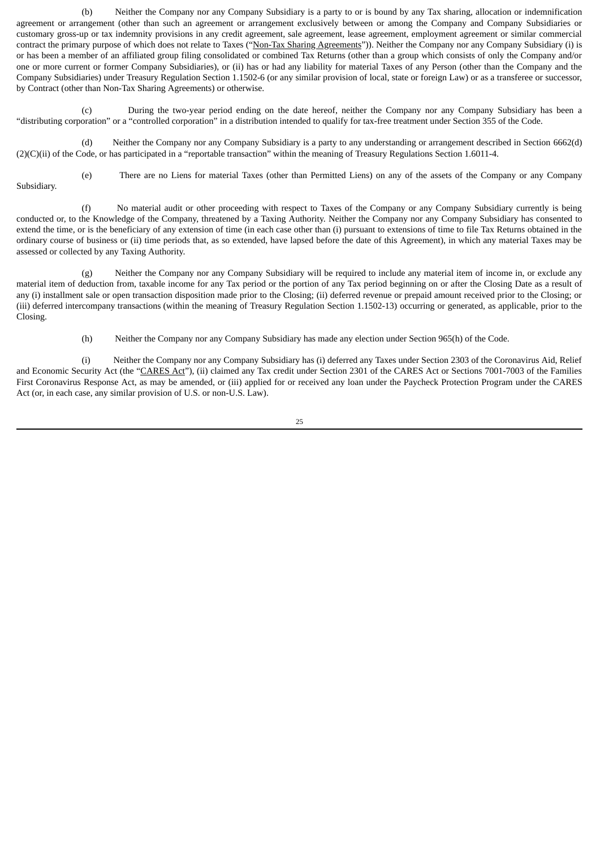(b) Neither the Company nor any Company Subsidiary is a party to or is bound by any Tax sharing, allocation or indemnification agreement or arrangement (other than such an agreement or arrangement exclusively between or among the Company and Company Subsidiaries or customary gross-up or tax indemnity provisions in any credit agreement, sale agreement, lease agreement, employment agreement or similar commercial contract the primary purpose of which does not relate to Taxes ("Non-Tax Sharing Agreements")). Neither the Company nor any Company Subsidiary (i) is or has been a member of an affiliated group filing consolidated or combined Tax Returns (other than a group which consists of only the Company and/or one or more current or former Company Subsidiaries), or (ii) has or had any liability for material Taxes of any Person (other than the Company and the Company Subsidiaries) under Treasury Regulation Section 1.1502-6 (or any similar provision of local, state or foreign Law) or as a transferee or successor, by Contract (other than Non-Tax Sharing Agreements) or otherwise.

(c) During the two-year period ending on the date hereof, neither the Company nor any Company Subsidiary has been a "distributing corporation" or a "controlled corporation" in a distribution intended to qualify for tax-free treatment under Section 355 of the Code.

(d) Neither the Company nor any Company Subsidiary is a party to any understanding or arrangement described in Section 6662(d) (2)(C)(ii) of the Code, or has participated in a "reportable transaction" within the meaning of Treasury Regulations Section 1.6011-4.

Subsidiary.

(e) There are no Liens for material Taxes (other than Permitted Liens) on any of the assets of the Company or any Company

(f) No material audit or other proceeding with respect to Taxes of the Company or any Company Subsidiary currently is being conducted or, to the Knowledge of the Company, threatened by a Taxing Authority. Neither the Company nor any Company Subsidiary has consented to extend the time, or is the beneficiary of any extension of time (in each case other than (i) pursuant to extensions of time to file Tax Returns obtained in the ordinary course of business or (ii) time periods that, as so extended, have lapsed before the date of this Agreement), in which any material Taxes may be assessed or collected by any Taxing Authority.

(g) Neither the Company nor any Company Subsidiary will be required to include any material item of income in, or exclude any material item of deduction from, taxable income for any Tax period or the portion of any Tax period beginning on or after the Closing Date as a result of any (i) installment sale or open transaction disposition made prior to the Closing; (ii) deferred revenue or prepaid amount received prior to the Closing; or (iii) deferred intercompany transactions (within the meaning of Treasury Regulation Section 1.1502-13) occurring or generated, as applicable, prior to the Closing.

(h) Neither the Company nor any Company Subsidiary has made any election under Section 965(h) of the Code.

(i) Neither the Company nor any Company Subsidiary has (i) deferred any Taxes under Section 2303 of the Coronavirus Aid, Relief and Economic Security Act (the "CARES Act"), (ii) claimed any Tax credit under Section 2301 of the CARES Act or Sections 7001-7003 of the Families First Coronavirus Response Act, as may be amended, or (iii) applied for or received any loan under the Paycheck Protection Program under the CARES Act (or, in each case, any similar provision of U.S. or non-U.S. Law).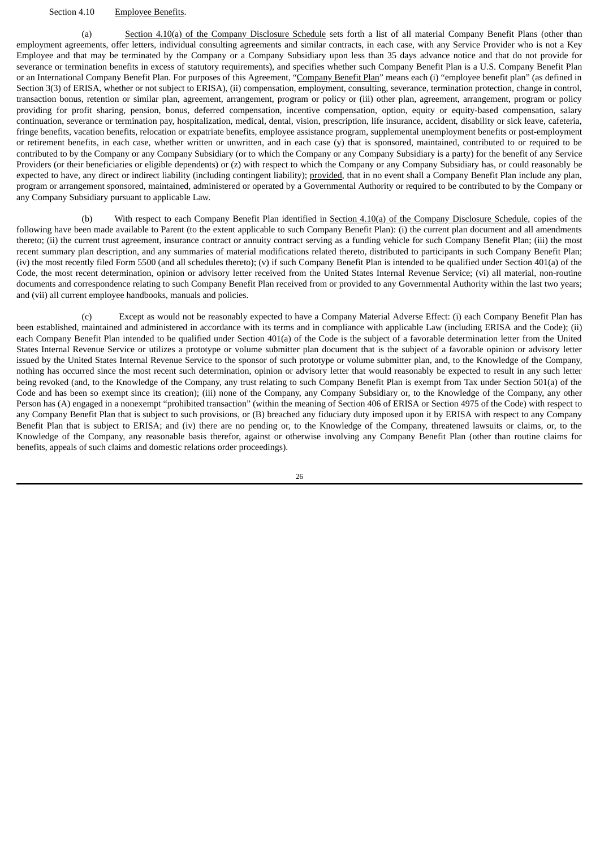### Section 4.10 Employee Benefits.

(a) Section 4.10(a) of the Company Disclosure Schedule sets forth a list of all material Company Benefit Plans (other than employment agreements, offer letters, individual consulting agreements and similar contracts, in each case, with any Service Provider who is not a Key Employee and that may be terminated by the Company or a Company Subsidiary upon less than 35 days advance notice and that do not provide for severance or termination benefits in excess of statutory requirements), and specifies whether such Company Benefit Plan is a U.S. Company Benefit Plan or an International Company Benefit Plan. For purposes of this Agreement, "Company Benefit Plan" means each (i) "employee benefit plan" (as defined in Section 3(3) of ERISA, whether or not subject to ERISA), (ii) compensation, employment, consulting, severance, termination protection, change in control, transaction bonus, retention or similar plan, agreement, arrangement, program or policy or (iii) other plan, agreement, arrangement, program or policy providing for profit sharing, pension, bonus, deferred compensation, incentive compensation, option, equity or equity-based compensation, salary continuation, severance or termination pay, hospitalization, medical, dental, vision, prescription, life insurance, accident, disability or sick leave, cafeteria, fringe benefits, vacation benefits, relocation or expatriate benefits, employee assistance program, supplemental unemployment benefits or post-employment or retirement benefits, in each case, whether written or unwritten, and in each case (y) that is sponsored, maintained, contributed to or required to be contributed to by the Company or any Company Subsidiary (or to which the Company or any Company Subsidiary is a party) for the benefit of any Service Providers (or their beneficiaries or eligible dependents) or (z) with respect to which the Company or any Company Subsidiary has, or could reasonably be expected to have, any direct or indirect liability (including contingent liability); provided, that in no event shall a Company Benefit Plan include any plan, program or arrangement sponsored, maintained, administered or operated by a Governmental Authority or required to be contributed to by the Company or any Company Subsidiary pursuant to applicable Law.

(b) With respect to each Company Benefit Plan identified in Section  $4.10(a)$  of the Company Disclosure Schedule, copies of the following have been made available to Parent (to the extent applicable to such Company Benefit Plan): (i) the current plan document and all amendments thereto; (ii) the current trust agreement, insurance contract or annuity contract serving as a funding vehicle for such Company Benefit Plan; (iii) the most recent summary plan description, and any summaries of material modifications related thereto, distributed to participants in such Company Benefit Plan; (iv) the most recently filed Form 5500 (and all schedules thereto); (v) if such Company Benefit Plan is intended to be qualified under Section 401(a) of the Code, the most recent determination, opinion or advisory letter received from the United States Internal Revenue Service; (vi) all material, non-routine documents and correspondence relating to such Company Benefit Plan received from or provided to any Governmental Authority within the last two years; and (vii) all current employee handbooks, manuals and policies.

(c) Except as would not be reasonably expected to have a Company Material Adverse Effect: (i) each Company Benefit Plan has been established, maintained and administered in accordance with its terms and in compliance with applicable Law (including ERISA and the Code); (ii) each Company Benefit Plan intended to be qualified under Section 401(a) of the Code is the subject of a favorable determination letter from the United States Internal Revenue Service or utilizes a prototype or volume submitter plan document that is the subject of a favorable opinion or advisory letter issued by the United States Internal Revenue Service to the sponsor of such prototype or volume submitter plan, and, to the Knowledge of the Company, nothing has occurred since the most recent such determination, opinion or advisory letter that would reasonably be expected to result in any such letter being revoked (and, to the Knowledge of the Company, any trust relating to such Company Benefit Plan is exempt from Tax under Section 501(a) of the Code and has been so exempt since its creation); (iii) none of the Company, any Company Subsidiary or, to the Knowledge of the Company, any other Person has (A) engaged in a nonexempt "prohibited transaction" (within the meaning of Section 406 of ERISA or Section 4975 of the Code) with respect to any Company Benefit Plan that is subject to such provisions, or (B) breached any fiduciary duty imposed upon it by ERISA with respect to any Company Benefit Plan that is subject to ERISA; and (iv) there are no pending or, to the Knowledge of the Company, threatened lawsuits or claims, or, to the Knowledge of the Company, any reasonable basis therefor, against or otherwise involving any Company Benefit Plan (other than routine claims for benefits, appeals of such claims and domestic relations order proceedings).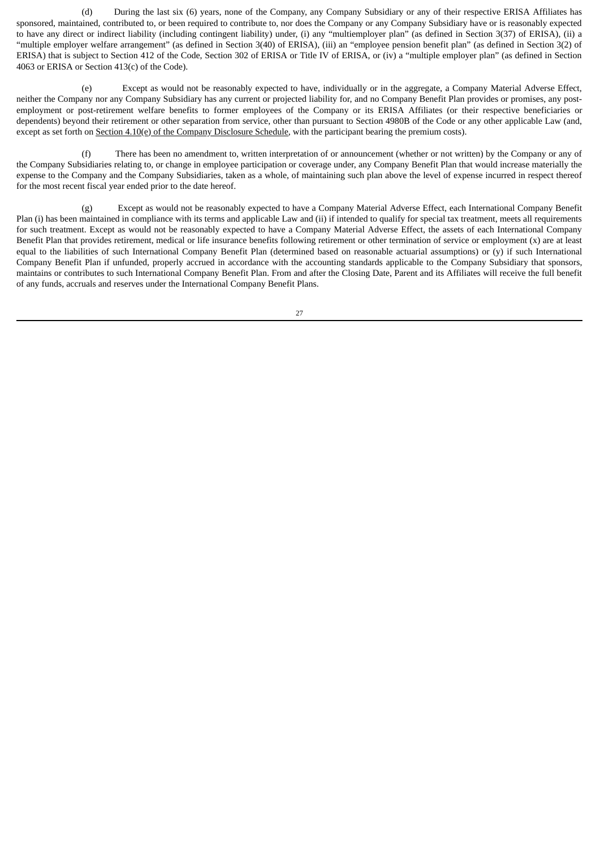(d) During the last six (6) years, none of the Company, any Company Subsidiary or any of their respective ERISA Affiliates has sponsored, maintained, contributed to, or been required to contribute to, nor does the Company or any Company Subsidiary have or is reasonably expected to have any direct or indirect liability (including contingent liability) under, (i) any "multiemployer plan" (as defined in Section 3(37) of ERISA), (ii) a "multiple employer welfare arrangement" (as defined in Section 3(40) of ERISA), (iii) an "employee pension benefit plan" (as defined in Section 3(2) of ERISA) that is subject to Section 412 of the Code, Section 302 of ERISA or Title IV of ERISA, or (iv) a "multiple employer plan" (as defined in Section 4063 or ERISA or Section 413(c) of the Code).

(e) Except as would not be reasonably expected to have, individually or in the aggregate, a Company Material Adverse Effect, neither the Company nor any Company Subsidiary has any current or projected liability for, and no Company Benefit Plan provides or promises, any postemployment or post-retirement welfare benefits to former employees of the Company or its ERISA Affiliates (or their respective beneficiaries or dependents) beyond their retirement or other separation from service, other than pursuant to Section 4980B of the Code or any other applicable Law (and, except as set forth on  $S$ ection  $4.10(e)$  of the Company Disclosure Schedule, with the participant bearing the premium costs).

(f) There has been no amendment to, written interpretation of or announcement (whether or not written) by the Company or any of the Company Subsidiaries relating to, or change in employee participation or coverage under, any Company Benefit Plan that would increase materially the expense to the Company and the Company Subsidiaries, taken as a whole, of maintaining such plan above the level of expense incurred in respect thereof for the most recent fiscal year ended prior to the date hereof.

(g) Except as would not be reasonably expected to have a Company Material Adverse Effect, each International Company Benefit Plan (i) has been maintained in compliance with its terms and applicable Law and (ii) if intended to qualify for special tax treatment, meets all requirements for such treatment. Except as would not be reasonably expected to have a Company Material Adverse Effect, the assets of each International Company Benefit Plan that provides retirement, medical or life insurance benefits following retirement or other termination of service or employment (x) are at least equal to the liabilities of such International Company Benefit Plan (determined based on reasonable actuarial assumptions) or (y) if such International Company Benefit Plan if unfunded, properly accrued in accordance with the accounting standards applicable to the Company Subsidiary that sponsors, maintains or contributes to such International Company Benefit Plan. From and after the Closing Date, Parent and its Affiliates will receive the full benefit of any funds, accruals and reserves under the International Company Benefit Plans.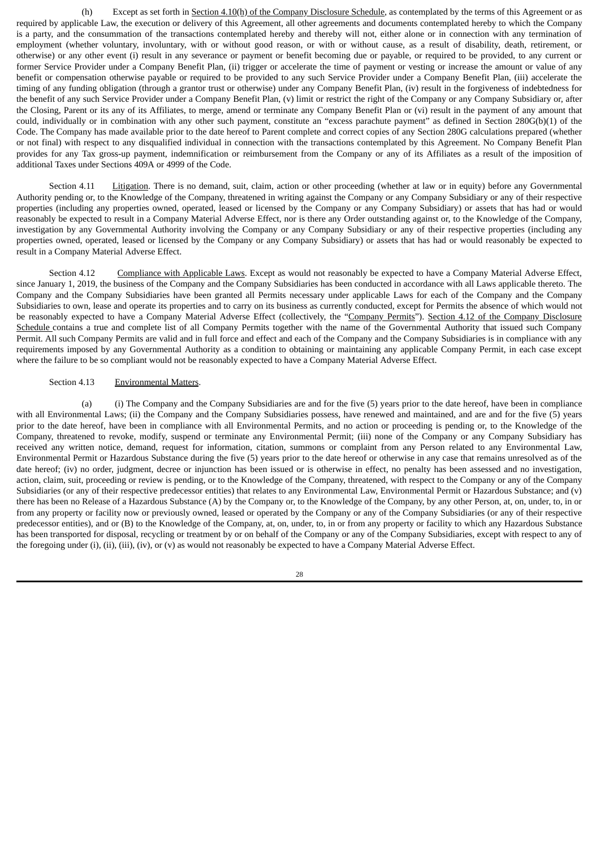(h) Except as set forth in Section 4.10(h) of the Company Disclosure Schedule, as contemplated by the terms of this Agreement or as required by applicable Law, the execution or delivery of this Agreement, all other agreements and documents contemplated hereby to which the Company is a party, and the consummation of the transactions contemplated hereby and thereby will not, either alone or in connection with any termination of employment (whether voluntary, involuntary, with or without good reason, or with or without cause, as a result of disability, death, retirement, or otherwise) or any other event (i) result in any severance or payment or benefit becoming due or payable, or required to be provided, to any current or former Service Provider under a Company Benefit Plan, (ii) trigger or accelerate the time of payment or vesting or increase the amount or value of any benefit or compensation otherwise payable or required to be provided to any such Service Provider under a Company Benefit Plan, (iii) accelerate the timing of any funding obligation (through a grantor trust or otherwise) under any Company Benefit Plan, (iv) result in the forgiveness of indebtedness for the benefit of any such Service Provider under a Company Benefit Plan, (v) limit or restrict the right of the Company or any Company Subsidiary or, after the Closing, Parent or its any of its Affiliates, to merge, amend or terminate any Company Benefit Plan or (vi) result in the payment of any amount that could, individually or in combination with any other such payment, constitute an "excess parachute payment" as defined in Section 280G(b)(1) of the Code. The Company has made available prior to the date hereof to Parent complete and correct copies of any Section 280G calculations prepared (whether or not final) with respect to any disqualified individual in connection with the transactions contemplated by this Agreement. No Company Benefit Plan provides for any Tax gross-up payment, indemnification or reimbursement from the Company or any of its Affiliates as a result of the imposition of additional Taxes under Sections 409A or 4999 of the Code.

Section 4.11 Litigation. There is no demand, suit, claim, action or other proceeding (whether at law or in equity) before any Governmental Authority pending or, to the Knowledge of the Company, threatened in writing against the Company or any Company Subsidiary or any of their respective properties (including any properties owned, operated, leased or licensed by the Company or any Company Subsidiary) or assets that has had or would reasonably be expected to result in a Company Material Adverse Effect, nor is there any Order outstanding against or, to the Knowledge of the Company, investigation by any Governmental Authority involving the Company or any Company Subsidiary or any of their respective properties (including any properties owned, operated, leased or licensed by the Company or any Company Subsidiary) or assets that has had or would reasonably be expected to result in a Company Material Adverse Effect.

Section 4.12 Compliance with Applicable Laws. Except as would not reasonably be expected to have a Company Material Adverse Effect, since January 1, 2019, the business of the Company and the Company Subsidiaries has been conducted in accordance with all Laws applicable thereto. The Company and the Company Subsidiaries have been granted all Permits necessary under applicable Laws for each of the Company and the Company Subsidiaries to own, lease and operate its properties and to carry on its business as currently conducted, except for Permits the absence of which would not be reasonably expected to have a Company Material Adverse Effect (collectively, the "Company Permits"). Section 4.12 of the Company Disclosure Schedule contains a true and complete list of all Company Permits together with the name of the Governmental Authority that issued such Company Permit. All such Company Permits are valid and in full force and effect and each of the Company and the Company Subsidiaries is in compliance with any requirements imposed by any Governmental Authority as a condition to obtaining or maintaining any applicable Company Permit, in each case except where the failure to be so compliant would not be reasonably expected to have a Company Material Adverse Effect.

# Section 4.13 Environmental Matters.

(a) (i) The Company and the Company Subsidiaries are and for the five (5) years prior to the date hereof, have been in compliance with all Environmental Laws; (ii) the Company and the Company Subsidiaries possess, have renewed and maintained, and are and for the five (5) years prior to the date hereof, have been in compliance with all Environmental Permits, and no action or proceeding is pending or, to the Knowledge of the Company, threatened to revoke, modify, suspend or terminate any Environmental Permit; (iii) none of the Company or any Company Subsidiary has received any written notice, demand, request for information, citation, summons or complaint from any Person related to any Environmental Law, Environmental Permit or Hazardous Substance during the five (5) years prior to the date hereof or otherwise in any case that remains unresolved as of the date hereof; (iv) no order, judgment, decree or injunction has been issued or is otherwise in effect, no penalty has been assessed and no investigation, action, claim, suit, proceeding or review is pending, or to the Knowledge of the Company, threatened, with respect to the Company or any of the Company Subsidiaries (or any of their respective predecessor entities) that relates to any Environmental Law, Environmental Permit or Hazardous Substance; and (v) there has been no Release of a Hazardous Substance (A) by the Company or, to the Knowledge of the Company, by any other Person, at, on, under, to, in or from any property or facility now or previously owned, leased or operated by the Company or any of the Company Subsidiaries (or any of their respective predecessor entities), and or (B) to the Knowledge of the Company, at, on, under, to, in or from any property or facility to which any Hazardous Substance has been transported for disposal, recycling or treatment by or on behalf of the Company or any of the Company Subsidiaries, except with respect to any of the foregoing under (i), (ii), (iii), (iv), or (v) as would not reasonably be expected to have a Company Material Adverse Effect.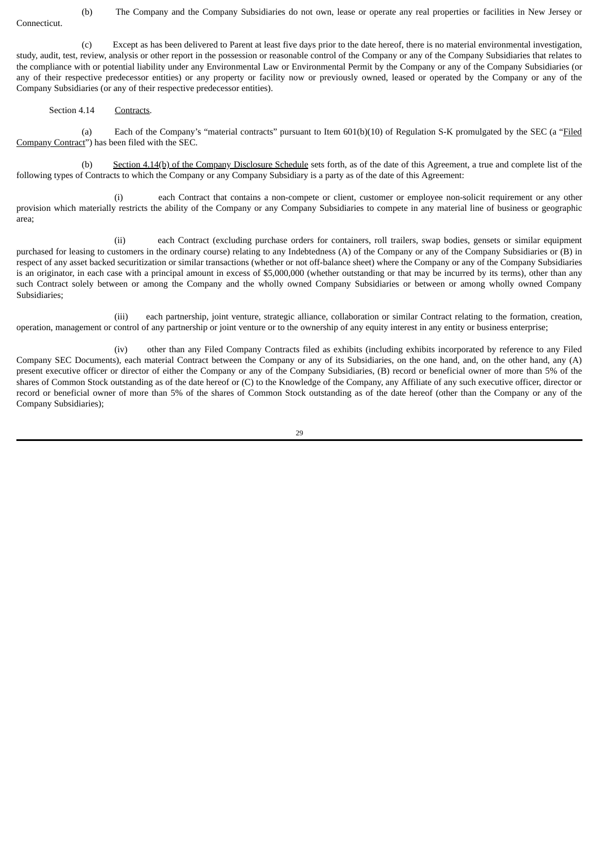(b) The Company and the Company Subsidiaries do not own, lease or operate any real properties or facilities in New Jersey or Connecticut.

(c) Except as has been delivered to Parent at least five days prior to the date hereof, there is no material environmental investigation, study, audit, test, review, analysis or other report in the possession or reasonable control of the Company or any of the Company Subsidiaries that relates to the compliance with or potential liability under any Environmental Law or Environmental Permit by the Company or any of the Company Subsidiaries (or any of their respective predecessor entities) or any property or facility now or previously owned, leased or operated by the Company or any of the Company Subsidiaries (or any of their respective predecessor entities).

## Section 4.14 Contracts.

(a) Each of the Company's "material contracts" pursuant to Item 601(b)(10) of Regulation S-K promulgated by the SEC (a "Filed Company Contract") has been filed with the SEC.

(b) Section 4.14(b) of the Company Disclosure Schedule sets forth, as of the date of this Agreement, a true and complete list of the following types of Contracts to which the Company or any Company Subsidiary is a party as of the date of this Agreement:

(i) each Contract that contains a non-compete or client, customer or employee non-solicit requirement or any other provision which materially restricts the ability of the Company or any Company Subsidiaries to compete in any material line of business or geographic area;

(ii) each Contract (excluding purchase orders for containers, roll trailers, swap bodies, gensets or similar equipment purchased for leasing to customers in the ordinary course) relating to any Indebtedness (A) of the Company or any of the Company Subsidiaries or (B) in respect of any asset backed securitization or similar transactions (whether or not off-balance sheet) where the Company or any of the Company Subsidiaries is an originator, in each case with a principal amount in excess of \$5,000,000 (whether outstanding or that may be incurred by its terms), other than any such Contract solely between or among the Company and the wholly owned Company Subsidiaries or between or among wholly owned Company Subsidiaries;

(iii) each partnership, joint venture, strategic alliance, collaboration or similar Contract relating to the formation, creation, operation, management or control of any partnership or joint venture or to the ownership of any equity interest in any entity or business enterprise;

(iv) other than any Filed Company Contracts filed as exhibits (including exhibits incorporated by reference to any Filed Company SEC Documents), each material Contract between the Company or any of its Subsidiaries, on the one hand, and, on the other hand, any (A) present executive officer or director of either the Company or any of the Company Subsidiaries, (B) record or beneficial owner of more than 5% of the shares of Common Stock outstanding as of the date hereof or (C) to the Knowledge of the Company, any Affiliate of any such executive officer, director or record or beneficial owner of more than 5% of the shares of Common Stock outstanding as of the date hereof (other than the Company or any of the Company Subsidiaries);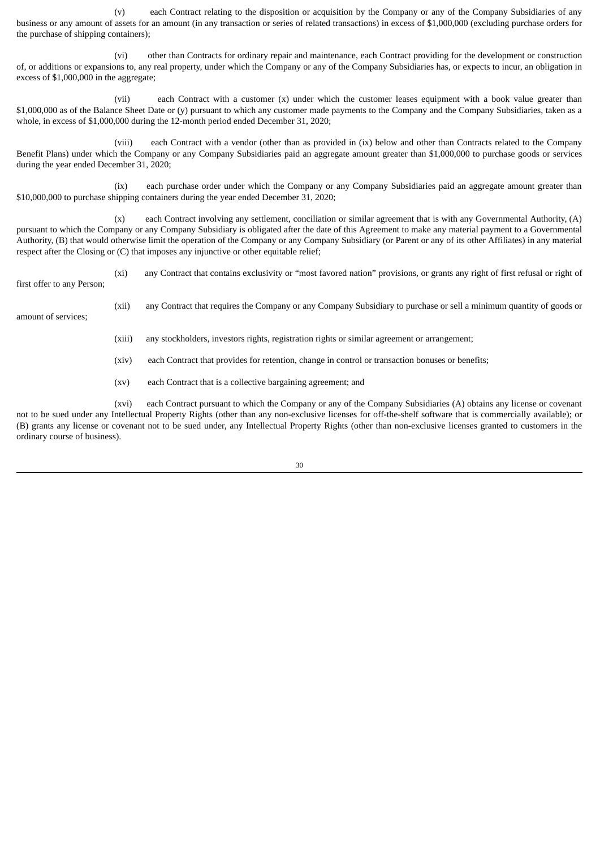(v) each Contract relating to the disposition or acquisition by the Company or any of the Company Subsidiaries of any business or any amount of assets for an amount (in any transaction or series of related transactions) in excess of \$1,000,000 (excluding purchase orders for the purchase of shipping containers);

(vi) other than Contracts for ordinary repair and maintenance, each Contract providing for the development or construction of, or additions or expansions to, any real property, under which the Company or any of the Company Subsidiaries has, or expects to incur, an obligation in excess of \$1,000,000 in the aggregate;

(vii) each Contract with a customer (x) under which the customer leases equipment with a book value greater than \$1,000,000 as of the Balance Sheet Date or (y) pursuant to which any customer made payments to the Company and the Company Subsidiaries, taken as a whole, in excess of \$1,000,000 during the 12-month period ended December 31, 2020;

(viii) each Contract with a vendor (other than as provided in (ix) below and other than Contracts related to the Company Benefit Plans) under which the Company or any Company Subsidiaries paid an aggregate amount greater than \$1,000,000 to purchase goods or services during the year ended December 31, 2020;

(ix) each purchase order under which the Company or any Company Subsidiaries paid an aggregate amount greater than \$10,000,000 to purchase shipping containers during the year ended December 31, 2020;

(x) each Contract involving any settlement, conciliation or similar agreement that is with any Governmental Authority, (A) pursuant to which the Company or any Company Subsidiary is obligated after the date of this Agreement to make any material payment to a Governmental Authority, (B) that would otherwise limit the operation of the Company or any Company Subsidiary (or Parent or any of its other Affiliates) in any material respect after the Closing or (C) that imposes any injunctive or other equitable relief;

(xi) any Contract that contains exclusivity or "most favored nation" provisions, or grants any right of first refusal or right of

first offer to any Person;

amount of services;

(xii) any Contract that requires the Company or any Company Subsidiary to purchase or sell a minimum quantity of goods or

(xiii) any stockholders, investors rights, registration rights or similar agreement or arrangement;

(xiv) each Contract that provides for retention, change in control or transaction bonuses or benefits;

(xv) each Contract that is a collective bargaining agreement; and

(xvi) each Contract pursuant to which the Company or any of the Company Subsidiaries (A) obtains any license or covenant not to be sued under any Intellectual Property Rights (other than any non-exclusive licenses for off-the-shelf software that is commercially available); or (B) grants any license or covenant not to be sued under, any Intellectual Property Rights (other than non-exclusive licenses granted to customers in the ordinary course of business).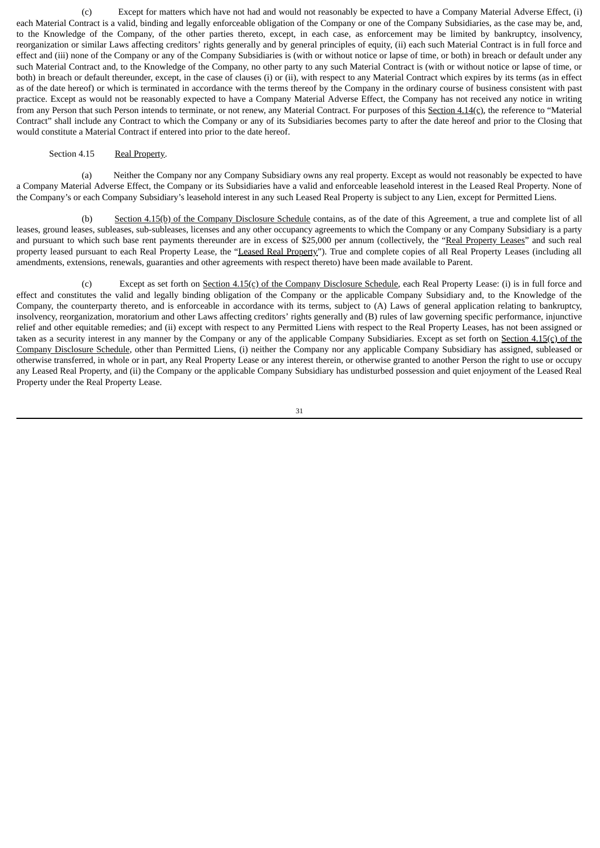(c) Except for matters which have not had and would not reasonably be expected to have a Company Material Adverse Effect, (i) each Material Contract is a valid, binding and legally enforceable obligation of the Company or one of the Company Subsidiaries, as the case may be, and, to the Knowledge of the Company, of the other parties thereto, except, in each case, as enforcement may be limited by bankruptcy, insolvency, reorganization or similar Laws affecting creditors' rights generally and by general principles of equity, (ii) each such Material Contract is in full force and effect and (iii) none of the Company or any of the Company Subsidiaries is (with or without notice or lapse of time, or both) in breach or default under any such Material Contract and, to the Knowledge of the Company, no other party to any such Material Contract is (with or without notice or lapse of time, or both) in breach or default thereunder, except, in the case of clauses (i) or (ii), with respect to any Material Contract which expires by its terms (as in effect as of the date hereof) or which is terminated in accordance with the terms thereof by the Company in the ordinary course of business consistent with past practice. Except as would not be reasonably expected to have a Company Material Adverse Effect, the Company has not received any notice in writing from any Person that such Person intends to terminate, or not renew, any Material Contract. For purposes of this Section 4.14(c), the reference to "Material Contract" shall include any Contract to which the Company or any of its Subsidiaries becomes party to after the date hereof and prior to the Closing that would constitute a Material Contract if entered into prior to the date hereof.

### Section 4.15 Real Property.

(a) Neither the Company nor any Company Subsidiary owns any real property. Except as would not reasonably be expected to have a Company Material Adverse Effect, the Company or its Subsidiaries have a valid and enforceable leasehold interest in the Leased Real Property. None of the Company's or each Company Subsidiary's leasehold interest in any such Leased Real Property is subject to any Lien, except for Permitted Liens.

(b) Section 4.15(b) of the Company Disclosure Schedule contains, as of the date of this Agreement, a true and complete list of all leases, ground leases, subleases, sub-subleases, licenses and any other occupancy agreements to which the Company or any Company Subsidiary is a party and pursuant to which such base rent payments thereunder are in excess of \$25,000 per annum (collectively, the "Real Property Leases" and such real property leased pursuant to each Real Property Lease, the "Leased Real Property"). True and complete copies of all Real Property Leases (including all amendments, extensions, renewals, guaranties and other agreements with respect thereto) have been made available to Parent.

(c) Except as set forth on Section 4.15(c) of the Company Disclosure Schedule, each Real Property Lease: (i) is in full force and effect and constitutes the valid and legally binding obligation of the Company or the applicable Company Subsidiary and, to the Knowledge of the Company, the counterparty thereto, and is enforceable in accordance with its terms, subject to (A) Laws of general application relating to bankruptcy, insolvency, reorganization, moratorium and other Laws affecting creditors' rights generally and (B) rules of law governing specific performance, injunctive relief and other equitable remedies; and (ii) except with respect to any Permitted Liens with respect to the Real Property Leases, has not been assigned or taken as a security interest in any manner by the Company or any of the applicable Company Subsidiaries. Except as set forth on Section 4.15(c) of the Company Disclosure Schedule, other than Permitted Liens, (i) neither the Company nor any applicable Company Subsidiary has assigned, subleased or otherwise transferred, in whole or in part, any Real Property Lease or any interest therein, or otherwise granted to another Person the right to use or occupy any Leased Real Property, and (ii) the Company or the applicable Company Subsidiary has undisturbed possession and quiet enjoyment of the Leased Real Property under the Real Property Lease.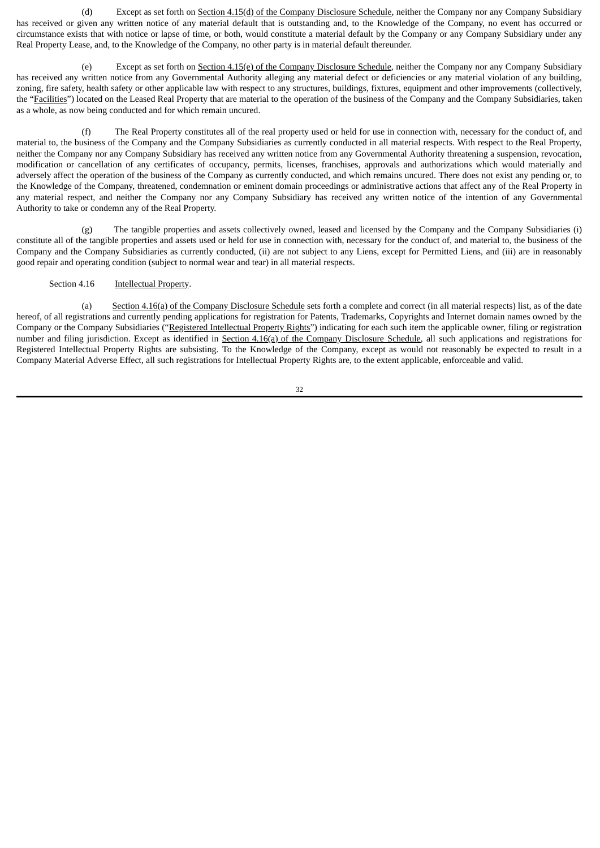(d) Except as set forth on Section 4.15(d) of the Company Disclosure Schedule, neither the Company nor any Company Subsidiary has received or given any written notice of any material default that is outstanding and, to the Knowledge of the Company, no event has occurred or circumstance exists that with notice or lapse of time, or both, would constitute a material default by the Company or any Company Subsidiary under any Real Property Lease, and, to the Knowledge of the Company, no other party is in material default thereunder.

(e) Except as set forth on Section 4.15(e) of the Company Disclosure Schedule, neither the Company nor any Company Subsidiary has received any written notice from any Governmental Authority alleging any material defect or deficiencies or any material violation of any building, zoning, fire safety, health safety or other applicable law with respect to any structures, buildings, fixtures, equipment and other improvements (collectively, the "Facilities") located on the Leased Real Property that are material to the operation of the business of the Company and the Company Subsidiaries, taken as a whole, as now being conducted and for which remain uncured.

(f) The Real Property constitutes all of the real property used or held for use in connection with, necessary for the conduct of, and material to, the business of the Company and the Company Subsidiaries as currently conducted in all material respects. With respect to the Real Property, neither the Company nor any Company Subsidiary has received any written notice from any Governmental Authority threatening a suspension, revocation, modification or cancellation of any certificates of occupancy, permits, licenses, franchises, approvals and authorizations which would materially and adversely affect the operation of the business of the Company as currently conducted, and which remains uncured. There does not exist any pending or, to the Knowledge of the Company, threatened, condemnation or eminent domain proceedings or administrative actions that affect any of the Real Property in any material respect, and neither the Company nor any Company Subsidiary has received any written notice of the intention of any Governmental Authority to take or condemn any of the Real Property.

(g) The tangible properties and assets collectively owned, leased and licensed by the Company and the Company Subsidiaries (i) constitute all of the tangible properties and assets used or held for use in connection with, necessary for the conduct of, and material to, the business of the Company and the Company Subsidiaries as currently conducted, (ii) are not subject to any Liens, except for Permitted Liens, and (iii) are in reasonably good repair and operating condition (subject to normal wear and tear) in all material respects.

### Section 4.16 **Intellectual Property.**

(a) Section 4.16(a) of the Company Disclosure Schedule sets forth a complete and correct (in all material respects) list, as of the date hereof, of all registrations and currently pending applications for registration for Patents, Trademarks, Copyrights and Internet domain names owned by the Company or the Company Subsidiaries ("Registered Intellectual Property Rights") indicating for each such item the applicable owner, filing or registration number and filing jurisdiction. Except as identified in Section 4.16(a) of the Company Disclosure Schedule, all such applications and registrations for Registered Intellectual Property Rights are subsisting. To the Knowledge of the Company, except as would not reasonably be expected to result in a Company Material Adverse Effect, all such registrations for Intellectual Property Rights are, to the extent applicable, enforceable and valid.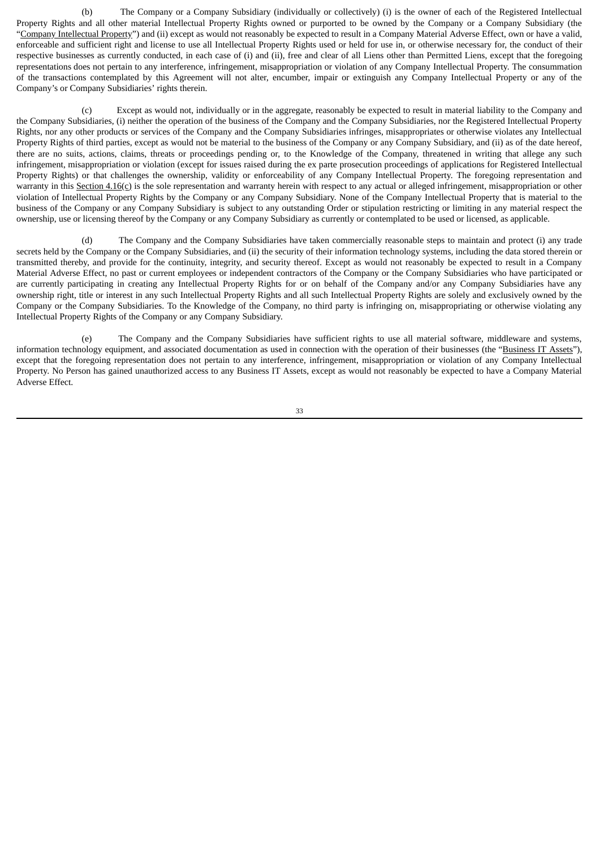(b) The Company or a Company Subsidiary (individually or collectively) (i) is the owner of each of the Registered Intellectual Property Rights and all other material Intellectual Property Rights owned or purported to be owned by the Company or a Company Subsidiary (the "Company Intellectual Property") and (ii) except as would not reasonably be expected to result in a Company Material Adverse Effect, own or have a valid, enforceable and sufficient right and license to use all Intellectual Property Rights used or held for use in, or otherwise necessary for, the conduct of their respective businesses as currently conducted, in each case of (i) and (ii), free and clear of all Liens other than Permitted Liens, except that the foregoing representations does not pertain to any interference, infringement, misappropriation or violation of any Company Intellectual Property. The consummation of the transactions contemplated by this Agreement will not alter, encumber, impair or extinguish any Company Intellectual Property or any of the Company's or Company Subsidiaries' rights therein.

(c) Except as would not, individually or in the aggregate, reasonably be expected to result in material liability to the Company and the Company Subsidiaries, (i) neither the operation of the business of the Company and the Company Subsidiaries, nor the Registered Intellectual Property Rights, nor any other products or services of the Company and the Company Subsidiaries infringes, misappropriates or otherwise violates any Intellectual Property Rights of third parties, except as would not be material to the business of the Company or any Company Subsidiary, and (ii) as of the date hereof, there are no suits, actions, claims, threats or proceedings pending or, to the Knowledge of the Company, threatened in writing that allege any such infringement, misappropriation or violation (except for issues raised during the ex parte prosecution proceedings of applications for Registered Intellectual Property Rights) or that challenges the ownership, validity or enforceability of any Company Intellectual Property. The foregoing representation and warranty in this Section 4.16(c) is the sole representation and warranty herein with respect to any actual or alleged infringement, misappropriation or other violation of Intellectual Property Rights by the Company or any Company Subsidiary. None of the Company Intellectual Property that is material to the business of the Company or any Company Subsidiary is subject to any outstanding Order or stipulation restricting or limiting in any material respect the ownership, use or licensing thereof by the Company or any Company Subsidiary as currently or contemplated to be used or licensed, as applicable.

(d) The Company and the Company Subsidiaries have taken commercially reasonable steps to maintain and protect (i) any trade secrets held by the Company or the Company Subsidiaries, and (ii) the security of their information technology systems, including the data stored therein or transmitted thereby, and provide for the continuity, integrity, and security thereof. Except as would not reasonably be expected to result in a Company Material Adverse Effect, no past or current employees or independent contractors of the Company or the Company Subsidiaries who have participated or are currently participating in creating any Intellectual Property Rights for or on behalf of the Company and/or any Company Subsidiaries have any ownership right, title or interest in any such Intellectual Property Rights and all such Intellectual Property Rights are solely and exclusively owned by the Company or the Company Subsidiaries. To the Knowledge of the Company, no third party is infringing on, misappropriating or otherwise violating any Intellectual Property Rights of the Company or any Company Subsidiary.

(e) The Company and the Company Subsidiaries have sufficient rights to use all material software, middleware and systems, information technology equipment, and associated documentation as used in connection with the operation of their businesses (the "Business IT Assets"), except that the foregoing representation does not pertain to any interference, infringement, misappropriation or violation of any Company Intellectual Property. No Person has gained unauthorized access to any Business IT Assets, except as would not reasonably be expected to have a Company Material Adverse Effect.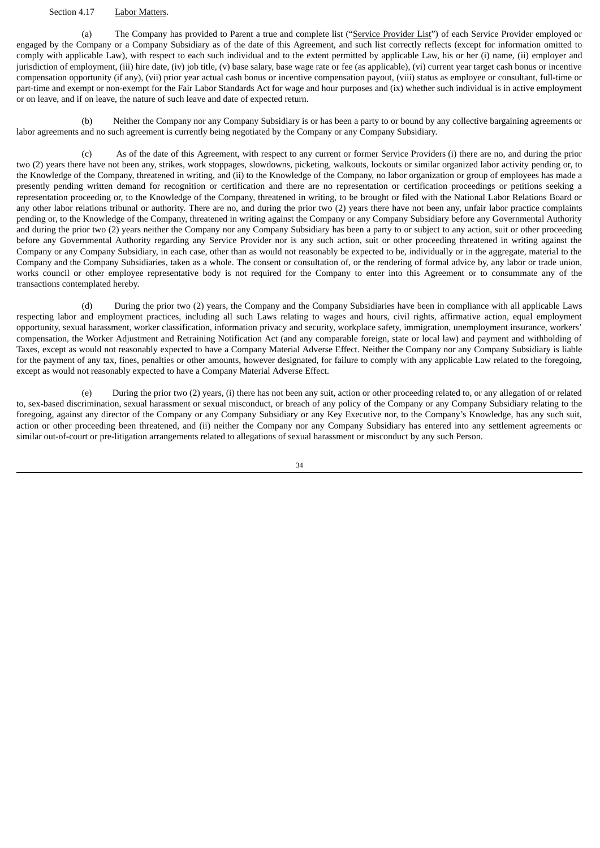# Section 4.17 Labor Matters.

(a) The Company has provided to Parent a true and complete list ("Service Provider List") of each Service Provider employed or engaged by the Company or a Company Subsidiary as of the date of this Agreement, and such list correctly reflects (except for information omitted to comply with applicable Law), with respect to each such individual and to the extent permitted by applicable Law, his or her (i) name, (ii) employer and jurisdiction of employment, (iii) hire date, (iv) job title, (v) base salary, base wage rate or fee (as applicable), (vi) current year target cash bonus or incentive compensation opportunity (if any), (vii) prior year actual cash bonus or incentive compensation payout, (viii) status as employee or consultant, full-time or part-time and exempt or non-exempt for the Fair Labor Standards Act for wage and hour purposes and (ix) whether such individual is in active employment or on leave, and if on leave, the nature of such leave and date of expected return.

(b) Neither the Company nor any Company Subsidiary is or has been a party to or bound by any collective bargaining agreements or labor agreements and no such agreement is currently being negotiated by the Company or any Company Subsidiary.

(c) As of the date of this Agreement, with respect to any current or former Service Providers (i) there are no, and during the prior two (2) years there have not been any, strikes, work stoppages, slowdowns, picketing, walkouts, lockouts or similar organized labor activity pending or, to the Knowledge of the Company, threatened in writing, and (ii) to the Knowledge of the Company, no labor organization or group of employees has made a presently pending written demand for recognition or certification and there are no representation or certification proceedings or petitions seeking a representation proceeding or, to the Knowledge of the Company, threatened in writing, to be brought or filed with the National Labor Relations Board or any other labor relations tribunal or authority. There are no, and during the prior two (2) years there have not been any, unfair labor practice complaints pending or, to the Knowledge of the Company, threatened in writing against the Company or any Company Subsidiary before any Governmental Authority and during the prior two (2) years neither the Company nor any Company Subsidiary has been a party to or subject to any action, suit or other proceeding before any Governmental Authority regarding any Service Provider nor is any such action, suit or other proceeding threatened in writing against the Company or any Company Subsidiary, in each case, other than as would not reasonably be expected to be, individually or in the aggregate, material to the Company and the Company Subsidiaries, taken as a whole. The consent or consultation of, or the rendering of formal advice by, any labor or trade union, works council or other employee representative body is not required for the Company to enter into this Agreement or to consummate any of the transactions contemplated hereby.

(d) During the prior two (2) years, the Company and the Company Subsidiaries have been in compliance with all applicable Laws respecting labor and employment practices, including all such Laws relating to wages and hours, civil rights, affirmative action, equal employment opportunity, sexual harassment, worker classification, information privacy and security, workplace safety, immigration, unemployment insurance, workers' compensation, the Worker Adjustment and Retraining Notification Act (and any comparable foreign, state or local law) and payment and withholding of Taxes, except as would not reasonably expected to have a Company Material Adverse Effect. Neither the Company nor any Company Subsidiary is liable for the payment of any tax, fines, penalties or other amounts, however designated, for failure to comply with any applicable Law related to the foregoing, except as would not reasonably expected to have a Company Material Adverse Effect.

(e) During the prior two (2) years, (i) there has not been any suit, action or other proceeding related to, or any allegation of or related to, sex-based discrimination, sexual harassment or sexual misconduct, or breach of any policy of the Company or any Company Subsidiary relating to the foregoing, against any director of the Company or any Company Subsidiary or any Key Executive nor, to the Company's Knowledge, has any such suit, action or other proceeding been threatened, and (ii) neither the Company nor any Company Subsidiary has entered into any settlement agreements or similar out-of-court or pre-litigation arrangements related to allegations of sexual harassment or misconduct by any such Person.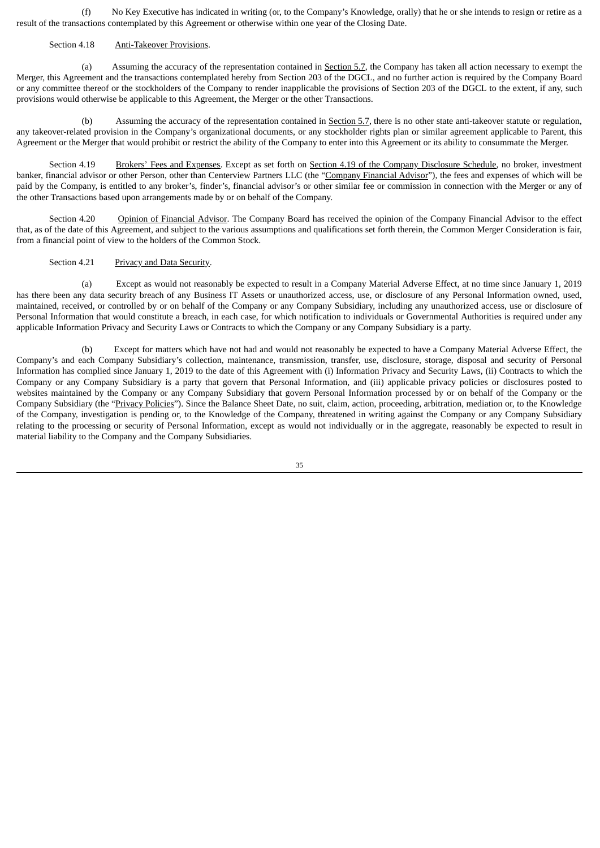(f) No Key Executive has indicated in writing (or, to the Company's Knowledge, orally) that he or she intends to resign or retire as a result of the transactions contemplated by this Agreement or otherwise within one year of the Closing Date.

#### Section 4.18 Anti-Takeover Provisions.

(a) Assuming the accuracy of the representation contained in Section 5.7, the Company has taken all action necessary to exempt the Merger, this Agreement and the transactions contemplated hereby from Section 203 of the DGCL, and no further action is required by the Company Board or any committee thereof or the stockholders of the Company to render inapplicable the provisions of Section 203 of the DGCL to the extent, if any, such provisions would otherwise be applicable to this Agreement, the Merger or the other Transactions.

(b) Assuming the accuracy of the representation contained in Section 5.7, there is no other state anti-takeover statute or regulation, any takeover-related provision in the Company's organizational documents, or any stockholder rights plan or similar agreement applicable to Parent, this Agreement or the Merger that would prohibit or restrict the ability of the Company to enter into this Agreement or its ability to consummate the Merger.

Section 4.19 Brokers' Fees and Expenses. Except as set forth on Section 4.19 of the Company Disclosure Schedule, no broker, investment banker, financial advisor or other Person, other than Centerview Partners LLC (the "Company Financial Advisor"), the fees and expenses of which will be paid by the Company, is entitled to any broker's, finder's, financial advisor's or other similar fee or commission in connection with the Merger or any of the other Transactions based upon arrangements made by or on behalf of the Company.

Section 4.20 Opinion of Financial Advisor. The Company Board has received the opinion of the Company Financial Advisor to the effect that, as of the date of this Agreement, and subject to the various assumptions and qualifications set forth therein, the Common Merger Consideration is fair, from a financial point of view to the holders of the Common Stock.

Section 4.21 Privacy and Data Security.

(a) Except as would not reasonably be expected to result in a Company Material Adverse Effect, at no time since January 1, 2019 has there been any data security breach of any Business IT Assets or unauthorized access, use, or disclosure of any Personal Information owned, used, maintained, received, or controlled by or on behalf of the Company or any Company Subsidiary, including any unauthorized access, use or disclosure of Personal Information that would constitute a breach, in each case, for which notification to individuals or Governmental Authorities is required under any applicable Information Privacy and Security Laws or Contracts to which the Company or any Company Subsidiary is a party.

(b) Except for matters which have not had and would not reasonably be expected to have a Company Material Adverse Effect, the Company's and each Company Subsidiary's collection, maintenance, transmission, transfer, use, disclosure, storage, disposal and security of Personal Information has complied since January 1, 2019 to the date of this Agreement with (i) Information Privacy and Security Laws, (ii) Contracts to which the Company or any Company Subsidiary is a party that govern that Personal Information, and (iii) applicable privacy policies or disclosures posted to websites maintained by the Company or any Company Subsidiary that govern Personal Information processed by or on behalf of the Company or the Company Subsidiary (the "Privacy Policies"). Since the Balance Sheet Date, no suit, claim, action, proceeding, arbitration, mediation or, to the Knowledge of the Company, investigation is pending or, to the Knowledge of the Company, threatened in writing against the Company or any Company Subsidiary relating to the processing or security of Personal Information, except as would not individually or in the aggregate, reasonably be expected to result in material liability to the Company and the Company Subsidiaries.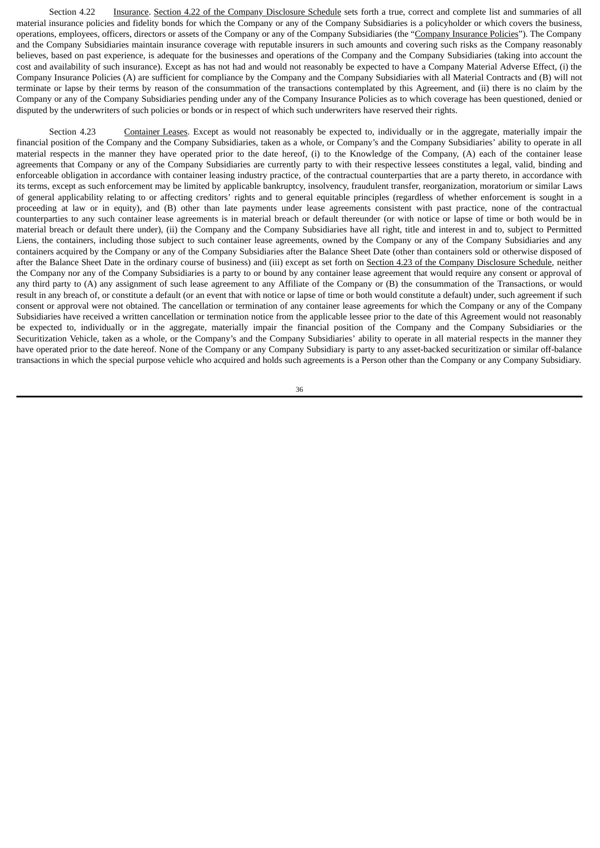Section 4.22 Insurance. Section 4.22 of the Company Disclosure Schedule sets forth a true, correct and complete list and summaries of all material insurance policies and fidelity bonds for which the Company or any of the Company Subsidiaries is a policyholder or which covers the business, operations, employees, officers, directors or assets of the Company or any of the Company Subsidiaries (the "Company Insurance Policies"). The Company and the Company Subsidiaries maintain insurance coverage with reputable insurers in such amounts and covering such risks as the Company reasonably believes, based on past experience, is adequate for the businesses and operations of the Company and the Company Subsidiaries (taking into account the cost and availability of such insurance). Except as has not had and would not reasonably be expected to have a Company Material Adverse Effect, (i) the Company Insurance Policies (A) are sufficient for compliance by the Company and the Company Subsidiaries with all Material Contracts and (B) will not terminate or lapse by their terms by reason of the consummation of the transactions contemplated by this Agreement, and (ii) there is no claim by the Company or any of the Company Subsidiaries pending under any of the Company Insurance Policies as to which coverage has been questioned, denied or disputed by the underwriters of such policies or bonds or in respect of which such underwriters have reserved their rights.

Section 4.23 Container Leases. Except as would not reasonably be expected to, individually or in the aggregate, materially impair the financial position of the Company and the Company Subsidiaries, taken as a whole, or Company's and the Company Subsidiaries' ability to operate in all material respects in the manner they have operated prior to the date hereof, (i) to the Knowledge of the Company, (A) each of the container lease agreements that Company or any of the Company Subsidiaries are currently party to with their respective lessees constitutes a legal, valid, binding and enforceable obligation in accordance with container leasing industry practice, of the contractual counterparties that are a party thereto, in accordance with its terms, except as such enforcement may be limited by applicable bankruptcy, insolvency, fraudulent transfer, reorganization, moratorium or similar Laws of general applicability relating to or affecting creditors' rights and to general equitable principles (regardless of whether enforcement is sought in a proceeding at law or in equity), and (B) other than late payments under lease agreements consistent with past practice, none of the contractual counterparties to any such container lease agreements is in material breach or default thereunder (or with notice or lapse of time or both would be in material breach or default there under), (ii) the Company and the Company Subsidiaries have all right, title and interest in and to, subject to Permitted Liens, the containers, including those subject to such container lease agreements, owned by the Company or any of the Company Subsidiaries and any containers acquired by the Company or any of the Company Subsidiaries after the Balance Sheet Date (other than containers sold or otherwise disposed of after the Balance Sheet Date in the ordinary course of business) and (iii) except as set forth on Section 4.23 of the Company Disclosure Schedule, neither the Company nor any of the Company Subsidiaries is a party to or bound by any container lease agreement that would require any consent or approval of any third party to (A) any assignment of such lease agreement to any Affiliate of the Company or (B) the consummation of the Transactions, or would result in any breach of, or constitute a default (or an event that with notice or lapse of time or both would constitute a default) under, such agreement if such consent or approval were not obtained. The cancellation or termination of any container lease agreements for which the Company or any of the Company Subsidiaries have received a written cancellation or termination notice from the applicable lessee prior to the date of this Agreement would not reasonably be expected to, individually or in the aggregate, materially impair the financial position of the Company and the Company Subsidiaries or the Securitization Vehicle, taken as a whole, or the Company's and the Company Subsidiaries' ability to operate in all material respects in the manner they have operated prior to the date hereof. None of the Company or any Company Subsidiary is party to any asset-backed securitization or similar off-balance transactions in which the special purpose vehicle who acquired and holds such agreements is a Person other than the Company or any Company Subsidiary.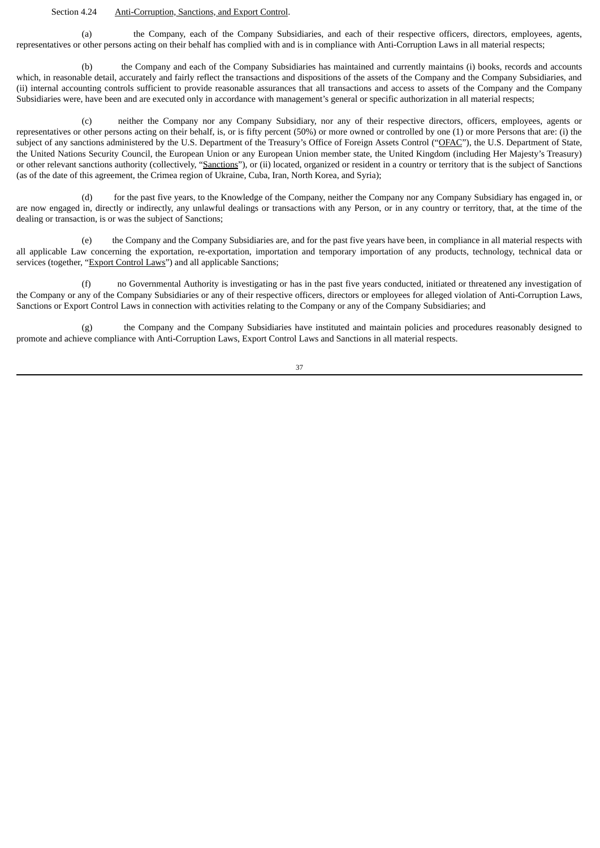#### Section 4.24 Anti-Corruption, Sanctions, and Export Control.

(a) the Company, each of the Company Subsidiaries, and each of their respective officers, directors, employees, agents, representatives or other persons acting on their behalf has complied with and is in compliance with Anti-Corruption Laws in all material respects;

(b) the Company and each of the Company Subsidiaries has maintained and currently maintains (i) books, records and accounts which, in reasonable detail, accurately and fairly reflect the transactions and dispositions of the assets of the Company and the Company Subsidiaries, and (ii) internal accounting controls sufficient to provide reasonable assurances that all transactions and access to assets of the Company and the Company Subsidiaries were, have been and are executed only in accordance with management's general or specific authorization in all material respects;

(c) neither the Company nor any Company Subsidiary, nor any of their respective directors, officers, employees, agents or representatives or other persons acting on their behalf, is, or is fifty percent (50%) or more owned or controlled by one (1) or more Persons that are: (i) the subject of any sanctions administered by the U.S. Department of the Treasury's Office of Foreign Assets Control ("OFAC"), the U.S. Department of State, the United Nations Security Council, the European Union or any European Union member state, the United Kingdom (including Her Majesty's Treasury) or other relevant sanctions authority (collectively, "Sanctions"), or (ii) located, organized or resident in a country or territory that is the subject of Sanctions (as of the date of this agreement, the Crimea region of Ukraine, Cuba, Iran, North Korea, and Syria);

(d) for the past five years, to the Knowledge of the Company, neither the Company nor any Company Subsidiary has engaged in, or are now engaged in, directly or indirectly, any unlawful dealings or transactions with any Person, or in any country or territory, that, at the time of the dealing or transaction, is or was the subject of Sanctions;

(e) the Company and the Company Subsidiaries are, and for the past five years have been, in compliance in all material respects with all applicable Law concerning the exportation, re-exportation, importation and temporary importation of any products, technology, technical data or services (together, "Export Control Laws") and all applicable Sanctions;

(f) no Governmental Authority is investigating or has in the past five years conducted, initiated or threatened any investigation of the Company or any of the Company Subsidiaries or any of their respective officers, directors or employees for alleged violation of Anti-Corruption Laws, Sanctions or Export Control Laws in connection with activities relating to the Company or any of the Company Subsidiaries; and

(g) the Company and the Company Subsidiaries have instituted and maintain policies and procedures reasonably designed to promote and achieve compliance with Anti-Corruption Laws, Export Control Laws and Sanctions in all material respects.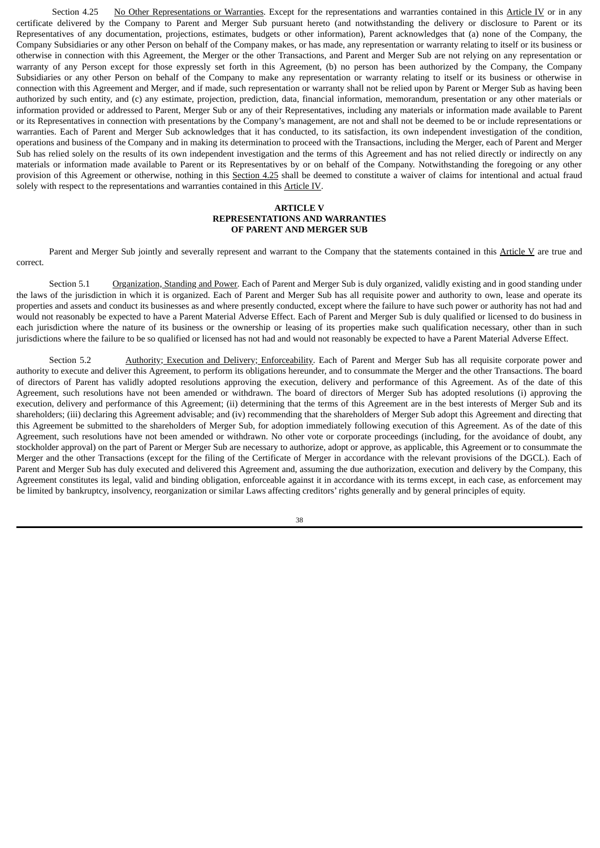Section 4.25 No Other Representations or Warranties. Except for the representations and warranties contained in this Article IV or in any certificate delivered by the Company to Parent and Merger Sub pursuant hereto (and notwithstanding the delivery or disclosure to Parent or its Representatives of any documentation, projections, estimates, budgets or other information), Parent acknowledges that (a) none of the Company, the Company Subsidiaries or any other Person on behalf of the Company makes, or has made, any representation or warranty relating to itself or its business or otherwise in connection with this Agreement, the Merger or the other Transactions, and Parent and Merger Sub are not relying on any representation or warranty of any Person except for those expressly set forth in this Agreement, (b) no person has been authorized by the Company, the Company Subsidiaries or any other Person on behalf of the Company to make any representation or warranty relating to itself or its business or otherwise in connection with this Agreement and Merger, and if made, such representation or warranty shall not be relied upon by Parent or Merger Sub as having been authorized by such entity, and (c) any estimate, projection, prediction, data, financial information, memorandum, presentation or any other materials or information provided or addressed to Parent, Merger Sub or any of their Representatives, including any materials or information made available to Parent or its Representatives in connection with presentations by the Company's management, are not and shall not be deemed to be or include representations or warranties. Each of Parent and Merger Sub acknowledges that it has conducted, to its satisfaction, its own independent investigation of the condition, operations and business of the Company and in making its determination to proceed with the Transactions, including the Merger, each of Parent and Merger Sub has relied solely on the results of its own independent investigation and the terms of this Agreement and has not relied directly or indirectly on any materials or information made available to Parent or its Representatives by or on behalf of the Company. Notwithstanding the foregoing or any other provision of this Agreement or otherwise, nothing in this Section 4.25 shall be deemed to constitute a waiver of claims for intentional and actual fraud solely with respect to the representations and warranties contained in this Article IV.

# **ARTICLE V REPRESENTATIONS AND WARRANTIES OF PARENT AND MERGER SUB**

Parent and Merger Sub jointly and severally represent and warrant to the Company that the statements contained in this Article V are true and correct.

Section 5.1 Organization, Standing and Power. Each of Parent and Merger Sub is duly organized, validly existing and in good standing under the laws of the jurisdiction in which it is organized. Each of Parent and Merger Sub has all requisite power and authority to own, lease and operate its properties and assets and conduct its businesses as and where presently conducted, except where the failure to have such power or authority has not had and would not reasonably be expected to have a Parent Material Adverse Effect. Each of Parent and Merger Sub is duly qualified or licensed to do business in each jurisdiction where the nature of its business or the ownership or leasing of its properties make such qualification necessary, other than in such jurisdictions where the failure to be so qualified or licensed has not had and would not reasonably be expected to have a Parent Material Adverse Effect.

Section 5.2 Authority; Execution and Delivery; Enforceability. Each of Parent and Merger Sub has all requisite corporate power and authority to execute and deliver this Agreement, to perform its obligations hereunder, and to consummate the Merger and the other Transactions. The board of directors of Parent has validly adopted resolutions approving the execution, delivery and performance of this Agreement. As of the date of this Agreement, such resolutions have not been amended or withdrawn. The board of directors of Merger Sub has adopted resolutions (i) approving the execution, delivery and performance of this Agreement; (ii) determining that the terms of this Agreement are in the best interests of Merger Sub and its shareholders; (iii) declaring this Agreement advisable; and (iv) recommending that the shareholders of Merger Sub adopt this Agreement and directing that this Agreement be submitted to the shareholders of Merger Sub, for adoption immediately following execution of this Agreement. As of the date of this Agreement, such resolutions have not been amended or withdrawn. No other vote or corporate proceedings (including, for the avoidance of doubt, any stockholder approval) on the part of Parent or Merger Sub are necessary to authorize, adopt or approve, as applicable, this Agreement or to consummate the Merger and the other Transactions (except for the filing of the Certificate of Merger in accordance with the relevant provisions of the DGCL). Each of Parent and Merger Sub has duly executed and delivered this Agreement and, assuming the due authorization, execution and delivery by the Company, this Agreement constitutes its legal, valid and binding obligation, enforceable against it in accordance with its terms except, in each case, as enforcement may be limited by bankruptcy, insolvency, reorganization or similar Laws affecting creditors' rights generally and by general principles of equity.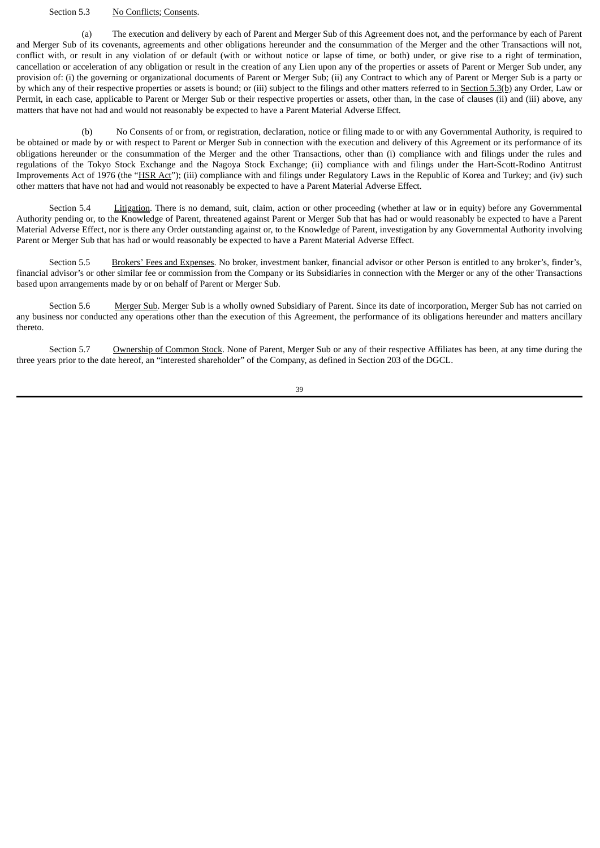# Section 5.3 No Conflicts; Consents.

(a) The execution and delivery by each of Parent and Merger Sub of this Agreement does not, and the performance by each of Parent and Merger Sub of its covenants, agreements and other obligations hereunder and the consummation of the Merger and the other Transactions will not, conflict with, or result in any violation of or default (with or without notice or lapse of time, or both) under, or give rise to a right of termination, cancellation or acceleration of any obligation or result in the creation of any Lien upon any of the properties or assets of Parent or Merger Sub under, any provision of: (i) the governing or organizational documents of Parent or Merger Sub; (ii) any Contract to which any of Parent or Merger Sub is a party or by which any of their respective properties or assets is bound; or (iii) subject to the filings and other matters referred to in Section 5.3(b) any Order, Law or Permit, in each case, applicable to Parent or Merger Sub or their respective properties or assets, other than, in the case of clauses (ii) and (iii) above, any matters that have not had and would not reasonably be expected to have a Parent Material Adverse Effect.

No Consents of or from, or registration, declaration, notice or filing made to or with any Governmental Authority, is required to be obtained or made by or with respect to Parent or Merger Sub in connection with the execution and delivery of this Agreement or its performance of its obligations hereunder or the consummation of the Merger and the other Transactions, other than (i) compliance with and filings under the rules and regulations of the Tokyo Stock Exchange and the Nagoya Stock Exchange; (ii) compliance with and filings under the Hart-Scott-Rodino Antitrust Improvements Act of 1976 (the "HSR Act"); (iii) compliance with and filings under Regulatory Laws in the Republic of Korea and Turkey; and (iv) such other matters that have not had and would not reasonably be expected to have a Parent Material Adverse Effect.

Section 5.4 Litigation. There is no demand, suit, claim, action or other proceeding (whether at law or in equity) before any Governmental Authority pending or, to the Knowledge of Parent, threatened against Parent or Merger Sub that has had or would reasonably be expected to have a Parent Material Adverse Effect, nor is there any Order outstanding against or, to the Knowledge of Parent, investigation by any Governmental Authority involving Parent or Merger Sub that has had or would reasonably be expected to have a Parent Material Adverse Effect.

Section 5.5 Brokers' Fees and Expenses. No broker, investment banker, financial advisor or other Person is entitled to any broker's, finder's, financial advisor's or other similar fee or commission from the Company or its Subsidiaries in connection with the Merger or any of the other Transactions based upon arrangements made by or on behalf of Parent or Merger Sub.

Section 5.6 Merger Sub. Merger Sub is a wholly owned Subsidiary of Parent. Since its date of incorporation, Merger Sub has not carried on any business nor conducted any operations other than the execution of this Agreement, the performance of its obligations hereunder and matters ancillary thereto.

Section 5.7 Ownership of Common Stock. None of Parent, Merger Sub or any of their respective Affiliates has been, at any time during the three years prior to the date hereof, an "interested shareholder" of the Company, as defined in Section 203 of the DGCL.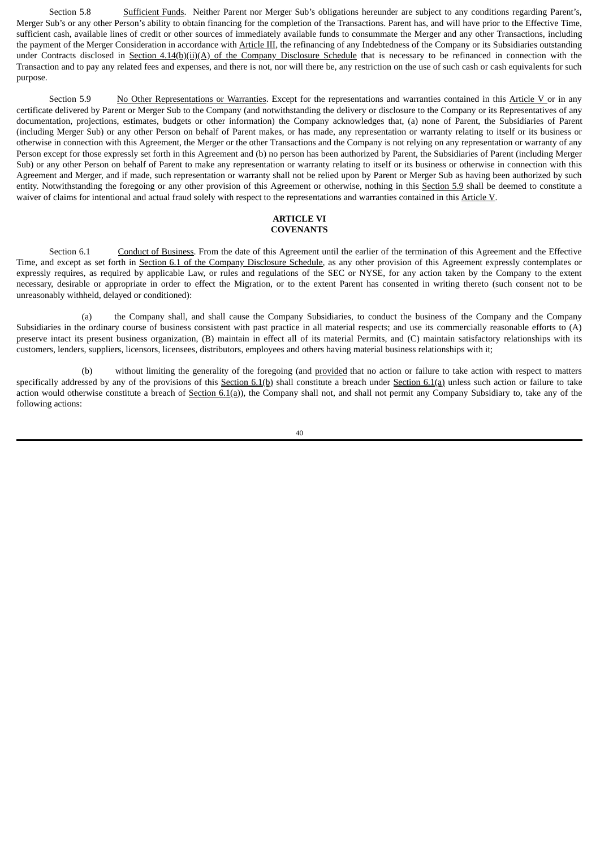Section 5.8 Sufficient Funds. Neither Parent nor Merger Sub's obligations hereunder are subject to any conditions regarding Parent's, Merger Sub's or any other Person's ability to obtain financing for the completion of the Transactions. Parent has, and will have prior to the Effective Time, sufficient cash, available lines of credit or other sources of immediately available funds to consummate the Merger and any other Transactions, including the payment of the Merger Consideration in accordance with Article III, the refinancing of any Indebtedness of the Company or its Subsidiaries outstanding under Contracts disclosed in Section 4.14(b)(ii)(A) of the Company Disclosure Schedule that is necessary to be refinanced in connection with the Transaction and to pay any related fees and expenses, and there is not, nor will there be, any restriction on the use of such cash or cash equivalents for such purpose.

Section 5.9 No Other Representations or Warranties. Except for the representations and warranties contained in this Article V or in any certificate delivered by Parent or Merger Sub to the Company (and notwithstanding the delivery or disclosure to the Company or its Representatives of any documentation, projections, estimates, budgets or other information) the Company acknowledges that, (a) none of Parent, the Subsidiaries of Parent (including Merger Sub) or any other Person on behalf of Parent makes, or has made, any representation or warranty relating to itself or its business or otherwise in connection with this Agreement, the Merger or the other Transactions and the Company is not relying on any representation or warranty of any Person except for those expressly set forth in this Agreement and (b) no person has been authorized by Parent, the Subsidiaries of Parent (including Merger Sub) or any other Person on behalf of Parent to make any representation or warranty relating to itself or its business or otherwise in connection with this Agreement and Merger, and if made, such representation or warranty shall not be relied upon by Parent or Merger Sub as having been authorized by such entity. Notwithstanding the foregoing or any other provision of this Agreement or otherwise, nothing in this Section 5.9 shall be deemed to constitute a waiver of claims for intentional and actual fraud solely with respect to the representations and warranties contained in this Article V.

### **ARTICLE VI COVENANTS**

Section 6.1 Conduct of Business. From the date of this Agreement until the earlier of the termination of this Agreement and the Effective Time, and except as set forth in Section 6.1 of the Company Disclosure Schedule, as any other provision of this Agreement expressly contemplates or expressly requires, as required by applicable Law, or rules and regulations of the SEC or NYSE, for any action taken by the Company to the extent necessary, desirable or appropriate in order to effect the Migration, or to the extent Parent has consented in writing thereto (such consent not to be unreasonably withheld, delayed or conditioned):

(a) the Company shall, and shall cause the Company Subsidiaries, to conduct the business of the Company and the Company Subsidiaries in the ordinary course of business consistent with past practice in all material respects; and use its commercially reasonable efforts to (A) preserve intact its present business organization, (B) maintain in effect all of its material Permits, and (C) maintain satisfactory relationships with its customers, lenders, suppliers, licensors, licensees, distributors, employees and others having material business relationships with it;

(b) without limiting the generality of the foregoing (and provided that no action or failure to take action with respect to matters specifically addressed by any of the provisions of this Section 6.1(b) shall constitute a breach under Section 6.1(a) unless such action or failure to take action would otherwise constitute a breach of Section  $6.1(q)$ ), the Company shall not, and shall not permit any Company Subsidiary to, take any of the following actions: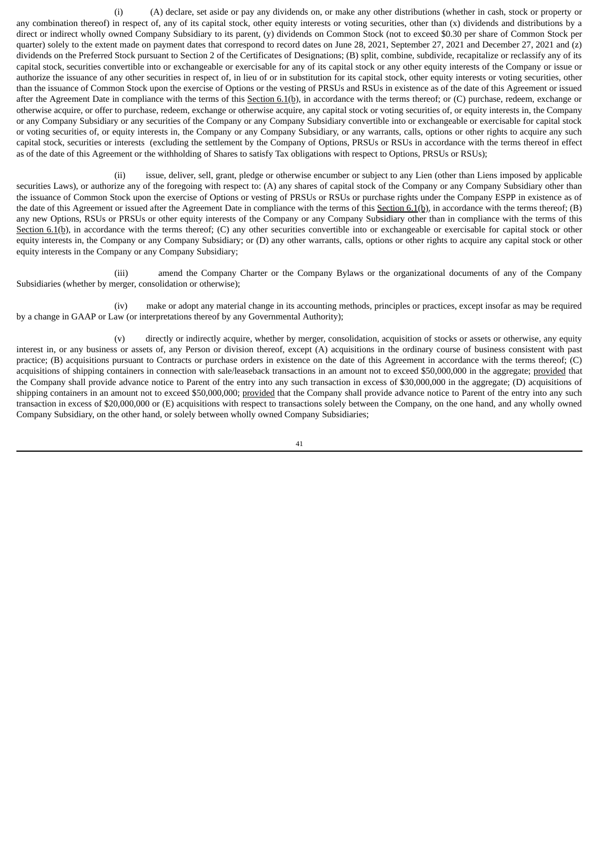(i) (A) declare, set aside or pay any dividends on, or make any other distributions (whether in cash, stock or property or any combination thereof) in respect of, any of its capital stock, other equity interests or voting securities, other than (x) dividends and distributions by a direct or indirect wholly owned Company Subsidiary to its parent, (y) dividends on Common Stock (not to exceed \$0.30 per share of Common Stock per quarter) solely to the extent made on payment dates that correspond to record dates on June 28, 2021, September 27, 2021 and December 27, 2021 and (z) dividends on the Preferred Stock pursuant to Section 2 of the Certificates of Designations; (B) split, combine, subdivide, recapitalize or reclassify any of its capital stock, securities convertible into or exchangeable or exercisable for any of its capital stock or any other equity interests of the Company or issue or authorize the issuance of any other securities in respect of, in lieu of or in substitution for its capital stock, other equity interests or voting securities, other than the issuance of Common Stock upon the exercise of Options or the vesting of PRSUs and RSUs in existence as of the date of this Agreement or issued after the Agreement Date in compliance with the terms of this Section  $6.1(b)$ , in accordance with the terms thereof; or (C) purchase, redeem, exchange or otherwise acquire, or offer to purchase, redeem, exchange or otherwise acquire, any capital stock or voting securities of, or equity interests in, the Company or any Company Subsidiary or any securities of the Company or any Company Subsidiary convertible into or exchangeable or exercisable for capital stock or voting securities of, or equity interests in, the Company or any Company Subsidiary, or any warrants, calls, options or other rights to acquire any such capital stock, securities or interests (excluding the settlement by the Company of Options, PRSUs or RSUs in accordance with the terms thereof in effect as of the date of this Agreement or the withholding of Shares to satisfy Tax obligations with respect to Options, PRSUs or RSUs);

(ii) issue, deliver, sell, grant, pledge or otherwise encumber or subject to any Lien (other than Liens imposed by applicable securities Laws), or authorize any of the foregoing with respect to: (A) any shares of capital stock of the Company or any Company Subsidiary other than the issuance of Common Stock upon the exercise of Options or vesting of PRSUs or RSUs or purchase rights under the Company ESPP in existence as of the date of this Agreement or issued after the Agreement Date in compliance with the terms of this Section 6.1(b), in accordance with the terms thereof; (B) any new Options, RSUs or PRSUs or other equity interests of the Company or any Company Subsidiary other than in compliance with the terms of this Section  $6.1(p)$ , in accordance with the terms thereof; (C) any other securities convertible into or exchangeable or exercisable for capital stock or other equity interests in, the Company or any Company Subsidiary; or (D) any other warrants, calls, options or other rights to acquire any capital stock or other equity interests in the Company or any Company Subsidiary;

(iii) amend the Company Charter or the Company Bylaws or the organizational documents of any of the Company Subsidiaries (whether by merger, consolidation or otherwise);

(iv) make or adopt any material change in its accounting methods, principles or practices, except insofar as may be required by a change in GAAP or Law (or interpretations thereof by any Governmental Authority);

(v) directly or indirectly acquire, whether by merger, consolidation, acquisition of stocks or assets or otherwise, any equity interest in, or any business or assets of, any Person or division thereof, except (A) acquisitions in the ordinary course of business consistent with past practice; (B) acquisitions pursuant to Contracts or purchase orders in existence on the date of this Agreement in accordance with the terms thereof; (C) acquisitions of shipping containers in connection with sale/leaseback transactions in an amount not to exceed \$50,000,000 in the aggregate; provided that the Company shall provide advance notice to Parent of the entry into any such transaction in excess of \$30,000,000 in the aggregate; (D) acquisitions of shipping containers in an amount not to exceed \$50,000,000; provided that the Company shall provide advance notice to Parent of the entry into any such transaction in excess of \$20,000,000 or (E) acquisitions with respect to transactions solely between the Company, on the one hand, and any wholly owned Company Subsidiary, on the other hand, or solely between wholly owned Company Subsidiaries;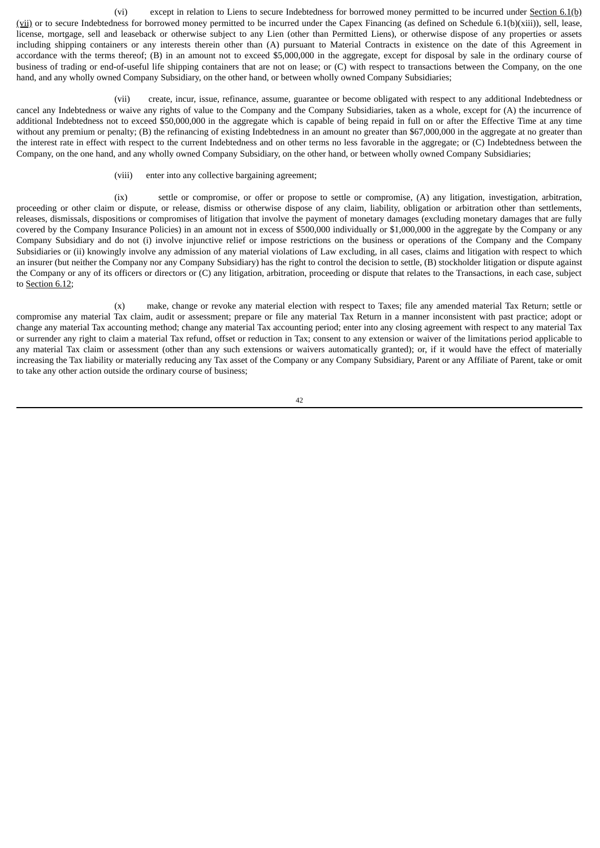(vi) except in relation to Liens to secure Indebtedness for borrowed money permitted to be incurred under Section 6.1(b)  $(vii)$  or to secure Indebtedness for borrowed money permitted to be incurred under the Capex Financing (as defined on Schedule 6.1(b)(xiii)), sell, lease, license, mortgage, sell and leaseback or otherwise subject to any Lien (other than Permitted Liens), or otherwise dispose of any properties or assets including shipping containers or any interests therein other than (A) pursuant to Material Contracts in existence on the date of this Agreement in accordance with the terms thereof; (B) in an amount not to exceed \$5,000,000 in the aggregate, except for disposal by sale in the ordinary course of business of trading or end-of-useful life shipping containers that are not on lease; or (C) with respect to transactions between the Company, on the one hand, and any wholly owned Company Subsidiary, on the other hand, or between wholly owned Company Subsidiaries;

(vii) create, incur, issue, refinance, assume, guarantee or become obligated with respect to any additional Indebtedness or cancel any Indebtedness or waive any rights of value to the Company and the Company Subsidiaries, taken as a whole, except for (A) the incurrence of additional Indebtedness not to exceed \$50,000,000 in the aggregate which is capable of being repaid in full on or after the Effective Time at any time without any premium or penalty; (B) the refinancing of existing Indebtedness in an amount no greater than \$67,000,000 in the aggregate at no greater than the interest rate in effect with respect to the current Indebtedness and on other terms no less favorable in the aggregate; or (C) Indebtedness between the Company, on the one hand, and any wholly owned Company Subsidiary, on the other hand, or between wholly owned Company Subsidiaries;

(viii) enter into any collective bargaining agreement;

(ix) settle or compromise, or offer or propose to settle or compromise, (A) any litigation, investigation, arbitration, proceeding or other claim or dispute, or release, dismiss or otherwise dispose of any claim, liability, obligation or arbitration other than settlements, releases, dismissals, dispositions or compromises of litigation that involve the payment of monetary damages (excluding monetary damages that are fully covered by the Company Insurance Policies) in an amount not in excess of \$500,000 individually or \$1,000,000 in the aggregate by the Company or any Company Subsidiary and do not (i) involve injunctive relief or impose restrictions on the business or operations of the Company and the Company Subsidiaries or (ii) knowingly involve any admission of any material violations of Law excluding, in all cases, claims and litigation with respect to which an insurer (but neither the Company nor any Company Subsidiary) has the right to control the decision to settle, (B) stockholder litigation or dispute against the Company or any of its officers or directors or (C) any litigation, arbitration, proceeding or dispute that relates to the Transactions, in each case, subject to Section 6.12;

(x) make, change or revoke any material election with respect to Taxes; file any amended material Tax Return; settle or compromise any material Tax claim, audit or assessment; prepare or file any material Tax Return in a manner inconsistent with past practice; adopt or change any material Tax accounting method; change any material Tax accounting period; enter into any closing agreement with respect to any material Tax or surrender any right to claim a material Tax refund, offset or reduction in Tax; consent to any extension or waiver of the limitations period applicable to any material Tax claim or assessment (other than any such extensions or waivers automatically granted); or, if it would have the effect of materially increasing the Tax liability or materially reducing any Tax asset of the Company or any Company Subsidiary, Parent or any Affiliate of Parent, take or omit to take any other action outside the ordinary course of business;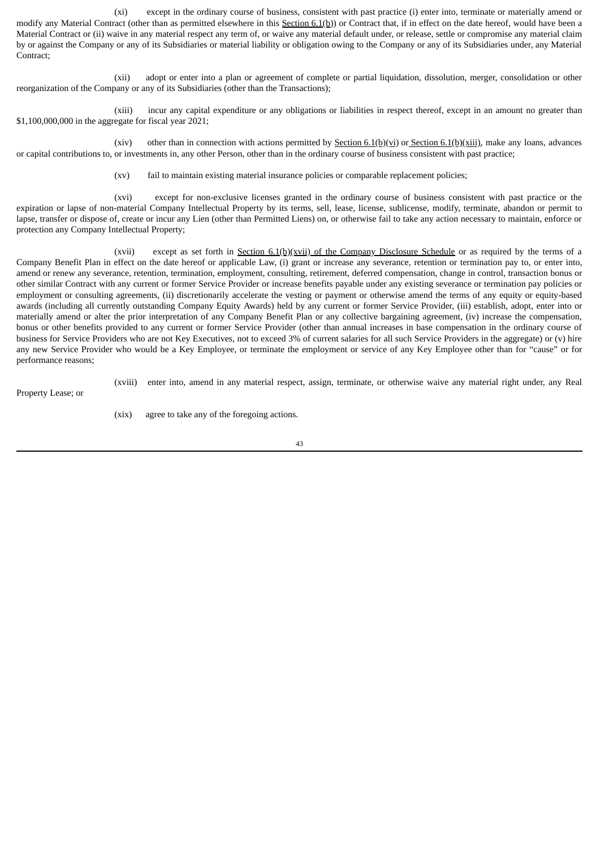(xi) except in the ordinary course of business, consistent with past practice (i) enter into, terminate or materially amend or modify any Material Contract (other than as permitted elsewhere in this  $Section 6.1(b)$ ) or Contract that, if in effect on the date hereof, would have been a Material Contract or (ii) waive in any material respect any term of, or waive any material default under, or release, settle or compromise any material claim by or against the Company or any of its Subsidiaries or material liability or obligation owing to the Company or any of its Subsidiaries under, any Material Contract;

(xii) adopt or enter into a plan or agreement of complete or partial liquidation, dissolution, merger, consolidation or other reorganization of the Company or any of its Subsidiaries (other than the Transactions);

(xiii) incur any capital expenditure or any obligations or liabilities in respect thereof, except in an amount no greater than \$1,100,000,000 in the aggregate for fiscal year 2021;

(xiv) other than in connection with actions permitted by Section  $6.1(b)(vi)$  or Section  $6.1(b)(xiii)$ , make any loans, advances or capital contributions to, or investments in, any other Person, other than in the ordinary course of business consistent with past practice;

(xv) fail to maintain existing material insurance policies or comparable replacement policies;

(xvi) except for non-exclusive licenses granted in the ordinary course of business consistent with past practice or the expiration or lapse of non-material Company Intellectual Property by its terms, sell, lease, license, sublicense, modify, terminate, abandon or permit to lapse, transfer or dispose of, create or incur any Lien (other than Permitted Liens) on, or otherwise fail to take any action necessary to maintain, enforce or protection any Company Intellectual Property;

(xvii) except as set forth in Section 6.1(b)(xvii) of the Company Disclosure Schedule or as required by the terms of a Company Benefit Plan in effect on the date hereof or applicable Law, (i) grant or increase any severance, retention or termination pay to, or enter into, amend or renew any severance, retention, termination, employment, consulting, retirement, deferred compensation, change in control, transaction bonus or other similar Contract with any current or former Service Provider or increase benefits payable under any existing severance or termination pay policies or employment or consulting agreements, (ii) discretionarily accelerate the vesting or payment or otherwise amend the terms of any equity or equity-based awards (including all currently outstanding Company Equity Awards) held by any current or former Service Provider, (iii) establish, adopt, enter into or materially amend or alter the prior interpretation of any Company Benefit Plan or any collective bargaining agreement, (iv) increase the compensation, bonus or other benefits provided to any current or former Service Provider (other than annual increases in base compensation in the ordinary course of business for Service Providers who are not Key Executives, not to exceed 3% of current salaries for all such Service Providers in the aggregate) or (v) hire any new Service Provider who would be a Key Employee, or terminate the employment or service of any Key Employee other than for "cause" or for performance reasons;

(xviii) enter into, amend in any material respect, assign, terminate, or otherwise waive any material right under, any Real

Property Lease; or

(xix) agree to take any of the foregoing actions.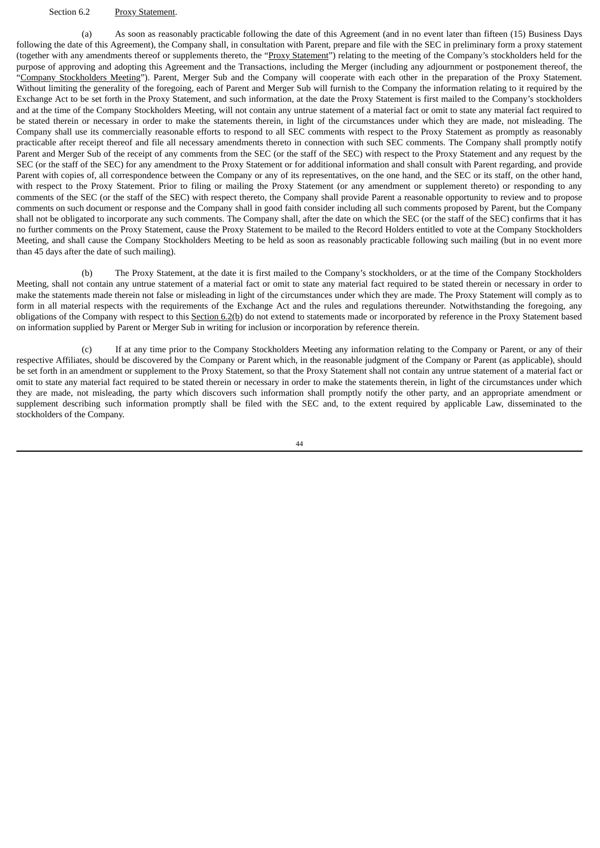#### Section 6.2 Proxy Statement.

(a) As soon as reasonably practicable following the date of this Agreement (and in no event later than fifteen (15) Business Days following the date of this Agreement), the Company shall, in consultation with Parent, prepare and file with the SEC in preliminary form a proxy statement (together with any amendments thereof or supplements thereto, the "Proxy Statement") relating to the meeting of the Company's stockholders held for the purpose of approving and adopting this Agreement and the Transactions, including the Merger (including any adjournment or postponement thereof, the "Company Stockholders Meeting"). Parent, Merger Sub and the Company will cooperate with each other in the preparation of the Proxy Statement. Without limiting the generality of the foregoing, each of Parent and Merger Sub will furnish to the Company the information relating to it required by the Exchange Act to be set forth in the Proxy Statement, and such information, at the date the Proxy Statement is first mailed to the Company's stockholders and at the time of the Company Stockholders Meeting, will not contain any untrue statement of a material fact or omit to state any material fact required to be stated therein or necessary in order to make the statements therein, in light of the circumstances under which they are made, not misleading. The Company shall use its commercially reasonable efforts to respond to all SEC comments with respect to the Proxy Statement as promptly as reasonably practicable after receipt thereof and file all necessary amendments thereto in connection with such SEC comments. The Company shall promptly notify Parent and Merger Sub of the receipt of any comments from the SEC (or the staff of the SEC) with respect to the Proxy Statement and any request by the SEC (or the staff of the SEC) for any amendment to the Proxy Statement or for additional information and shall consult with Parent regarding, and provide Parent with copies of, all correspondence between the Company or any of its representatives, on the one hand, and the SEC or its staff, on the other hand, with respect to the Proxy Statement. Prior to filing or mailing the Proxy Statement (or any amendment or supplement thereto) or responding to any comments of the SEC (or the staff of the SEC) with respect thereto, the Company shall provide Parent a reasonable opportunity to review and to propose comments on such document or response and the Company shall in good faith consider including all such comments proposed by Parent, but the Company shall not be obligated to incorporate any such comments. The Company shall, after the date on which the SEC (or the staff of the SEC) confirms that it has no further comments on the Proxy Statement, cause the Proxy Statement to be mailed to the Record Holders entitled to vote at the Company Stockholders Meeting, and shall cause the Company Stockholders Meeting to be held as soon as reasonably practicable following such mailing (but in no event more than 45 days after the date of such mailing).

(b) The Proxy Statement, at the date it is first mailed to the Company's stockholders, or at the time of the Company Stockholders Meeting, shall not contain any untrue statement of a material fact or omit to state any material fact required to be stated therein or necessary in order to make the statements made therein not false or misleading in light of the circumstances under which they are made. The Proxy Statement will comply as to form in all material respects with the requirements of the Exchange Act and the rules and regulations thereunder. Notwithstanding the foregoing, any obligations of the Company with respect to this Section 6.2(b) do not extend to statements made or incorporated by reference in the Proxy Statement based on information supplied by Parent or Merger Sub in writing for inclusion or incorporation by reference therein.

(c) If at any time prior to the Company Stockholders Meeting any information relating to the Company or Parent, or any of their respective Affiliates, should be discovered by the Company or Parent which, in the reasonable judgment of the Company or Parent (as applicable), should be set forth in an amendment or supplement to the Proxy Statement, so that the Proxy Statement shall not contain any untrue statement of a material fact or omit to state any material fact required to be stated therein or necessary in order to make the statements therein, in light of the circumstances under which they are made, not misleading, the party which discovers such information shall promptly notify the other party, and an appropriate amendment or supplement describing such information promptly shall be filed with the SEC and, to the extent required by applicable Law, disseminated to the stockholders of the Company.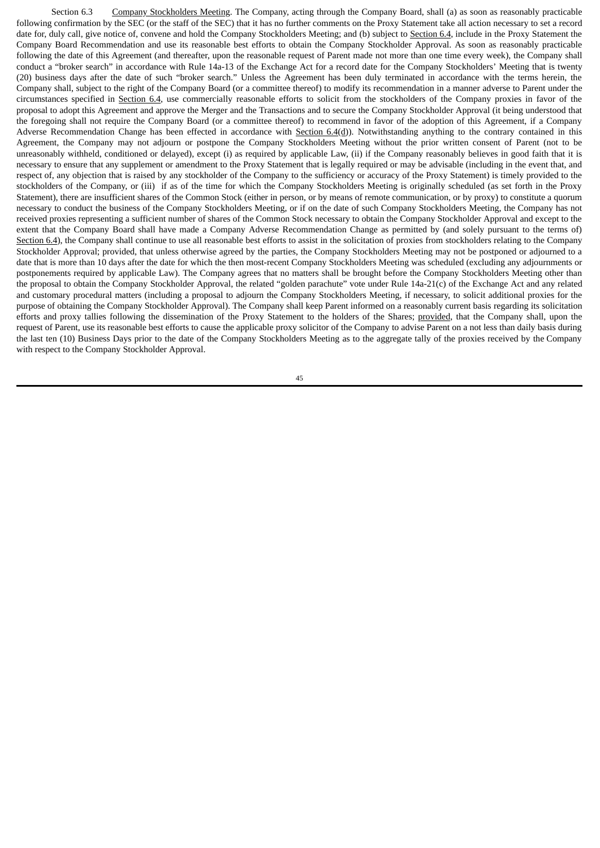Section 6.3 Company Stockholders Meeting. The Company, acting through the Company Board, shall (a) as soon as reasonably practicable following confirmation by the SEC (or the staff of the SEC) that it has no further comments on the Proxy Statement take all action necessary to set a record date for, duly call, give notice of, convene and hold the Company Stockholders Meeting; and (b) subject to Section 6.4, include in the Proxy Statement the Company Board Recommendation and use its reasonable best efforts to obtain the Company Stockholder Approval. As soon as reasonably practicable following the date of this Agreement (and thereafter, upon the reasonable request of Parent made not more than one time every week), the Company shall conduct a "broker search" in accordance with Rule 14a-13 of the Exchange Act for a record date for the Company Stockholders' Meeting that is twenty (20) business days after the date of such "broker search." Unless the Agreement has been duly terminated in accordance with the terms herein, the Company shall, subject to the right of the Company Board (or a committee thereof) to modify its recommendation in a manner adverse to Parent under the circumstances specified in Section 6.4, use commercially reasonable efforts to solicit from the stockholders of the Company proxies in favor of the proposal to adopt this Agreement and approve the Merger and the Transactions and to secure the Company Stockholder Approval (it being understood that the foregoing shall not require the Company Board (or a committee thereof) to recommend in favor of the adoption of this Agreement, if a Company Adverse Recommendation Change has been effected in accordance with Section  $6.4(d)$ ). Notwithstanding anything to the contrary contained in this Agreement, the Company may not adjourn or postpone the Company Stockholders Meeting without the prior written consent of Parent (not to be unreasonably withheld, conditioned or delayed), except (i) as required by applicable Law, (ii) if the Company reasonably believes in good faith that it is necessary to ensure that any supplement or amendment to the Proxy Statement that is legally required or may be advisable (including in the event that, and respect of, any objection that is raised by any stockholder of the Company to the sufficiency or accuracy of the Proxy Statement) is timely provided to the stockholders of the Company, or (iii) if as of the time for which the Company Stockholders Meeting is originally scheduled (as set forth in the Proxy Statement), there are insufficient shares of the Common Stock (either in person, or by means of remote communication, or by proxy) to constitute a quorum necessary to conduct the business of the Company Stockholders Meeting, or if on the date of such Company Stockholders Meeting, the Company has not received proxies representing a sufficient number of shares of the Common Stock necessary to obtain the Company Stockholder Approval and except to the extent that the Company Board shall have made a Company Adverse Recommendation Change as permitted by (and solely pursuant to the terms of) Section 6.4), the Company shall continue to use all reasonable best efforts to assist in the solicitation of proxies from stockholders relating to the Company Stockholder Approval; provided, that unless otherwise agreed by the parties, the Company Stockholders Meeting may not be postponed or adjourned to a date that is more than 10 days after the date for which the then most-recent Company Stockholders Meeting was scheduled (excluding any adjournments or postponements required by applicable Law). The Company agrees that no matters shall be brought before the Company Stockholders Meeting other than the proposal to obtain the Company Stockholder Approval, the related "golden parachute" vote under Rule 14a-21(c) of the Exchange Act and any related and customary procedural matters (including a proposal to adjourn the Company Stockholders Meeting, if necessary, to solicit additional proxies for the purpose of obtaining the Company Stockholder Approval). The Company shall keep Parent informed on a reasonably current basis regarding its solicitation efforts and proxy tallies following the dissemination of the Proxy Statement to the holders of the Shares; provided, that the Company shall, upon the request of Parent, use its reasonable best efforts to cause the applicable proxy solicitor of the Company to advise Parent on a not less than daily basis during the last ten (10) Business Days prior to the date of the Company Stockholders Meeting as to the aggregate tally of the proxies received by the Company with respect to the Company Stockholder Approval.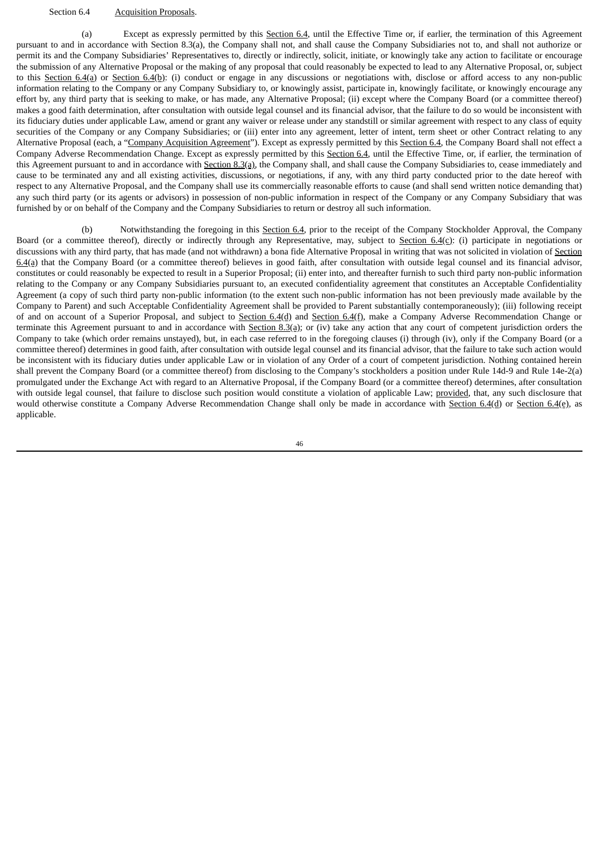#### Section 6.4 Acquisition Proposals.

(a) Except as expressly permitted by this Section 6.4, until the Effective Time or, if earlier, the termination of this Agreement pursuant to and in accordance with Section 8.3(a), the Company shall not, and shall cause the Company Subsidiaries not to, and shall not authorize or permit its and the Company Subsidiaries' Representatives to, directly or indirectly, solicit, initiate, or knowingly take any action to facilitate or encourage the submission of any Alternative Proposal or the making of any proposal that could reasonably be expected to lead to any Alternative Proposal, or, subject to this Section 6.4(a) or Section 6.4(b): (i) conduct or engage in any discussions or negotiations with, disclose or afford access to any non-public information relating to the Company or any Company Subsidiary to, or knowingly assist, participate in, knowingly facilitate, or knowingly encourage any effort by, any third party that is seeking to make, or has made, any Alternative Proposal; (ii) except where the Company Board (or a committee thereof) makes a good faith determination, after consultation with outside legal counsel and its financial advisor, that the failure to do so would be inconsistent with its fiduciary duties under applicable Law, amend or grant any waiver or release under any standstill or similar agreement with respect to any class of equity securities of the Company or any Company Subsidiaries; or (iii) enter into any agreement, letter of intent, term sheet or other Contract relating to any Alternative Proposal (each, a "Company Acquisition Agreement"). Except as expressly permitted by this Section 6.4, the Company Board shall not effect a Company Adverse Recommendation Change. Except as expressly permitted by this Section 6.4, until the Effective Time, or, if earlier, the termination of this Agreement pursuant to and in accordance with Section 8.3(a), the Company shall, and shall cause the Company Subsidiaries to, cease immediately and cause to be terminated any and all existing activities, discussions, or negotiations, if any, with any third party conducted prior to the date hereof with respect to any Alternative Proposal, and the Company shall use its commercially reasonable efforts to cause (and shall send written notice demanding that) any such third party (or its agents or advisors) in possession of non-public information in respect of the Company or any Company Subsidiary that was furnished by or on behalf of the Company and the Company Subsidiaries to return or destroy all such information.

(b) Notwithstanding the foregoing in this Section 6.4, prior to the receipt of the Company Stockholder Approval, the Company Board (or a committee thereof), directly or indirectly through any Representative, may, subject to Section 6.4(c): (i) participate in negotiations or discussions with any third party, that has made (and not withdrawn) a bona fide Alternative Proposal in writing that was not solicited in violation of Section 6.4(a) that the Company Board (or a committee thereof) believes in good faith, after consultation with outside legal counsel and its financial advisor, constitutes or could reasonably be expected to result in a Superior Proposal; (ii) enter into, and thereafter furnish to such third party non-public information relating to the Company or any Company Subsidiaries pursuant to, an executed confidentiality agreement that constitutes an Acceptable Confidentiality Agreement (a copy of such third party non-public information (to the extent such non-public information has not been previously made available by the Company to Parent) and such Acceptable Confidentiality Agreement shall be provided to Parent substantially contemporaneously); (iii) following receipt of and on account of a Superior Proposal, and subject to Section 6.4(d) and Section 6.4(f), make a Company Adverse Recommendation Change or terminate this Agreement pursuant to and in accordance with Section 8.3(a); or (iv) take any action that any court of competent jurisdiction orders the Company to take (which order remains unstayed), but, in each case referred to in the foregoing clauses (i) through (iv), only if the Company Board (or a committee thereof) determines in good faith, after consultation with outside legal counsel and its financial advisor, that the failure to take such action would be inconsistent with its fiduciary duties under applicable Law or in violation of any Order of a court of competent jurisdiction. Nothing contained herein shall prevent the Company Board (or a committee thereof) from disclosing to the Company's stockholders a position under Rule 14d-9 and Rule 14e-2(a) promulgated under the Exchange Act with regard to an Alternative Proposal, if the Company Board (or a committee thereof) determines, after consultation with outside legal counsel, that failure to disclose such position would constitute a violation of applicable Law; provided, that, any such disclosure that would otherwise constitute a Company Adverse Recommendation Change shall only be made in accordance with Section 6.4(d) or Section 6.4(e), as applicable.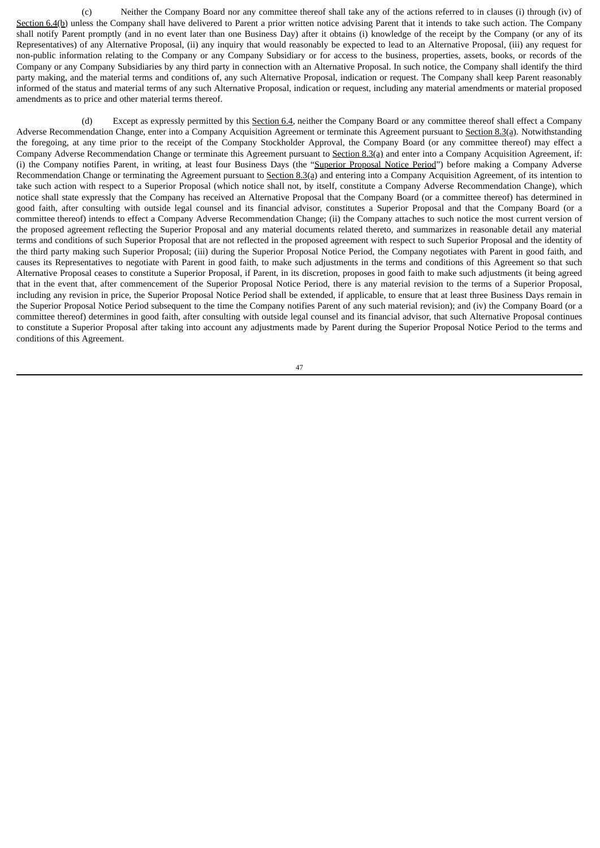(c) Neither the Company Board nor any committee thereof shall take any of the actions referred to in clauses (i) through (iv) of Section 6.4(b) unless the Company shall have delivered to Parent a prior written notice advising Parent that it intends to take such action. The Company shall notify Parent promptly (and in no event later than one Business Day) after it obtains (i) knowledge of the receipt by the Company (or any of its Representatives) of any Alternative Proposal, (ii) any inquiry that would reasonably be expected to lead to an Alternative Proposal, (iii) any request for non-public information relating to the Company or any Company Subsidiary or for access to the business, properties, assets, books, or records of the Company or any Company Subsidiaries by any third party in connection with an Alternative Proposal. In such notice, the Company shall identify the third party making, and the material terms and conditions of, any such Alternative Proposal, indication or request. The Company shall keep Parent reasonably informed of the status and material terms of any such Alternative Proposal, indication or request, including any material amendments or material proposed amendments as to price and other material terms thereof.

(d) Except as expressly permitted by this Section 6.4, neither the Company Board or any committee thereof shall effect a Company Adverse Recommendation Change, enter into a Company Acquisition Agreement or terminate this Agreement pursuant to Section 8.3(a). Notwithstanding the foregoing, at any time prior to the receipt of the Company Stockholder Approval, the Company Board (or any committee thereof) may effect a Company Adverse Recommendation Change or terminate this Agreement pursuant to Section 8.3(a) and enter into a Company Acquisition Agreement, if: (i) the Company notifies Parent, in writing, at least four Business Days (the "Superior Proposal Notice Period") before making a Company Adverse Recommendation Change or terminating the Agreement pursuant to Section 8.3(a) and entering into a Company Acquisition Agreement, of its intention to take such action with respect to a Superior Proposal (which notice shall not, by itself, constitute a Company Adverse Recommendation Change), which notice shall state expressly that the Company has received an Alternative Proposal that the Company Board (or a committee thereof) has determined in good faith, after consulting with outside legal counsel and its financial advisor, constitutes a Superior Proposal and that the Company Board (or a committee thereof) intends to effect a Company Adverse Recommendation Change; (ii) the Company attaches to such notice the most current version of the proposed agreement reflecting the Superior Proposal and any material documents related thereto, and summarizes in reasonable detail any material terms and conditions of such Superior Proposal that are not reflected in the proposed agreement with respect to such Superior Proposal and the identity of the third party making such Superior Proposal; (iii) during the Superior Proposal Notice Period, the Company negotiates with Parent in good faith, and causes its Representatives to negotiate with Parent in good faith, to make such adjustments in the terms and conditions of this Agreement so that such Alternative Proposal ceases to constitute a Superior Proposal, if Parent, in its discretion, proposes in good faith to make such adjustments (it being agreed that in the event that, after commencement of the Superior Proposal Notice Period, there is any material revision to the terms of a Superior Proposal, including any revision in price, the Superior Proposal Notice Period shall be extended, if applicable, to ensure that at least three Business Days remain in the Superior Proposal Notice Period subsequent to the time the Company notifies Parent of any such material revision); and (iv) the Company Board (or a committee thereof) determines in good faith, after consulting with outside legal counsel and its financial advisor, that such Alternative Proposal continues to constitute a Superior Proposal after taking into account any adjustments made by Parent during the Superior Proposal Notice Period to the terms and conditions of this Agreement.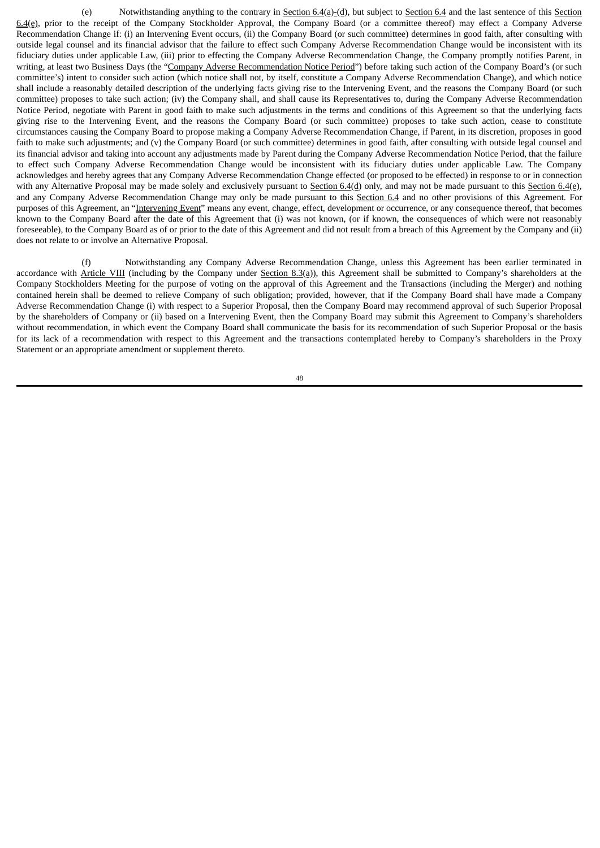(e) Notwithstanding anything to the contrary in  $Section 6.4(a)-(d)$ , but subject to  $Section 6.4$  and the last sentence of this  $Section$ 6.4(e), prior to the receipt of the Company Stockholder Approval, the Company Board (or a committee thereof) may effect a Company Adverse Recommendation Change if: (i) an Intervening Event occurs, (ii) the Company Board (or such committee) determines in good faith, after consulting with outside legal counsel and its financial advisor that the failure to effect such Company Adverse Recommendation Change would be inconsistent with its fiduciary duties under applicable Law, (iii) prior to effecting the Company Adverse Recommendation Change, the Company promptly notifies Parent, in writing, at least two Business Days (the "Company Adverse Recommendation Notice Period") before taking such action of the Company Board's (or such committee's) intent to consider such action (which notice shall not, by itself, constitute a Company Adverse Recommendation Change), and which notice shall include a reasonably detailed description of the underlying facts giving rise to the Intervening Event, and the reasons the Company Board (or such committee) proposes to take such action; (iv) the Company shall, and shall cause its Representatives to, during the Company Adverse Recommendation Notice Period, negotiate with Parent in good faith to make such adjustments in the terms and conditions of this Agreement so that the underlying facts giving rise to the Intervening Event, and the reasons the Company Board (or such committee) proposes to take such action, cease to constitute circumstances causing the Company Board to propose making a Company Adverse Recommendation Change, if Parent, in its discretion, proposes in good faith to make such adjustments; and (v) the Company Board (or such committee) determines in good faith, after consulting with outside legal counsel and its financial advisor and taking into account any adjustments made by Parent during the Company Adverse Recommendation Notice Period, that the failure to effect such Company Adverse Recommendation Change would be inconsistent with its fiduciary duties under applicable Law. The Company acknowledges and hereby agrees that any Company Adverse Recommendation Change effected (or proposed to be effected) in response to or in connection with any Alternative Proposal may be made solely and exclusively pursuant to Section 6.4(d) only, and may not be made pursuant to this Section 6.4(e), and any Company Adverse Recommendation Change may only be made pursuant to this Section 6.4 and no other provisions of this Agreement. For purposes of this Agreement, an "Intervening Event" means any event, change, effect, development or occurrence, or any consequence thereof, that becomes known to the Company Board after the date of this Agreement that (i) was not known, (or if known, the consequences of which were not reasonably foreseeable), to the Company Board as of or prior to the date of this Agreement and did not result from a breach of this Agreement by the Company and (ii) does not relate to or involve an Alternative Proposal.

(f) Notwithstanding any Company Adverse Recommendation Change, unless this Agreement has been earlier terminated in accordance with Article VIII (including by the Company under Section 8.3(a)), this Agreement shall be submitted to Company's shareholders at the Company Stockholders Meeting for the purpose of voting on the approval of this Agreement and the Transactions (including the Merger) and nothing contained herein shall be deemed to relieve Company of such obligation; provided, however, that if the Company Board shall have made a Company Adverse Recommendation Change (i) with respect to a Superior Proposal, then the Company Board may recommend approval of such Superior Proposal by the shareholders of Company or (ii) based on a Intervening Event, then the Company Board may submit this Agreement to Company's shareholders without recommendation, in which event the Company Board shall communicate the basis for its recommendation of such Superior Proposal or the basis for its lack of a recommendation with respect to this Agreement and the transactions contemplated hereby to Company's shareholders in the Proxy Statement or an appropriate amendment or supplement thereto.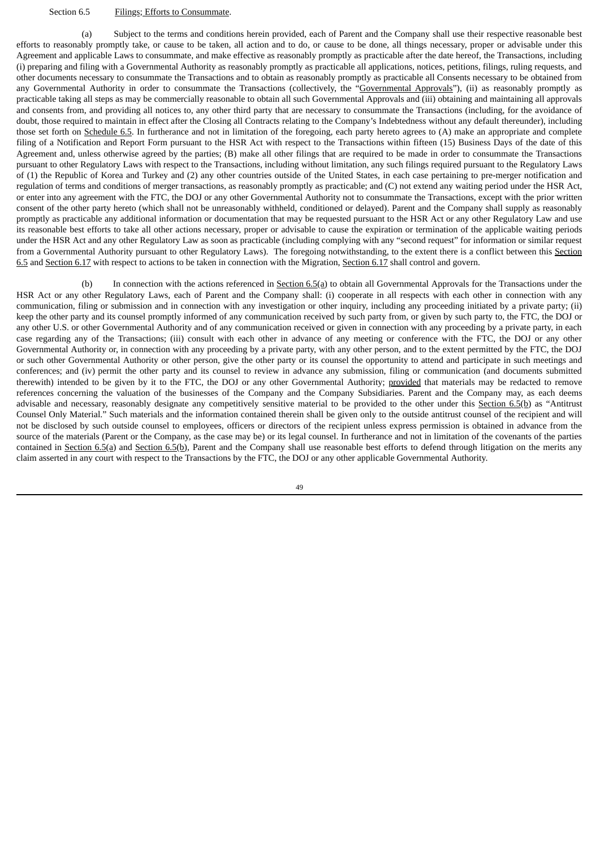## Section 6.5 Filings; Efforts to Consummate.

(a) Subject to the terms and conditions herein provided, each of Parent and the Company shall use their respective reasonable best efforts to reasonably promptly take, or cause to be taken, all action and to do, or cause to be done, all things necessary, proper or advisable under this Agreement and applicable Laws to consummate, and make effective as reasonably promptly as practicable after the date hereof, the Transactions, including (i) preparing and filing with a Governmental Authority as reasonably promptly as practicable all applications, notices, petitions, filings, ruling requests, and other documents necessary to consummate the Transactions and to obtain as reasonably promptly as practicable all Consents necessary to be obtained from any Governmental Authority in order to consummate the Transactions (collectively, the "Governmental Approvals"), (ii) as reasonably promptly as practicable taking all steps as may be commercially reasonable to obtain all such Governmental Approvals and (iii) obtaining and maintaining all approvals and consents from, and providing all notices to, any other third party that are necessary to consummate the Transactions (including, for the avoidance of doubt, those required to maintain in effect after the Closing all Contracts relating to the Company's Indebtedness without any default thereunder), including those set forth on Schedule 6.5. In furtherance and not in limitation of the foregoing, each party hereto agrees to (A) make an appropriate and complete filing of a Notification and Report Form pursuant to the HSR Act with respect to the Transactions within fifteen (15) Business Days of the date of this Agreement and, unless otherwise agreed by the parties; (B) make all other filings that are required to be made in order to consummate the Transactions pursuant to other Regulatory Laws with respect to the Transactions, including without limitation, any such filings required pursuant to the Regulatory Laws of (1) the Republic of Korea and Turkey and (2) any other countries outside of the United States, in each case pertaining to pre-merger notification and regulation of terms and conditions of merger transactions, as reasonably promptly as practicable; and (C) not extend any waiting period under the HSR Act, or enter into any agreement with the FTC, the DOJ or any other Governmental Authority not to consummate the Transactions, except with the prior written consent of the other party hereto (which shall not be unreasonably withheld, conditioned or delayed). Parent and the Company shall supply as reasonably promptly as practicable any additional information or documentation that may be requested pursuant to the HSR Act or any other Regulatory Law and use its reasonable best efforts to take all other actions necessary, proper or advisable to cause the expiration or termination of the applicable waiting periods under the HSR Act and any other Regulatory Law as soon as practicable (including complying with any "second request" for information or similar request from a Governmental Authority pursuant to other Regulatory Laws). The foregoing notwithstanding, to the extent there is a conflict between this Section 6.5 and Section 6.17 with respect to actions to be taken in connection with the Migration, Section 6.17 shall control and govern.

(b) In connection with the actions referenced in Section 6.5(a) to obtain all Governmental Approvals for the Transactions under the HSR Act or any other Regulatory Laws, each of Parent and the Company shall: (i) cooperate in all respects with each other in connection with any communication, filing or submission and in connection with any investigation or other inquiry, including any proceeding initiated by a private party; (ii) keep the other party and its counsel promptly informed of any communication received by such party from, or given by such party to, the FTC, the DOJ or any other U.S. or other Governmental Authority and of any communication received or given in connection with any proceeding by a private party, in each case regarding any of the Transactions; (iii) consult with each other in advance of any meeting or conference with the FTC, the DOJ or any other Governmental Authority or, in connection with any proceeding by a private party, with any other person, and to the extent permitted by the FTC, the DOJ or such other Governmental Authority or other person, give the other party or its counsel the opportunity to attend and participate in such meetings and conferences; and (iv) permit the other party and its counsel to review in advance any submission, filing or communication (and documents submitted therewith) intended to be given by it to the FTC, the DOJ or any other Governmental Authority; provided that materials may be redacted to remove references concerning the valuation of the businesses of the Company and the Company Subsidiaries. Parent and the Company may, as each deems advisable and necessary, reasonably designate any competitively sensitive material to be provided to the other under this Section 6.5(b) as "Antitrust Counsel Only Material." Such materials and the information contained therein shall be given only to the outside antitrust counsel of the recipient and will not be disclosed by such outside counsel to employees, officers or directors of the recipient unless express permission is obtained in advance from the source of the materials (Parent or the Company, as the case may be) or its legal counsel. In furtherance and not in limitation of the covenants of the parties contained in Section 6.5(a) and Section 6.5(b), Parent and the Company shall use reasonable best efforts to defend through litigation on the merits any claim asserted in any court with respect to the Transactions by the FTC, the DOJ or any other applicable Governmental Authority.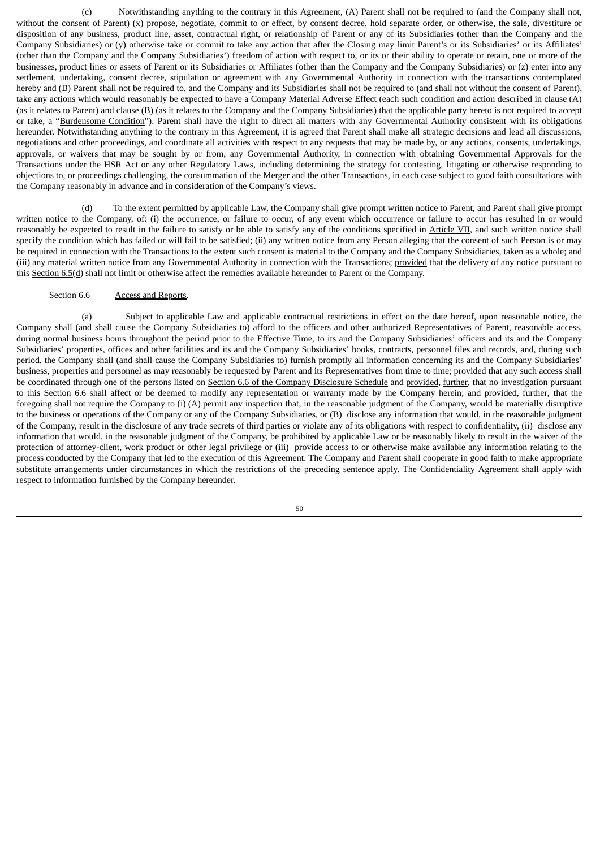(c) Notwithstanding anything to the contrary in this Agreement, (A) Parent shall not be required to (and the Company shall not, without the consent of Parent) (x) propose, negotiate, commit to or effect, by consent decree, hold separate order, or otherwise, the sale, divestiture or disposition of any business, product line, asset, contractual right, or relationship of Parent or any of its Subsidiaries (other than the Company and the Company Subsidiaries) or (y) otherwise take or commit to take any action that after the Closing may limit Parent's or its Subsidiaries' or its Affiliates' (other than the Company and the Company Subsidiaries') freedom of action with respect to, or its or their ability to operate or retain, one or more of the businesses, product lines or assets of Parent or its Subsidiaries or Affiliates (other than the Company and the Company Subsidiaries) or (z) enter into any settlement, undertaking, consent decree, stipulation or agreement with any Governmental Authority in connection with the transactions contemplated hereby and (B) Parent shall not be required to, and the Company and its Subsidiaries shall not be required to (and shall not without the consent of Parent), take any actions which would reasonably be expected to have a Company Material Adverse Effect (each such condition and action described in clause (A) (as it relates to Parent) and clause (B) (as it relates to the Company and the Company Subsidiaries) that the applicable party hereto is not required to accept or take, a "Burdensome Condition"). Parent shall have the right to direct all matters with any Governmental Authority consistent with its obligations hereunder. Notwithstanding anything to the contrary in this Agreement, it is agreed that Parent shall make all strategic decisions and lead all discussions, negotiations and other proceedings, and coordinate all activities with respect to any requests that may be made by, or any actions, consents, undertakings, approvals, or waivers that may be sought by or from, any Governmental Authority, in connection with obtaining Governmental Approvals for the Transactions under the HSR Act or any other Regulatory Laws, including determining the strategy for contesting, litigating or otherwise responding to objections to, or proceedings challenging, the consummation of the Merger and the other Transactions, in each case subject to good faith consultations with the Company reasonably in advance and in consideration of the Company's views.

(d) To the extent permitted by applicable Law, the Company shall give prompt written notice to Parent, and Parent shall give prompt written notice to the Company, of: (i) the occurrence, or failure to occur, of any event which occurrence or failure to occur has resulted in or would reasonably be expected to result in the failure to satisfy or be able to satisfy any of the conditions specified in Article VII, and such written notice shall specify the condition which has failed or will fail to be satisfied; (ii) any written notice from any Person alleging that the consent of such Person is or may be required in connection with the Transactions to the extent such consent is material to the Company and the Company Subsidiaries, taken as a whole; and (iii) any material written notice from any Governmental Authority in connection with the Transactions; provided that the delivery of any notice pursuant to this Section 6.5(d) shall not limit or otherwise affect the remedies available hereunder to Parent or the Company.

#### Section 6.6 Access and Reports.

(a) Subject to applicable Law and applicable contractual restrictions in effect on the date hereof, upon reasonable notice, the Company shall (and shall cause the Company Subsidiaries to) afford to the officers and other authorized Representatives of Parent, reasonable access, during normal business hours throughout the period prior to the Effective Time, to its and the Company Subsidiaries' officers and its and the Company Subsidiaries' properties, offices and other facilities and its and the Company Subsidiaries' books, contracts, personnel files and records, and, during such period, the Company shall (and shall cause the Company Subsidiaries to) furnish promptly all information concerning its and the Company Subsidiaries' business, properties and personnel as may reasonably be requested by Parent and its Representatives from time to time; provided that any such access shall be coordinated through one of the persons listed on Section 6.6 of the Company Disclosure Schedule and provided, further, that no investigation pursuant to this Section 6.6 shall affect or be deemed to modify any representation or warranty made by the Company herein; and provided, further, that the foregoing shall not require the Company to (i) (A) permit any inspection that, in the reasonable judgment of the Company, would be materially disruptive to the business or operations of the Company or any of the Company Subsidiaries, or (B) disclose any information that would, in the reasonable judgment of the Company, result in the disclosure of any trade secrets of third parties or violate any of its obligations with respect to confidentiality, (ii) disclose any information that would, in the reasonable judgment of the Company, be prohibited by applicable Law or be reasonably likely to result in the waiver of the protection of attorney-client, work product or other legal privilege or (iii) provide access to or otherwise make available any information relating to the process conducted by the Company that led to the execution of this Agreement. The Company and Parent shall cooperate in good faith to make appropriate substitute arrangements under circumstances in which the restrictions of the preceding sentence apply. The Confidentiality Agreement shall apply with respect to information furnished by the Company hereunder.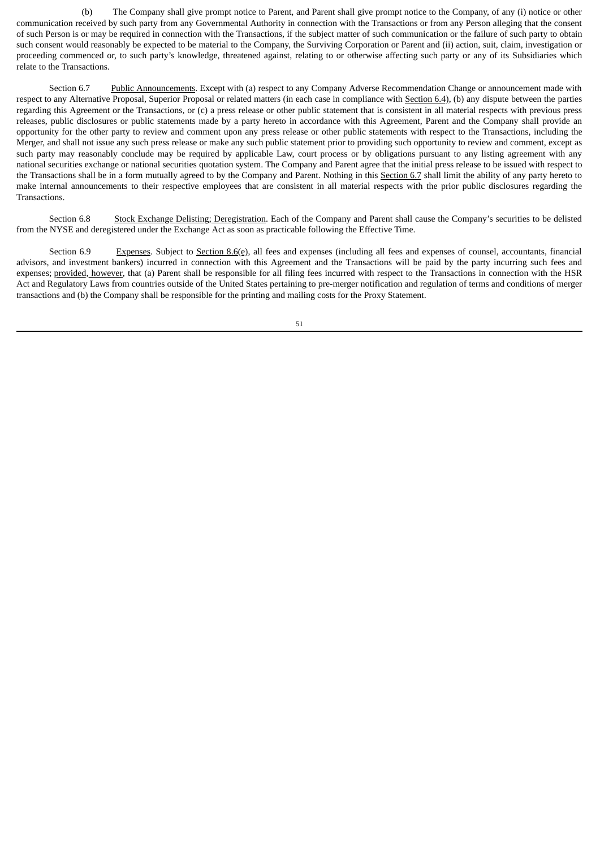(b) The Company shall give prompt notice to Parent, and Parent shall give prompt notice to the Company, of any (i) notice or other communication received by such party from any Governmental Authority in connection with the Transactions or from any Person alleging that the consent of such Person is or may be required in connection with the Transactions, if the subject matter of such communication or the failure of such party to obtain such consent would reasonably be expected to be material to the Company, the Surviving Corporation or Parent and (ii) action, suit, claim, investigation or proceeding commenced or, to such party's knowledge, threatened against, relating to or otherwise affecting such party or any of its Subsidiaries which relate to the Transactions.

Section 6.7 Public Announcements. Except with (a) respect to any Company Adverse Recommendation Change or announcement made with respect to any Alternative Proposal, Superior Proposal or related matters (in each case in compliance with Section 6.4), (b) any dispute between the parties regarding this Agreement or the Transactions, or (c) a press release or other public statement that is consistent in all material respects with previous press releases, public disclosures or public statements made by a party hereto in accordance with this Agreement, Parent and the Company shall provide an opportunity for the other party to review and comment upon any press release or other public statements with respect to the Transactions, including the Merger, and shall not issue any such press release or make any such public statement prior to providing such opportunity to review and comment, except as such party may reasonably conclude may be required by applicable Law, court process or by obligations pursuant to any listing agreement with any national securities exchange or national securities quotation system. The Company and Parent agree that the initial press release to be issued with respect to the Transactions shall be in a form mutually agreed to by the Company and Parent. Nothing in this Section 6.7 shall limit the ability of any party hereto to make internal announcements to their respective employees that are consistent in all material respects with the prior public disclosures regarding the Transactions.

Section 6.8 Stock Exchange Delisting; Deregistration. Each of the Company and Parent shall cause the Company's securities to be delisted from the NYSE and deregistered under the Exchange Act as soon as practicable following the Effective Time.

Section 6.9 Expenses. Subject to Section 8.6(e), all fees and expenses (including all fees and expenses of counsel, accountants, financial advisors, and investment bankers) incurred in connection with this Agreement and the Transactions will be paid by the party incurring such fees and expenses; provided, however, that (a) Parent shall be responsible for all filing fees incurred with respect to the Transactions in connection with the HSR Act and Regulatory Laws from countries outside of the United States pertaining to pre-merger notification and regulation of terms and conditions of merger transactions and (b) the Company shall be responsible for the printing and mailing costs for the Proxy Statement.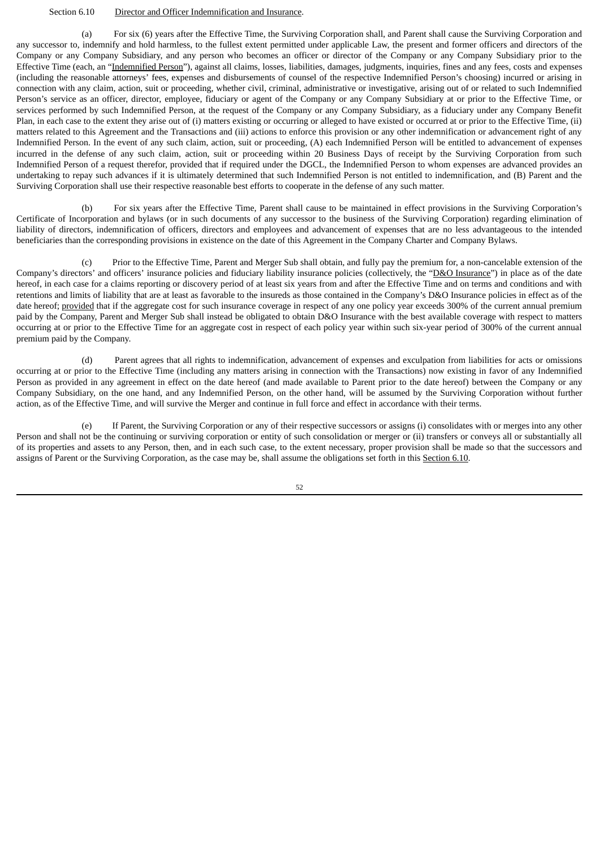### Section 6.10 Director and Officer Indemnification and Insurance.

(a) For six (6) years after the Effective Time, the Surviving Corporation shall, and Parent shall cause the Surviving Corporation and any successor to, indemnify and hold harmless, to the fullest extent permitted under applicable Law, the present and former officers and directors of the Company or any Company Subsidiary, and any person who becomes an officer or director of the Company or any Company Subsidiary prior to the Effective Time (each, an "Indemnified Person"), against all claims, losses, liabilities, damages, judgments, inquiries, fines and any fees, costs and expenses (including the reasonable attorneys' fees, expenses and disbursements of counsel of the respective Indemnified Person's choosing) incurred or arising in connection with any claim, action, suit or proceeding, whether civil, criminal, administrative or investigative, arising out of or related to such Indemnified Person's service as an officer, director, employee, fiduciary or agent of the Company or any Company Subsidiary at or prior to the Effective Time, or services performed by such Indemnified Person, at the request of the Company or any Company Subsidiary, as a fiduciary under any Company Benefit Plan, in each case to the extent they arise out of (i) matters existing or occurring or alleged to have existed or occurred at or prior to the Effective Time, (ii) matters related to this Agreement and the Transactions and (iii) actions to enforce this provision or any other indemnification or advancement right of any Indemnified Person. In the event of any such claim, action, suit or proceeding, (A) each Indemnified Person will be entitled to advancement of expenses incurred in the defense of any such claim, action, suit or proceeding within 20 Business Days of receipt by the Surviving Corporation from such Indemnified Person of a request therefor, provided that if required under the DGCL, the Indemnified Person to whom expenses are advanced provides an undertaking to repay such advances if it is ultimately determined that such Indemnified Person is not entitled to indemnification, and (B) Parent and the Surviving Corporation shall use their respective reasonable best efforts to cooperate in the defense of any such matter.

(b) For six years after the Effective Time, Parent shall cause to be maintained in effect provisions in the Surviving Corporation's Certificate of Incorporation and bylaws (or in such documents of any successor to the business of the Surviving Corporation) regarding elimination of liability of directors, indemnification of officers, directors and employees and advancement of expenses that are no less advantageous to the intended beneficiaries than the corresponding provisions in existence on the date of this Agreement in the Company Charter and Company Bylaws.

(c) Prior to the Effective Time, Parent and Merger Sub shall obtain, and fully pay the premium for, a non-cancelable extension of the Company's directors' and officers' insurance policies and fiduciary liability insurance policies (collectively, the "D&O Insurance") in place as of the date hereof, in each case for a claims reporting or discovery period of at least six years from and after the Effective Time and on terms and conditions and with retentions and limits of liability that are at least as favorable to the insureds as those contained in the Company's D&O Insurance policies in effect as of the date hereof; provided that if the aggregate cost for such insurance coverage in respect of any one policy year exceeds 300% of the current annual premium paid by the Company, Parent and Merger Sub shall instead be obligated to obtain D&O Insurance with the best available coverage with respect to matters occurring at or prior to the Effective Time for an aggregate cost in respect of each policy year within such six-year period of 300% of the current annual premium paid by the Company.

(d) Parent agrees that all rights to indemnification, advancement of expenses and exculpation from liabilities for acts or omissions occurring at or prior to the Effective Time (including any matters arising in connection with the Transactions) now existing in favor of any Indemnified Person as provided in any agreement in effect on the date hereof (and made available to Parent prior to the date hereof) between the Company or any Company Subsidiary, on the one hand, and any Indemnified Person, on the other hand, will be assumed by the Surviving Corporation without further action, as of the Effective Time, and will survive the Merger and continue in full force and effect in accordance with their terms.

(e) If Parent, the Surviving Corporation or any of their respective successors or assigns (i) consolidates with or merges into any other Person and shall not be the continuing or surviving corporation or entity of such consolidation or merger or (ii) transfers or conveys all or substantially all of its properties and assets to any Person, then, and in each such case, to the extent necessary, proper provision shall be made so that the successors and assigns of Parent or the Surviving Corporation, as the case may be, shall assume the obligations set forth in this Section 6.10.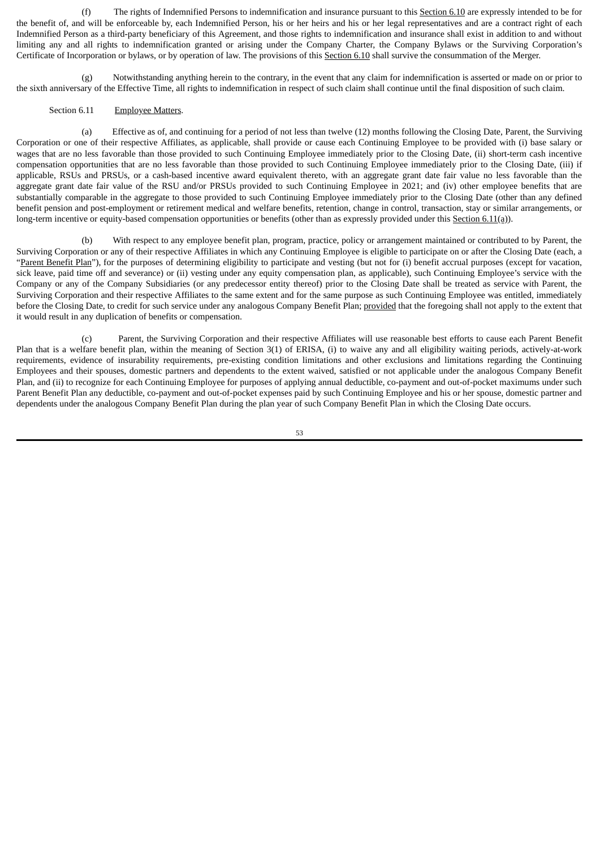(f) The rights of Indemnified Persons to indemnification and insurance pursuant to this Section 6.10 are expressly intended to be for the benefit of, and will be enforceable by, each Indemnified Person, his or her heirs and his or her legal representatives and are a contract right of each Indemnified Person as a third-party beneficiary of this Agreement, and those rights to indemnification and insurance shall exist in addition to and without limiting any and all rights to indemnification granted or arising under the Company Charter, the Company Bylaws or the Surviving Corporation's Certificate of Incorporation or bylaws, or by operation of law. The provisions of this Section 6.10 shall survive the consummation of the Merger.

(g) Notwithstanding anything herein to the contrary, in the event that any claim for indemnification is asserted or made on or prior to the sixth anniversary of the Effective Time, all rights to indemnification in respect of such claim shall continue until the final disposition of such claim.

### Section 6.11 Employee Matters.

(a) Effective as of, and continuing for a period of not less than twelve (12) months following the Closing Date, Parent, the Surviving Corporation or one of their respective Affiliates, as applicable, shall provide or cause each Continuing Employee to be provided with (i) base salary or wages that are no less favorable than those provided to such Continuing Employee immediately prior to the Closing Date, (ii) short-term cash incentive compensation opportunities that are no less favorable than those provided to such Continuing Employee immediately prior to the Closing Date, (iii) if applicable, RSUs and PRSUs, or a cash-based incentive award equivalent thereto, with an aggregate grant date fair value no less favorable than the aggregate grant date fair value of the RSU and/or PRSUs provided to such Continuing Employee in 2021; and (iv) other employee benefits that are substantially comparable in the aggregate to those provided to such Continuing Employee immediately prior to the Closing Date (other than any defined benefit pension and post-employment or retirement medical and welfare benefits, retention, change in control, transaction, stay or similar arrangements, or long-term incentive or equity-based compensation opportunities or benefits (other than as expressly provided under this Section 6.11(a)).

(b) With respect to any employee benefit plan, program, practice, policy or arrangement maintained or contributed to by Parent, the Surviving Corporation or any of their respective Affiliates in which any Continuing Employee is eligible to participate on or after the Closing Date (each, a "Parent Benefit Plan"), for the purposes of determining eligibility to participate and vesting (but not for (i) benefit accrual purposes (except for vacation, sick leave, paid time off and severance) or (ii) vesting under any equity compensation plan, as applicable), such Continuing Employee's service with the Company or any of the Company Subsidiaries (or any predecessor entity thereof) prior to the Closing Date shall be treated as service with Parent, the Surviving Corporation and their respective Affiliates to the same extent and for the same purpose as such Continuing Employee was entitled, immediately before the Closing Date, to credit for such service under any analogous Company Benefit Plan; provided that the foregoing shall not apply to the extent that it would result in any duplication of benefits or compensation.

(c) Parent, the Surviving Corporation and their respective Affiliates will use reasonable best efforts to cause each Parent Benefit Plan that is a welfare benefit plan, within the meaning of Section 3(1) of ERISA, (i) to waive any and all eligibility waiting periods, actively-at-work requirements, evidence of insurability requirements, pre-existing condition limitations and other exclusions and limitations regarding the Continuing Employees and their spouses, domestic partners and dependents to the extent waived, satisfied or not applicable under the analogous Company Benefit Plan, and (ii) to recognize for each Continuing Employee for purposes of applying annual deductible, co-payment and out-of-pocket maximums under such Parent Benefit Plan any deductible, co-payment and out-of-pocket expenses paid by such Continuing Employee and his or her spouse, domestic partner and dependents under the analogous Company Benefit Plan during the plan year of such Company Benefit Plan in which the Closing Date occurs.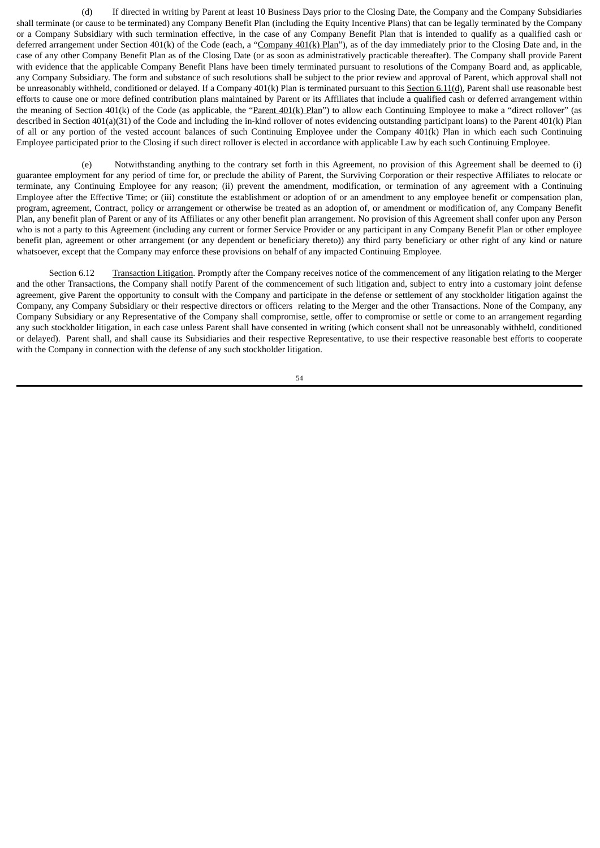(d) If directed in writing by Parent at least 10 Business Days prior to the Closing Date, the Company and the Company Subsidiaries shall terminate (or cause to be terminated) any Company Benefit Plan (including the Equity Incentive Plans) that can be legally terminated by the Company or a Company Subsidiary with such termination effective, in the case of any Company Benefit Plan that is intended to qualify as a qualified cash or deferred arrangement under Section 401(k) of the Code (each, a "Company 401(k) Plan"), as of the day immediately prior to the Closing Date and, in the case of any other Company Benefit Plan as of the Closing Date (or as soon as administratively practicable thereafter). The Company shall provide Parent with evidence that the applicable Company Benefit Plans have been timely terminated pursuant to resolutions of the Company Board and, as applicable, any Company Subsidiary. The form and substance of such resolutions shall be subject to the prior review and approval of Parent, which approval shall not be unreasonably withheld, conditioned or delayed. If a Company 401(k) Plan is terminated pursuant to this Section 6.11(d), Parent shall use reasonable best efforts to cause one or more defined contribution plans maintained by Parent or its Affiliates that include a qualified cash or deferred arrangement within the meaning of Section 401(k) of the Code (as applicable, the "Parent 401(k) Plan") to allow each Continuing Employee to make a "direct rollover" (as described in Section 401(a)(31) of the Code and including the in-kind rollover of notes evidencing outstanding participant loans) to the Parent 401(k) Plan of all or any portion of the vested account balances of such Continuing Employee under the Company 401(k) Plan in which each such Continuing Employee participated prior to the Closing if such direct rollover is elected in accordance with applicable Law by each such Continuing Employee.

(e) Notwithstanding anything to the contrary set forth in this Agreement, no provision of this Agreement shall be deemed to (i) guarantee employment for any period of time for, or preclude the ability of Parent, the Surviving Corporation or their respective Affiliates to relocate or terminate, any Continuing Employee for any reason; (ii) prevent the amendment, modification, or termination of any agreement with a Continuing Employee after the Effective Time; or (iii) constitute the establishment or adoption of or an amendment to any employee benefit or compensation plan, program, agreement, Contract, policy or arrangement or otherwise be treated as an adoption of, or amendment or modification of, any Company Benefit Plan, any benefit plan of Parent or any of its Affiliates or any other benefit plan arrangement. No provision of this Agreement shall confer upon any Person who is not a party to this Agreement (including any current or former Service Provider or any participant in any Company Benefit Plan or other employee benefit plan, agreement or other arrangement (or any dependent or beneficiary thereto)) any third party beneficiary or other right of any kind or nature whatsoever, except that the Company may enforce these provisions on behalf of any impacted Continuing Employee.

Section 6.12 Transaction Litigation. Promptly after the Company receives notice of the commencement of any litigation relating to the Merger and the other Transactions, the Company shall notify Parent of the commencement of such litigation and, subject to entry into a customary joint defense agreement, give Parent the opportunity to consult with the Company and participate in the defense or settlement of any stockholder litigation against the Company, any Company Subsidiary or their respective directors or officers relating to the Merger and the other Transactions. None of the Company, any Company Subsidiary or any Representative of the Company shall compromise, settle, offer to compromise or settle or come to an arrangement regarding any such stockholder litigation, in each case unless Parent shall have consented in writing (which consent shall not be unreasonably withheld, conditioned or delayed). Parent shall, and shall cause its Subsidiaries and their respective Representative, to use their respective reasonable best efforts to cooperate with the Company in connection with the defense of any such stockholder litigation.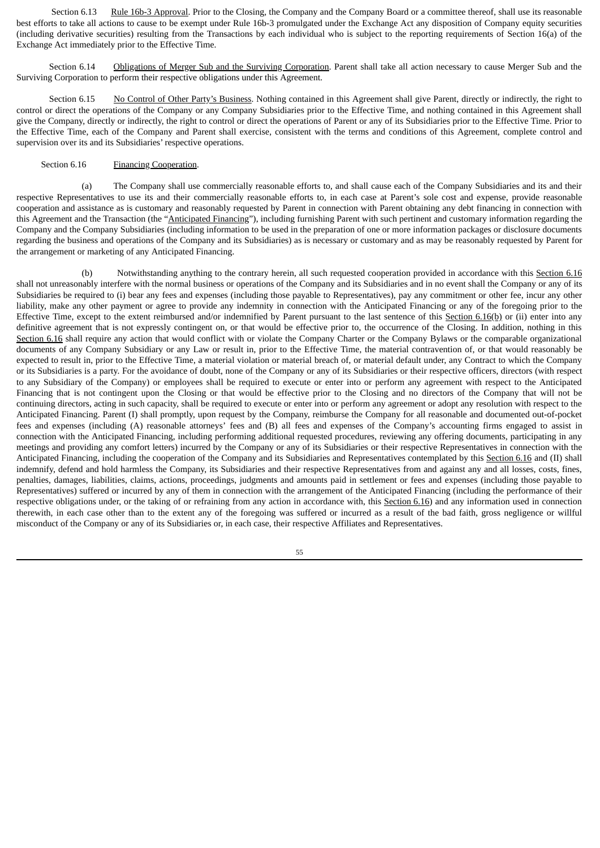Section 6.13 Rule 16b-3 Approval. Prior to the Closing, the Company and the Company Board or a committee thereof, shall use its reasonable best efforts to take all actions to cause to be exempt under Rule 16b-3 promulgated under the Exchange Act any disposition of Company equity securities (including derivative securities) resulting from the Transactions by each individual who is subject to the reporting requirements of Section 16(a) of the Exchange Act immediately prior to the Effective Time.

Section 6.14 Obligations of Merger Sub and the Surviving Corporation. Parent shall take all action necessary to cause Merger Sub and the Surviving Corporation to perform their respective obligations under this Agreement.

Section 6.15 No Control of Other Party's Business. Nothing contained in this Agreement shall give Parent, directly or indirectly, the right to control or direct the operations of the Company or any Company Subsidiaries prior to the Effective Time, and nothing contained in this Agreement shall give the Company, directly or indirectly, the right to control or direct the operations of Parent or any of its Subsidiaries prior to the Effective Time. Prior to the Effective Time, each of the Company and Parent shall exercise, consistent with the terms and conditions of this Agreement, complete control and supervision over its and its Subsidiaries' respective operations.

# Section 6.16 Financing Cooperation.

(a) The Company shall use commercially reasonable efforts to, and shall cause each of the Company Subsidiaries and its and their respective Representatives to use its and their commercially reasonable efforts to, in each case at Parent's sole cost and expense, provide reasonable cooperation and assistance as is customary and reasonably requested by Parent in connection with Parent obtaining any debt financing in connection with this Agreement and the Transaction (the "Anticipated Financing"), including furnishing Parent with such pertinent and customary information regarding the Company and the Company Subsidiaries (including information to be used in the preparation of one or more information packages or disclosure documents regarding the business and operations of the Company and its Subsidiaries) as is necessary or customary and as may be reasonably requested by Parent for the arrangement or marketing of any Anticipated Financing.

(b) Notwithstanding anything to the contrary herein, all such requested cooperation provided in accordance with this Section 6.16 shall not unreasonably interfere with the normal business or operations of the Company and its Subsidiaries and in no event shall the Company or any of its Subsidiaries be required to (i) bear any fees and expenses (including those payable to Representatives), pay any commitment or other fee, incur any other liability, make any other payment or agree to provide any indemnity in connection with the Anticipated Financing or any of the foregoing prior to the Effective Time, except to the extent reimbursed and/or indemnified by Parent pursuant to the last sentence of this Section 6.16(b) or (ii) enter into any definitive agreement that is not expressly contingent on, or that would be effective prior to, the occurrence of the Closing. In addition, nothing in this Section 6.16 shall require any action that would conflict with or violate the Company Charter or the Company Bylaws or the comparable organizational documents of any Company Subsidiary or any Law or result in, prior to the Effective Time, the material contravention of, or that would reasonably be expected to result in, prior to the Effective Time, a material violation or material breach of, or material default under, any Contract to which the Company or its Subsidiaries is a party. For the avoidance of doubt, none of the Company or any of its Subsidiaries or their respective officers, directors (with respect to any Subsidiary of the Company) or employees shall be required to execute or enter into or perform any agreement with respect to the Anticipated Financing that is not contingent upon the Closing or that would be effective prior to the Closing and no directors of the Company that will not be continuing directors, acting in such capacity, shall be required to execute or enter into or perform any agreement or adopt any resolution with respect to the Anticipated Financing. Parent (I) shall promptly, upon request by the Company, reimburse the Company for all reasonable and documented out-of-pocket fees and expenses (including (A) reasonable attorneys' fees and (B) all fees and expenses of the Company's accounting firms engaged to assist in connection with the Anticipated Financing, including performing additional requested procedures, reviewing any offering documents, participating in any meetings and providing any comfort letters) incurred by the Company or any of its Subsidiaries or their respective Representatives in connection with the Anticipated Financing, including the cooperation of the Company and its Subsidiaries and Representatives contemplated by this Section 6.16 and (II) shall indemnify, defend and hold harmless the Company, its Subsidiaries and their respective Representatives from and against any and all losses, costs, fines, penalties, damages, liabilities, claims, actions, proceedings, judgments and amounts paid in settlement or fees and expenses (including those payable to Representatives) suffered or incurred by any of them in connection with the arrangement of the Anticipated Financing (including the performance of their respective obligations under, or the taking of or refraining from any action in accordance with, this Section 6.16) and any information used in connection therewith, in each case other than to the extent any of the foregoing was suffered or incurred as a result of the bad faith, gross negligence or willful misconduct of the Company or any of its Subsidiaries or, in each case, their respective Affiliates and Representatives.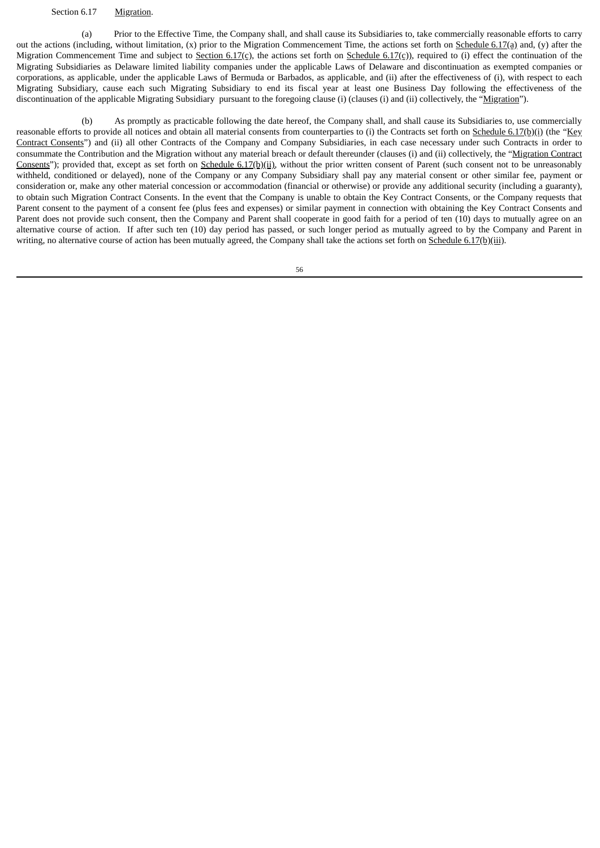### Section 6.17 Migration.

(a) Prior to the Effective Time, the Company shall, and shall cause its Subsidiaries to, take commercially reasonable efforts to carry out the actions (including, without limitation,  $(x)$  prior to the Migration Commencement Time, the actions set forth on  $S$ chedule 6.17(a) and,  $(y)$  after the Migration Commencement Time and subject to Section 6.17(c), the actions set forth on Schedule 6.17(c)), required to (i) effect the continuation of the Migrating Subsidiaries as Delaware limited liability companies under the applicable Laws of Delaware and discontinuation as exempted companies or corporations, as applicable, under the applicable Laws of Bermuda or Barbados, as applicable, and (ii) after the effectiveness of (i), with respect to each Migrating Subsidiary, cause each such Migrating Subsidiary to end its fiscal year at least one Business Day following the effectiveness of the discontinuation of the applicable Migrating Subsidiary pursuant to the foregoing clause (i) (clauses (i) and (ii) collectively, the "Migration").

(b) As promptly as practicable following the date hereof, the Company shall, and shall cause its Subsidiaries to, use commercially reasonable efforts to provide all notices and obtain all material consents from counterparties to (i) the Contracts set forth on Schedule 6.17(b)(i) (the "Key Contract Consents") and (ii) all other Contracts of the Company and Company Subsidiaries, in each case necessary under such Contracts in order to consummate the Contribution and the Migration without any material breach or default thereunder (clauses (i) and (ii) collectively, the "Migration Contract Consents"); provided that, except as set forth on Schedule 6.17(b)(ii), without the prior written consent of Parent (such consent not to be unreasonably withheld, conditioned or delayed), none of the Company or any Company Subsidiary shall pay any material consent or other similar fee, payment or consideration or, make any other material concession or accommodation (financial or otherwise) or provide any additional security (including a guaranty), to obtain such Migration Contract Consents. In the event that the Company is unable to obtain the Key Contract Consents, or the Company requests that Parent consent to the payment of a consent fee (plus fees and expenses) or similar payment in connection with obtaining the Key Contract Consents and Parent does not provide such consent, then the Company and Parent shall cooperate in good faith for a period of ten (10) days to mutually agree on an alternative course of action. If after such ten (10) day period has passed, or such longer period as mutually agreed to by the Company and Parent in writing, no alternative course of action has been mutually agreed, the Company shall take the actions set forth on Schedule 6.17(b)(iii).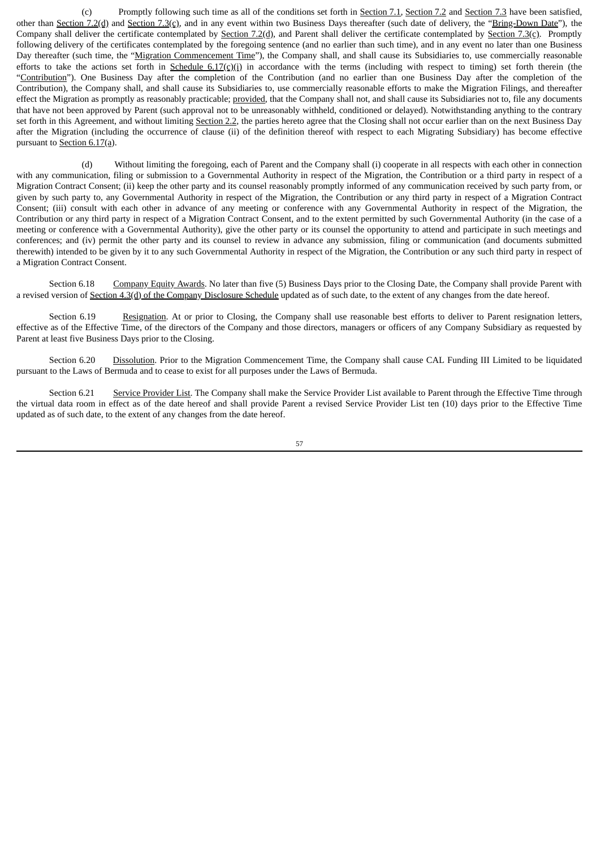(c) Promptly following such time as all of the conditions set forth in Section 7.1, Section 7.2 and Section 7.3 have been satisfied, other than Section 7.2(d) and Section 7.3(c), and in any event within two Business Days thereafter (such date of delivery, the "Bring-Down Date"), the Company shall deliver the certificate contemplated by Section 7.2(d), and Parent shall deliver the certificate contemplated by Section 7.3(c). Promptly following delivery of the certificates contemplated by the foregoing sentence (and no earlier than such time), and in any event no later than one Business Day thereafter (such time, the "Migration Commencement Time"), the Company shall, and shall cause its Subsidiaries to, use commercially reasonable efforts to take the actions set forth in Schedule  $6.17\text{(c)}$ ) in accordance with the terms (including with respect to timing) set forth therein (the "Contribution"). One Business Day after the completion of the Contribution (and no earlier than one Business Day after the completion of the Contribution), the Company shall, and shall cause its Subsidiaries to, use commercially reasonable efforts to make the Migration Filings, and thereafter effect the Migration as promptly as reasonably practicable; provided, that the Company shall not, and shall cause its Subsidiaries not to, file any documents that have not been approved by Parent (such approval not to be unreasonably withheld, conditioned or delayed). Notwithstanding anything to the contrary set forth in this Agreement, and without limiting Section 2.2, the parties hereto agree that the Closing shall not occur earlier than on the next Business Day after the Migration (including the occurrence of clause (ii) of the definition thereof with respect to each Migrating Subsidiary) has become effective pursuant to Section 6.17(a).

(d) Without limiting the foregoing, each of Parent and the Company shall (i) cooperate in all respects with each other in connection with any communication, filing or submission to a Governmental Authority in respect of the Migration, the Contribution or a third party in respect of a Migration Contract Consent; (ii) keep the other party and its counsel reasonably promptly informed of any communication received by such party from, or given by such party to, any Governmental Authority in respect of the Migration, the Contribution or any third party in respect of a Migration Contract Consent; (iii) consult with each other in advance of any meeting or conference with any Governmental Authority in respect of the Migration, the Contribution or any third party in respect of a Migration Contract Consent, and to the extent permitted by such Governmental Authority (in the case of a meeting or conference with a Governmental Authority), give the other party or its counsel the opportunity to attend and participate in such meetings and conferences; and (iv) permit the other party and its counsel to review in advance any submission, filing or communication (and documents submitted therewith) intended to be given by it to any such Governmental Authority in respect of the Migration, the Contribution or any such third party in respect of a Migration Contract Consent.

Section 6.18 Company Equity Awards. No later than five (5) Business Days prior to the Closing Date, the Company shall provide Parent with a revised version of Section 4.3(d) of the Company Disclosure Schedule updated as of such date, to the extent of any changes from the date hereof.

Section 6.19 Resignation. At or prior to Closing, the Company shall use reasonable best efforts to deliver to Parent resignation letters, effective as of the Effective Time, of the directors of the Company and those directors, managers or officers of any Company Subsidiary as requested by Parent at least five Business Days prior to the Closing.

Section 6.20 Dissolution. Prior to the Migration Commencement Time, the Company shall cause CAL Funding III Limited to be liquidated pursuant to the Laws of Bermuda and to cease to exist for all purposes under the Laws of Bermuda.

Section 6.21 Service Provider List. The Company shall make the Service Provider List available to Parent through the Effective Time through the virtual data room in effect as of the date hereof and shall provide Parent a revised Service Provider List ten (10) days prior to the Effective Time updated as of such date, to the extent of any changes from the date hereof.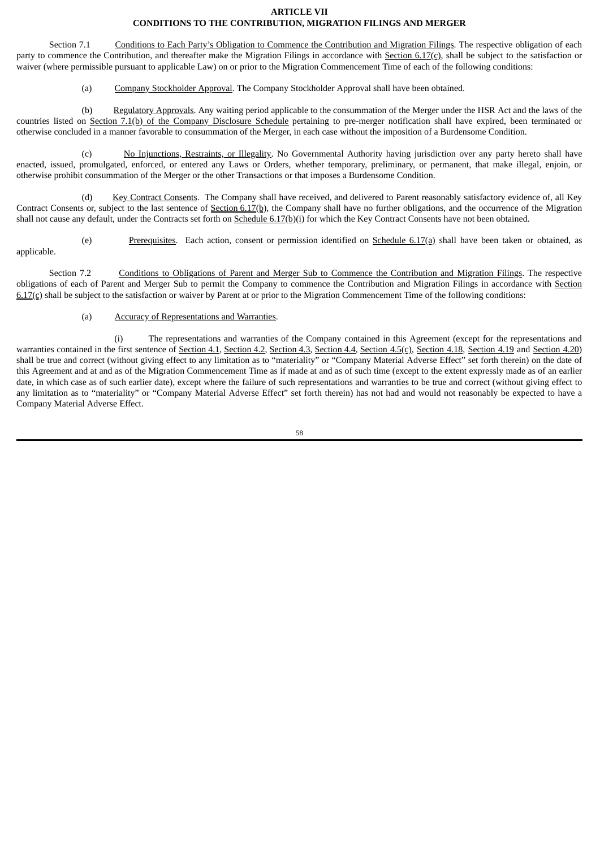### **ARTICLE VII CONDITIONS TO THE CONTRIBUTION, MIGRATION FILINGS AND MERGER**

Section 7.1 Conditions to Each Party's Obligation to Commence the Contribution and Migration Filings. The respective obligation of each party to commence the Contribution, and thereafter make the Migration Filings in accordance with Section 6.17(c), shall be subject to the satisfaction or waiver (where permissible pursuant to applicable Law) on or prior to the Migration Commencement Time of each of the following conditions:

(a) Company Stockholder Approval. The Company Stockholder Approval shall have been obtained.

(b) Regulatory Approvals. Any waiting period applicable to the consummation of the Merger under the HSR Act and the laws of the countries listed on Section 7.1(b) of the Company Disclosure Schedule pertaining to pre-merger notification shall have expired, been terminated or otherwise concluded in a manner favorable to consummation of the Merger, in each case without the imposition of a Burdensome Condition.

(c) No Injunctions, Restraints, or Illegality. No Governmental Authority having jurisdiction over any party hereto shall have enacted, issued, promulgated, enforced, or entered any Laws or Orders, whether temporary, preliminary, or permanent, that make illegal, enjoin, or otherwise prohibit consummation of the Merger or the other Transactions or that imposes a Burdensome Condition.

(d) Key Contract Consents. The Company shall have received, and delivered to Parent reasonably satisfactory evidence of, all Key Contract Consents or, subject to the last sentence of Section 6.17(b), the Company shall have no further obligations, and the occurrence of the Migration shall not cause any default, under the Contracts set forth on Schedule 6.17(b)(i) for which the Key Contract Consents have not been obtained.

(e) Prerequisites. Each action, consent or permission identified on Schedule  $6.17(a)$  shall have been taken or obtained, as applicable.

Section 7.2 Conditions to Obligations of Parent and Merger Sub to Commence the Contribution and Migration Filings. The respective obligations of each of Parent and Merger Sub to permit the Company to commence the Contribution and Migration Filings in accordance with Section 6.17(c) shall be subject to the satisfaction or waiver by Parent at or prior to the Migration Commencement Time of the following conditions:

# (a) Accuracy of Representations and Warranties.

(i) The representations and warranties of the Company contained in this Agreement (except for the representations and warranties contained in the first sentence of Section 4.1, Section 4.2, Section 4.3, Section 4.4, Section 4.5(c), Section 4.18, Section 4.19 and Section 4.20) shall be true and correct (without giving effect to any limitation as to "materiality" or "Company Material Adverse Effect" set forth therein) on the date of this Agreement and at and as of the Migration Commencement Time as if made at and as of such time (except to the extent expressly made as of an earlier date, in which case as of such earlier date), except where the failure of such representations and warranties to be true and correct (without giving effect to any limitation as to "materiality" or "Company Material Adverse Effect" set forth therein) has not had and would not reasonably be expected to have a Company Material Adverse Effect.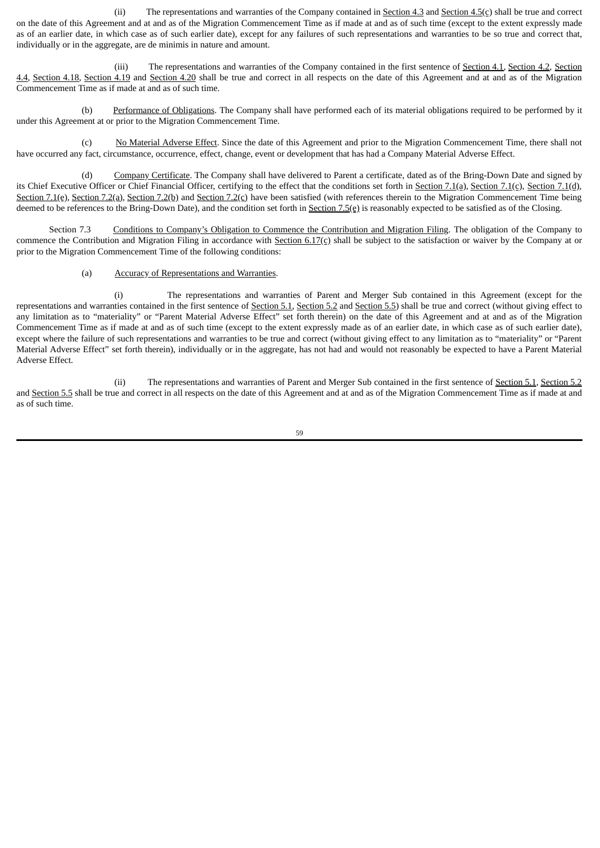(ii) The representations and warranties of the Company contained in Section 4.3 and Section 4.5(c) shall be true and correct on the date of this Agreement and at and as of the Migration Commencement Time as if made at and as of such time (except to the extent expressly made as of an earlier date, in which case as of such earlier date), except for any failures of such representations and warranties to be so true and correct that, individually or in the aggregate, are de minimis in nature and amount.

(iii) The representations and warranties of the Company contained in the first sentence of Section 4.1, Section 4.2, Section 4.4, Section 4.18, Section 4.19 and Section 4.20 shall be true and correct in all respects on the date of this Agreement and at and as of the Migration Commencement Time as if made at and as of such time.

(b) Performance of Obligations. The Company shall have performed each of its material obligations required to be performed by it under this Agreement at or prior to the Migration Commencement Time.

(c) No Material Adverse Effect. Since the date of this Agreement and prior to the Migration Commencement Time, there shall not have occurred any fact, circumstance, occurrence, effect, change, event or development that has had a Company Material Adverse Effect.

(d) Company Certificate. The Company shall have delivered to Parent a certificate, dated as of the Bring-Down Date and signed by its Chief Executive Officer or Chief Financial Officer, certifying to the effect that the conditions set forth in Section 7.1(a), Section 7.1(c), Section 7.1(d), Section 7.1(e), Section 7.2(a), Section 7.2(b) and Section 7.2(c) have been satisfied (with references therein to the Migration Commencement Time being deemed to be references to the Bring-Down Date), and the condition set forth in Section 7.5(e) is reasonably expected to be satisfied as of the Closing.

Section 7.3 Conditions to Company's Obligation to Commence the Contribution and Migration Filing. The obligation of the Company to commence the Contribution and Migration Filing in accordance with Section 6.17(c) shall be subject to the satisfaction or waiver by the Company at or prior to the Migration Commencement Time of the following conditions:

# (a) Accuracy of Representations and Warranties.

(i) The representations and warranties of Parent and Merger Sub contained in this Agreement (except for the representations and warranties contained in the first sentence of Section 5.1, Section 5.2 and Section 5.5) shall be true and correct (without giving effect to any limitation as to "materiality" or "Parent Material Adverse Effect" set forth therein) on the date of this Agreement and at and as of the Migration Commencement Time as if made at and as of such time (except to the extent expressly made as of an earlier date, in which case as of such earlier date), except where the failure of such representations and warranties to be true and correct (without giving effect to any limitation as to "materiality" or "Parent Material Adverse Effect" set forth therein), individually or in the aggregate, has not had and would not reasonably be expected to have a Parent Material Adverse Effect.

(ii) The representations and warranties of Parent and Merger Sub contained in the first sentence of Section 5.1, Section 5.2 and Section 5.5 shall be true and correct in all respects on the date of this Agreement and at and as of the Migration Commencement Time as if made at and as of such time.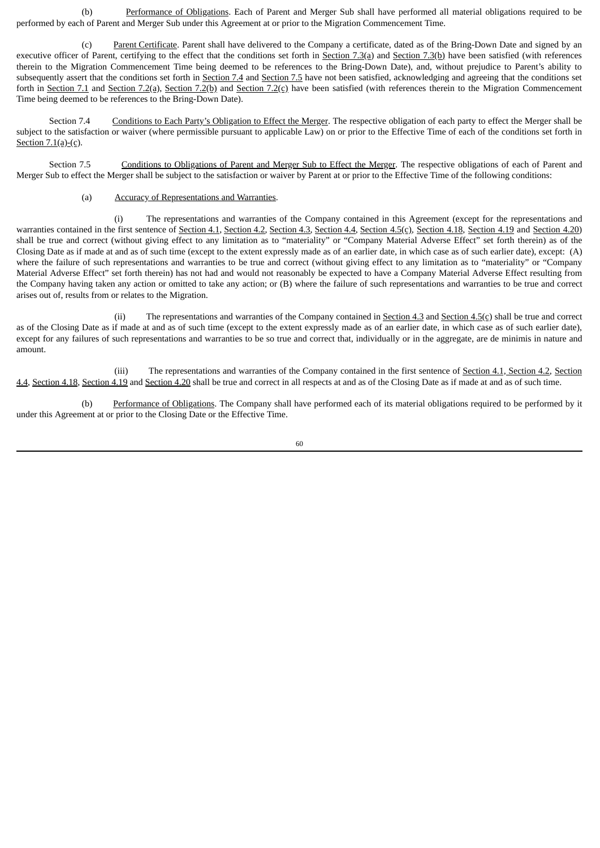(b) Performance of Obligations. Each of Parent and Merger Sub shall have performed all material obligations required to be performed by each of Parent and Merger Sub under this Agreement at or prior to the Migration Commencement Time.

(c) Parent Certificate. Parent shall have delivered to the Company a certificate, dated as of the Bring-Down Date and signed by an executive officer of Parent, certifying to the effect that the conditions set forth in Section  $7.3(a)$  and Section  $7.3(b)$  have been satisfied (with references therein to the Migration Commencement Time being deemed to be references to the Bring-Down Date), and, without prejudice to Parent's ability to subsequently assert that the conditions set forth in Section 7.4 and Section 7.5 have not been satisfied, acknowledging and agreeing that the conditions set forth in Section 7.1 and Section 7.2(a), Section 7.2(b) and Section 7.2(c) have been satisfied (with references therein to the Migration Commencement Time being deemed to be references to the Bring-Down Date).

Section 7.4 Conditions to Each Party's Obligation to Effect the Merger. The respective obligation of each party to effect the Merger shall be subject to the satisfaction or waiver (where permissible pursuant to applicable Law) on or prior to the Effective Time of each of the conditions set forth in Section  $7.1(a)-(c)$ .

Section 7.5 Conditions to Obligations of Parent and Merger Sub to Effect the Merger. The respective obligations of each of Parent and Merger Sub to effect the Merger shall be subject to the satisfaction or waiver by Parent at or prior to the Effective Time of the following conditions:

(a) Accuracy of Representations and Warranties.

(i) The representations and warranties of the Company contained in this Agreement (except for the representations and warranties contained in the first sentence of Section 4.1, Section 4.2, Section 4.3, Section 4.4, Section 4.5(c), Section 4.18, Section 4.19 and Section 4.20) shall be true and correct (without giving effect to any limitation as to "materiality" or "Company Material Adverse Effect" set forth therein) as of the Closing Date as if made at and as of such time (except to the extent expressly made as of an earlier date, in which case as of such earlier date), except: (A) where the failure of such representations and warranties to be true and correct (without giving effect to any limitation as to "materiality" or "Company Material Adverse Effect" set forth therein) has not had and would not reasonably be expected to have a Company Material Adverse Effect resulting from the Company having taken any action or omitted to take any action; or (B) where the failure of such representations and warranties to be true and correct arises out of, results from or relates to the Migration.

(ii) The representations and warranties of the Company contained in Section 4.3 and Section 4.5(c) shall be true and correct as of the Closing Date as if made at and as of such time (except to the extent expressly made as of an earlier date, in which case as of such earlier date), except for any failures of such representations and warranties to be so true and correct that, individually or in the aggregate, are de minimis in nature and amount.

(iii) The representations and warranties of the Company contained in the first sentence of Section 4.1, Section 4.2, Section 4.4, Section 4.18, Section 4.19 and Section 4.20 shall be true and correct in all respects at and as of the Closing Date as if made at and as of such time.

Performance of Obligations. The Company shall have performed each of its material obligations required to be performed by it under this Agreement at or prior to the Closing Date or the Effective Time.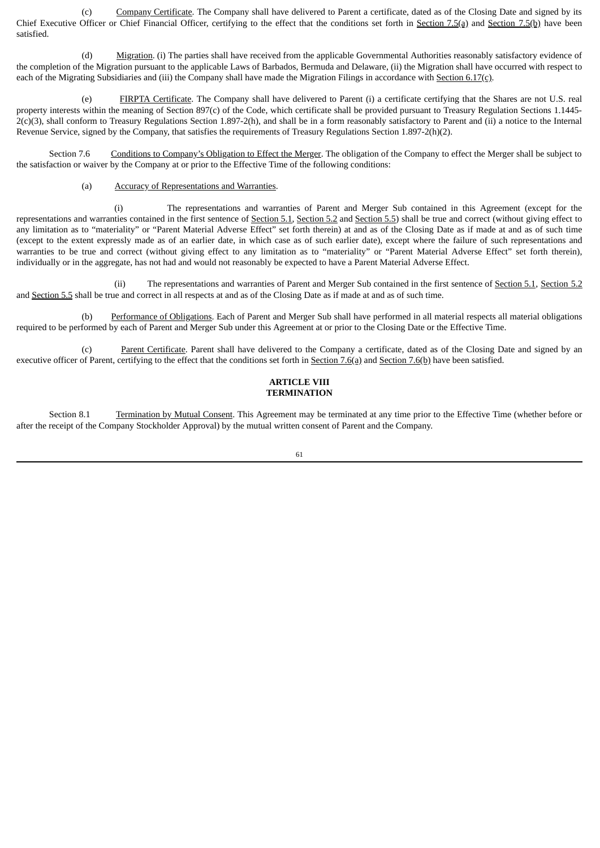(c) Company Certificate. The Company shall have delivered to Parent a certificate, dated as of the Closing Date and signed by its Chief Executive Officer or Chief Financial Officer, certifying to the effect that the conditions set forth in Section 7.5(a) and Section 7.5(b) have been satisfied.

(d) Migration. (i) The parties shall have received from the applicable Governmental Authorities reasonably satisfactory evidence of the completion of the Migration pursuant to the applicable Laws of Barbados, Bermuda and Delaware, (ii) the Migration shall have occurred with respect to each of the Migrating Subsidiaries and (iii) the Company shall have made the Migration Filings in accordance with Section 6.17(c).

(e) FIRPTA Certificate. The Company shall have delivered to Parent (i) a certificate certifying that the Shares are not U.S. real property interests within the meaning of Section 897(c) of the Code, which certificate shall be provided pursuant to Treasury Regulation Sections 1.1445-  $2(c)(3)$ , shall conform to Treasury Regulations Section 1.897-2(h), and shall be in a form reasonably satisfactory to Parent and (ii) a notice to the Internal Revenue Service, signed by the Company, that satisfies the requirements of Treasury Regulations Section 1.897-2(h)(2).

Section 7.6 Conditions to Company's Obligation to Effect the Merger. The obligation of the Company to effect the Merger shall be subject to the satisfaction or waiver by the Company at or prior to the Effective Time of the following conditions:

(a) Accuracy of Representations and Warranties.

(i) The representations and warranties of Parent and Merger Sub contained in this Agreement (except for the representations and warranties contained in the first sentence of Section 5.1, Section 5.2 and Section 5.5) shall be true and correct (without giving effect to any limitation as to "materiality" or "Parent Material Adverse Effect" set forth therein) at and as of the Closing Date as if made at and as of such time (except to the extent expressly made as of an earlier date, in which case as of such earlier date), except where the failure of such representations and warranties to be true and correct (without giving effect to any limitation as to "materiality" or "Parent Material Adverse Effect" set forth therein), individually or in the aggregate, has not had and would not reasonably be expected to have a Parent Material Adverse Effect.

(ii) The representations and warranties of Parent and Merger Sub contained in the first sentence of Section 5.1, Section 5.2 and Section 5.5 shall be true and correct in all respects at and as of the Closing Date as if made at and as of such time.

(b) Performance of Obligations. Each of Parent and Merger Sub shall have performed in all material respects all material obligations required to be performed by each of Parent and Merger Sub under this Agreement at or prior to the Closing Date or the Effective Time.

(c) Parent Certificate. Parent shall have delivered to the Company a certificate, dated as of the Closing Date and signed by an executive officer of Parent, certifying to the effect that the conditions set forth in Section 7.6(a) and Section 7.6(b) have been satisfied.

#### **ARTICLE VIII TERMINATION**

Section 8.1 Termination by Mutual Consent. This Agreement may be terminated at any time prior to the Effective Time (whether before or after the receipt of the Company Stockholder Approval) by the mutual written consent of Parent and the Company.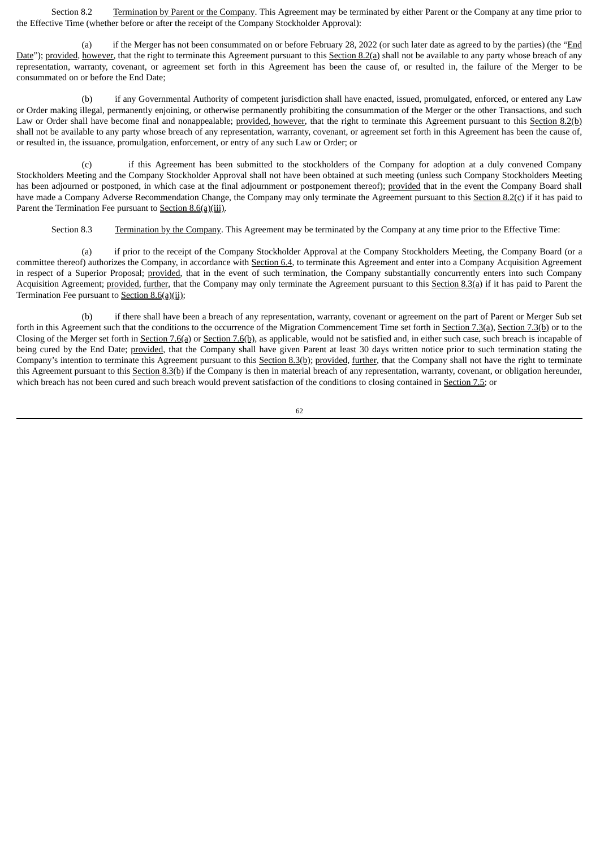Section 8.2 Termination by Parent or the Company. This Agreement may be terminated by either Parent or the Company at any time prior to the Effective Time (whether before or after the receipt of the Company Stockholder Approval):

(a) if the Merger has not been consummated on or before February 28, 2022 (or such later date as agreed to by the parties) (the "End Date"); provided, however, that the right to terminate this Agreement pursuant to this Section 8.2(a) shall not be available to any party whose breach of any representation, warranty, covenant, or agreement set forth in this Agreement has been the cause of, or resulted in, the failure of the Merger to be consummated on or before the End Date;

(b) if any Governmental Authority of competent jurisdiction shall have enacted, issued, promulgated, enforced, or entered any Law or Order making illegal, permanently enjoining, or otherwise permanently prohibiting the consummation of the Merger or the other Transactions, and such Law or Order shall have become final and nonappealable; provided, however, that the right to terminate this Agreement pursuant to this Section 8.2(b) shall not be available to any party whose breach of any representation, warranty, covenant, or agreement set forth in this Agreement has been the cause of, or resulted in, the issuance, promulgation, enforcement, or entry of any such Law or Order; or

(c) if this Agreement has been submitted to the stockholders of the Company for adoption at a duly convened Company Stockholders Meeting and the Company Stockholder Approval shall not have been obtained at such meeting (unless such Company Stockholders Meeting has been adjourned or postponed, in which case at the final adjournment or postponement thereof); provided that in the event the Company Board shall have made a Company Adverse Recommendation Change, the Company may only terminate the Agreement pursuant to this Section 8.2(c) if it has paid to Parent the Termination Fee pursuant to Section 8.6(a)(iii).

Section 8.3 Termination by the Company. This Agreement may be terminated by the Company at any time prior to the Effective Time:

(a) if prior to the receipt of the Company Stockholder Approval at the Company Stockholders Meeting, the Company Board (or a committee thereof) authorizes the Company, in accordance with Section 6.4, to terminate this Agreement and enter into a Company Acquisition Agreement in respect of a Superior Proposal; provided, that in the event of such termination, the Company substantially concurrently enters into such Company Acquisition Agreement; provided, further, that the Company may only terminate the Agreement pursuant to this Section 8.3(a) if it has paid to Parent the Termination Fee pursuant to **Section 8.6(a)(ii)**;

(b) if there shall have been a breach of any representation, warranty, covenant or agreement on the part of Parent or Merger Sub set forth in this Agreement such that the conditions to the occurrence of the Migration Commencement Time set forth in Section 7.3(a), Section 7.3(b) or to the Closing of the Merger set forth in Section 7.6(a) or Section 7.6(b), as applicable, would not be satisfied and, in either such case, such breach is incapable of being cured by the End Date; provided, that the Company shall have given Parent at least 30 days written notice prior to such termination stating the Company's intention to terminate this Agreement pursuant to this Section 8.3(b); provided, further, that the Company shall not have the right to terminate this Agreement pursuant to this Section 8.3(b) if the Company is then in material breach of any representation, warranty, covenant, or obligation hereunder, which breach has not been cured and such breach would prevent satisfaction of the conditions to closing contained in Section 7.5; or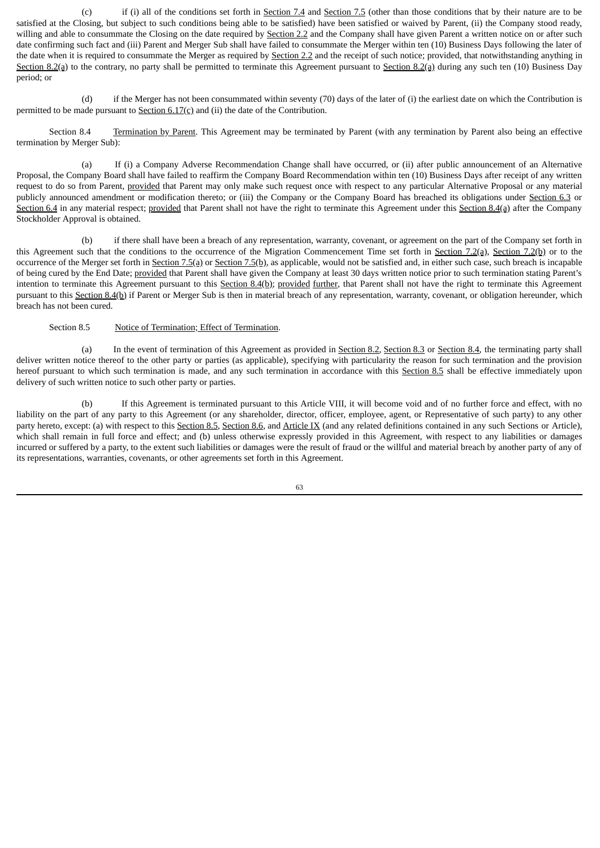(c) if (i) all of the conditions set forth in <u>Section 7.4</u> and Section 7.5 (other than those conditions that by their nature are to be satisfied at the Closing, but subject to such conditions being able to be satisfied) have been satisfied or waived by Parent, (ii) the Company stood ready, willing and able to consummate the Closing on the date required by Section 2.2 and the Company shall have given Parent a written notice on or after such date confirming such fact and (iii) Parent and Merger Sub shall have failed to consummate the Merger within ten (10) Business Days following the later of the date when it is required to consummate the Merger as required by Section 2.2 and the receipt of such notice; provided, that notwithstanding anything in Section 8.2(a) to the contrary, no party shall be permitted to terminate this Agreement pursuant to Section 8.2(a) during any such ten (10) Business Day period; or

(d) if the Merger has not been consummated within seventy (70) days of the later of (i) the earliest date on which the Contribution is permitted to be made pursuant to Section 6.17(c) and (ii) the date of the Contribution.

Section 8.4 Termination by Parent. This Agreement may be terminated by Parent (with any termination by Parent also being an effective termination by Merger Sub):

(a) If (i) a Company Adverse Recommendation Change shall have occurred, or (ii) after public announcement of an Alternative Proposal, the Company Board shall have failed to reaffirm the Company Board Recommendation within ten (10) Business Days after receipt of any written request to do so from Parent, provided that Parent may only make such request once with respect to any particular Alternative Proposal or any material publicly announced amendment or modification thereto; or (iii) the Company or the Company Board has breached its obligations under Section 6.3 or Section 6.4 in any material respect; provided that Parent shall not have the right to terminate this Agreement under this Section 8.4(a) after the Company Stockholder Approval is obtained.

(b) if there shall have been a breach of any representation, warranty, covenant, or agreement on the part of the Company set forth in this Agreement such that the conditions to the occurrence of the Migration Commencement Time set forth in Section 7.2(a), Section 7.2(b) or to the occurrence of the Merger set forth in Section 7.5(a) or Section 7.5(b), as applicable, would not be satisfied and, in either such case, such breach is incapable of being cured by the End Date; provided that Parent shall have given the Company at least 30 days written notice prior to such termination stating Parent's intention to terminate this Agreement pursuant to this Section 8.4(b); provided further, that Parent shall not have the right to terminate this Agreement pursuant to this Section 8.4(b) if Parent or Merger Sub is then in material breach of any representation, warranty, covenant, or obligation hereunder, which breach has not been cured.

### Section 8.5 Notice of Termination; Effect of Termination.

(a) In the event of termination of this Agreement as provided in Section 8.2, Section 8.3 or Section 8.4, the terminating party shall deliver written notice thereof to the other party or parties (as applicable), specifying with particularity the reason for such termination and the provision hereof pursuant to which such termination is made, and any such termination in accordance with this Section 8.5 shall be effective immediately upon delivery of such written notice to such other party or parties.

(b) If this Agreement is terminated pursuant to this Article VIII, it will become void and of no further force and effect, with no liability on the part of any party to this Agreement (or any shareholder, director, officer, employee, agent, or Representative of such party) to any other party hereto, except: (a) with respect to this Section 8.5, Section 8.6, and Article IX (and any related definitions contained in any such Sections or Article), which shall remain in full force and effect; and (b) unless otherwise expressly provided in this Agreement, with respect to any liabilities or damages incurred or suffered by a party, to the extent such liabilities or damages were the result of fraud or the willful and material breach by another party of any of its representations, warranties, covenants, or other agreements set forth in this Agreement.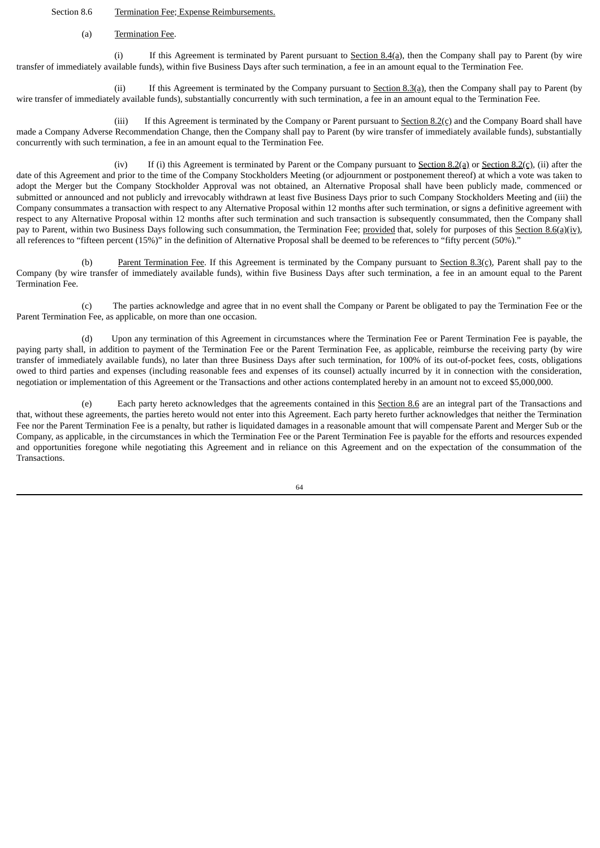#### Section 8.6 Termination Fee; Expense Reimbursements.

#### (a) Termination Fee.

(i) If this Agreement is terminated by Parent pursuant to Section  $8.4(a)$ , then the Company shall pay to Parent (by wire transfer of immediately available funds), within five Business Days after such termination, a fee in an amount equal to the Termination Fee.

(ii) If this Agreement is terminated by the Company pursuant to  $Section 8.3(a)$ , then the Company shall pay to Parent (by wire transfer of immediately available funds), substantially concurrently with such termination, a fee in an amount equal to the Termination Fee.

(iii) If this Agreement is terminated by the Company or Parent pursuant to Section  $8.2(c)$  and the Company Board shall have made a Company Adverse Recommendation Change, then the Company shall pay to Parent (by wire transfer of immediately available funds), substantially concurrently with such termination, a fee in an amount equal to the Termination Fee.

(iv) If (i) this Agreement is terminated by Parent or the Company pursuant to Section  $8.2$ (a) or Section  $8.2$ (c), (ii) after the date of this Agreement and prior to the time of the Company Stockholders Meeting (or adjournment or postponement thereof) at which a vote was taken to adopt the Merger but the Company Stockholder Approval was not obtained, an Alternative Proposal shall have been publicly made, commenced or submitted or announced and not publicly and irrevocably withdrawn at least five Business Days prior to such Company Stockholders Meeting and (iii) the Company consummates a transaction with respect to any Alternative Proposal within 12 months after such termination, or signs a definitive agreement with respect to any Alternative Proposal within 12 months after such termination and such transaction is subsequently consummated, then the Company shall pay to Parent, within two Business Days following such consummation, the Termination Fee; provided that, solely for purposes of this Section 8.6(a)(iv), all references to "fifteen percent (15%)" in the definition of Alternative Proposal shall be deemed to be references to "fifty percent (50%)."

(b) Parent Termination Fee. If this Agreement is terminated by the Company pursuant to Section 8.3(c), Parent shall pay to the Company (by wire transfer of immediately available funds), within five Business Days after such termination, a fee in an amount equal to the Parent Termination Fee.

(c) The parties acknowledge and agree that in no event shall the Company or Parent be obligated to pay the Termination Fee or the Parent Termination Fee, as applicable, on more than one occasion.

(d) Upon any termination of this Agreement in circumstances where the Termination Fee or Parent Termination Fee is payable, the paying party shall, in addition to payment of the Termination Fee or the Parent Termination Fee, as applicable, reimburse the receiving party (by wire transfer of immediately available funds), no later than three Business Days after such termination, for 100% of its out-of-pocket fees, costs, obligations owed to third parties and expenses (including reasonable fees and expenses of its counsel) actually incurred by it in connection with the consideration, negotiation or implementation of this Agreement or the Transactions and other actions contemplated hereby in an amount not to exceed \$5,000,000.

(e) Each party hereto acknowledges that the agreements contained in this Section 8.6 are an integral part of the Transactions and that, without these agreements, the parties hereto would not enter into this Agreement. Each party hereto further acknowledges that neither the Termination Fee nor the Parent Termination Fee is a penalty, but rather is liquidated damages in a reasonable amount that will compensate Parent and Merger Sub or the Company, as applicable, in the circumstances in which the Termination Fee or the Parent Termination Fee is payable for the efforts and resources expended and opportunities foregone while negotiating this Agreement and in reliance on this Agreement and on the expectation of the consummation of the Transactions.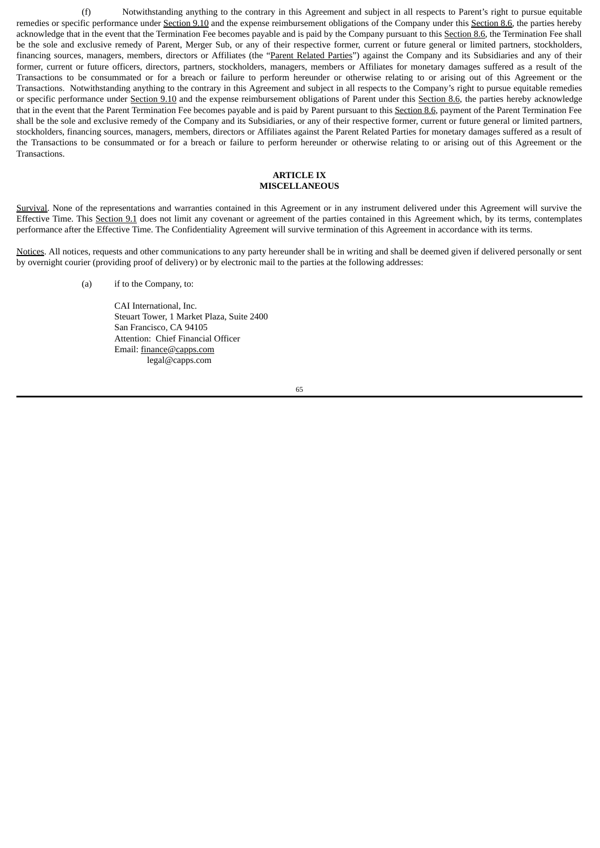(f) Notwithstanding anything to the contrary in this Agreement and subject in all respects to Parent's right to pursue equitable remedies or specific performance under Section 9.10 and the expense reimbursement obligations of the Company under this Section 8.6, the parties hereby acknowledge that in the event that the Termination Fee becomes payable and is paid by the Company pursuant to this Section 8.6, the Termination Fee shall be the sole and exclusive remedy of Parent, Merger Sub, or any of their respective former, current or future general or limited partners, stockholders, financing sources, managers, members, directors or Affiliates (the "Parent Related Parties") against the Company and its Subsidiaries and any of their former, current or future officers, directors, partners, stockholders, managers, members or Affiliates for monetary damages suffered as a result of the Transactions to be consummated or for a breach or failure to perform hereunder or otherwise relating to or arising out of this Agreement or the Transactions. Notwithstanding anything to the contrary in this Agreement and subject in all respects to the Company's right to pursue equitable remedies or specific performance under Section 9.10 and the expense reimbursement obligations of Parent under this Section 8.6, the parties hereby acknowledge that in the event that the Parent Termination Fee becomes payable and is paid by Parent pursuant to this Section 8.6, payment of the Parent Termination Fee shall be the sole and exclusive remedy of the Company and its Subsidiaries, or any of their respective former, current or future general or limited partners, stockholders, financing sources, managers, members, directors or Affiliates against the Parent Related Parties for monetary damages suffered as a result of the Transactions to be consummated or for a breach or failure to perform hereunder or otherwise relating to or arising out of this Agreement or the **Transactions** 

## **ARTICLE IX MISCELLANEOUS**

Survival. None of the representations and warranties contained in this Agreement or in any instrument delivered under this Agreement will survive the Effective Time. This Section 9.1 does not limit any covenant or agreement of the parties contained in this Agreement which, by its terms, contemplates performance after the Effective Time. The Confidentiality Agreement will survive termination of this Agreement in accordance with its terms.

Notices. All notices, requests and other communications to any party hereunder shall be in writing and shall be deemed given if delivered personally or sent by overnight courier (providing proof of delivery) or by electronic mail to the parties at the following addresses:

(a) if to the Company, to:

CAI International, Inc. Steuart Tower, 1 Market Plaza, Suite 2400 San Francisco, CA 94105 Attention: Chief Financial Officer Email: finance@capps.com legal@capps.com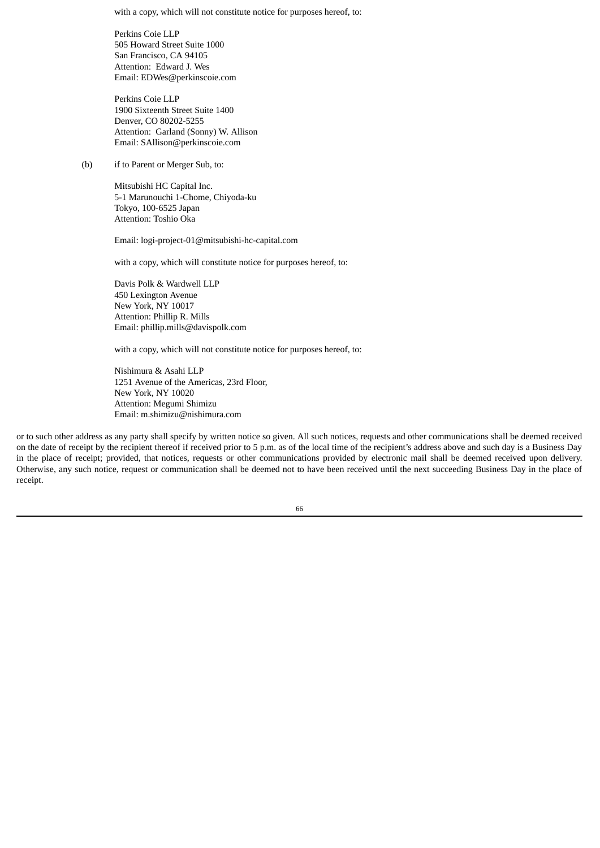with a copy, which will not constitute notice for purposes hereof, to:

Perkins Coie LLP 505 Howard Street Suite 1000 San Francisco, CA 94105 Attention: Edward J. Wes Email: EDWes@perkinscoie.com

Perkins Coie LLP 1900 Sixteenth Street Suite 1400 Denver, CO 80202-5255 Attention: Garland (Sonny) W. Allison Email: SAllison@perkinscoie.com

(b) if to Parent or Merger Sub, to:

Mitsubishi HC Capital Inc. 5-1 Marunouchi 1-Chome, Chiyoda-ku Tokyo, 100-6525 Japan Attention: Toshio Oka

Email: logi-project-01@mitsubishi-hc-capital.com

with a copy, which will constitute notice for purposes hereof, to:

Davis Polk & Wardwell LLP 450 Lexington Avenue New York, NY 10017 Attention: Phillip R. Mills Email: phillip.mills@davispolk.com

with a copy, which will not constitute notice for purposes hereof, to:

Nishimura & Asahi LLP 1251 Avenue of the Americas, 23rd Floor, New York, NY 10020 Attention: Megumi Shimizu Email: m.shimizu@nishimura.com

or to such other address as any party shall specify by written notice so given. All such notices, requests and other communications shall be deemed received on the date of receipt by the recipient thereof if received prior to 5 p.m. as of the local time of the recipient's address above and such day is a Business Day in the place of receipt; provided, that notices, requests or other communications provided by electronic mail shall be deemed received upon delivery. Otherwise, any such notice, request or communication shall be deemed not to have been received until the next succeeding Business Day in the place of receipt.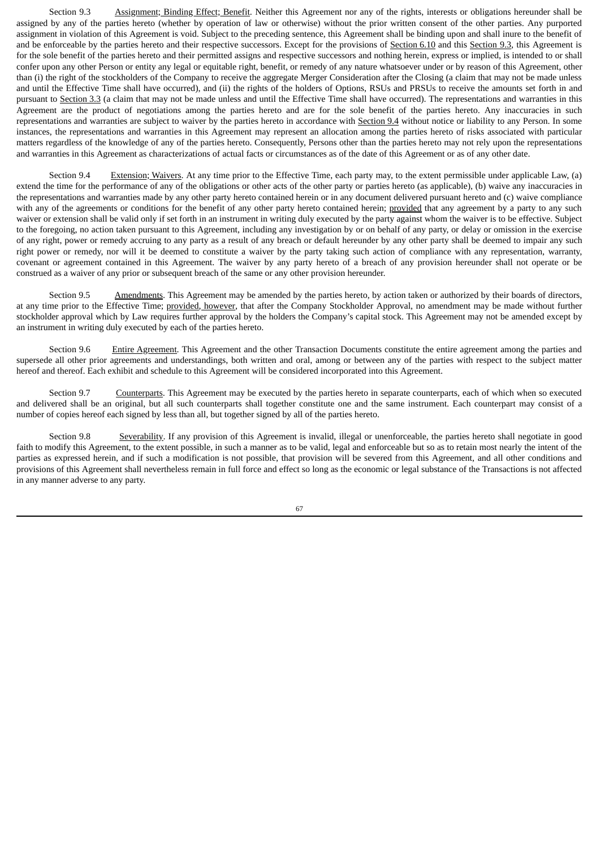Section 9.3 Assignment; Binding Effect; Benefit. Neither this Agreement nor any of the rights, interests or obligations hereunder shall be assigned by any of the parties hereto (whether by operation of law or otherwise) without the prior written consent of the other parties. Any purported assignment in violation of this Agreement is void. Subject to the preceding sentence, this Agreement shall be binding upon and shall inure to the benefit of and be enforceable by the parties hereto and their respective successors. Except for the provisions of Section 6.10 and this Section 9.3, this Agreement is for the sole benefit of the parties hereto and their permitted assigns and respective successors and nothing herein, express or implied, is intended to or shall confer upon any other Person or entity any legal or equitable right, benefit, or remedy of any nature whatsoever under or by reason of this Agreement, other than (i) the right of the stockholders of the Company to receive the aggregate Merger Consideration after the Closing (a claim that may not be made unless and until the Effective Time shall have occurred), and (ii) the rights of the holders of Options, RSUs and PRSUs to receive the amounts set forth in and pursuant to Section 3.3 (a claim that may not be made unless and until the Effective Time shall have occurred). The representations and warranties in this Agreement are the product of negotiations among the parties hereto and are for the sole benefit of the parties hereto. Any inaccuracies in such representations and warranties are subject to waiver by the parties hereto in accordance with Section 9.4 without notice or liability to any Person. In some instances, the representations and warranties in this Agreement may represent an allocation among the parties hereto of risks associated with particular matters regardless of the knowledge of any of the parties hereto. Consequently, Persons other than the parties hereto may not rely upon the representations and warranties in this Agreement as characterizations of actual facts or circumstances as of the date of this Agreement or as of any other date.

Section 9.4 Extension; Waivers. At any time prior to the Effective Time, each party may, to the extent permissible under applicable Law, (a) extend the time for the performance of any of the obligations or other acts of the other party or parties hereto (as applicable), (b) waive any inaccuracies in the representations and warranties made by any other party hereto contained herein or in any document delivered pursuant hereto and (c) waive compliance with any of the agreements or conditions for the benefit of any other party hereto contained herein; provided that any agreement by a party to any such waiver or extension shall be valid only if set forth in an instrument in writing duly executed by the party against whom the waiver is to be effective. Subject to the foregoing, no action taken pursuant to this Agreement, including any investigation by or on behalf of any party, or delay or omission in the exercise of any right, power or remedy accruing to any party as a result of any breach or default hereunder by any other party shall be deemed to impair any such right power or remedy, nor will it be deemed to constitute a waiver by the party taking such action of compliance with any representation, warranty, covenant or agreement contained in this Agreement. The waiver by any party hereto of a breach of any provision hereunder shall not operate or be construed as a waiver of any prior or subsequent breach of the same or any other provision hereunder.

Section 9.5 Amendments. This Agreement may be amended by the parties hereto, by action taken or authorized by their boards of directors, at any time prior to the Effective Time; provided, however, that after the Company Stockholder Approval, no amendment may be made without further stockholder approval which by Law requires further approval by the holders the Company's capital stock. This Agreement may not be amended except by an instrument in writing duly executed by each of the parties hereto.

Section 9.6 Entire Agreement. This Agreement and the other Transaction Documents constitute the entire agreement among the parties and supersede all other prior agreements and understandings, both written and oral, among or between any of the parties with respect to the subject matter hereof and thereof. Each exhibit and schedule to this Agreement will be considered incorporated into this Agreement.

Section 9.7 Counterparts. This Agreement may be executed by the parties hereto in separate counterparts, each of which when so executed and delivered shall be an original, but all such counterparts shall together constitute one and the same instrument. Each counterpart may consist of a number of copies hereof each signed by less than all, but together signed by all of the parties hereto.

Section 9.8 Severability. If any provision of this Agreement is invalid, illegal or unenforceable, the parties hereto shall negotiate in good faith to modify this Agreement, to the extent possible, in such a manner as to be valid, legal and enforceable but so as to retain most nearly the intent of the parties as expressed herein, and if such a modification is not possible, that provision will be severed from this Agreement, and all other conditions and provisions of this Agreement shall nevertheless remain in full force and effect so long as the economic or legal substance of the Transactions is not affected in any manner adverse to any party.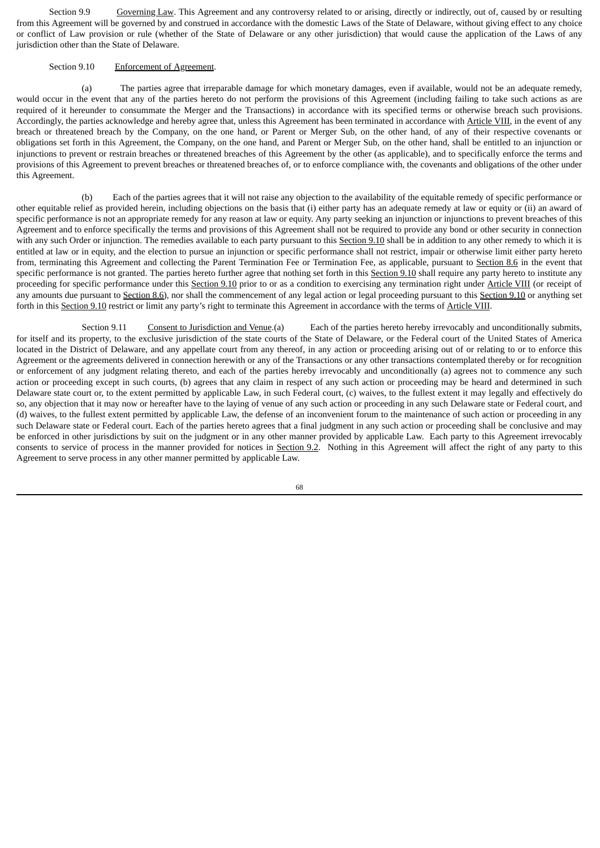Section 9.9 Governing Law. This Agreement and any controversy related to or arising, directly or indirectly, out of, caused by or resulting from this Agreement will be governed by and construed in accordance with the domestic Laws of the State of Delaware, without giving effect to any choice or conflict of Law provision or rule (whether of the State of Delaware or any other jurisdiction) that would cause the application of the Laws of any jurisdiction other than the State of Delaware.

## Section 9.10 Enforcement of Agreement.

(a) The parties agree that irreparable damage for which monetary damages, even if available, would not be an adequate remedy, would occur in the event that any of the parties hereto do not perform the provisions of this Agreement (including failing to take such actions as are required of it hereunder to consummate the Merger and the Transactions) in accordance with its specified terms or otherwise breach such provisions. Accordingly, the parties acknowledge and hereby agree that, unless this Agreement has been terminated in accordance with Article VIII, in the event of any breach or threatened breach by the Company, on the one hand, or Parent or Merger Sub, on the other hand, of any of their respective covenants or obligations set forth in this Agreement, the Company, on the one hand, and Parent or Merger Sub, on the other hand, shall be entitled to an injunction or injunctions to prevent or restrain breaches or threatened breaches of this Agreement by the other (as applicable), and to specifically enforce the terms and provisions of this Agreement to prevent breaches or threatened breaches of, or to enforce compliance with, the covenants and obligations of the other under this Agreement.

(b) Each of the parties agrees that it will not raise any objection to the availability of the equitable remedy of specific performance or other equitable relief as provided herein, including objections on the basis that (i) either party has an adequate remedy at law or equity or (ii) an award of specific performance is not an appropriate remedy for any reason at law or equity. Any party seeking an injunction or injunctions to prevent breaches of this Agreement and to enforce specifically the terms and provisions of this Agreement shall not be required to provide any bond or other security in connection with any such Order or injunction. The remedies available to each party pursuant to this Section 9.10 shall be in addition to any other remedy to which it is entitled at law or in equity, and the election to pursue an injunction or specific performance shall not restrict, impair or otherwise limit either party hereto from, terminating this Agreement and collecting the Parent Termination Fee or Termination Fee, as applicable, pursuant to Section 8.6 in the event that specific performance is not granted. The parties hereto further agree that nothing set forth in this Section 9.10 shall require any party hereto to institute any proceeding for specific performance under this Section 9.10 prior to or as a condition to exercising any termination right under Article VIII (or receipt of any amounts due pursuant to Section 8.6), nor shall the commencement of any legal action or legal proceeding pursuant to this Section 9.10 or anything set forth in this Section 9.10 restrict or limit any party's right to terminate this Agreement in accordance with the terms of Article VIII.

Section 9.11 Consent to Jurisdiction and Venue.(a) Each of the parties hereto hereby irrevocably and unconditionally submits, for itself and its property, to the exclusive jurisdiction of the state courts of the State of Delaware, or the Federal court of the United States of America located in the District of Delaware, and any appellate court from any thereof, in any action or proceeding arising out of or relating to or to enforce this Agreement or the agreements delivered in connection herewith or any of the Transactions or any other transactions contemplated thereby or for recognition or enforcement of any judgment relating thereto, and each of the parties hereby irrevocably and unconditionally (a) agrees not to commence any such action or proceeding except in such courts, (b) agrees that any claim in respect of any such action or proceeding may be heard and determined in such Delaware state court or, to the extent permitted by applicable Law, in such Federal court, (c) waives, to the fullest extent it may legally and effectively do so, any objection that it may now or hereafter have to the laying of venue of any such action or proceeding in any such Delaware state or Federal court, and (d) waives, to the fullest extent permitted by applicable Law, the defense of an inconvenient forum to the maintenance of such action or proceeding in any such Delaware state or Federal court. Each of the parties hereto agrees that a final judgment in any such action or proceeding shall be conclusive and may be enforced in other jurisdictions by suit on the judgment or in any other manner provided by applicable Law. Each party to this Agreement irrevocably consents to service of process in the manner provided for notices in Section 9.2. Nothing in this Agreement will affect the right of any party to this Agreement to serve process in any other manner permitted by applicable Law.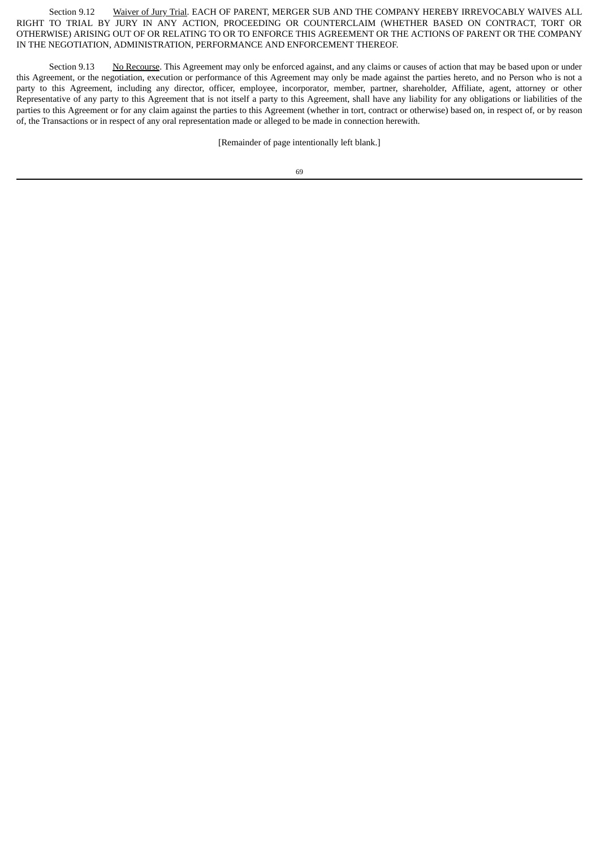Section 9.12 Waiver of Jury Trial. EACH OF PARENT, MERGER SUB AND THE COMPANY HEREBY IRREVOCABLY WAIVES ALL RIGHT TO TRIAL BY JURY IN ANY ACTION, PROCEEDING OR COUNTERCLAIM (WHETHER BASED ON CONTRACT, TORT OR OTHERWISE) ARISING OUT OF OR RELATING TO OR TO ENFORCE THIS AGREEMENT OR THE ACTIONS OF PARENT OR THE COMPANY IN THE NEGOTIATION, ADMINISTRATION, PERFORMANCE AND ENFORCEMENT THEREOF.

Section 9.13 No Recourse. This Agreement may only be enforced against, and any claims or causes of action that may be based upon or under this Agreement, or the negotiation, execution or performance of this Agreement may only be made against the parties hereto, and no Person who is not a party to this Agreement, including any director, officer, employee, incorporator, member, partner, shareholder, Affiliate, agent, attorney or other Representative of any party to this Agreement that is not itself a party to this Agreement, shall have any liability for any obligations or liabilities of the parties to this Agreement or for any claim against the parties to this Agreement (whether in tort, contract or otherwise) based on, in respect of, or by reason of, the Transactions or in respect of any oral representation made or alleged to be made in connection herewith.

[Remainder of page intentionally left blank.]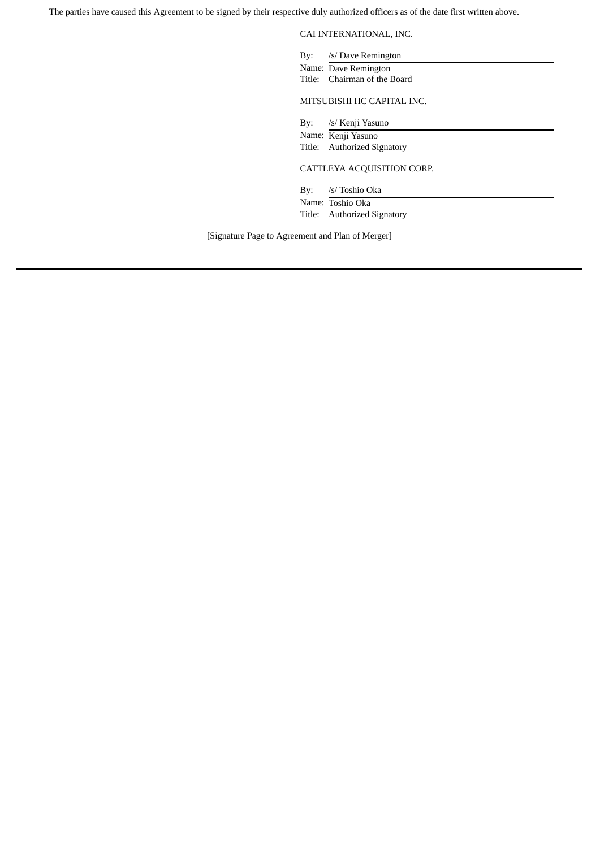The parties have caused this Agreement to be signed by their respective duly authorized officers as of the date first written above.

CAI INTERNATIONAL, INC.

By: /s/ Dave Remington Name: Dave Remington

Title: Chairman of the Board

MITSUBISHI HC CAPITAL INC.

By: /s/ Kenji Yasuno Name: Kenji Yasuno Title: Authorized Signatory

CATTLEYA ACQUISITION CORP.

By: /s/ Toshio Oka Name: Toshio Oka Title: Authorized Signatory

[Signature Page to Agreement and Plan of Merger]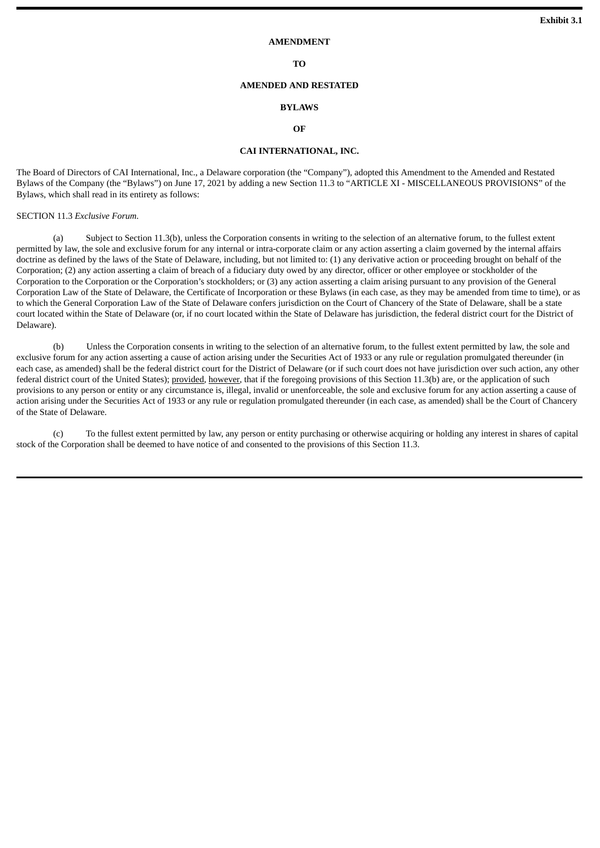#### **AMENDMENT**

**TO**

### **AMENDED AND RESTATED**

#### **BYLAWS**

## **OF**

### **CAI INTERNATIONAL, INC.**

The Board of Directors of CAI International, Inc., a Delaware corporation (the "Company"), adopted this Amendment to the Amended and Restated Bylaws of the Company (the "Bylaws") on June 17, 2021 by adding a new Section 11.3 to "ARTICLE XI - MISCELLANEOUS PROVISIONS" of the Bylaws, which shall read in its entirety as follows:

SECTION 11.3 *Exclusive Forum*.

(a) Subject to Section 11.3(b), unless the Corporation consents in writing to the selection of an alternative forum, to the fullest extent permitted by law, the sole and exclusive forum for any internal or intra-corporate claim or any action asserting a claim governed by the internal affairs doctrine as defined by the laws of the State of Delaware, including, but not limited to: (1) any derivative action or proceeding brought on behalf of the Corporation; (2) any action asserting a claim of breach of a fiduciary duty owed by any director, officer or other employee or stockholder of the Corporation to the Corporation or the Corporation's stockholders; or (3) any action asserting a claim arising pursuant to any provision of the General Corporation Law of the State of Delaware, the Certificate of Incorporation or these Bylaws (in each case, as they may be amended from time to time), or as to which the General Corporation Law of the State of Delaware confers jurisdiction on the Court of Chancery of the State of Delaware, shall be a state court located within the State of Delaware (or, if no court located within the State of Delaware has jurisdiction, the federal district court for the District of Delaware).

(b) Unless the Corporation consents in writing to the selection of an alternative forum, to the fullest extent permitted by law, the sole and exclusive forum for any action asserting a cause of action arising under the Securities Act of 1933 or any rule or regulation promulgated thereunder (in each case, as amended) shall be the federal district court for the District of Delaware (or if such court does not have jurisdiction over such action, any other federal district court of the United States); provided*,* however, that if the foregoing provisions of this Section 11.3(b) are, or the application of such provisions to any person or entity or any circumstance is, illegal, invalid or unenforceable, the sole and exclusive forum for any action asserting a cause of action arising under the Securities Act of 1933 or any rule or regulation promulgated thereunder (in each case, as amended) shall be the Court of Chancery of the State of Delaware.

(c) To the fullest extent permitted by law, any person or entity purchasing or otherwise acquiring or holding any interest in shares of capital stock of the Corporation shall be deemed to have notice of and consented to the provisions of this Section 11.3.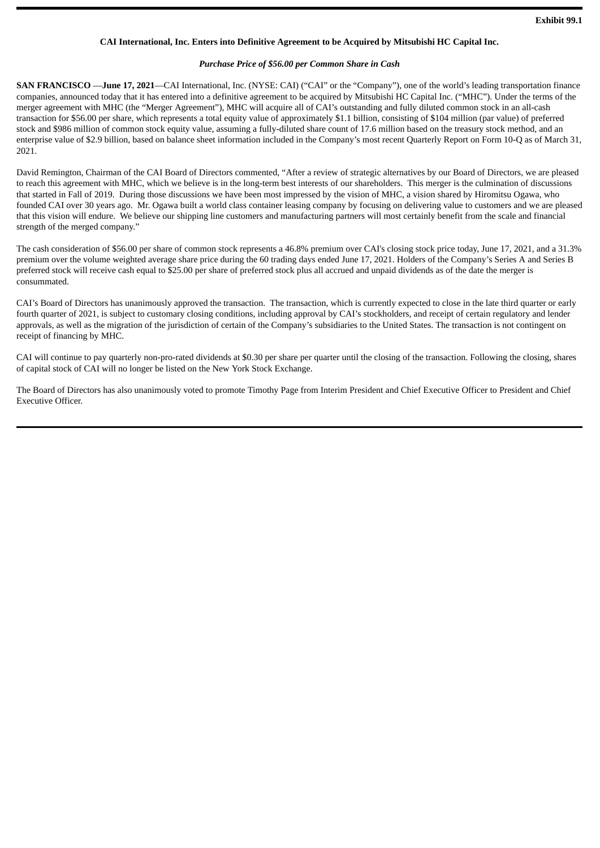### **CAI International, Inc. Enters into Definitive Agreement to be Acquired by Mitsubishi HC Capital Inc.**

### *Purchase Price of \$56.00 per Common Share in Cash*

**SAN FRANCISCO** —**June 17, 2021**—CAI International, Inc. (NYSE: CAI) ("CAI" or the "Company"), one of the world's leading transportation finance companies, announced today that it has entered into a definitive agreement to be acquired by Mitsubishi HC Capital Inc. ("MHC"). Under the terms of the merger agreement with MHC (the "Merger Agreement"), MHC will acquire all of CAI's outstanding and fully diluted common stock in an all-cash transaction for \$56.00 per share, which represents a total equity value of approximately \$1.1 billion, consisting of \$104 million (par value) of preferred stock and \$986 million of common stock equity value, assuming a fully-diluted share count of 17.6 million based on the treasury stock method, and an enterprise value of \$2.9 billion, based on balance sheet information included in the Company's most recent Quarterly Report on Form 10-Q as of March 31, 2021.

David Remington, Chairman of the CAI Board of Directors commented, "After a review of strategic alternatives by our Board of Directors, we are pleased to reach this agreement with MHC, which we believe is in the long-term best interests of our shareholders. This merger is the culmination of discussions that started in Fall of 2019. During those discussions we have been most impressed by the vision of MHC, a vision shared by Hiromitsu Ogawa, who founded CAI over 30 years ago. Mr. Ogawa built a world class container leasing company by focusing on delivering value to customers and we are pleased that this vision will endure. We believe our shipping line customers and manufacturing partners will most certainly benefit from the scale and financial strength of the merged company."

The cash consideration of \$56.00 per share of common stock represents a 46.8% premium over CAI's closing stock price today, June 17, 2021, and a 31.3% premium over the volume weighted average share price during the 60 trading days ended June 17, 2021. Holders of the Company's Series A and Series B preferred stock will receive cash equal to \$25.00 per share of preferred stock plus all accrued and unpaid dividends as of the date the merger is consummated.

CAI's Board of Directors has unanimously approved the transaction. The transaction, which is currently expected to close in the late third quarter or early fourth quarter of 2021, is subject to customary closing conditions, including approval by CAI's stockholders, and receipt of certain regulatory and lender approvals, as well as the migration of the jurisdiction of certain of the Company's subsidiaries to the United States. The transaction is not contingent on receipt of financing by MHC.

CAI will continue to pay quarterly non-pro-rated dividends at \$0.30 per share per quarter until the closing of the transaction. Following the closing, shares of capital stock of CAI will no longer be listed on the New York Stock Exchange.

The Board of Directors has also unanimously voted to promote Timothy Page from Interim President and Chief Executive Officer to President and Chief Executive Officer.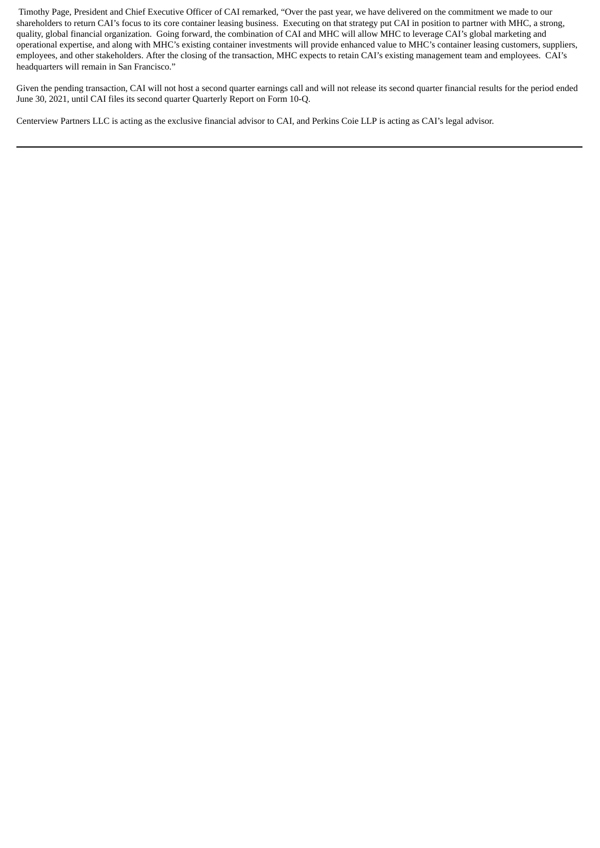Timothy Page, President and Chief Executive Officer of CAI remarked, "Over the past year, we have delivered on the commitment we made to our shareholders to return CAI's focus to its core container leasing business. Executing on that strategy put CAI in position to partner with MHC, a strong, quality, global financial organization. Going forward, the combination of CAI and MHC will allow MHC to leverage CAI's global marketing and operational expertise, and along with MHC's existing container investments will provide enhanced value to MHC's container leasing customers, suppliers, employees, and other stakeholders. After the closing of the transaction, MHC expects to retain CAI's existing management team and employees. CAI's headquarters will remain in San Francisco."

Given the pending transaction, CAI will not host a second quarter earnings call and will not release its second quarter financial results for the period ended June 30, 2021, until CAI files its second quarter Quarterly Report on Form 10-Q.

Centerview Partners LLC is acting as the exclusive financial advisor to CAI, and Perkins Coie LLP is acting as CAI's legal advisor.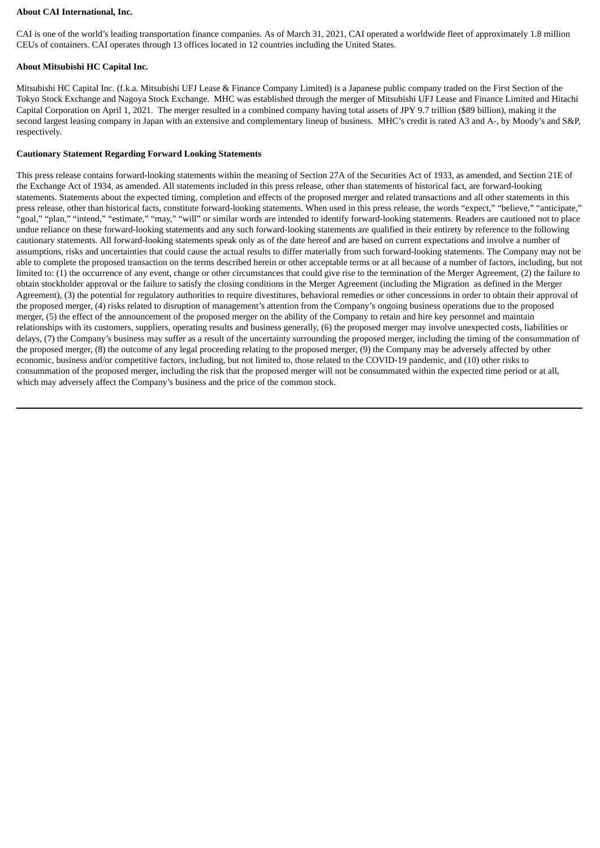### **About CAI International, Inc.**

CAI is one of the world's leading transportation finance companies. As of March 31, 2021, CAI operated a worldwide fleet of approximately 1.8 million CEUs of containers. CAI operates through 13 offices located in 12 countries including the United States.

## **About Mitsubishi HC Capital Inc.**

Mitsubishi HC Capital Inc. (f.k.a. Mitsubishi UFJ Lease & Finance Company Limited) is a Japanese public company traded on the First Section of the Tokyo Stock Exchange and Nagoya Stock Exchange. MHC was established through the merger of Mitsubishi UFJ Lease and Finance Limited and Hitachi Capital Corporation on April 1, 2021. The merger resulted in a combined company having total assets of JPY 9.7 trillion (\$89 billion), making it the second largest leasing company in Japan with an extensive and complementary lineup of business. MHC's credit is rated A3 and A-, by Moody's and S&P, respectively.

### **Cautionary Statement Regarding Forward Looking Statements**

This press release contains forward-looking statements within the meaning of Section 27A of the Securities Act of 1933, as amended, and Section 21E of the Exchange Act of 1934, as amended. All statements included in this press release, other than statements of historical fact, are forward-looking statements. Statements about the expected timing, completion and effects of the proposed merger and related transactions and all other statements in this press release, other than historical facts, constitute forward-looking statements. When used in this press release, the words "expect," "believe," "anticipate," .<br>"goal," "plan," "intend," "estimate," "may," "will" or similar words are intended to identify forward-looking statements. Readers are cautioned not to place undue reliance on these forward-looking statements and any such forward-looking statements are qualified in their entirety by reference to the following cautionary statements. All forward-looking statements speak only as of the date hereof and are based on current expectations and involve a number of assumptions, risks and uncertainties that could cause the actual results to differ materially from such forward-looking statements. The Company may not be able to complete the proposed transaction on the terms described herein or other acceptable terms or at all because of a number of factors, including, but not limited to: (1) the occurrence of any event, change or other circumstances that could give rise to the termination of the Merger Agreement, (2) the failure to obtain stockholder approval or the failure to satisfy the closing conditions in the Merger Agreement (including the Migration as defined in the Merger Agreement), (3) the potential for regulatory authorities to require divestitures, behavioral remedies or other concessions in order to obtain their approval of the proposed merger, (4) risks related to disruption of management's attention from the Company's ongoing business operations due to the proposed merger, (5) the effect of the announcement of the proposed merger on the ability of the Company to retain and hire key personnel and maintain relationships with its customers, suppliers, operating results and business generally, (6) the proposed merger may involve unexpected costs, liabilities or delays, (7) the Company's business may suffer as a result of the uncertainty surrounding the proposed merger, including the timing of the consummation of the proposed merger, (8) the outcome of any legal proceeding relating to the proposed merger, (9) the Company may be adversely affected by other economic, business and/or competitive factors, including, but not limited to, those related to the COVID-19 pandemic, and (10) other risks to consummation of the proposed merger, including the risk that the proposed merger will not be consummated within the expected time period or at all, which may adversely affect the Company's business and the price of the common stock.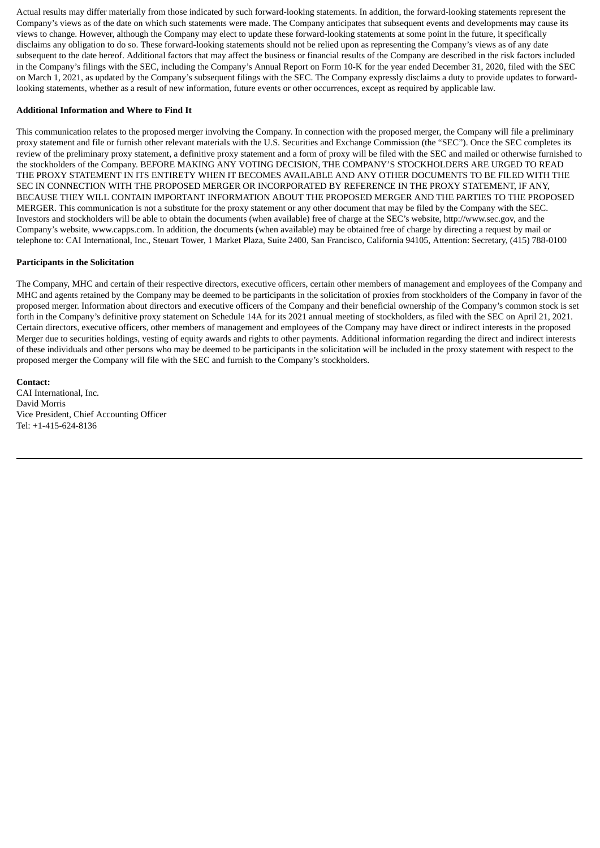Actual results may differ materially from those indicated by such forward-looking statements. In addition, the forward-looking statements represent the Company's views as of the date on which such statements were made. The Company anticipates that subsequent events and developments may cause its views to change. However, although the Company may elect to update these forward-looking statements at some point in the future, it specifically disclaims any obligation to do so. These forward-looking statements should not be relied upon as representing the Company's views as of any date subsequent to the date hereof. Additional factors that may affect the business or financial results of the Company are described in the risk factors included in the Company's filings with the SEC, including the Company's Annual Report on Form 10-K for the year ended December 31, 2020, filed with the SEC on March 1, 2021, as updated by the Company's subsequent filings with the SEC. The Company expressly disclaims a duty to provide updates to forwardlooking statements, whether as a result of new information, future events or other occurrences, except as required by applicable law.

### **Additional Information and Where to Find It**

This communication relates to the proposed merger involving the Company. In connection with the proposed merger, the Company will file a preliminary proxy statement and file or furnish other relevant materials with the U.S. Securities and Exchange Commission (the "SEC"). Once the SEC completes its review of the preliminary proxy statement, a definitive proxy statement and a form of proxy will be filed with the SEC and mailed or otherwise furnished to the stockholders of the Company. BEFORE MAKING ANY VOTING DECISION, THE COMPANY'S STOCKHOLDERS ARE URGED TO READ THE PROXY STATEMENT IN ITS ENTIRETY WHEN IT BECOMES AVAILABLE AND ANY OTHER DOCUMENTS TO BE FILED WITH THE SEC IN CONNECTION WITH THE PROPOSED MERGER OR INCORPORATED BY REFERENCE IN THE PROXY STATEMENT, IF ANY, BECAUSE THEY WILL CONTAIN IMPORTANT INFORMATION ABOUT THE PROPOSED MERGER AND THE PARTIES TO THE PROPOSED MERGER. This communication is not a substitute for the proxy statement or any other document that may be filed by the Company with the SEC. Investors and stockholders will be able to obtain the documents (when available) free of charge at the SEC's website, http://www.sec.gov, and the Company's website, www.capps.com. In addition, the documents (when available) may be obtained free of charge by directing a request by mail or telephone to: CAI International, Inc., Steuart Tower, 1 Market Plaza, Suite 2400, San Francisco, California 94105, Attention: Secretary, (415) 788-0100

### **Participants in the Solicitation**

The Company, MHC and certain of their respective directors, executive officers, certain other members of management and employees of the Company and MHC and agents retained by the Company may be deemed to be participants in the solicitation of proxies from stockholders of the Company in favor of the proposed merger. Information about directors and executive officers of the Company and their beneficial ownership of the Company's common stock is set forth in the Company's definitive proxy statement on Schedule 14A for its 2021 annual meeting of stockholders, as filed with the SEC on April 21, 2021. Certain directors, executive officers, other members of management and employees of the Company may have direct or indirect interests in the proposed Merger due to securities holdings, vesting of equity awards and rights to other payments. Additional information regarding the direct and indirect interests of these individuals and other persons who may be deemed to be participants in the solicitation will be included in the proxy statement with respect to the proposed merger the Company will file with the SEC and furnish to the Company's stockholders.

**Contact:** CAI International, Inc. David Morris Vice President, Chief Accounting Officer Tel: +1-415-624-8136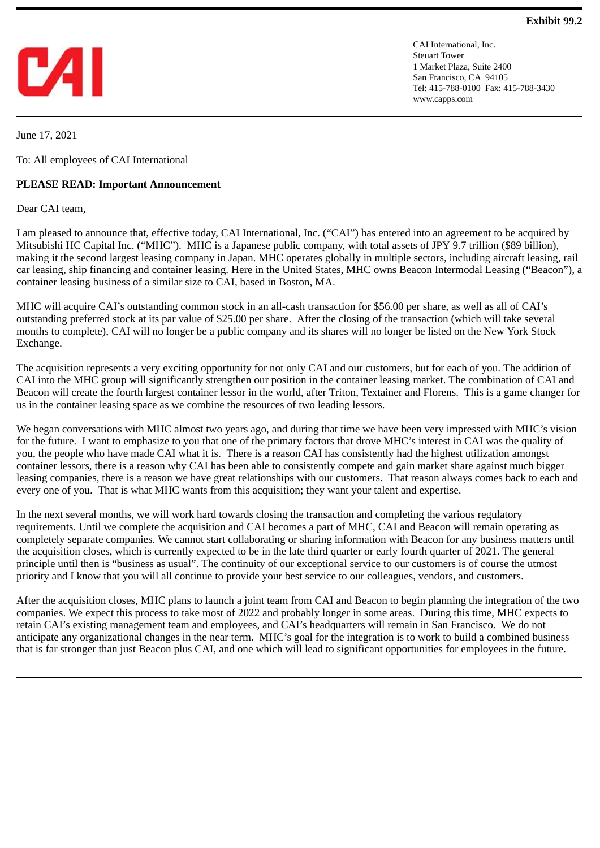

CAI International, Inc. Steuart Tower 1 Market Plaza, Suite 2400 San Francisco, CA 94105 Tel: 415-788-0100 Fax: 415-788-3430 www.capps.com

June 17, 2021

To: All employees of CAI International

# **PLEASE READ: Important Announcement**

Dear CAI team,

I am pleased to announce that, effective today, CAI International, Inc. ("CAI") has entered into an agreement to be acquired by Mitsubishi HC Capital Inc. ("MHC"). MHC is a Japanese public company, with total assets of JPY 9.7 trillion (\$89 billion), making it the second largest leasing company in Japan. MHC operates globally in multiple sectors, including aircraft leasing, rail car leasing, ship financing and container leasing. Here in the United States, MHC owns Beacon Intermodal Leasing ("Beacon"), a container leasing business of a similar size to CAI, based in Boston, MA.

MHC will acquire CAI's outstanding common stock in an all-cash transaction for \$56.00 per share, as well as all of CAI's outstanding preferred stock at its par value of \$25.00 per share. After the closing of the transaction (which will take several months to complete), CAI will no longer be a public company and its shares will no longer be listed on the New York Stock Exchange.

The acquisition represents a very exciting opportunity for not only CAI and our customers, but for each of you. The addition of CAI into the MHC group will significantly strengthen our position in the container leasing market. The combination of CAI and Beacon will create the fourth largest container lessor in the world, after Triton, Textainer and Florens. This is a game changer for us in the container leasing space as we combine the resources of two leading lessors.

We began conversations with MHC almost two years ago, and during that time we have been very impressed with MHC's vision for the future. I want to emphasize to you that one of the primary factors that drove MHC's interest in CAI was the quality of you, the people who have made CAI what it is. There is a reason CAI has consistently had the highest utilization amongst container lessors, there is a reason why CAI has been able to consistently compete and gain market share against much bigger leasing companies, there is a reason we have great relationships with our customers. That reason always comes back to each and every one of you. That is what MHC wants from this acquisition; they want your talent and expertise.

In the next several months, we will work hard towards closing the transaction and completing the various regulatory requirements. Until we complete the acquisition and CAI becomes a part of MHC, CAI and Beacon will remain operating as completely separate companies. We cannot start collaborating or sharing information with Beacon for any business matters until the acquisition closes, which is currently expected to be in the late third quarter or early fourth quarter of 2021. The general principle until then is "business as usual". The continuity of our exceptional service to our customers is of course the utmost priority and I know that you will all continue to provide your best service to our colleagues, vendors, and customers.

After the acquisition closes, MHC plans to launch a joint team from CAI and Beacon to begin planning the integration of the two companies. We expect this process to take most of 2022 and probably longer in some areas. During this time, MHC expects to retain CAI's existing management team and employees, and CAI's headquarters will remain in San Francisco. We do not anticipate any organizational changes in the near term. MHC's goal for the integration is to work to build a combined business that is far stronger than just Beacon plus CAI, and one which will lead to significant opportunities for employees in the future.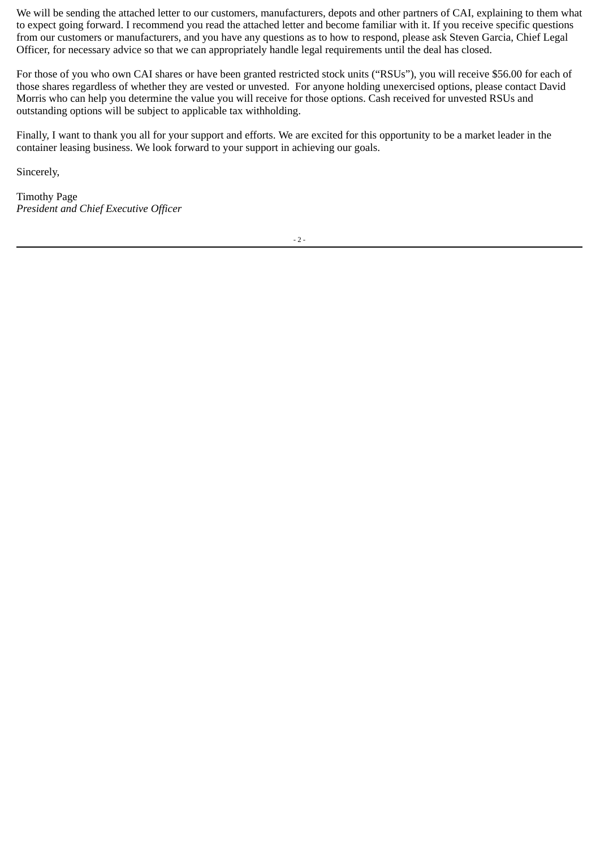We will be sending the attached letter to our customers, manufacturers, depots and other partners of CAI, explaining to them what to expect going forward. I recommend you read the attached letter and become familiar with it. If you receive specific questions from our customers or manufacturers, and you have any questions as to how to respond, please ask Steven Garcia, Chief Legal Officer, for necessary advice so that we can appropriately handle legal requirements until the deal has closed.

For those of you who own CAI shares or have been granted restricted stock units ("RSUs"), you will receive \$56.00 for each of those shares regardless of whether they are vested or unvested. For anyone holding unexercised options, please contact David Morris who can help you determine the value you will receive for those options. Cash received for unvested RSUs and outstanding options will be subject to applicable tax withholding.

Finally, I want to thank you all for your support and efforts. We are excited for this opportunity to be a market leader in the container leasing business. We look forward to your support in achieving our goals.

Sincerely,

Timothy Page *President and Chief Executive Officer*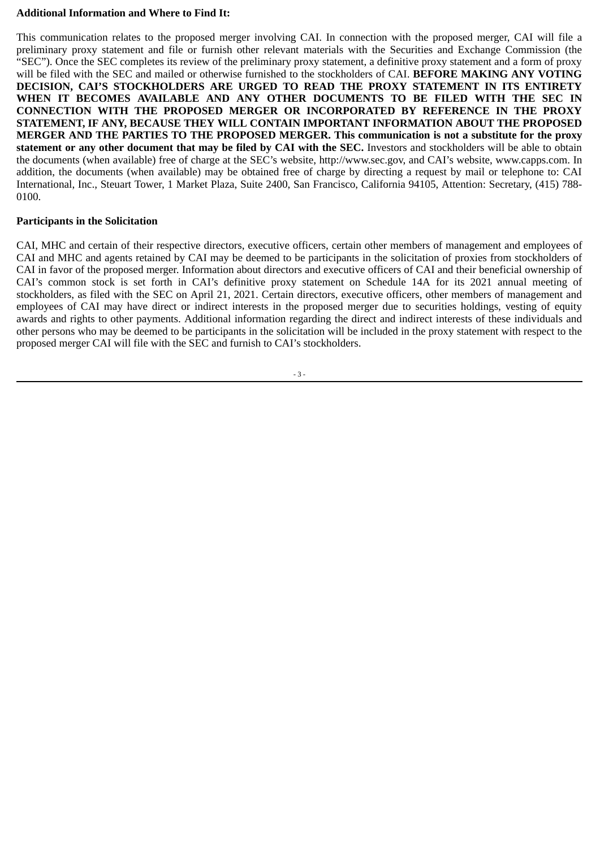# **Additional Information and Where to Find It:**

This communication relates to the proposed merger involving CAI. In connection with the proposed merger, CAI will file a preliminary proxy statement and file or furnish other relevant materials with the Securities and Exchange Commission (the "SEC"). Once the SEC completes its review of the preliminary proxy statement, a definitive proxy statement and a form of proxy will be filed with the SEC and mailed or otherwise furnished to the stockholders of CAI. **BEFORE MAKING ANY VOTING DECISION, CAI'S STOCKHOLDERS ARE URGED TO READ THE PROXY STATEMENT IN ITS ENTIRETY WHEN IT BECOMES AVAILABLE AND ANY OTHER DOCUMENTS TO BE FILED WITH THE SEC IN CONNECTION WITH THE PROPOSED MERGER OR INCORPORATED BY REFERENCE IN THE PROXY STATEMENT, IF ANY, BECAUSE THEY WILL CONTAIN IMPORTANT INFORMATION ABOUT THE PROPOSED MERGER AND THE PARTIES TO THE PROPOSED MERGER. This communication is not a substitute for the proxy statement or any other document that may be filed by CAI with the SEC.** Investors and stockholders will be able to obtain the documents (when available) free of charge at the SEC's website, http://www.sec.gov, and CAI's website, www.capps.com. In addition, the documents (when available) may be obtained free of charge by directing a request by mail or telephone to: CAI International, Inc., Steuart Tower, 1 Market Plaza, Suite 2400, San Francisco, California 94105, Attention: Secretary, (415) 788- 0100.

# **Participants in the Solicitation**

CAI, MHC and certain of their respective directors, executive officers, certain other members of management and employees of CAI and MHC and agents retained by CAI may be deemed to be participants in the solicitation of proxies from stockholders of CAI in favor of the proposed merger. Information about directors and executive officers of CAI and their beneficial ownership of CAI's common stock is set forth in CAI's definitive proxy statement on Schedule 14A for its 2021 annual meeting of stockholders, as filed with the SEC on April 21, 2021. Certain directors, executive officers, other members of management and employees of CAI may have direct or indirect interests in the proposed merger due to securities holdings, vesting of equity awards and rights to other payments. Additional information regarding the direct and indirect interests of these individuals and other persons who may be deemed to be participants in the solicitation will be included in the proxy statement with respect to the proposed merger CAI will file with the SEC and furnish to CAI's stockholders.

- 3 -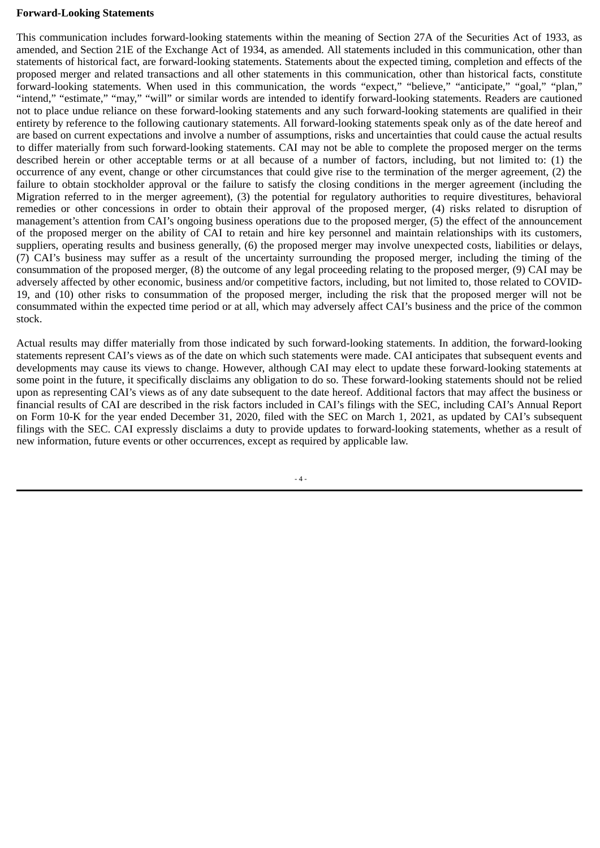## **Forward-Looking Statements**

This communication includes forward-looking statements within the meaning of Section 27A of the Securities Act of 1933, as amended, and Section 21E of the Exchange Act of 1934, as amended. All statements included in this communication, other than statements of historical fact, are forward-looking statements. Statements about the expected timing, completion and effects of the proposed merger and related transactions and all other statements in this communication, other than historical facts, constitute forward-looking statements. When used in this communication, the words "expect," "believe," "anticipate," "goal," "plan," "intend," "estimate," "may," "will" or similar words are intended to identify forward-looking statements. Readers are cautioned not to place undue reliance on these forward-looking statements and any such forward-looking statements are qualified in their entirety by reference to the following cautionary statements. All forward-looking statements speak only as of the date hereof and are based on current expectations and involve a number of assumptions, risks and uncertainties that could cause the actual results to differ materially from such forward-looking statements. CAI may not be able to complete the proposed merger on the terms described herein or other acceptable terms or at all because of a number of factors, including, but not limited to: (1) the occurrence of any event, change or other circumstances that could give rise to the termination of the merger agreement, (2) the failure to obtain stockholder approval or the failure to satisfy the closing conditions in the merger agreement (including the Migration referred to in the merger agreement), (3) the potential for regulatory authorities to require divestitures, behavioral remedies or other concessions in order to obtain their approval of the proposed merger, (4) risks related to disruption of management's attention from CAI's ongoing business operations due to the proposed merger, (5) the effect of the announcement of the proposed merger on the ability of CAI to retain and hire key personnel and maintain relationships with its customers, suppliers, operating results and business generally, (6) the proposed merger may involve unexpected costs, liabilities or delays, (7) CAI's business may suffer as a result of the uncertainty surrounding the proposed merger, including the timing of the consummation of the proposed merger, (8) the outcome of any legal proceeding relating to the proposed merger, (9) CAI may be adversely affected by other economic, business and/or competitive factors, including, but not limited to, those related to COVID-19, and (10) other risks to consummation of the proposed merger, including the risk that the proposed merger will not be consummated within the expected time period or at all, which may adversely affect CAI's business and the price of the common stock.

Actual results may differ materially from those indicated by such forward-looking statements. In addition, the forward-looking statements represent CAI's views as of the date on which such statements were made. CAI anticipates that subsequent events and developments may cause its views to change. However, although CAI may elect to update these forward-looking statements at some point in the future, it specifically disclaims any obligation to do so. These forward-looking statements should not be relied upon as representing CAI's views as of any date subsequent to the date hereof. Additional factors that may affect the business or financial results of CAI are described in the risk factors included in CAI's filings with the SEC, including CAI's Annual Report on Form 10-K for the year ended December 31, 2020, filed with the SEC on March 1, 2021, as updated by CAI's subsequent filings with the SEC. CAI expressly disclaims a duty to provide updates to forward-looking statements, whether as a result of new information, future events or other occurrences, except as required by applicable law.

 $- 4 -$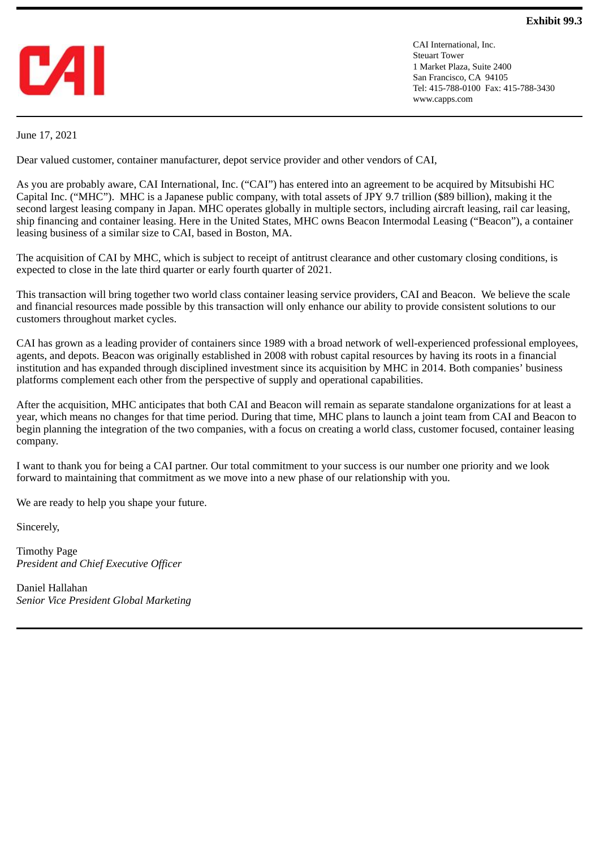

CAI International, Inc. Steuart Tower 1 Market Plaza, Suite 2400 San Francisco, CA 94105 Tel: 415-788-0100 Fax: 415-788-3430 www.capps.com

June 17, 2021

Dear valued customer, container manufacturer, depot service provider and other vendors of CAI,

As you are probably aware, CAI International, Inc. ("CAI") has entered into an agreement to be acquired by Mitsubishi HC Capital Inc. ("MHC"). MHC is a Japanese public company, with total assets of JPY 9.7 trillion (\$89 billion), making it the second largest leasing company in Japan. MHC operates globally in multiple sectors, including aircraft leasing, rail car leasing, ship financing and container leasing. Here in the United States, MHC owns Beacon Intermodal Leasing ("Beacon"), a container leasing business of a similar size to CAI, based in Boston, MA.

The acquisition of CAI by MHC, which is subject to receipt of antitrust clearance and other customary closing conditions, is expected to close in the late third quarter or early fourth quarter of 2021.

This transaction will bring together two world class container leasing service providers, CAI and Beacon. We believe the scale and financial resources made possible by this transaction will only enhance our ability to provide consistent solutions to our customers throughout market cycles.

CAI has grown as a leading provider of containers since 1989 with a broad network of well-experienced professional employees, agents, and depots. Beacon was originally established in 2008 with robust capital resources by having its roots in a financial institution and has expanded through disciplined investment since its acquisition by MHC in 2014. Both companies' business platforms complement each other from the perspective of supply and operational capabilities.

After the acquisition, MHC anticipates that both CAI and Beacon will remain as separate standalone organizations for at least a year, which means no changes for that time period. During that time, MHC plans to launch a joint team from CAI and Beacon to begin planning the integration of the two companies, with a focus on creating a world class, customer focused, container leasing company.

I want to thank you for being a CAI partner. Our total commitment to your success is our number one priority and we look forward to maintaining that commitment as we move into a new phase of our relationship with you.

We are ready to help you shape your future.

Sincerely,

Timothy Page *President and Chief Executive Officer*

Daniel Hallahan *Senior Vice President Global Marketing*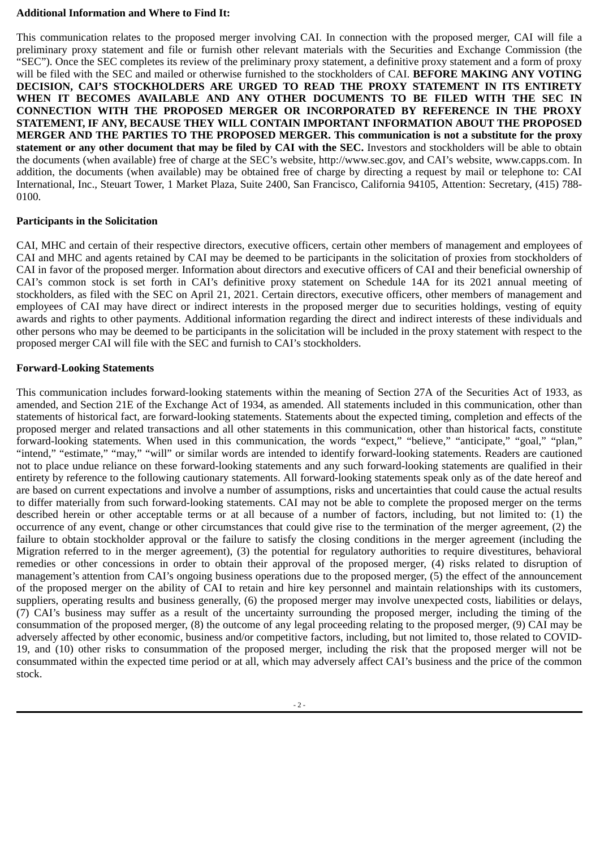# **Additional Information and Where to Find It:**

This communication relates to the proposed merger involving CAI. In connection with the proposed merger, CAI will file a preliminary proxy statement and file or furnish other relevant materials with the Securities and Exchange Commission (the "SEC"). Once the SEC completes its review of the preliminary proxy statement, a definitive proxy statement and a form of proxy will be filed with the SEC and mailed or otherwise furnished to the stockholders of CAI. **BEFORE MAKING ANY VOTING DECISION, CAI'S STOCKHOLDERS ARE URGED TO READ THE PROXY STATEMENT IN ITS ENTIRETY WHEN IT BECOMES AVAILABLE AND ANY OTHER DOCUMENTS TO BE FILED WITH THE SEC IN CONNECTION WITH THE PROPOSED MERGER OR INCORPORATED BY REFERENCE IN THE PROXY STATEMENT, IF ANY, BECAUSE THEY WILL CONTAIN IMPORTANT INFORMATION ABOUT THE PROPOSED MERGER AND THE PARTIES TO THE PROPOSED MERGER. This communication is not a substitute for the proxy statement or any other document that may be filed by CAI with the SEC.** Investors and stockholders will be able to obtain the documents (when available) free of charge at the SEC's website, http://www.sec.gov, and CAI's website, www.capps.com. In addition, the documents (when available) may be obtained free of charge by directing a request by mail or telephone to: CAI International, Inc., Steuart Tower, 1 Market Plaza, Suite 2400, San Francisco, California 94105, Attention: Secretary, (415) 788- 0100.

# **Participants in the Solicitation**

CAI, MHC and certain of their respective directors, executive officers, certain other members of management and employees of CAI and MHC and agents retained by CAI may be deemed to be participants in the solicitation of proxies from stockholders of CAI in favor of the proposed merger. Information about directors and executive officers of CAI and their beneficial ownership of CAI's common stock is set forth in CAI's definitive proxy statement on Schedule 14A for its 2021 annual meeting of stockholders, as filed with the SEC on April 21, 2021. Certain directors, executive officers, other members of management and employees of CAI may have direct or indirect interests in the proposed merger due to securities holdings, vesting of equity awards and rights to other payments. Additional information regarding the direct and indirect interests of these individuals and other persons who may be deemed to be participants in the solicitation will be included in the proxy statement with respect to the proposed merger CAI will file with the SEC and furnish to CAI's stockholders.

# **Forward-Looking Statements**

This communication includes forward-looking statements within the meaning of Section 27A of the Securities Act of 1933, as amended, and Section 21E of the Exchange Act of 1934, as amended. All statements included in this communication, other than statements of historical fact, are forward-looking statements. Statements about the expected timing, completion and effects of the proposed merger and related transactions and all other statements in this communication, other than historical facts, constitute forward-looking statements. When used in this communication, the words "expect," "believe," "anticipate," "goal," "plan," "intend," "estimate," "may," "will" or similar words are intended to identify forward-looking statements. Readers are cautioned not to place undue reliance on these forward-looking statements and any such forward-looking statements are qualified in their entirety by reference to the following cautionary statements. All forward-looking statements speak only as of the date hereof and are based on current expectations and involve a number of assumptions, risks and uncertainties that could cause the actual results to differ materially from such forward-looking statements. CAI may not be able to complete the proposed merger on the terms described herein or other acceptable terms or at all because of a number of factors, including, but not limited to: (1) the occurrence of any event, change or other circumstances that could give rise to the termination of the merger agreement, (2) the failure to obtain stockholder approval or the failure to satisfy the closing conditions in the merger agreement (including the Migration referred to in the merger agreement), (3) the potential for regulatory authorities to require divestitures, behavioral remedies or other concessions in order to obtain their approval of the proposed merger, (4) risks related to disruption of management's attention from CAI's ongoing business operations due to the proposed merger, (5) the effect of the announcement of the proposed merger on the ability of CAI to retain and hire key personnel and maintain relationships with its customers, suppliers, operating results and business generally, (6) the proposed merger may involve unexpected costs, liabilities or delays, (7) CAI's business may suffer as a result of the uncertainty surrounding the proposed merger, including the timing of the consummation of the proposed merger, (8) the outcome of any legal proceeding relating to the proposed merger, (9) CAI may be adversely affected by other economic, business and/or competitive factors, including, but not limited to, those related to COVID-19, and (10) other risks to consummation of the proposed merger, including the risk that the proposed merger will not be consummated within the expected time period or at all, which may adversely affect CAI's business and the price of the common stock.